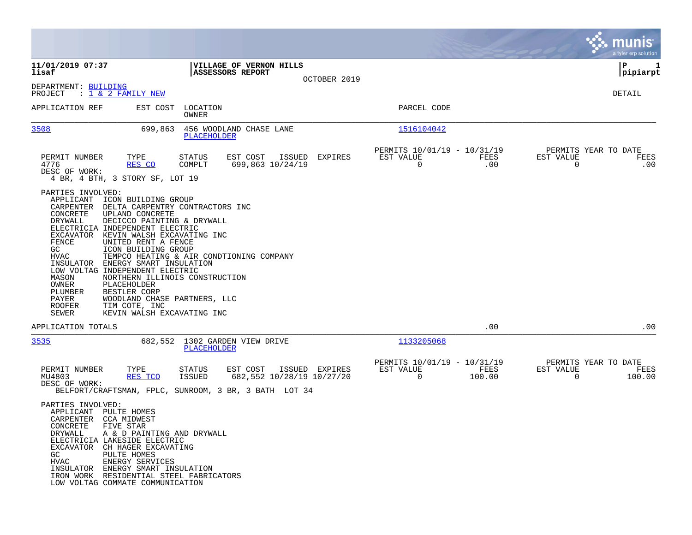|                                                                                                                                                                                                                                                                                                                                                                                                                                                                                                                                                                                                                           |                                                            |                |                                                         |                | munis<br>a tyler erp solution                                   |
|---------------------------------------------------------------------------------------------------------------------------------------------------------------------------------------------------------------------------------------------------------------------------------------------------------------------------------------------------------------------------------------------------------------------------------------------------------------------------------------------------------------------------------------------------------------------------------------------------------------------------|------------------------------------------------------------|----------------|---------------------------------------------------------|----------------|-----------------------------------------------------------------|
| 11/01/2019 07:37<br>lisaf                                                                                                                                                                                                                                                                                                                                                                                                                                                                                                                                                                                                 | VILLAGE OF VERNON HILLS<br><b>ASSESSORS REPORT</b>         |                |                                                         |                | P<br>1<br> pipiarpt                                             |
| DEPARTMENT: BUILDING<br>PROJECT<br>: <u>1 &amp; 2 FAMILY NEW</u>                                                                                                                                                                                                                                                                                                                                                                                                                                                                                                                                                          |                                                            | OCTOBER 2019   |                                                         |                | DETAIL                                                          |
| APPLICATION REF                                                                                                                                                                                                                                                                                                                                                                                                                                                                                                                                                                                                           | EST COST LOCATION<br>OWNER                                 |                | PARCEL CODE                                             |                |                                                                 |
| 3508<br>699,863                                                                                                                                                                                                                                                                                                                                                                                                                                                                                                                                                                                                           | 456 WOODLAND CHASE LANE<br>PLACEHOLDER                     |                | 1516104042                                              |                |                                                                 |
| PERMIT NUMBER<br>TYPE<br>4776<br>RES CO<br>DESC OF WORK:<br>4 BR, 4 BTH, 3 STORY SF, LOT 19                                                                                                                                                                                                                                                                                                                                                                                                                                                                                                                               | ISSUED<br>STATUS<br>EST COST<br>COMPLT<br>699,863 10/24/19 | EXPIRES        | PERMITS 10/01/19 - 10/31/19<br>EST VALUE<br>$\mathbf 0$ | FEES<br>.00    | PERMITS YEAR TO DATE<br>EST VALUE<br>FEES<br>$\mathbf 0$<br>.00 |
| PARTIES INVOLVED:<br>APPLICANT ICON BUILDING GROUP<br>CARPENTER DELTA CARPENTRY CONTRACTORS INC<br>CONCRETE<br>UPLAND CONCRETE<br>DECICCO PAINTING & DRYWALL<br>DRYWALL<br>ELECTRICIA INDEPENDENT ELECTRIC<br>EXCAVATOR KEVIN WALSH EXCAVATING INC<br>FENCE<br>UNITED RENT A FENCE<br>GC<br>ICON BUILDING GROUP<br>HVAC<br>INSULATOR<br>ENERGY SMART INSULATION<br>LOW VOLTAG INDEPENDENT ELECTRIC<br>MASON<br>NORTHERN ILLINOIS CONSTRUCTION<br>PLACEHOLDER<br>OWNER<br><b>BESTLER CORP</b><br>PLUMBER<br>WOODLAND CHASE PARTNERS, LLC<br>PAYER<br><b>ROOFER</b><br>TIM COTE, INC<br>SEWER<br>KEVIN WALSH EXCAVATING INC | TEMPCO HEATING & AIR CONDTIONING COMPANY                   |                |                                                         |                |                                                                 |
| APPLICATION TOTALS                                                                                                                                                                                                                                                                                                                                                                                                                                                                                                                                                                                                        |                                                            |                |                                                         | .00            | .00                                                             |
| <u>3535</u>                                                                                                                                                                                                                                                                                                                                                                                                                                                                                                                                                                                                               | 682,552 1302 GARDEN VIEW DRIVE<br>PLACEHOLDER              |                | 1133205068                                              |                |                                                                 |
| PERMIT NUMBER<br>TYPE<br>MU4803<br>RES TCO<br>DESC OF WORK:<br>BELFORT/CRAFTSMAN, FPLC, SUNROOM, 3 BR, 3 BATH LOT 34                                                                                                                                                                                                                                                                                                                                                                                                                                                                                                      | STATUS<br>EST COST<br>ISSUED<br>682,552 10/28/19 10/27/20  | ISSUED EXPIRES | PERMITS 10/01/19 - 10/31/19<br>EST VALUE<br>$\mathbf 0$ | FEES<br>100.00 | PERMITS YEAR TO DATE<br>EST VALUE<br>FEES<br>$\Omega$<br>100.00 |
| PARTIES INVOLVED:<br>APPLICANT PULTE HOMES<br>CARPENTER CCA MIDWEST<br>CONCRETE<br>FIVE STAR<br>DRYWALL<br>A & D PAINTING AND DRYWALL<br>ELECTRICIA LAKESIDE ELECTRIC<br>EXCAVATOR CH HAGER EXCAVATING<br>PULTE HOMES<br>GC<br>ENERGY SERVICES<br>HVAC<br>INSULATOR ENERGY SMART INSULATION<br>IRON WORK RESIDENTIAL STEEL FABRICATORS<br>LOW VOLTAG COMMATE COMMUNICATION                                                                                                                                                                                                                                                |                                                            |                |                                                         |                |                                                                 |

**Contract**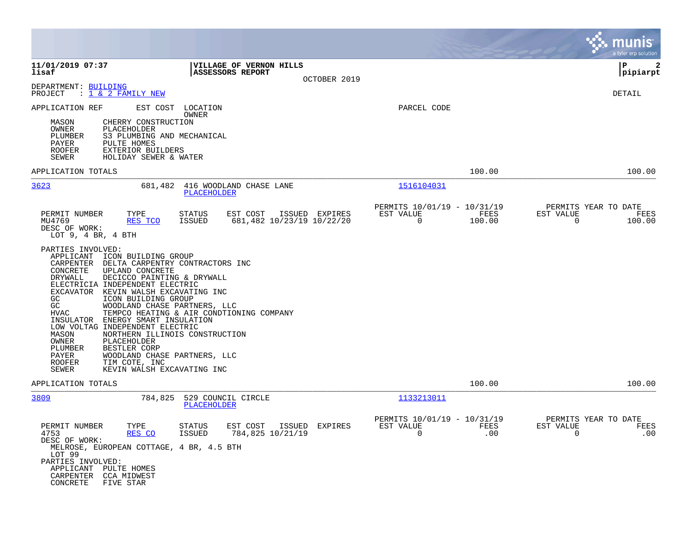|                                                                                                                                                                                                                                                                                                                                                                                                                                                               |                                                                                      | munis<br>a tyler erp solution                                 |
|---------------------------------------------------------------------------------------------------------------------------------------------------------------------------------------------------------------------------------------------------------------------------------------------------------------------------------------------------------------------------------------------------------------------------------------------------------------|--------------------------------------------------------------------------------------|---------------------------------------------------------------|
| 11/01/2019 07:37<br>VILLAGE OF VERNON HILLS<br>lisaf<br>ASSESSORS REPORT<br>OCTOBER 2019                                                                                                                                                                                                                                                                                                                                                                      |                                                                                      | l P<br>2<br> pipiarpt                                         |
| DEPARTMENT: BUILDING<br>: 1 & 2 FAMILY NEW<br>PROJECT                                                                                                                                                                                                                                                                                                                                                                                                         |                                                                                      | DETAIL                                                        |
| APPLICATION REF<br>EST COST<br>LOCATION<br>OWNER<br>CHERRY CONSTRUCTION<br>MASON<br>OWNER<br>PLACEHOLDER<br>PLUMBER<br>S3 PLUMBING AND MECHANICAL<br>PAYER<br>PULTE HOMES<br><b>ROOFER</b><br>EXTERIOR BUILDERS<br>SEWER<br>HOLIDAY SEWER & WATER                                                                                                                                                                                                             | PARCEL CODE                                                                          |                                                               |
| APPLICATION TOTALS                                                                                                                                                                                                                                                                                                                                                                                                                                            | 100.00                                                                               | 100.00                                                        |
| 3623<br>681,482<br>416 WOODLAND CHASE LANE<br>PLACEHOLDER<br>PERMIT NUMBER<br>TYPE<br>STATUS<br>EST COST<br>ISSUED EXPIRES<br>MU4769<br>RES TCO<br><b>ISSUED</b><br>681,482 10/23/19 10/22/20<br>DESC OF WORK:<br>LOT $9, 4$ BR, $4$ BTH<br>PARTIES INVOLVED:<br>APPLICANT<br>ICON BUILDING GROUP<br>CARPENTER<br>DELTA CARPENTRY CONTRACTORS INC<br>CONCRETE<br>UPLAND CONCRETE<br>DRYWALL<br>DECICCO PAINTING & DRYWALL<br>ELECTRICIA INDEPENDENT ELECTRIC  | <u>1516104031</u><br>PERMITS 10/01/19 - 10/31/19<br>FEES<br>EST VALUE<br>0<br>100.00 | PERMITS YEAR TO DATE<br>EST VALUE<br>FEES<br>0<br>100.00      |
| EXCAVATOR KEVIN WALSH EXCAVATING INC<br>GC<br>ICON BUILDING GROUP<br>GC<br>WOODLAND CHASE PARTNERS, LLC<br>HVAC<br>TEMPCO HEATING & AIR CONDTIONING COMPANY<br>INSULATOR<br>ENERGY SMART INSULATION<br>LOW VOLTAG INDEPENDENT ELECTRIC<br>MASON<br>NORTHERN ILLINOIS CONSTRUCTION<br>OWNER<br>PLACEHOLDER<br>PLUMBER<br>BESTLER CORP<br>PAYER<br>WOODLAND CHASE PARTNERS, LLC<br><b>ROOFER</b><br>TIM COTE, INC<br><b>SEWER</b><br>KEVIN WALSH EXCAVATING INC |                                                                                      |                                                               |
| APPLICATION TOTALS                                                                                                                                                                                                                                                                                                                                                                                                                                            | 100.00                                                                               | 100.00                                                        |
| <u>3809</u><br>784,825<br>529 COUNCIL CIRCLE<br>PLACEHOLDER<br>EST COST<br>ISSUED EXPIRES<br>PERMIT NUMBER<br>TYPE<br>STATUS<br>4753<br>RES CO<br><b>ISSUED</b><br>784,825 10/21/19<br>DESC OF WORK:<br>MELROSE, EUROPEAN COTTAGE, 4 BR, 4.5 BTH<br>LOT 99<br>PARTIES INVOLVED:<br>APPLICANT<br>PULTE HOMES<br>CARPENTER<br><b>CCA MIDWEST</b><br>CONCRETE<br>FIVE STAR                                                                                       | 1133213011<br>PERMITS 10/01/19 - 10/31/19<br>EST VALUE<br>FEES<br>0<br>.00           | PERMITS YEAR TO DATE<br>EST VALUE<br>${\tt FEES}$<br>.00<br>0 |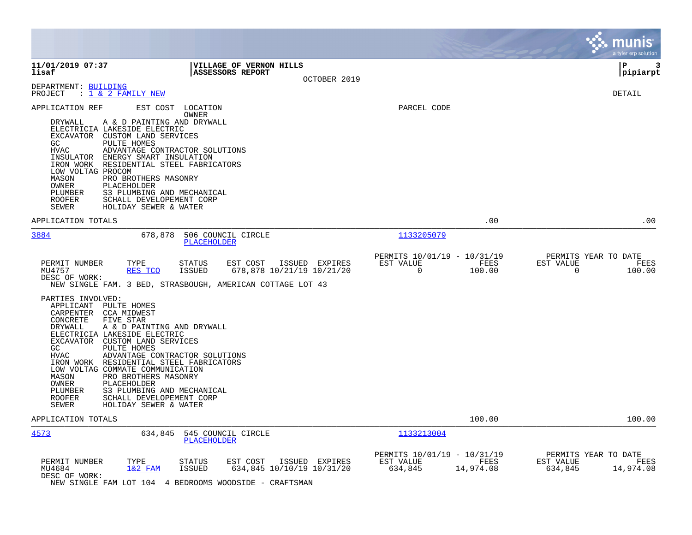|                                                                                                                                                                                                                                                                                                                                                                                                                                                                                                                                         |                                             |                                                         |                   |                                               | munis<br>a tyler erp solution |
|-----------------------------------------------------------------------------------------------------------------------------------------------------------------------------------------------------------------------------------------------------------------------------------------------------------------------------------------------------------------------------------------------------------------------------------------------------------------------------------------------------------------------------------------|---------------------------------------------|---------------------------------------------------------|-------------------|-----------------------------------------------|-------------------------------|
| 11/01/2019 07:37<br>VILLAGE OF VERNON HILLS<br>lisaf<br><b>ASSESSORS REPORT</b>                                                                                                                                                                                                                                                                                                                                                                                                                                                         | OCTOBER 2019                                |                                                         |                   |                                               | l P<br>3<br> pipiarpt         |
| DEPARTMENT: BUILDING<br>: <u>1 &amp; 2 FAMILY NEW</u><br>PROJECT                                                                                                                                                                                                                                                                                                                                                                                                                                                                        |                                             |                                                         |                   |                                               | DETAIL                        |
| EST COST<br>APPLICATION REF<br>LOCATION<br>OWNER<br>DRYWALL<br>A & D PAINTING AND DRYWALL<br>ELECTRICIA LAKESIDE ELECTRIC<br>EXCAVATOR CUSTOM LAND SERVICES<br>GC<br>PULTE HOMES<br><b>HVAC</b><br>ADVANTAGE CONTRACTOR SOLUTIONS<br>INSULATOR ENERGY SMART INSULATION<br>IRON WORK RESIDENTIAL STEEL FABRICATORS<br>LOW VOLTAG PROCOM<br>PRO BROTHERS MASONRY<br>MASON<br>OWNER<br>PLACEHOLDER<br>PLUMBER<br>S3 PLUMBING AND MECHANICAL<br><b>ROOFER</b><br>SCHALL DEVELOPEMENT CORP<br>SEWER<br>HOLIDAY SEWER & WATER                 |                                             | PARCEL CODE                                             |                   |                                               |                               |
| APPLICATION TOTALS                                                                                                                                                                                                                                                                                                                                                                                                                                                                                                                      |                                             |                                                         | .00               |                                               | .00                           |
| 3884<br>678,878<br>506 COUNCIL CIRCLE<br><b>PLACEHOLDER</b>                                                                                                                                                                                                                                                                                                                                                                                                                                                                             |                                             | 1133205079                                              |                   |                                               |                               |
| TYPE<br>PERMIT NUMBER<br><b>STATUS</b><br>EST COST<br>RES TCO<br>MU4757<br><b>ISSUED</b><br>DESC OF WORK:<br>NEW SINGLE FAM. 3 BED, STRASBOUGH, AMERICAN COTTAGE LOT 43<br>PARTIES INVOLVED:<br>APPLICANT PULTE HOMES<br>CARPENTER CCA MIDWEST<br>FIVE STAR<br>CONCRETE<br>DRYWALL<br>A & D PAINTING AND DRYWALL<br>ELECTRICIA LAKESIDE ELECTRIC<br>EXCAVATOR CUSTOM LAND SERVICES<br>GC<br>PULTE HOMES<br><b>HVAC</b><br>ADVANTAGE CONTRACTOR SOLUTIONS<br>IRON WORK RESIDENTIAL STEEL FABRICATORS<br>LOW VOLTAG COMMATE COMMUNICATION | ISSUED EXPIRES<br>678,878 10/21/19 10/21/20 | PERMITS 10/01/19 - 10/31/19<br>EST VALUE<br>$\mathbf 0$ | FEES<br>100.00    | PERMITS YEAR TO DATE<br>EST VALUE<br>$\Omega$ | FEES<br>100.00                |
| MASON<br>PRO BROTHERS MASONRY<br>PLACEHOLDER<br>OWNER<br>PLUMBER<br>S3 PLUMBING AND MECHANICAL<br>SCHALL DEVELOPEMENT CORP<br><b>ROOFER</b><br>SEWER<br>HOLIDAY SEWER & WATER                                                                                                                                                                                                                                                                                                                                                           |                                             |                                                         |                   |                                               |                               |
| APPLICATION TOTALS                                                                                                                                                                                                                                                                                                                                                                                                                                                                                                                      |                                             |                                                         | 100.00            |                                               | 100.00                        |
| 4573<br>545 COUNCIL CIRCLE<br>634,845<br><b>PLACEHOLDER</b>                                                                                                                                                                                                                                                                                                                                                                                                                                                                             |                                             | 1133213004                                              |                   |                                               |                               |
| PERMIT NUMBER<br>TYPE<br><b>STATUS</b><br>EST COST<br>1&2 FAM<br><b>ISSUED</b><br>MU4684<br>DESC OF WORK:<br>NEW SINGLE FAM LOT 104 4 BEDROOMS WOODSIDE - CRAFTSMAN                                                                                                                                                                                                                                                                                                                                                                     | ISSUED EXPIRES<br>634,845 10/10/19 10/31/20 | PERMITS 10/01/19 - 10/31/19<br>EST VALUE<br>634,845     | FEES<br>14,974.08 | PERMITS YEAR TO DATE<br>EST VALUE<br>634,845  | FEES<br>14,974.08             |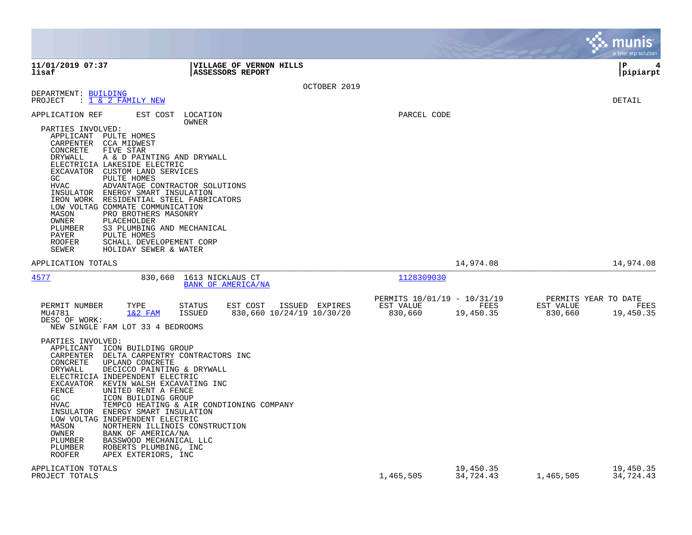|                                                                                                                                                  |                                                                                                                                                                                                                                                                                                                                                                                                                                                                                       |                                |                                                    |                |                                                     |                        |                                              | munis<br>a tyler erp solution |
|--------------------------------------------------------------------------------------------------------------------------------------------------|---------------------------------------------------------------------------------------------------------------------------------------------------------------------------------------------------------------------------------------------------------------------------------------------------------------------------------------------------------------------------------------------------------------------------------------------------------------------------------------|--------------------------------|----------------------------------------------------|----------------|-----------------------------------------------------|------------------------|----------------------------------------------|-------------------------------|
| 11/01/2019 07:37<br>lisaf                                                                                                                        |                                                                                                                                                                                                                                                                                                                                                                                                                                                                                       |                                | VILLAGE OF VERNON HILLS<br><b>ASSESSORS REPORT</b> |                |                                                     |                        |                                              | l P<br>4<br> pipiarpt         |
|                                                                                                                                                  |                                                                                                                                                                                                                                                                                                                                                                                                                                                                                       |                                |                                                    | OCTOBER 2019   |                                                     |                        |                                              |                               |
| DEPARTMENT: BUILDING<br>PROJECT                                                                                                                  | $: 1 \& 2$ FAMILY NEW                                                                                                                                                                                                                                                                                                                                                                                                                                                                 |                                |                                                    |                |                                                     |                        |                                              | DETAIL                        |
| APPLICATION REF<br>PARTIES INVOLVED:<br>CONCRETE<br>DRYWALL<br>GC<br><b>HVAC</b><br>MASON<br>OWNER<br>PLUMBER<br>PAYER<br><b>ROOFER</b><br>SEWER | EST COST<br>APPLICANT PULTE HOMES<br>CARPENTER CCA MIDWEST<br>FIVE STAR<br>A & D PAINTING AND DRYWALL<br>ELECTRICIA LAKESIDE ELECTRIC<br>EXCAVATOR CUSTOM LAND SERVICES<br>PULTE HOMES<br>ADVANTAGE CONTRACTOR SOLUTIONS<br>INSULATOR ENERGY SMART INSULATION<br>IRON WORK RESIDENTIAL STEEL FABRICATORS<br>LOW VOLTAG COMMATE COMMUNICATION<br>PRO BROTHERS MASONRY<br>PLACEHOLDER<br>S3 PLUMBING AND MECHANICAL<br>PULTE HOMES<br>SCHALL DEVELOPEMENT CORP<br>HOLIDAY SEWER & WATER | LOCATION<br>OWNER              |                                                    |                | PARCEL CODE                                         |                        |                                              |                               |
| APPLICATION TOTALS                                                                                                                               |                                                                                                                                                                                                                                                                                                                                                                                                                                                                                       |                                |                                                    |                |                                                     | 14,974.08              |                                              | 14,974.08                     |
| 4577                                                                                                                                             | 830,660                                                                                                                                                                                                                                                                                                                                                                                                                                                                               |                                | 1613 NICKLAUS CT<br>BANK OF AMERICA/NA             |                | 1128309030                                          |                        |                                              |                               |
| PERMIT NUMBER<br>MU4781<br>DESC OF WORK:                                                                                                         | TYPE<br>$1&2$ FAM<br>NEW SINGLE FAM LOT 33 4 BEDROOMS                                                                                                                                                                                                                                                                                                                                                                                                                                 | <b>STATUS</b><br><b>ISSUED</b> | EST COST<br>830,660 10/24/19 10/30/20              | ISSUED EXPIRES | PERMITS 10/01/19 - 10/31/19<br>EST VALUE<br>830,660 | FEES<br>19,450.35      | PERMITS YEAR TO DATE<br>EST VALUE<br>830,660 | FEES<br>19,450.35             |
| PARTIES INVOLVED:<br>CARPENTER<br>CONCRETE<br>DRYWALL<br>FENCE<br>GC<br><b>HVAC</b><br>MASON<br>OWNER<br>PLUMBER<br>PLUMBER<br><b>ROOFER</b>     | APPLICANT ICON BUILDING GROUP<br>DELTA CARPENTRY CONTRACTORS INC<br>UPLAND CONCRETE<br>DECICCO PAINTING & DRYWALL<br>ELECTRICIA INDEPENDENT ELECTRIC<br>EXCAVATOR KEVIN WALSH EXCAVATING INC<br>UNITED RENT A FENCE<br>ICON BUILDING GROUP<br>INSULATOR ENERGY SMART INSULATION<br>LOW VOLTAG INDEPENDENT ELECTRIC<br>NORTHERN ILLINOIS CONSTRUCTION<br>BANK OF AMERICA/NA<br>BASSWOOD MECHANICAL LLC<br>ROBERTS PLUMBING, INC<br>APEX EXTERIORS, INC                                 |                                | TEMPCO HEATING & AIR CONDTIONING COMPANY           |                |                                                     |                        |                                              |                               |
| APPLICATION TOTALS<br>PROJECT TOTALS                                                                                                             |                                                                                                                                                                                                                                                                                                                                                                                                                                                                                       |                                |                                                    |                | 1,465,505                                           | 19,450.35<br>34,724.43 | 1,465,505                                    | 19,450.35<br>34,724.43        |

**Contract**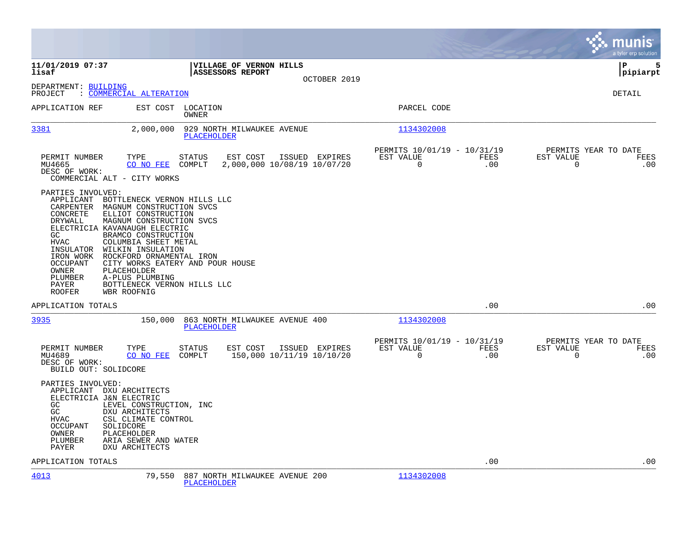|                                                                                                                                                                                                                                                                                                                                                                                                                                                                                                                                              |                                                                        | munis<br>a tyler erp solution                                   |
|----------------------------------------------------------------------------------------------------------------------------------------------------------------------------------------------------------------------------------------------------------------------------------------------------------------------------------------------------------------------------------------------------------------------------------------------------------------------------------------------------------------------------------------------|------------------------------------------------------------------------|-----------------------------------------------------------------|
| 11/01/2019 07:37<br>VILLAGE OF VERNON HILLS<br>lisaf<br><b>ASSESSORS REPORT</b><br>OCTOBER 2019                                                                                                                                                                                                                                                                                                                                                                                                                                              |                                                                        | P<br>5<br> pipiarpt                                             |
| DEPARTMENT: BUILDING<br>: COMMERCIAL ALTERATION<br>PROJECT                                                                                                                                                                                                                                                                                                                                                                                                                                                                                   |                                                                        | DETAIL                                                          |
| EST COST LOCATION<br>APPLICATION REF<br>OWNER                                                                                                                                                                                                                                                                                                                                                                                                                                                                                                | PARCEL CODE                                                            |                                                                 |
| 3381<br>2,000,000<br>929 NORTH MILWAUKEE AVENUE<br><b>PLACEHOLDER</b>                                                                                                                                                                                                                                                                                                                                                                                                                                                                        | 1134302008                                                             |                                                                 |
| PERMIT NUMBER<br>TYPE<br>STATUS<br>EST COST<br>ISSUED EXPIRES<br>COMPLT<br>2,000,000 10/08/19 10/07/20<br>MU4665<br>CO NO FEE<br>DESC OF WORK:<br>COMMERCIAL ALT - CITY WORKS                                                                                                                                                                                                                                                                                                                                                                | PERMITS 10/01/19 - 10/31/19<br>EST VALUE<br>FEES<br>0<br>.00           | PERMITS YEAR TO DATE<br>EST VALUE<br>FEES<br>0<br>.00           |
| PARTIES INVOLVED:<br>APPLICANT BOTTLENECK VERNON HILLS LLC<br>MAGNUM CONSTRUCTION SVCS<br>CARPENTER<br>CONCRETE<br>ELLIOT CONSTRUCTION<br><b>DRYWALL</b><br>MAGNUM CONSTRUCTION SVCS<br>ELECTRICIA KAVANAUGH ELECTRIC<br>BRAMCO CONSTRUCTION<br>GC.<br>HVAC<br>COLUMBIA SHEET METAL<br>INSULATOR<br>WILKIN INSULATION<br>IRON WORK<br>ROCKFORD ORNAMENTAL IRON<br>CITY WORKS EATERY AND POUR HOUSE<br>OCCUPANT<br>PLACEHOLDER<br>OWNER<br>PLUMBER<br>A-PLUS PLUMBING<br>PAYER<br>BOTTLENECK VERNON HILLS LLC<br>WBR ROOFNIG<br><b>ROOFER</b> |                                                                        |                                                                 |
| APPLICATION TOTALS                                                                                                                                                                                                                                                                                                                                                                                                                                                                                                                           | .00                                                                    | .00                                                             |
| 3935<br>150,000<br>863 NORTH MILWAUKEE AVENUE 400<br><b>PLACEHOLDER</b>                                                                                                                                                                                                                                                                                                                                                                                                                                                                      | 1134302008                                                             |                                                                 |
| PERMIT NUMBER<br>TYPE<br>STATUS<br>EST COST<br>ISSUED EXPIRES<br>CO NO FEE<br>COMPLT<br>150,000 10/11/19 10/10/20<br>MU4689<br>DESC OF WORK:<br>BUILD OUT: SOLIDCORE                                                                                                                                                                                                                                                                                                                                                                         | PERMITS 10/01/19 - 10/31/19<br>EST VALUE<br>FEES<br>$\mathbf 0$<br>.00 | PERMITS YEAR TO DATE<br>EST VALUE<br>FEES<br>$\mathbf 0$<br>.00 |
| PARTIES INVOLVED:<br>APPLICANT DXU ARCHITECTS<br>ELECTRICIA J&N ELECTRIC<br>GC.<br>LEVEL CONSTRUCTION, INC<br>GC<br>DXU ARCHITECTS<br><b>HVAC</b><br>CSL CLIMATE CONTROL<br><b>OCCUPANT</b><br>SOLIDCORE<br>OWNER<br>PLACEHOLDER<br>ARIA SEWER AND WATER<br>PLUMBER<br>DXU ARCHITECTS<br>PAYER                                                                                                                                                                                                                                               |                                                                        |                                                                 |
| APPLICATION TOTALS                                                                                                                                                                                                                                                                                                                                                                                                                                                                                                                           | .00                                                                    | .00                                                             |
| 4013<br>887 NORTH MILWAUKEE AVENUE 200<br>79,550<br><b>PLACEHOLDER</b>                                                                                                                                                                                                                                                                                                                                                                                                                                                                       | 1134302008                                                             |                                                                 |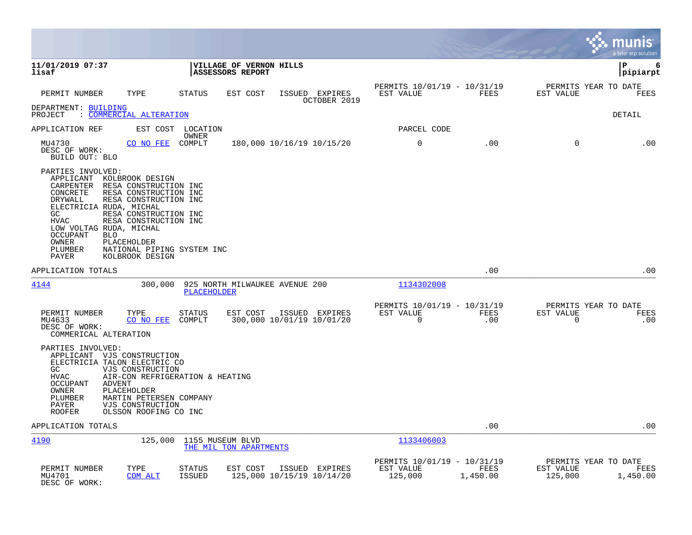|                                                                                                                                                                                                                                                                |                                                                                                                                                         |                                                    |                                |                                                         |                    |                                                  | munis<br>a tyler erp solution |
|----------------------------------------------------------------------------------------------------------------------------------------------------------------------------------------------------------------------------------------------------------------|---------------------------------------------------------------------------------------------------------------------------------------------------------|----------------------------------------------------|--------------------------------|---------------------------------------------------------|--------------------|--------------------------------------------------|-------------------------------|
| 11/01/2019 07:37<br>lisaf                                                                                                                                                                                                                                      |                                                                                                                                                         | <b>VILLAGE OF VERNON HILLS</b><br>ASSESSORS REPORT |                                |                                                         |                    |                                                  | l P<br>6<br> pipiarpt         |
| PERMIT NUMBER<br>TYPE                                                                                                                                                                                                                                          | STATUS                                                                                                                                                  | EST COST                                           | ISSUED EXPIRES<br>OCTOBER 2019 | PERMITS 10/01/19 - 10/31/19<br>EST VALUE                | FEES               | PERMITS YEAR TO DATE<br>EST VALUE                | FEES                          |
| DEPARTMENT: BUILDING<br>: COMMERCIAL ALTERATION<br>PROJECT                                                                                                                                                                                                     |                                                                                                                                                         |                                                    |                                |                                                         |                    |                                                  | <b>DETAIL</b>                 |
| APPLICATION REF                                                                                                                                                                                                                                                | EST COST LOCATION<br>OWNER                                                                                                                              |                                                    |                                | PARCEL CODE                                             |                    |                                                  |                               |
| MU4730<br>DESC OF WORK:<br>BUILD OUT: BLO                                                                                                                                                                                                                      | CO NO FEE<br>COMPLT                                                                                                                                     | 180,000 10/16/19 10/15/20                          |                                | 0                                                       | .00                | 0                                                | .00                           |
| PARTIES INVOLVED:<br>APPLICANT KOLBROOK DESIGN<br>CARPENTER<br>CONCRETE<br>DRYWALL<br>ELECTRICIA RUDA, MICHAL<br>GC.<br><b>HVAC</b><br>LOW VOLTAG RUDA, MICHAL<br><b>OCCUPANT</b><br><b>BLO</b><br>OWNER<br>PLACEHOLDER<br>PLUMBER<br>KOLBROOK DESIGN<br>PAYER | RESA CONSTRUCTION INC<br>RESA CONSTRUCTION INC<br>RESA CONSTRUCTION INC<br>RESA CONSTRUCTION INC<br>RESA CONSTRUCTION INC<br>NATIONAL PIPING SYSTEM INC |                                                    |                                |                                                         |                    |                                                  |                               |
| APPLICATION TOTALS                                                                                                                                                                                                                                             |                                                                                                                                                         |                                                    |                                |                                                         | .00                |                                                  | .00                           |
| 4144                                                                                                                                                                                                                                                           | 300,000<br><b>PLACEHOLDER</b>                                                                                                                           | 925 NORTH MILWAUKEE AVENUE 200                     |                                | 1134302008                                              |                    |                                                  |                               |
| PERMIT NUMBER<br>TYPE<br>MU4633<br>DESC OF WORK:<br>COMMERICAL ALTERATION                                                                                                                                                                                      | STATUS<br>CO NO FEE<br>COMPLT                                                                                                                           | EST COST<br>300,000 10/01/19 10/01/20              | ISSUED EXPIRES                 | PERMITS 10/01/19 - 10/31/19<br>EST VALUE<br>$\mathbf 0$ | <b>FEES</b><br>.00 | PERMITS YEAR TO DATE<br>EST VALUE<br>$\mathbf 0$ | FEES<br>.00                   |
| PARTIES INVOLVED:<br>APPLICANT VJS CONSTRUCTION<br>ELECTRICIA TALON ELECTRIC CO<br>GC<br><b>HVAC</b><br><b>OCCUPANT</b><br><b>ADVENT</b><br>OWNER<br>PLACEHOLDER<br>PLUMBER<br>PAYER<br><b>ROOFER</b>                                                          | VJS CONSTRUCTION<br>AIR-CON REFRIGERATION & HEATING<br>MARTIN PETERSEN COMPANY<br>VJS CONSTRUCTION<br>OLSSON ROOFING CO INC                             |                                                    |                                |                                                         |                    |                                                  |                               |
| APPLICATION TOTALS                                                                                                                                                                                                                                             |                                                                                                                                                         |                                                    |                                |                                                         | .00                |                                                  | .00                           |
| 4190                                                                                                                                                                                                                                                           | 125,000<br>1155 MUSEUM BLVD                                                                                                                             | THE MIL TON APARTMENTS                             |                                | 1133406003                                              |                    |                                                  |                               |
| PERMIT NUMBER<br>TYPE<br>MU4701<br>DESC OF WORK:                                                                                                                                                                                                               | <b>STATUS</b><br>COM ALT<br><b>ISSUED</b>                                                                                                               | EST COST<br>125,000 10/15/19 10/14/20              | ISSUED EXPIRES                 | PERMITS 10/01/19 - 10/31/19<br>EST VALUE<br>125,000     | FEES<br>1,450.00   | PERMITS YEAR TO DATE<br>EST VALUE<br>125,000     | <b>FEES</b><br>1,450.00       |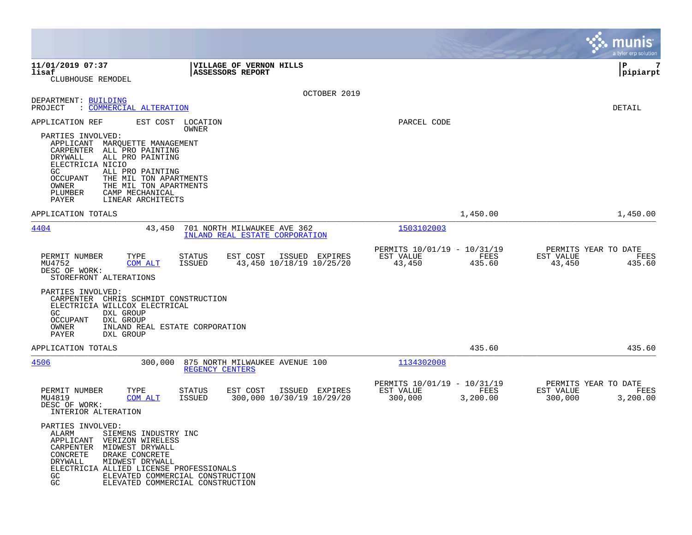|                                                                                                                                                                                                                                                                                                              |                |                                                     |                  |                                              | munis<br>a tyler erp solution |
|--------------------------------------------------------------------------------------------------------------------------------------------------------------------------------------------------------------------------------------------------------------------------------------------------------------|----------------|-----------------------------------------------------|------------------|----------------------------------------------|-------------------------------|
| 11/01/2019 07:37<br>VILLAGE OF VERNON HILLS<br>lisaf<br><b>ASSESSORS REPORT</b><br>CLUBHOUSE REMODEL                                                                                                                                                                                                         |                |                                                     |                  |                                              | 7<br>IΡ<br> pipiarpt          |
|                                                                                                                                                                                                                                                                                                              | OCTOBER 2019   |                                                     |                  |                                              |                               |
| DEPARTMENT: BUILDING<br><u> COMMERCIAL ALTERATION</u><br>PROJECT                                                                                                                                                                                                                                             |                |                                                     |                  |                                              | DETAIL                        |
| EST COST LOCATION<br>APPLICATION REF<br>OWNER                                                                                                                                                                                                                                                                |                | PARCEL CODE                                         |                  |                                              |                               |
| PARTIES INVOLVED:<br>APPLICANT<br>MARQUETTE MANAGEMENT<br>CARPENTER ALL PRO PAINTING<br>DRYWALL<br>ALL PRO PAINTING<br>ELECTRICIA NICIO<br>GC<br>ALL PRO PAINTING<br>OCCUPANT<br>THE MIL TON APARTMENTS<br>OWNER<br>THE MIL TON APARTMENTS<br>CAMP MECHANICAL<br>PLUMBER<br>PAYER<br>LINEAR ARCHITECTS       |                |                                                     |                  |                                              |                               |
| APPLICATION TOTALS                                                                                                                                                                                                                                                                                           |                |                                                     | 1,450.00         |                                              | 1,450.00                      |
| 4404<br>701 NORTH MILWAUKEE AVE 362<br>43,450<br>INLAND REAL ESTATE CORPORATION                                                                                                                                                                                                                              |                | 1503102003                                          |                  |                                              |                               |
| PERMIT NUMBER<br>TYPE<br><b>STATUS</b><br>EST COST<br>43,450 10/18/19 10/25/20<br>MU4752<br>ISSUED<br>COM ALT<br>DESC OF WORK:<br>STOREFRONT ALTERATIONS                                                                                                                                                     | ISSUED EXPIRES | PERMITS 10/01/19 - 10/31/19<br>EST VALUE<br>43,450  | FEES<br>435.60   | PERMITS YEAR TO DATE<br>EST VALUE<br>43,450  | FEES<br>435.60                |
| PARTIES INVOLVED:<br>CHRIS SCHMIDT CONSTRUCTION<br>CARPENTER<br>ELECTRICIA WILLCOX ELECTRICAL<br>GC.<br>DXL GROUP<br><b>OCCUPANT</b><br>DXL GROUP<br>OWNER<br>INLAND REAL ESTATE CORPORATION<br>PAYER<br>DXL GROUP                                                                                           |                |                                                     |                  |                                              |                               |
| APPLICATION TOTALS                                                                                                                                                                                                                                                                                           |                |                                                     | 435.60           |                                              | 435.60                        |
| 4506<br>300,000<br>875 NORTH MILWAUKEE AVENUE 100<br>REGENCY CENTERS                                                                                                                                                                                                                                         |                | 1134302008                                          |                  |                                              |                               |
| PERMIT NUMBER<br>TYPE<br>EST COST<br><b>STATUS</b><br>MU4819<br>COM ALT<br>ISSUED<br>300,000 10/30/19 10/29/20<br>DESC OF WORK:<br>INTERIOR ALTERATION                                                                                                                                                       | ISSUED EXPIRES | PERMITS 10/01/19 - 10/31/19<br>EST VALUE<br>300,000 | FEES<br>3,200.00 | PERMITS YEAR TO DATE<br>EST VALUE<br>300,000 | FEES<br>3,200.00              |
| PARTIES INVOLVED:<br>ALARM<br>SIEMENS INDUSTRY INC<br>APPLICANT VERIZON WIRELESS<br>CARPENTER<br>MIDWEST DRYWALL<br>CONCRETE<br>DRAKE CONCRETE<br>DRYWALL<br>MIDWEST DRYWALL<br>ELECTRICIA ALLIED LICENSE PROFESSIONALS<br>GC.<br>ELEVATED COMMERCIAL CONSTRUCTION<br>GC<br>ELEVATED COMMERCIAL CONSTRUCTION |                |                                                     |                  |                                              |                               |

**Contract**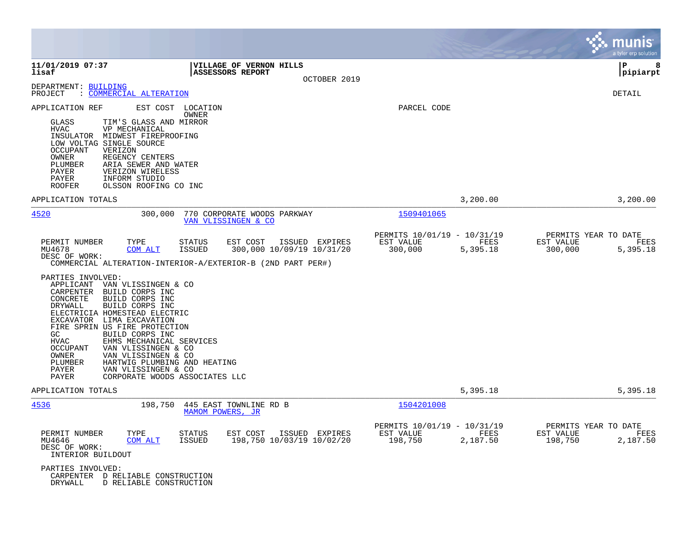|                                                                                                                                                                                                                                                                                                                                                                                                                                                                                                                                                                                            |                                                                                                                                                                                                  |                                                                   |                  | munis<br>a tyler erp solution                                    |
|--------------------------------------------------------------------------------------------------------------------------------------------------------------------------------------------------------------------------------------------------------------------------------------------------------------------------------------------------------------------------------------------------------------------------------------------------------------------------------------------------------------------------------------------------------------------------------------------|--------------------------------------------------------------------------------------------------------------------------------------------------------------------------------------------------|-------------------------------------------------------------------|------------------|------------------------------------------------------------------|
| 11/01/2019 07:37<br>lisaf                                                                                                                                                                                                                                                                                                                                                                                                                                                                                                                                                                  | <b>VILLAGE OF VERNON HILLS</b><br><b>ASSESSORS REPORT</b><br>OCTOBER 2019                                                                                                                        |                                                                   |                  | lР<br>8<br> pipiarpt                                             |
| DEPARTMENT: BUILDING<br>PROJECT<br>: COMMERCIAL ALTERATION                                                                                                                                                                                                                                                                                                                                                                                                                                                                                                                                 |                                                                                                                                                                                                  |                                                                   |                  | DETAIL                                                           |
| APPLICATION REF<br>GLASS<br>TIM'S GLASS AND MIRROR<br><b>HVAC</b><br>VP MECHANICAL<br>INSULATOR<br>MIDWEST FIREPROOFING<br>LOW VOLTAG SINGLE SOURCE<br>OCCUPANT<br>VERIZON<br>REGENCY CENTERS<br>OWNER<br>PLUMBER<br>ARIA SEWER AND WATER<br>PAYER<br>VERIZON WIRELESS<br>PAYER<br>INFORM STUDIO<br><b>ROOFER</b><br>OLSSON ROOFING CO INC                                                                                                                                                                                                                                                 | EST COST LOCATION<br>OWNER                                                                                                                                                                       | PARCEL CODE                                                       |                  |                                                                  |
| APPLICATION TOTALS                                                                                                                                                                                                                                                                                                                                                                                                                                                                                                                                                                         |                                                                                                                                                                                                  |                                                                   | 3,200.00         | 3,200.00                                                         |
| 4520<br>300,000<br>PERMIT NUMBER<br>TYPE<br>MU4678<br>COM ALT<br>DESC OF WORK:<br>PARTIES INVOLVED:<br>APPLICANT<br>VAN VLISSINGEN & CO<br>CARPENTER<br>BUILD CORPS INC<br>CONCRETE<br>BUILD CORPS INC<br>DRYWALL<br>BUILD CORPS INC<br>ELECTRICIA HOMESTEAD ELECTRIC<br>EXCAVATOR LIMA EXCAVATION<br>FIRE SPRIN US FIRE PROTECTION<br>GC.<br>BUILD CORPS INC<br>HVAC<br>EHMS MECHANICAL SERVICES<br>VAN VLISSINGEN & CO<br>OCCUPANT<br>OWNER<br>VAN VLISSINGEN & CO<br>PLUMBER<br>HARTWIG PLUMBING AND HEATING<br>VAN VLISSINGEN & CO<br>PAYER<br>PAYER<br>CORPORATE WOODS ASSOCIATES LLC | 770 CORPORATE WOODS PARKWAY<br>VAN VLISSINGEN & CO<br>STATUS<br>EST COST<br>ISSUED EXPIRES<br>300,000 10/09/19 10/31/20<br>ISSUED<br>COMMERCIAL ALTERATION-INTERIOR-A/EXTERIOR-B (2ND PART PER#) | 1509401065<br>PERMITS 10/01/19 - 10/31/19<br>EST VALUE<br>300,000 | FEES<br>5,395.18 | PERMITS YEAR TO DATE<br>EST VALUE<br>FEES<br>300,000<br>5,395.18 |
| APPLICATION TOTALS                                                                                                                                                                                                                                                                                                                                                                                                                                                                                                                                                                         |                                                                                                                                                                                                  |                                                                   | 5,395.18         | 5,395.18                                                         |
| 4536<br>198,750<br>PERMIT NUMBER<br>TYPE<br>MU4646<br>COM ALT<br>DESC OF WORK:<br>INTERIOR BUILDOUT<br>PARTIES INVOLVED:<br>CARPENTER D RELIABLE CONSTRUCTION<br>DRYWALL<br>D RELIABLE CONSTRUCTION                                                                                                                                                                                                                                                                                                                                                                                        | 445 EAST TOWNLINE RD B<br>MAMOM POWERS, JR<br><b>STATUS</b><br>EST COST<br>ISSUED EXPIRES<br><b>ISSUED</b><br>198,750 10/03/19 10/02/20                                                          | 1504201008<br>PERMITS 10/01/19 - 10/31/19<br>EST VALUE<br>198,750 | FEES<br>2,187.50 | PERMITS YEAR TO DATE<br>EST VALUE<br>FEES<br>198,750<br>2,187.50 |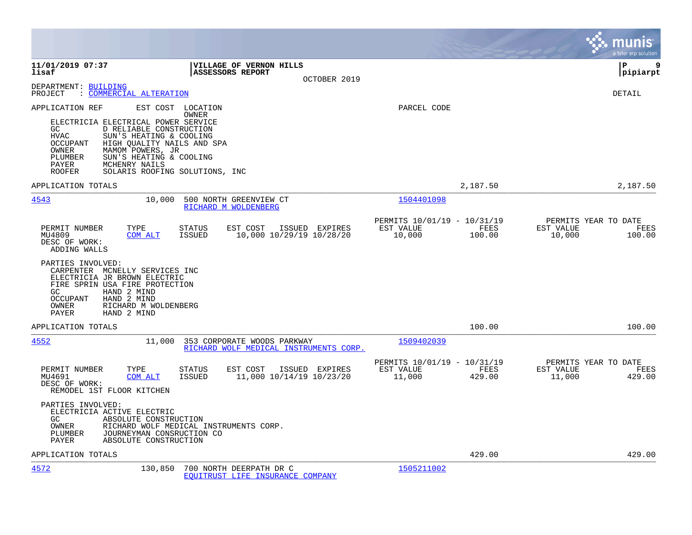|                                                                                                                                                                                                                                                                                                                                                                     |                                                                      | munis<br>a tyler erp solution                                 |
|---------------------------------------------------------------------------------------------------------------------------------------------------------------------------------------------------------------------------------------------------------------------------------------------------------------------------------------------------------------------|----------------------------------------------------------------------|---------------------------------------------------------------|
| 11/01/2019 07:37<br>VILLAGE OF VERNON HILLS<br>lisaf<br><b>ASSESSORS REPORT</b><br>OCTOBER 2019                                                                                                                                                                                                                                                                     |                                                                      | l P<br>9<br> pipiarpt                                         |
| DEPARTMENT: BUILDING<br><b>COMMERCIAL ALTERATION</b><br>PROJECT<br>$\ddot{\phantom{0}}$                                                                                                                                                                                                                                                                             |                                                                      | <b>DETAIL</b>                                                 |
| APPLICATION REF<br>EST COST<br>LOCATION<br>OWNER<br>ELECTRICIA ELECTRICAL POWER SERVICE<br>GC<br>D RELIABLE CONSTRUCTION<br><b>HVAC</b><br>SUN'S HEATING & COOLING<br>HIGH QUALITY NAILS AND SPA<br>OCCUPANT<br>OWNER<br>MAMOM POWERS, JR<br>PLUMBER<br>SUN'S HEATING & COOLING<br><b>PAYER</b><br>MCHENRY NAILS<br><b>ROOFER</b><br>SOLARIS ROOFING SOLUTIONS, INC | PARCEL CODE                                                          |                                                               |
| APPLICATION TOTALS                                                                                                                                                                                                                                                                                                                                                  | 2,187.50                                                             | 2,187.50                                                      |
| 4543<br>10,000<br>500 NORTH GREENVIEW CT<br>RICHARD M WOLDENBERG                                                                                                                                                                                                                                                                                                    | 1504401098                                                           |                                                               |
| PERMIT NUMBER<br>TYPE<br>EST COST<br>ISSUED EXPIRES<br><b>STATUS</b><br>MU4809<br>10,000 10/29/19 10/28/20<br><b>ISSUED</b><br>COM ALT<br>DESC OF WORK:<br>ADDING WALLS                                                                                                                                                                                             | PERMITS 10/01/19 - 10/31/19<br>FEES<br>EST VALUE<br>10,000<br>100.00 | PERMITS YEAR TO DATE<br>EST VALUE<br>FEES<br>10,000<br>100.00 |
| PARTIES INVOLVED:<br>CARPENTER MCNELLY SERVICES INC<br>ELECTRICIA JR BROWN ELECTRIC<br>FIRE SPRIN USA FIRE PROTECTION<br>HAND 2 MIND<br>GC.<br>HAND 2 MIND<br><b>OCCUPANT</b><br>OWNER<br>RICHARD M WOLDENBERG<br>PAYER<br>HAND 2 MIND                                                                                                                              |                                                                      |                                                               |
| APPLICATION TOTALS                                                                                                                                                                                                                                                                                                                                                  | 100.00                                                               | 100.00                                                        |
| 4552<br>11,000<br>353 CORPORATE WOODS PARKWAY<br>RICHARD WOLF MEDICAL INSTRUMENTS CORP.                                                                                                                                                                                                                                                                             | 1509402039                                                           |                                                               |
| PERMIT NUMBER<br>TYPE<br><b>STATUS</b><br>EST COST<br>ISSUED EXPIRES<br>COM ALT<br>11,000 10/14/19 10/23/20<br>MU4691<br><b>ISSUED</b><br>DESC OF WORK:<br>REMODEL 1ST FLOOR KITCHEN                                                                                                                                                                                | PERMITS 10/01/19 - 10/31/19<br>EST VALUE<br>FEES<br>11,000<br>429.00 | PERMITS YEAR TO DATE<br>EST VALUE<br>FEES<br>11,000<br>429.00 |
| PARTIES INVOLVED:<br>ELECTRICIA ACTIVE ELECTRIC<br>GC<br>ABSOLUTE CONSTRUCTION<br>OWNER<br>RICHARD WOLF MEDICAL INSTRUMENTS CORP.<br>PLUMBER<br>JOURNEYMAN CONSRUCTION CO<br>ABSOLUTE CONSTRUCTION<br>PAYER                                                                                                                                                         |                                                                      |                                                               |
| APPLICATION TOTALS                                                                                                                                                                                                                                                                                                                                                  | 429.00                                                               | 429.00                                                        |
| 4572<br>130,850<br>700 NORTH DEERPATH DR C<br>EOUITRUST LIFE INSURANCE COMPANY                                                                                                                                                                                                                                                                                      | 1505211002                                                           |                                                               |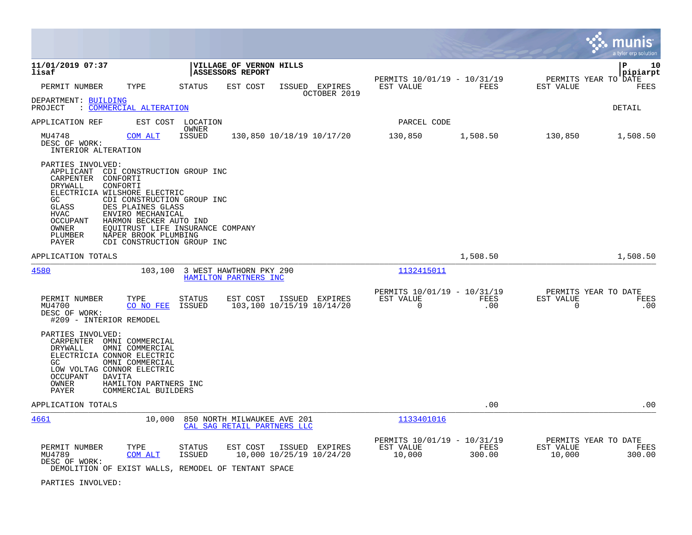|                                                                                                                                                                                                                                                                                                  |                                                                                                                                                 |                                                                             | munis<br>a tyler erp solution                                 |
|--------------------------------------------------------------------------------------------------------------------------------------------------------------------------------------------------------------------------------------------------------------------------------------------------|-------------------------------------------------------------------------------------------------------------------------------------------------|-----------------------------------------------------------------------------|---------------------------------------------------------------|
| 11/01/2019 07:37<br>lisaf                                                                                                                                                                                                                                                                        | VILLAGE OF VERNON HILLS<br><b>ASSESSORS REPORT</b>                                                                                              |                                                                             | l P<br>10<br> pipiarpt                                        |
| TYPE<br>PERMIT NUMBER                                                                                                                                                                                                                                                                            | <b>STATUS</b><br>EST COST<br>ISSUED EXPIRES                                                                                                     | PERMITS 10/01/19 - 10/31/19<br>EST VALUE<br>FEES                            | PERMITS YEAR TO DATE<br>EST VALUE<br>FEES                     |
| DEPARTMENT: BUILDING<br>: COMMERCIAL ALTERATION<br>PROJECT                                                                                                                                                                                                                                       | OCTOBER 2019                                                                                                                                    |                                                                             | DETAIL                                                        |
| APPLICATION REF                                                                                                                                                                                                                                                                                  | EST COST LOCATION<br>OWNER                                                                                                                      | PARCEL CODE                                                                 |                                                               |
| MU4748<br>COM ALT<br>DESC OF WORK:<br>INTERIOR ALTERATION                                                                                                                                                                                                                                        | <b>ISSUED</b><br>130,850 10/18/19 10/17/20                                                                                                      | 130,850<br>1,508.50                                                         | 130,850<br>1,508.50                                           |
| PARTIES INVOLVED:<br>APPLICANT<br>CARPENTER<br>CONFORTI<br>DRYWALL<br>CONFORTI<br>ELECTRICIA WILSHORE ELECTRIC<br>GC.<br><b>GLASS</b><br>DES PLAINES GLASS<br><b>HVAC</b><br>ENVIRO MECHANICAL<br><b>OCCUPANT</b><br>HARMON BECKER AUTO IND<br>OWNER<br>PLUMBER<br>NAPER BROOK PLUMBING<br>PAYER | CDI CONSTRUCTION GROUP INC<br>CDI CONSTRUCTION GROUP INC<br>EQUITRUST LIFE INSURANCE COMPANY<br>CDI CONSTRUCTION GROUP INC                      |                                                                             |                                                               |
| APPLICATION TOTALS                                                                                                                                                                                                                                                                               |                                                                                                                                                 | 1,508.50                                                                    | 1,508.50                                                      |
| 4580                                                                                                                                                                                                                                                                                             | 103,100<br>3 WEST HAWTHORN PKY 290<br>HAMILTON PARTNERS INC                                                                                     | 1132415011                                                                  |                                                               |
| PERMIT NUMBER<br>TYPE<br>MU4700<br>CO NO FEE<br>DESC OF WORK:<br>#209 - INTERIOR REMODEL                                                                                                                                                                                                         | EST COST<br>STATUS<br>ISSUED EXPIRES<br>103,100 10/15/19 10/14/20<br>ISSUED                                                                     | PERMITS 10/01/19 - 10/31/19<br>EST VALUE<br><b>FEES</b><br>0<br>.00         | PERMITS YEAR TO DATE<br>EST VALUE<br>FEES<br>0<br>.00         |
| PARTIES INVOLVED:<br>CARPENTER<br>OMNI COMMERCIAL<br>OMNI COMMERCIAL<br>DRYWALL<br>ELECTRICIA CONNOR ELECTRIC<br>GC.<br>OMNI COMMERCIAL<br>LOW VOLTAG CONNOR ELECTRIC<br><b>OCCUPANT</b><br><b>DAVITA</b><br>OWNER<br>HAMILTON PARTNERS INC<br>PAYER<br>COMMERCIAL BUILDERS                      |                                                                                                                                                 |                                                                             |                                                               |
| APPLICATION TOTALS                                                                                                                                                                                                                                                                               |                                                                                                                                                 | .00                                                                         | .00                                                           |
| 4661                                                                                                                                                                                                                                                                                             | 10,000<br>850 NORTH MILWAUKEE AVE 201<br>CAL SAG RETAIL PARTNERS LLC                                                                            | 1133401016                                                                  |                                                               |
| PERMIT NUMBER<br>TYPE<br>MU4789<br>COM ALT<br>DESC OF WORK:                                                                                                                                                                                                                                      | <b>STATUS</b><br>EST COST<br>ISSUED EXPIRES<br>10,000 10/25/19 10/24/20<br><b>ISSUED</b><br>DEMOLITION OF EXIST WALLS, REMODEL OF TENTANT SPACE | PERMITS 10/01/19 - 10/31/19<br>EST VALUE<br><b>FEES</b><br>10,000<br>300.00 | PERMITS YEAR TO DATE<br>EST VALUE<br>FEES<br>10,000<br>300.00 |

PARTIES INVOLVED: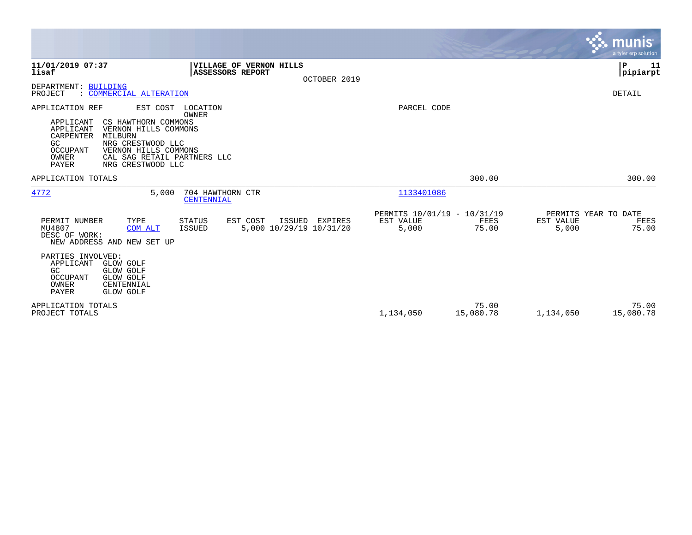|                                                                                                                                                                                                                                                                                 |                                                                                            |                                                                    | <b>munis</b><br>a tyler erp solution                        |
|---------------------------------------------------------------------------------------------------------------------------------------------------------------------------------------------------------------------------------------------------------------------------------|--------------------------------------------------------------------------------------------|--------------------------------------------------------------------|-------------------------------------------------------------|
| 11/01/2019 07:37<br>lisaf<br>DEPARTMENT: BUILDING                                                                                                                                                                                                                               | VILLAGE OF VERNON HILLS<br>ASSESSORS REPORT<br>OCTOBER 2019                                |                                                                    | P<br>11<br> pipiarpt                                        |
| PROJECT<br>: COMMERCIAL ALTERATION                                                                                                                                                                                                                                              |                                                                                            |                                                                    | DETAIL                                                      |
| APPLICATION REF<br>EST COST<br>CS HAWTHORN COMMONS<br>APPLICANT<br>APPLICANT<br>VERNON HILLS COMMONS<br>CARPENTER<br>MILBURN<br>GC<br>NRG CRESTWOOD LLC<br>VERNON HILLS COMMONS<br><b>OCCUPANT</b><br>CAL SAG RETAIL PARTNERS LLC<br><b>OWNER</b><br>PAYER<br>NRG CRESTWOOD LLC | LOCATION<br>OWNER                                                                          | PARCEL CODE                                                        |                                                             |
| APPLICATION TOTALS                                                                                                                                                                                                                                                              |                                                                                            | 300.00                                                             | 300.00                                                      |
| 4772<br>5,000                                                                                                                                                                                                                                                                   | 704 HAWTHORN CTR<br>CENTENNIAL                                                             | 1133401086                                                         |                                                             |
| PERMIT NUMBER<br>TYPE<br>MU4807<br><b>COM ALT</b><br>DESC OF WORK:<br>NEW ADDRESS AND NEW SET UP                                                                                                                                                                                | EST COST<br>ISSUED<br><b>STATUS</b><br>EXPIRES<br>5,000 10/29/19 10/31/20<br><b>ISSUED</b> | PERMITS 10/01/19 - 10/31/19<br>EST VALUE<br>FEES<br>5,000<br>75.00 | PERMITS YEAR TO DATE<br>EST VALUE<br>FEES<br>5,000<br>75.00 |
| PARTIES INVOLVED:<br>APPLICANT<br><b>GLOW GOLF</b><br>GC<br><b>GLOW GOLF</b><br>OCCUPANT<br><b>GLOW GOLF</b><br>OWNER<br>CENTENNIAL<br><b>PAYER</b><br><b>GLOW GOLF</b>                                                                                                         |                                                                                            |                                                                    |                                                             |
| APPLICATION TOTALS<br>PROJECT TOTALS                                                                                                                                                                                                                                            |                                                                                            | 75.00<br>1,134,050<br>15,080.78                                    | 75.00<br>1,134,050<br>15,080.78                             |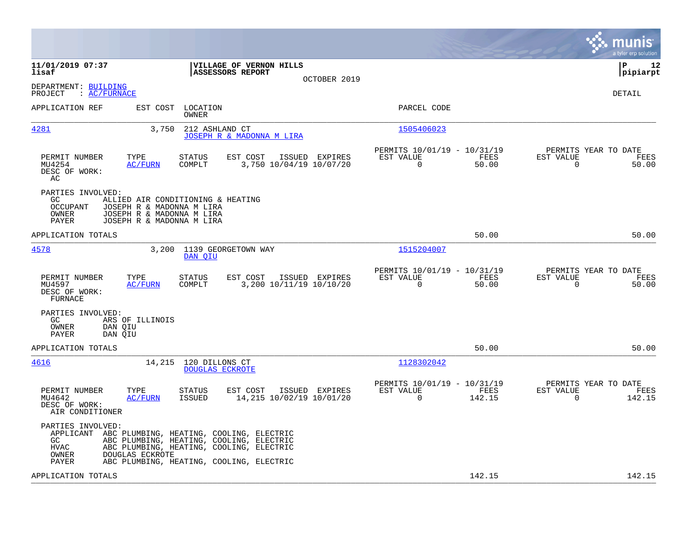|                                                                                                                                                                                                                      |                                            |                                                                | munis<br>a tyler erp solution                                                      |
|----------------------------------------------------------------------------------------------------------------------------------------------------------------------------------------------------------------------|--------------------------------------------|----------------------------------------------------------------|------------------------------------------------------------------------------------|
| 11/01/2019 07:37<br>VILLAGE OF VERNON HILLS<br>lisaf<br><b>ASSESSORS REPORT</b>                                                                                                                                      | OCTOBER 2019                               |                                                                | l P<br>12<br> pipiarpt                                                             |
| DEPARTMENT: BUILDING<br>: AC/FURNACE<br>PROJECT                                                                                                                                                                      |                                            |                                                                | <b>DETAIL</b>                                                                      |
| APPLICATION REF<br>EST COST<br>LOCATION<br>OWNER                                                                                                                                                                     |                                            | PARCEL CODE                                                    |                                                                                    |
| 4281<br>3,750<br>212 ASHLAND CT<br>JOSEPH R & MADONNA M LIRA                                                                                                                                                         |                                            | 1505406023                                                     |                                                                                    |
| TYPE<br>EST COST<br>PERMIT NUMBER<br>STATUS<br><b>AC/FURN</b><br>COMPLT<br>MU4254<br>DESC OF WORK:<br>AC                                                                                                             | ISSUED EXPIRES<br>3,750 10/04/19 10/07/20  | PERMITS 10/01/19 - 10/31/19<br>EST VALUE<br>$\mathbf 0$        | PERMITS YEAR TO DATE<br>FEES<br>EST VALUE<br>FEES<br>50.00<br>$\mathbf 0$<br>50.00 |
| PARTIES INVOLVED:<br>GC.<br>ALLIED AIR CONDITIONING & HEATING<br>OCCUPANT<br>JOSEPH R & MADONNA M LIRA<br>OWNER<br>JOSEPH R & MADONNA M LIRA<br><b>PAYER</b><br>JOSEPH R & MADONNA M LIRA                            |                                            |                                                                |                                                                                    |
| APPLICATION TOTALS                                                                                                                                                                                                   |                                            |                                                                | 50.00<br>50.00                                                                     |
| 4578<br>1139 GEORGETOWN WAY<br>3,200<br>DAN OIU                                                                                                                                                                      |                                            | 1515204007                                                     |                                                                                    |
| PERMIT NUMBER<br>EST COST<br>TYPE<br>STATUS<br>MU4597<br><b>AC/FURN</b><br>COMPLT<br>DESC OF WORK:<br>FURNACE                                                                                                        | ISSUED EXPIRES<br>3,200 10/11/19 10/10/20  | PERMITS 10/01/19 - 10/31/19<br>EST VALUE<br>$\Omega$           | PERMITS YEAR TO DATE<br>FEES<br>EST VALUE<br>FEES<br>$\Omega$<br>50.00<br>50.00    |
| PARTIES INVOLVED:<br>GC.<br>ARS OF ILLINOIS<br>OWNER<br>DAN QIU<br>PAYER<br>DAN OIU                                                                                                                                  |                                            |                                                                |                                                                                    |
| APPLICATION TOTALS                                                                                                                                                                                                   |                                            |                                                                | 50.00<br>50.00                                                                     |
| 4616<br>14,215<br>120 DILLONS CT<br><b>DOUGLAS ECKROTE</b>                                                                                                                                                           |                                            | 1128302042                                                     |                                                                                    |
| EST COST<br>PERMIT NUMBER<br>TYPE<br>STATUS<br>MU4642<br><b>AC/FURN</b><br><b>ISSUED</b><br>DESC OF WORK:<br>AIR CONDITIONER                                                                                         | ISSUED EXPIRES<br>14,215 10/02/19 10/01/20 | PERMITS 10/01/19 - 10/31/19<br>EST VALUE<br>$\Omega$<br>142.15 | PERMITS YEAR TO DATE<br>FEES<br>EST VALUE<br>FEES<br>$\Omega$<br>142.15            |
| PARTIES INVOLVED:<br>APPLICANT<br>ABC PLUMBING, HEATING, COOLING, ELECTRIC<br>GC.<br>ABC PLUMBING, HEATING, COOLING, ELECTRIC<br>ABC PLUMBING, HEATING, COOLING, ELECTRIC<br><b>HVAC</b><br>DOUGLAS ECKROTE<br>OWNER |                                            |                                                                |                                                                                    |
| PAYER<br>ABC PLUMBING, HEATING, COOLING, ELECTRIC<br>APPLICATION TOTALS                                                                                                                                              |                                            | 142.15                                                         | 142.15                                                                             |
|                                                                                                                                                                                                                      |                                            |                                                                |                                                                                    |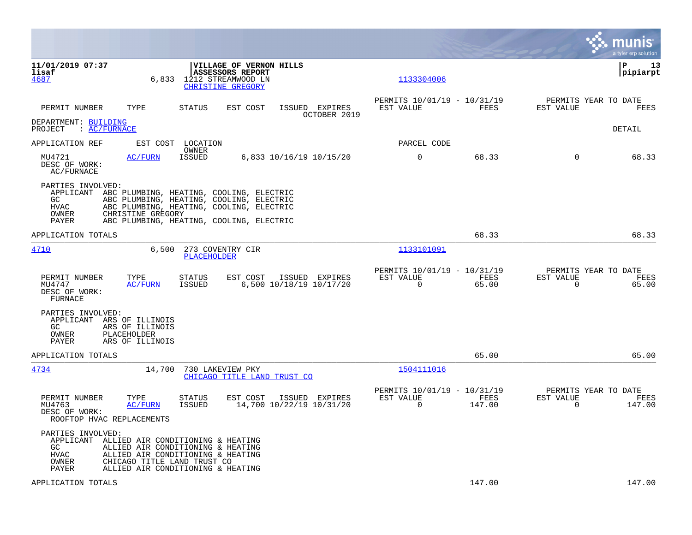|                                                                                                                                                                                                                                                                  |                                            |                                                      |                |                                               | munis<br>a tyler erp solution |
|------------------------------------------------------------------------------------------------------------------------------------------------------------------------------------------------------------------------------------------------------------------|--------------------------------------------|------------------------------------------------------|----------------|-----------------------------------------------|-------------------------------|
| 11/01/2019 07:37<br>VILLAGE OF VERNON HILLS<br>lisaf<br><b>ASSESSORS REPORT</b><br>6,833<br><u>4687</u><br>1212 STREAMWOOD LN<br>CHRISTINE GREGORY                                                                                                               |                                            | 1133304006                                           |                |                                               | ∣P<br>13<br> pipiarpt         |
| PERMIT NUMBER<br>TYPE<br><b>STATUS</b><br>EST COST                                                                                                                                                                                                               | ISSUED EXPIRES<br>OCTOBER 2019             | PERMITS 10/01/19 - 10/31/19<br>EST VALUE             | FEES           | PERMITS YEAR TO DATE<br>EST VALUE             | FEES                          |
| DEPARTMENT: BUILDING<br>: <u>AC/FURNACE</u><br>PROJECT                                                                                                                                                                                                           |                                            |                                                      |                |                                               | <b>DETAIL</b>                 |
| APPLICATION REF<br>EST COST LOCATION<br>OWNER                                                                                                                                                                                                                    |                                            | PARCEL CODE                                          |                |                                               |                               |
| MU4721<br>AC/FURN<br><b>ISSUED</b><br>DESC OF WORK:<br>AC/FURNACE                                                                                                                                                                                                | 6,833 10/16/19 10/15/20                    | $\mathbf 0$                                          | 68.33          | $\Omega$                                      | 68.33                         |
| PARTIES INVOLVED:<br>APPLICANT ABC PLUMBING, HEATING, COOLING, ELECTRIC<br>GC<br>ABC PLUMBING, HEATING, COOLING, ELECTRIC<br>ABC PLUMBING, HEATING, COOLING, ELECTRIC<br>HVAC<br>OWNER<br>CHRISTINE GREGORY<br>PAYER<br>ABC PLUMBING, HEATING, COOLING, ELECTRIC |                                            |                                                      |                |                                               |                               |
| APPLICATION TOTALS                                                                                                                                                                                                                                               |                                            |                                                      | 68.33          |                                               | 68.33                         |
| 4710<br>6,500<br>273 COVENTRY CIR<br>PLACEHOLDER                                                                                                                                                                                                                 |                                            | 1133101091                                           |                |                                               |                               |
| PERMIT NUMBER<br>TYPE<br><b>STATUS</b><br>EST COST<br>MU4747<br>AC/FURN<br>ISSUED<br>DESC OF WORK:<br>FURNACE                                                                                                                                                    | ISSUED EXPIRES<br>6,500 10/18/19 10/17/20  | PERMITS 10/01/19 - 10/31/19<br>EST VALUE<br>$\Omega$ | FEES<br>65.00  | PERMITS YEAR TO DATE<br>EST VALUE<br>$\Omega$ | FEES<br>65.00                 |
| PARTIES INVOLVED:<br>APPLICANT ARS OF ILLINOIS<br>GC<br>ARS OF ILLINOIS<br>OWNER<br>PLACEHOLDER<br>PAYER<br>ARS OF ILLINOIS                                                                                                                                      |                                            |                                                      |                |                                               |                               |
| APPLICATION TOTALS                                                                                                                                                                                                                                               |                                            |                                                      | 65.00          |                                               | 65.00                         |
| 4734<br>14,700<br>730 LAKEVIEW PKY<br>CHICAGO TITLE LAND TRUST CO                                                                                                                                                                                                |                                            | 1504111016                                           |                |                                               |                               |
| TYPE<br>PERMIT NUMBER<br><b>STATUS</b><br>EST COST<br>MU4763<br><b>AC/FURN</b><br>ISSUED<br>DESC OF WORK:<br>ROOFTOP HVAC REPLACEMENTS                                                                                                                           | ISSUED EXPIRES<br>14,700 10/22/19 10/31/20 | PERMITS 10/01/19 - 10/31/19<br>EST VALUE<br>$\Omega$ | FEES<br>147.00 | PERMITS YEAR TO DATE<br>EST VALUE<br>$\Omega$ | FEES<br>147.00                |
| PARTIES INVOLVED:<br>APPLICANT ALLIED AIR CONDITIONING & HEATING<br>GC<br>ALLIED AIR CONDITIONING & HEATING<br>HVAC<br>ALLIED AIR CONDITIONING & HEATING<br>OWNER<br>CHICAGO TITLE LAND TRUST CO<br>ALLIED AIR CONDITIONING & HEATING<br>PAYER                   |                                            |                                                      |                |                                               |                               |
| APPLICATION TOTALS                                                                                                                                                                                                                                               |                                            |                                                      | 147.00         |                                               | 147.00                        |

**College**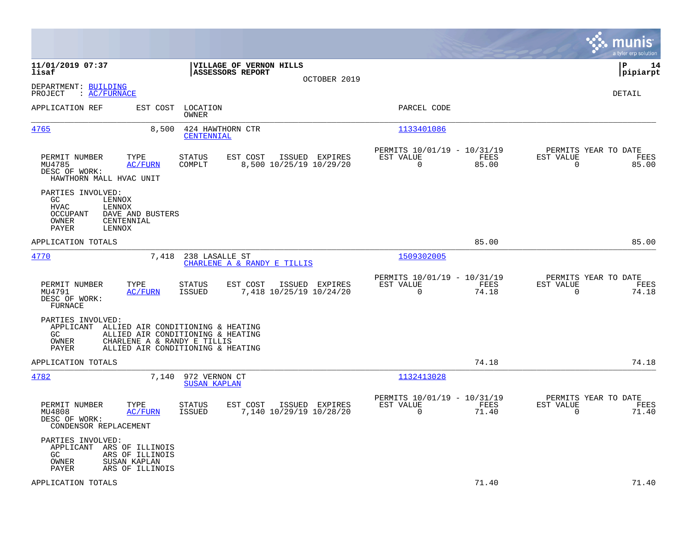|                                                                                                                                       |                                                                           |                                                                             | munis<br>a tyler erp solution                                  |
|---------------------------------------------------------------------------------------------------------------------------------------|---------------------------------------------------------------------------|-----------------------------------------------------------------------------|----------------------------------------------------------------|
| 11/01/2019 07:37<br>lisaf                                                                                                             | VILLAGE OF VERNON HILLS<br><b>ASSESSORS REPORT</b><br>OCTOBER 2019        |                                                                             | l P<br>14<br> pipiarpt                                         |
| DEPARTMENT: BUILDING<br>PROJECT<br>$\colon$ AC/FURNACE                                                                                |                                                                           |                                                                             | DETAIL                                                         |
| APPLICATION REF<br>EST COST                                                                                                           | LOCATION<br>OWNER                                                         | PARCEL CODE                                                                 |                                                                |
| 4765<br>8,500                                                                                                                         | 424 HAWTHORN CTR<br>CENTENNIAL                                            | 1133401086                                                                  |                                                                |
| PERMIT NUMBER<br>TYPE<br>MU4785<br>AC/FURN<br>DESC OF WORK:<br>HAWTHORN MALL HVAC UNIT                                                | STATUS<br>EST COST<br>ISSUED EXPIRES<br>8,500 10/25/19 10/29/20<br>COMPLT | PERMITS 10/01/19 - 10/31/19<br>FEES<br>EST VALUE<br>$\overline{0}$<br>85.00 | PERMITS YEAR TO DATE<br>EST VALUE<br>FEES<br>$\Omega$<br>85.00 |
| PARTIES INVOLVED:<br>GC.<br>LENNOX<br>HVAC<br>LENNOX<br><b>OCCUPANT</b><br>DAVE AND BUSTERS<br>CENTENNIAL<br>OWNER<br>PAYER<br>LENNOX |                                                                           |                                                                             |                                                                |
| APPLICATION TOTALS                                                                                                                    |                                                                           | 85.00                                                                       | 85.00                                                          |
| 4770<br>7,418                                                                                                                         | 238 LASALLE ST<br>CHARLENE A & RANDY E TILLIS                             | 1509302005                                                                  |                                                                |
| PERMIT NUMBER<br>TYPE<br>MU4791<br>AC/FURN<br>DESC OF WORK:<br>FURNACE                                                                | STATUS<br>EST COST<br>ISSUED EXPIRES<br>ISSUED<br>7,418 10/25/19 10/24/20 | PERMITS 10/01/19 - 10/31/19<br>EST VALUE<br>FEES<br>$\mathbf 0$<br>74.18    | PERMITS YEAR TO DATE<br>EST VALUE<br>FEES<br>$\Omega$<br>74.18 |
| PARTIES INVOLVED:<br>APPLICANT ALLIED AIR CONDITIONING & HEATING<br>GC.<br>OWNER<br>CHARLENE A & RANDY E TILLIS<br>PAYER              | ALLIED AIR CONDITIONING & HEATING<br>ALLIED AIR CONDITIONING & HEATING    |                                                                             |                                                                |
| APPLICATION TOTALS                                                                                                                    |                                                                           | 74.18                                                                       | 74.18                                                          |
| 7,140<br>4782                                                                                                                         | 972 VERNON CT<br><b>SUSAN KAPLAN</b>                                      | 1132413028                                                                  |                                                                |
| PERMIT NUMBER<br>TYPE<br>MU4808<br>AC/FURN<br>DESC OF WORK:<br>CONDENSOR REPLACEMENT                                                  | EST COST<br>ISSUED EXPIRES<br>STATUS<br>7,140 10/29/19 10/28/20<br>ISSUED | PERMITS 10/01/19 - 10/31/19<br>EST VALUE<br>FEES<br>$\Omega$<br>71.40       | PERMITS YEAR TO DATE<br>EST VALUE<br>FEES<br>$\Omega$<br>71.40 |
| PARTIES INVOLVED:<br>APPLICANT<br>ARS OF ILLINOIS<br>GC.<br>ARS OF ILLINOIS<br>OWNER<br>SUSAN KAPLAN<br>PAYER<br>ARS OF ILLINOIS      |                                                                           |                                                                             |                                                                |
| APPLICATION TOTALS                                                                                                                    |                                                                           | 71.40                                                                       | 71.40                                                          |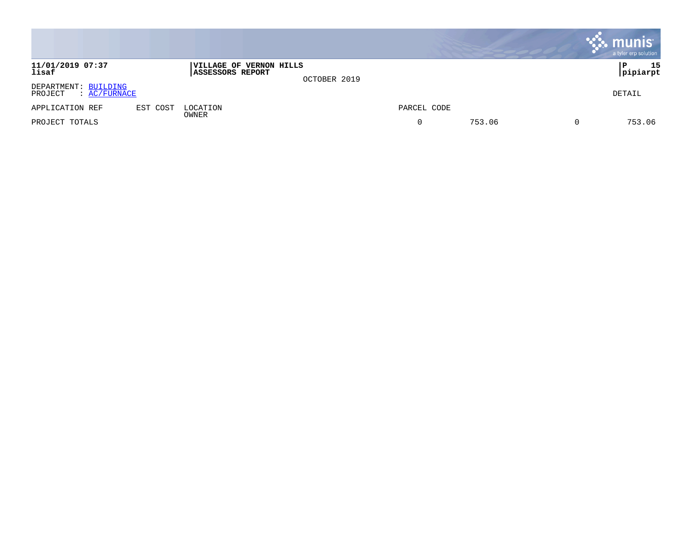|                                                 |          |                                                    |              |             |        | <b>munis</b><br>a tyler erp solution |
|-------------------------------------------------|----------|----------------------------------------------------|--------------|-------------|--------|--------------------------------------|
| 11/01/2019 07:37<br>lisaf                       |          | VILLAGE OF VERNON HILLS<br><b>ASSESSORS REPORT</b> | OCTOBER 2019 |             |        | 15<br>P<br> pipiarpt                 |
| DEPARTMENT: BUILDING<br>: AC/FURNACE<br>PROJECT |          |                                                    |              |             |        | DETAIL                               |
| APPLICATION REF                                 | EST COST | LOCATION                                           |              | PARCEL CODE |        |                                      |
| PROJECT TOTALS                                  |          | OWNER                                              |              | $\mathbf 0$ | 753.06 | 753.06                               |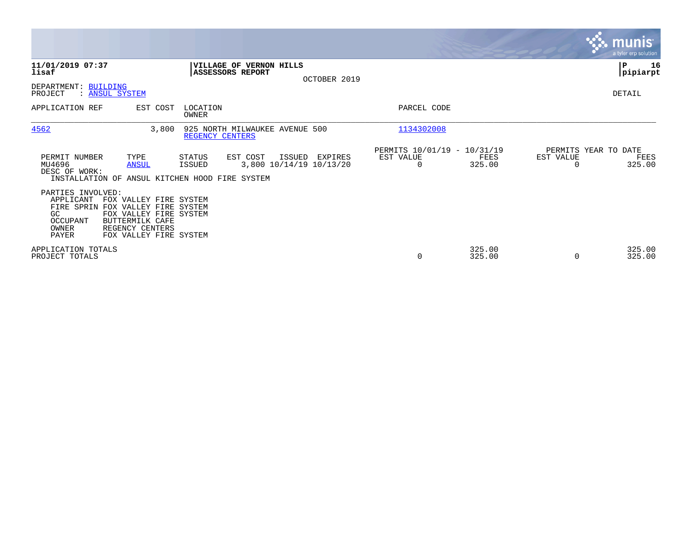|                                                                                                                                                       |                                                                            |                         |                                               |              |                                               |                  |           | <b>munis</b><br>a tyler erp solution   |
|-------------------------------------------------------------------------------------------------------------------------------------------------------|----------------------------------------------------------------------------|-------------------------|-----------------------------------------------|--------------|-----------------------------------------------|------------------|-----------|----------------------------------------|
| 11/01/2019 07:37<br>lisaf                                                                                                                             |                                                                            | <b>ASSESSORS REPORT</b> | VILLAGE OF VERNON HILLS                       | OCTOBER 2019 |                                               |                  |           | ∣₽<br>16<br> pipiarpt                  |
| DEPARTMENT: BUILDING<br>PROJECT<br>: ANSUL SYSTEM                                                                                                     |                                                                            |                         |                                               |              |                                               |                  |           | DETAIL                                 |
| APPLICATION REF                                                                                                                                       | EST COST                                                                   | LOCATION<br>OWNER       |                                               |              | PARCEL CODE                                   |                  |           |                                        |
| 4562                                                                                                                                                  | 3,800                                                                      | REGENCY CENTERS         | 925 NORTH MILWAUKEE AVENUE 500                |              | 1134302008                                    |                  |           |                                        |
| PERMIT NUMBER<br>TYPE<br>MU4696<br><b>ANSUL</b><br>DESC OF WORK:<br>INSTALLATION OF ANSUL KITCHEN HOOD FIRE SYSTEM                                    |                                                                            | STATUS<br><b>ISSUED</b> | EST COST<br>ISSUED<br>3,800 10/14/19 10/13/20 | EXPIRES      | PERMITS 10/01/19 - 10/31/19<br>EST VALUE<br>0 | FEES<br>325.00   | EST VALUE | PERMITS YEAR TO DATE<br>FEES<br>325.00 |
| PARTIES INVOLVED:<br>APPLICANT<br>FIRE SPRIN FOX VALLEY FIRE SYSTEM<br>GC.<br><b>OCCUPANT</b><br>BUTTERMILK CAFE<br>OWNER<br>REGENCY CENTERS<br>PAYER | FOX VALLEY FIRE SYSTEM<br>FOX VALLEY FIRE SYSTEM<br>FOX VALLEY FIRE SYSTEM |                         |                                               |              |                                               |                  |           |                                        |
| APPLICATION TOTALS<br>PROJECT TOTALS                                                                                                                  |                                                                            |                         |                                               |              | $\mathbf 0$                                   | 325.00<br>325.00 | $\Omega$  | 325.00<br>325.00                       |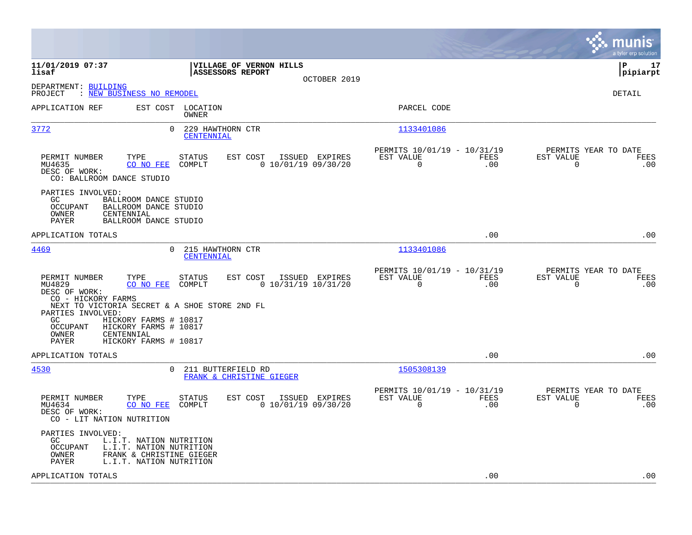|                                                                                                                                                                                                                                                                                  |                                                     |                                                         |                    | munis<br>a tyler erp solution                                |
|----------------------------------------------------------------------------------------------------------------------------------------------------------------------------------------------------------------------------------------------------------------------------------|-----------------------------------------------------|---------------------------------------------------------|--------------------|--------------------------------------------------------------|
| 11/01/2019 07:37<br>lisaf<br>ASSESSORS REPORT                                                                                                                                                                                                                                    | VILLAGE OF VERNON HILLS<br>OCTOBER 2019             |                                                         |                    | P<br>17<br> pipiarpt                                         |
| DEPARTMENT: BUILDING<br>PROJECT<br>: NEW BUSINESS NO REMODEL                                                                                                                                                                                                                     |                                                     |                                                         |                    | <b>DETAIL</b>                                                |
| APPLICATION REF<br>EST COST LOCATION<br>OWNER                                                                                                                                                                                                                                    |                                                     | PARCEL CODE                                             |                    |                                                              |
| 3772<br>$\Omega$<br>229 HAWTHORN CTR<br>CENTENNIAL                                                                                                                                                                                                                               |                                                     | 1133401086                                              |                    |                                                              |
| PERMIT NUMBER<br>TYPE<br><b>STATUS</b><br>COMPLT<br>MU4635<br>CO NO FEE<br>DESC OF WORK:<br>CO: BALLROOM DANCE STUDIO                                                                                                                                                            | EST COST<br>ISSUED EXPIRES<br>$0$ 10/01/19 09/30/20 | PERMITS 10/01/19 - 10/31/19<br>EST VALUE<br>$\Omega$    | FEES<br>.00        | PERMITS YEAR TO DATE<br>EST VALUE<br>FEES<br>$\Omega$<br>.00 |
| PARTIES INVOLVED:<br>GC.<br>BALLROOM DANCE STUDIO<br><b>OCCUPANT</b><br>BALLROOM DANCE STUDIO<br>OWNER<br>CENTENNIAL<br><b>PAYER</b><br>BALLROOM DANCE STUDIO                                                                                                                    |                                                     |                                                         |                    |                                                              |
| APPLICATION TOTALS                                                                                                                                                                                                                                                               |                                                     |                                                         | .00                | .00                                                          |
| 4469<br>$\Omega$<br>215 HAWTHORN CTR<br>CENTENNIAL                                                                                                                                                                                                                               |                                                     | 1133401086                                              |                    |                                                              |
| PERMIT NUMBER<br>TYPE<br>STATUS<br>COMPLT<br>MU4829<br>CO NO FEE<br>DESC OF WORK:<br>CO - HICKORY FARMS<br>NEXT TO VICTORIA SECRET & A SHOE STORE 2ND FL<br>PARTIES INVOLVED:<br>GC.<br>HICKORY FARMS # 10817<br><b>OCCUPANT</b><br>HICKORY FARMS # 10817<br>OWNER<br>CENTENNIAL | EST COST<br>ISSUED EXPIRES<br>$0$ 10/31/19 10/31/20 | PERMITS 10/01/19 - 10/31/19<br>EST VALUE<br>$\mathbf 0$ | FEES<br>.00        | PERMITS YEAR TO DATE<br>EST VALUE<br>FEES<br>0<br>.00        |
| <b>PAYER</b><br>HICKORY FARMS # 10817                                                                                                                                                                                                                                            |                                                     |                                                         |                    |                                                              |
| APPLICATION TOTALS                                                                                                                                                                                                                                                               |                                                     |                                                         | .00                | .00                                                          |
| 4530<br>$\Omega$<br>211 BUTTERFIELD RD<br>FRANK & CHRISTINE GIEGER                                                                                                                                                                                                               |                                                     | 1505308139                                              |                    |                                                              |
| TYPE<br>PERMIT NUMBER<br>STATUS<br>MU4634<br>CO NO FEE<br>COMPLT<br>DESC OF WORK:<br>CO - LIT NATION NUTRITION                                                                                                                                                                   | EST COST<br>ISSUED EXPIRES<br>$0$ 10/01/19 09/30/20 | PERMITS 10/01/19 - 10/31/19<br>EST VALUE<br>0           | <b>FEES</b><br>.00 | PERMITS YEAR TO DATE<br>EST VALUE<br>FEES<br>.00<br>0        |
| PARTIES INVOLVED:<br>GC.<br>L.I.T. NATION NUTRITION<br><b>OCCUPANT</b><br>L.I.T. NATION NUTRITION<br>FRANK & CHRISTINE GIEGER<br>OWNER<br>PAYER<br>L.I.T. NATION NUTRITION                                                                                                       |                                                     |                                                         |                    |                                                              |
| APPLICATION TOTALS                                                                                                                                                                                                                                                               |                                                     |                                                         | .00                | .00                                                          |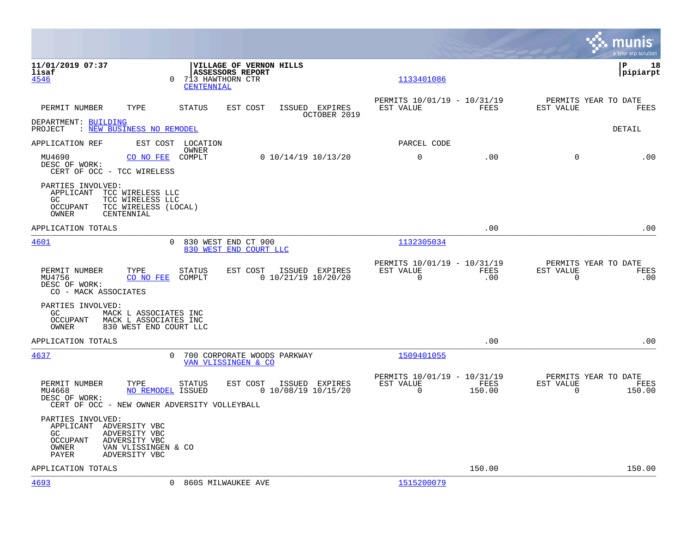|                                                                                                                                                            |                                                                                                                                    |                                                                        | munis<br>a tyler erp solution                                   |
|------------------------------------------------------------------------------------------------------------------------------------------------------------|------------------------------------------------------------------------------------------------------------------------------------|------------------------------------------------------------------------|-----------------------------------------------------------------|
| 11/01/2019 07:37<br>lisaf<br>4546                                                                                                                          | VILLAGE OF VERNON HILLS<br><b>ASSESSORS REPORT</b><br>713 HAWTHORN CTR<br>$\Omega$<br>CENTENNIAL                                   | 1133401086                                                             | l P<br>18<br> pipiarpt                                          |
| PERMIT NUMBER<br>TYPE                                                                                                                                      | STATUS<br>EST COST<br>ISSUED EXPIRES<br>OCTOBER 2019                                                                               | PERMITS 10/01/19 - 10/31/19<br>EST VALUE<br>FEES                       | PERMITS YEAR TO DATE<br>EST VALUE<br>FEES                       |
| DEPARTMENT: BUILDING<br>: NEW BUSINESS NO REMODEL<br>PROJECT                                                                                               |                                                                                                                                    |                                                                        | DETAIL                                                          |
| APPLICATION REF                                                                                                                                            | EST COST LOCATION<br>OWNER                                                                                                         | PARCEL CODE                                                            |                                                                 |
| MU4690<br>CO NO FEE<br>DESC OF WORK:<br>CERT OF OCC - TCC WIRELESS                                                                                         | $0$ 10/14/19 10/13/20<br>COMPLT                                                                                                    | 0<br>.00                                                               | $\Omega$<br>.00                                                 |
| PARTIES INVOLVED:<br>APPLICANT TCC WIRELESS LLC<br>GC<br>TCC WIRELESS LLC<br><b>OCCUPANT</b><br>TCC WIRELESS (LOCAL)<br>OWNER<br>CENTENNIAL                |                                                                                                                                    |                                                                        |                                                                 |
| APPLICATION TOTALS                                                                                                                                         |                                                                                                                                    | .00                                                                    | .00                                                             |
| 4601                                                                                                                                                       | 830 WEST END CT 900<br>$\Omega$<br>830 WEST END COURT LLC                                                                          | 1132305034                                                             |                                                                 |
| PERMIT NUMBER<br>TYPE<br>MU4756<br>CO NO FEE<br>DESC OF WORK:<br>CO - MACK ASSOCIATES                                                                      | <b>STATUS</b><br>EST COST<br>ISSUED EXPIRES<br>COMPLT<br>$0$ 10/21/19 10/20/20                                                     | PERMITS 10/01/19 - 10/31/19<br>FEES<br>EST VALUE<br>$\Omega$<br>.00    | PERMITS YEAR TO DATE<br>EST VALUE<br>FEES<br>$\Omega$<br>.00    |
| PARTIES INVOLVED:<br>GC<br>OCCUPANT<br>OWNER                                                                                                               | MACK L ASSOCIATES INC<br>MACK L ASSOCIATES INC<br>830 WEST END COURT LLC                                                           |                                                                        |                                                                 |
| APPLICATION TOTALS                                                                                                                                         |                                                                                                                                    | .00                                                                    | .00                                                             |
| 4637                                                                                                                                                       | $\Omega$<br>700 CORPORATE WOODS PARKWAY<br>VAN VLISSINGEN & CO                                                                     | 1509401055                                                             |                                                                 |
| PERMIT NUMBER<br>TYPE<br>MU4668<br>DESC OF WORK:                                                                                                           | EST COST<br>ISSUED EXPIRES<br>STATUS<br>NO REMODEL ISSUED<br>$0$ 10/08/19 10/15/20<br>CERT OF OCC - NEW OWNER ADVERSITY VOLLEYBALL | PERMITS 10/01/19 - 10/31/19<br>EST VALUE<br>FEES<br>$\Omega$<br>150.00 | PERMITS YEAR TO DATE<br>EST VALUE<br>FEES<br>$\Omega$<br>150.00 |
| PARTIES INVOLVED:<br>APPLICANT ADVERSITY VBC<br>GC<br>ADVERSITY VBC<br>OCCUPANT<br>ADVERSITY VBC<br>OWNER<br>VAN VLISSINGEN & CO<br>ADVERSITY VBC<br>PAYER |                                                                                                                                    |                                                                        |                                                                 |
| APPLICATION TOTALS                                                                                                                                         |                                                                                                                                    | 150.00                                                                 | 150.00                                                          |
| 4693                                                                                                                                                       | $\Omega$<br>860S MILWAUKEE AVE                                                                                                     | 1515200079                                                             |                                                                 |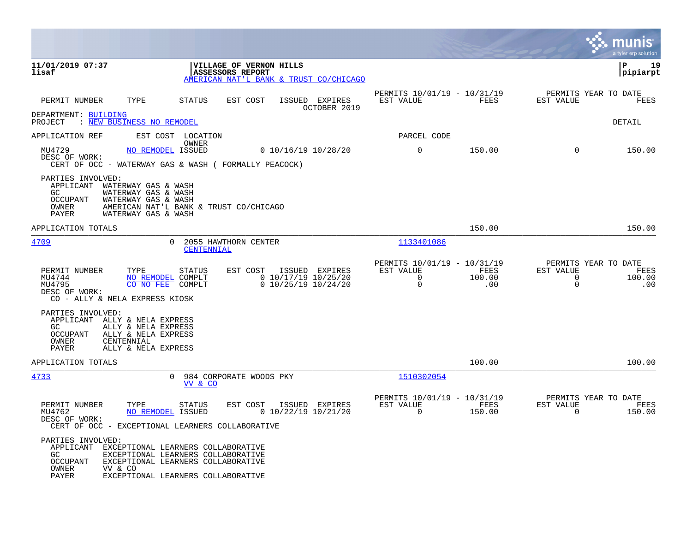|                                                                                                                                                                                   |                                                                                                                                                      |                                                                  |                       |                                                           | munis<br>a tyler erp solution |
|-----------------------------------------------------------------------------------------------------------------------------------------------------------------------------------|------------------------------------------------------------------------------------------------------------------------------------------------------|------------------------------------------------------------------|-----------------------|-----------------------------------------------------------|-------------------------------|
| 11/01/2019 07:37<br>lisaf                                                                                                                                                         | VILLAGE OF VERNON HILLS<br>ASSESSORS REPORT<br>AMERICAN NAT'L BANK & TRUST CO/CHICAGO                                                                |                                                                  |                       |                                                           | l P<br>19<br>pipiarpt         |
| TYPE<br>PERMIT NUMBER                                                                                                                                                             | <b>STATUS</b><br>EST COST<br>ISSUED EXPIRES<br>OCTOBER 2019                                                                                          | PERMITS 10/01/19 - 10/31/19<br>EST VALUE                         | FEES                  | PERMITS YEAR TO DATE<br>EST VALUE                         | FEES                          |
| DEPARTMENT: BUILDING<br>: NEW BUSINESS NO REMODEL<br>PROJECT                                                                                                                      |                                                                                                                                                      |                                                                  |                       |                                                           | DETAIL                        |
| APPLICATION REF                                                                                                                                                                   | EST COST LOCATION<br>OWNER                                                                                                                           | PARCEL CODE                                                      |                       |                                                           |                               |
| NO REMODEL ISSUED<br>MU4729<br>DESC OF WORK:                                                                                                                                      | $0$ 10/16/19 10/28/20<br>CERT OF OCC - WATERWAY GAS & WASH ( FORMALLY PEACOCK)                                                                       | 0                                                                | 150.00                | $\mathbf 0$                                               | 150.00                        |
| PARTIES INVOLVED:<br>APPLICANT<br>WATERWAY GAS & WASH<br>GC<br>WATERWAY GAS & WASH<br><b>OCCUPANT</b><br>WATERWAY GAS & WASH<br>OWNER<br>PAYER<br>WATERWAY GAS & WASH             | AMERICAN NAT'L BANK & TRUST CO/CHICAGO                                                                                                               |                                                                  |                       |                                                           |                               |
| APPLICATION TOTALS                                                                                                                                                                |                                                                                                                                                      |                                                                  | 150.00                |                                                           | 150.00                        |
| 4709<br>$\Omega$                                                                                                                                                                  | 2055 HAWTHORN CENTER<br>CENTENNIAL                                                                                                                   | 1133401086                                                       |                       |                                                           |                               |
| PERMIT NUMBER<br>TYPE<br>NO REMODEL COMPLT<br>MU4744<br>MU4795<br>CO NO FEE<br>DESC OF WORK:<br>CO - ALLY & NELA EXPRESS KIOSK                                                    | <b>STATUS</b><br>EST COST<br>ISSUED EXPIRES<br>$0$ 10/17/19 10/25/20<br>$0$ 10/25/19 10/24/20<br>COMPLT                                              | PERMITS 10/01/19 - 10/31/19<br>EST VALUE<br>$\Omega$<br>$\Omega$ | FEES<br>100.00<br>.00 | PERMITS YEAR TO DATE<br>EST VALUE<br>$\Omega$<br>$\Omega$ | FEES<br>100.00<br>.00         |
| PARTIES INVOLVED:<br>APPLICANT ALLY & NELA EXPRESS<br>GC.<br>ALLY & NELA EXPRESS<br><b>OCCUPANT</b><br>ALLY & NELA EXPRESS<br>OWNER<br>CENTENNIAL<br>PAYER<br>ALLY & NELA EXPRESS |                                                                                                                                                      |                                                                  |                       |                                                           |                               |
| APPLICATION TOTALS                                                                                                                                                                |                                                                                                                                                      |                                                                  | 100.00                |                                                           | 100.00                        |
| 4733                                                                                                                                                                              | 0 984 CORPORATE WOODS PKY<br>VV & CO                                                                                                                 | 1510302054                                                       |                       |                                                           |                               |
| PERMIT NUMBER<br>TYPE<br>NO REMODEL ISSUED<br>MU4762<br>DESC OF WORK:<br>CERT OF OCC - EXCEPTIONAL LEARNERS COLLABORATIVE                                                         | EST COST<br><b>STATUS</b><br>ISSUED EXPIRES<br>$0$ 10/22/19 10/21/20                                                                                 | PERMITS 10/01/19 - 10/31/19<br>EST VALUE<br>$\mathbf 0$          | FEES<br>150.00        | PERMITS YEAR TO DATE<br>EST VALUE<br>$\overline{0}$       | FEES<br>150.00                |
| PARTIES INVOLVED:<br>APPLICANT<br>GC<br>OCCUPANT<br>OWNER<br>VV & CO<br>PAYER                                                                                                     | EXCEPTIONAL LEARNERS COLLABORATIVE<br>EXCEPTIONAL LEARNERS COLLABORATIVE<br>EXCEPTIONAL LEARNERS COLLABORATIVE<br>EXCEPTIONAL LEARNERS COLLABORATIVE |                                                                  |                       |                                                           |                               |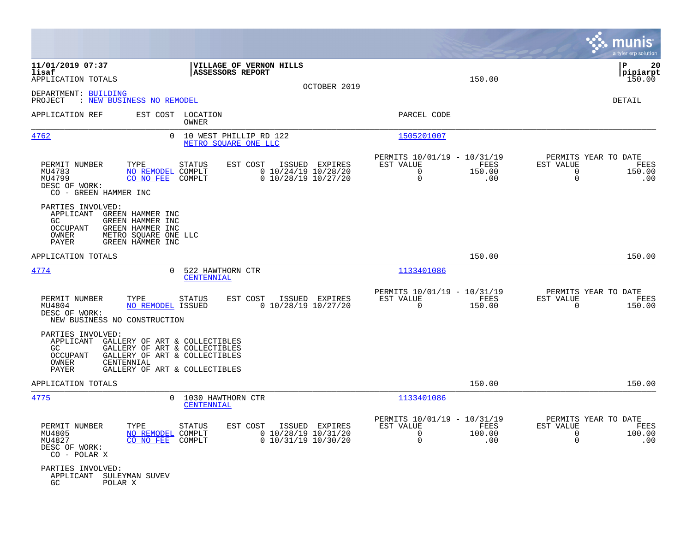|                                                                                                                                                                                           |                                                                                                                                  |                                                                                                                                         |                       | munis<br>a tyler erp solution                                                         |
|-------------------------------------------------------------------------------------------------------------------------------------------------------------------------------------------|----------------------------------------------------------------------------------------------------------------------------------|-----------------------------------------------------------------------------------------------------------------------------------------|-----------------------|---------------------------------------------------------------------------------------|
| 11/01/2019 07:37<br>lisaf<br>APPLICATION TOTALS                                                                                                                                           | VILLAGE OF VERNON HILLS<br>ASSESSORS REPORT                                                                                      |                                                                                                                                         | 150.00                | l P<br>20<br> pipiarpt<br>150.00                                                      |
| DEPARTMENT: BUILDING<br>PROJECT<br>: NEW BUSINESS NO REMODEL                                                                                                                              |                                                                                                                                  | OCTOBER 2019                                                                                                                            |                       | DETAIL                                                                                |
| APPLICATION REF                                                                                                                                                                           | EST COST LOCATION<br>OWNER                                                                                                       | PARCEL CODE                                                                                                                             |                       |                                                                                       |
| 4762                                                                                                                                                                                      | $\overline{0}$<br>10 WEST PHILLIP RD 122<br>METRO SOUARE ONE LLC                                                                 | 1505201007                                                                                                                              |                       |                                                                                       |
| TYPE<br>PERMIT NUMBER<br>MU4783<br>MU4799<br>CO NO FEE<br>DESC OF WORK:<br>CO - GREEN HAMMER INC                                                                                          | EST COST<br>STATUS<br>NO REMODEL COMPLT<br>COMPLT                                                                                | PERMITS 10/01/19 - 10/31/19<br>ISSUED EXPIRES<br>EST VALUE<br>$0$ 10/24/19 10/28/20<br>$\Omega$<br>$0$ 10/28/19 10/27/20<br>$\mathbf 0$ | FEES<br>150.00<br>.00 | PERMITS YEAR TO DATE<br>EST VALUE<br>FEES<br>$\Omega$<br>150.00<br>$\mathbf 0$<br>.00 |
| PARTIES INVOLVED:<br>APPLICANT<br>GREEN HAMMER INC<br>GREEN HAMMER INC<br>GC.<br><b>OCCUPANT</b><br>GREEN HAMMER INC<br><b>OWNER</b><br>METRO SQUARE ONE LLC<br>PAYER<br>GREEN HAMMER INC |                                                                                                                                  |                                                                                                                                         |                       |                                                                                       |
| APPLICATION TOTALS                                                                                                                                                                        |                                                                                                                                  |                                                                                                                                         | 150.00                | 150.00                                                                                |
| 4774                                                                                                                                                                                      | $\Omega$<br>522 HAWTHORN CTR<br>CENTENNIAL                                                                                       | 1133401086                                                                                                                              |                       |                                                                                       |
| PERMIT NUMBER<br>TYPE<br>MU4804<br>DESC OF WORK:<br>NEW BUSINESS NO CONSTRUCTION                                                                                                          | <b>STATUS</b><br>EST COST<br>NO REMODEL ISSUED                                                                                   | PERMITS 10/01/19 - 10/31/19<br>EST VALUE<br>ISSUED EXPIRES<br>$0$ 10/28/19 10/27/20<br>$\mathbf 0$                                      | FEES<br>150.00        | PERMITS YEAR TO DATE<br>EST VALUE<br>FEES<br>$\mathbf 0$<br>150.00                    |
| PARTIES INVOLVED:<br>APPLICANT<br>GC<br>OCCUPANT<br><b>OWNER</b><br>CENTENNIAL<br>PAYER                                                                                                   | GALLERY OF ART & COLLECTIBLES<br>GALLERY OF ART & COLLECTIBLES<br>GALLERY OF ART & COLLECTIBLES<br>GALLERY OF ART & COLLECTIBLES |                                                                                                                                         |                       |                                                                                       |
| APPLICATION TOTALS                                                                                                                                                                        |                                                                                                                                  |                                                                                                                                         | 150.00                | 150.00                                                                                |
| 4775                                                                                                                                                                                      | 0 1030 HAWTHORN CTR<br>CENTENNIAL                                                                                                | 1133401086                                                                                                                              |                       |                                                                                       |
| TYPE<br>PERMIT NUMBER<br>MU4805<br>CO NO FEE<br>MU4827<br>DESC OF WORK:<br>CO - POLAR X                                                                                                   | EST COST<br>STATUS<br>NO REMODEL COMPLT<br>COMPLT                                                                                | PERMITS 10/01/19 - 10/31/19<br>EST VALUE<br>ISSUED EXPIRES<br>$0$ 10/28/19 10/31/20<br>$\mathbf 0$<br>$0$ 10/31/19 10/30/20<br>$\Omega$ | FEES<br>100.00<br>.00 | PERMITS YEAR TO DATE<br>EST VALUE<br>FEES<br>$\mathbf 0$<br>100.00<br>$\Omega$<br>.00 |
| PARTIES INVOLVED:<br>APPLICANT SULEYMAN SUVEV<br>GC.<br>POLAR X                                                                                                                           |                                                                                                                                  |                                                                                                                                         |                       |                                                                                       |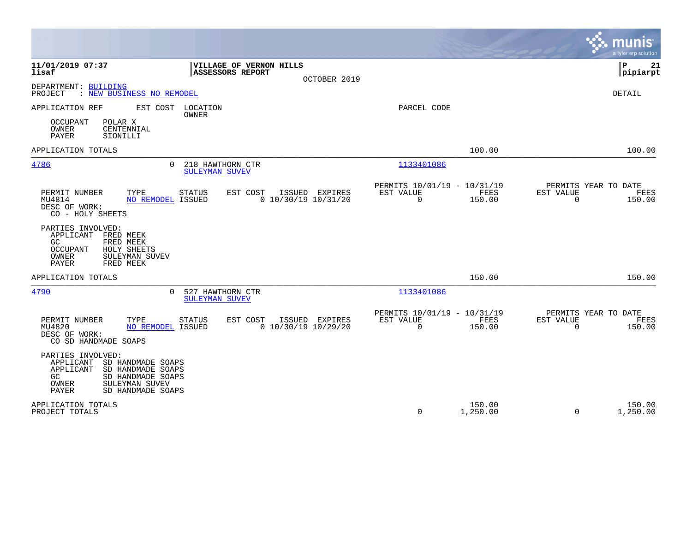|                                                                                                                                                                                  | munis<br>a tyler erp solution                                                                                                                |
|----------------------------------------------------------------------------------------------------------------------------------------------------------------------------------|----------------------------------------------------------------------------------------------------------------------------------------------|
| 11/01/2019 07:37<br>VILLAGE OF VERNON HILLS<br>lisaf<br><b>ASSESSORS REPORT</b><br>OCTOBER 2019                                                                                  | P<br>21<br> pipiarpt                                                                                                                         |
| DEPARTMENT: BUILDING<br>PROJECT<br>: NEW BUSINESS NO REMODEL                                                                                                                     | DETAIL                                                                                                                                       |
| APPLICATION REF<br>EST COST LOCATION<br>OWNER<br>POLAR X<br>OCCUPANT<br>OWNER<br>CENTENNIAL                                                                                      | PARCEL CODE                                                                                                                                  |
| PAYER<br>SIONILLI                                                                                                                                                                |                                                                                                                                              |
| APPLICATION TOTALS                                                                                                                                                               | 100.00<br>100.00                                                                                                                             |
| 4786<br>$\Omega$<br>218 HAWTHORN CTR<br>SULEYMAN SUVEV                                                                                                                           | 1133401086                                                                                                                                   |
| PERMIT NUMBER<br>TYPE<br>EST COST<br>ISSUED EXPIRES<br>STATUS<br>$0$ 10/30/19 10/31/20<br>MU4814<br>NO REMODEL ISSUED<br>DESC OF WORK:<br>CO - HOLY SHEETS                       | PERMITS 10/01/19 - 10/31/19<br>PERMITS YEAR TO DATE<br>EST VALUE<br>FEES<br>EST VALUE<br>FEES<br>$\Omega$<br>150.00<br>$\Omega$<br>150.00    |
| PARTIES INVOLVED:<br>APPLICANT<br>FRED MEEK<br>GC.<br>FRED MEEK<br><b>OCCUPANT</b><br>HOLY SHEETS<br>OWNER<br>SULEYMAN SUVEV<br>PAYER<br>FRED MEEK                               |                                                                                                                                              |
| APPLICATION TOTALS                                                                                                                                                               | 150.00<br>150.00                                                                                                                             |
| 527 HAWTHORN CTR<br>4790<br>$\Omega$<br><b>SULEYMAN SUVEV</b>                                                                                                                    | 1133401086                                                                                                                                   |
| PERMIT NUMBER<br>TYPE<br><b>STATUS</b><br>EST COST<br>ISSUED EXPIRES<br>0 10/30/19 10/29/20<br>MU4820<br>NO REMODEL ISSUED<br>DESC OF WORK:<br>CO SD HANDMADE SOAPS              | PERMITS 10/01/19 - 10/31/19<br>PERMITS YEAR TO DATE<br>EST VALUE<br>FEES<br>EST VALUE<br>FEES<br>$\mathbf 0$<br>$\Omega$<br>150.00<br>150.00 |
| PARTIES INVOLVED:<br>APPLICANT<br>SD HANDMADE SOAPS<br>APPLICANT<br>SD HANDMADE SOAPS<br>GC<br>SD HANDMADE SOAPS<br>SULEYMAN SUVEV<br>OWNER<br><b>PAYER</b><br>SD HANDMADE SOAPS |                                                                                                                                              |
| APPLICATION TOTALS<br>PROJECT TOTALS                                                                                                                                             | 150.00<br>150.00<br>0<br>1,250.00<br>1,250.00<br>$\Omega$                                                                                    |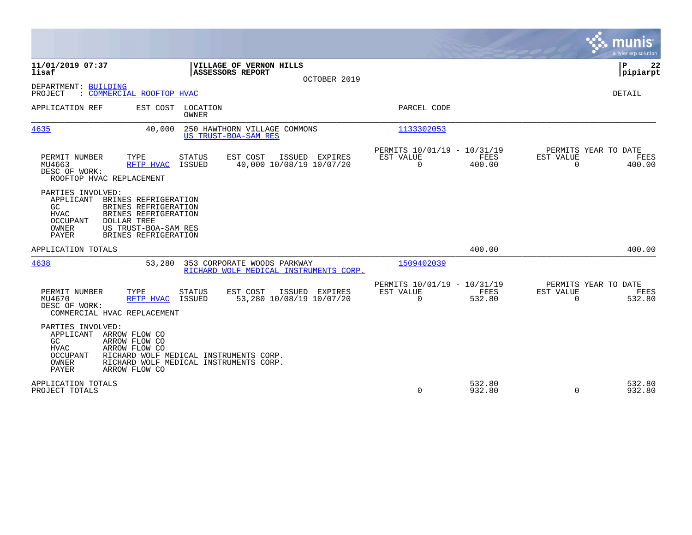|                                                                                                                                                                                                                                                |                                                            |                  |                                               | munis<br>a tyler erp solution |
|------------------------------------------------------------------------------------------------------------------------------------------------------------------------------------------------------------------------------------------------|------------------------------------------------------------|------------------|-----------------------------------------------|-------------------------------|
| 11/01/2019 07:37<br>VILLAGE OF VERNON HILLS<br>lisaf<br>ASSESSORS REPORT                                                                                                                                                                       |                                                            |                  |                                               | ΙP<br>22<br> pipiarpt         |
| OCTOBER 2019<br>DEPARTMENT: BUILDING<br>: COMMERCIAL ROOFTOP HVAC<br>PROJECT                                                                                                                                                                   |                                                            |                  |                                               | DETAIL                        |
| EST COST LOCATION<br>APPLICATION REF<br>OWNER                                                                                                                                                                                                  | PARCEL CODE                                                |                  |                                               |                               |
| 4635<br>250 HAWTHORN VILLAGE COMMONS<br>40,000<br>US TRUST-BOA-SAM RES                                                                                                                                                                         | 1133302053                                                 |                  |                                               |                               |
| PERMIT NUMBER<br>TYPE<br><b>STATUS</b><br>EST COST<br>ISSUED EXPIRES<br>40,000 10/08/19 10/07/20<br>MU4663<br>ISSUED<br>RFTP HVAC<br>DESC OF WORK:<br>ROOFTOP HVAC REPLACEMENT                                                                 | PERMITS 10/01/19 - 10/31/19<br>EST VALUE<br>$\overline{0}$ | FEES<br>400.00   | PERMITS YEAR TO DATE<br>EST VALUE<br>$\Omega$ | FEES<br>400.00                |
| PARTIES INVOLVED:<br>APPLICANT<br>BRINES REFRIGERATION<br>GC.<br>BRINES REFRIGERATION<br><b>HVAC</b><br>BRINES REFRIGERATION<br><b>OCCUPANT</b><br><b>DOLLAR TREE</b><br>OWNER<br>US TRUST-BOA-SAM RES<br><b>PAYER</b><br>BRINES REFRIGERATION |                                                            |                  |                                               |                               |
| APPLICATION TOTALS                                                                                                                                                                                                                             |                                                            | 400.00           |                                               | 400.00                        |
| 4638<br>53,280<br>353 CORPORATE WOODS PARKWAY<br>RICHARD WOLF MEDICAL INSTRUMENTS CORP.                                                                                                                                                        | 1509402039                                                 |                  |                                               |                               |
| EST COST<br>ISSUED EXPIRES<br>PERMIT NUMBER<br>TYPE<br><b>STATUS</b><br>53,280 10/08/19 10/07/20<br>MU4670<br>RFTP HVAC<br>ISSUED<br>DESC OF WORK:<br>COMMERCIAL HVAC REPLACEMENT                                                              | PERMITS 10/01/19 - 10/31/19<br>EST VALUE<br>$\Omega$       | FEES<br>532.80   | PERMITS YEAR TO DATE<br>EST VALUE<br>$\Omega$ | FEES<br>532.80                |
| PARTIES INVOLVED:<br>ARROW FLOW CO<br>APPLICANT<br>GC<br>ARROW FLOW CO<br>ARROW FLOW CO<br>HVAC<br>OCCUPANT<br>RICHARD WOLF MEDICAL INSTRUMENTS CORP.<br>OWNER<br>RICHARD WOLF MEDICAL INSTRUMENTS CORP.<br><b>PAYER</b><br>ARROW FLOW CO      |                                                            |                  |                                               |                               |
| APPLICATION TOTALS<br>PROJECT TOTALS                                                                                                                                                                                                           | $\Omega$                                                   | 532.80<br>932.80 | $\Omega$                                      | 532.80<br>932.80              |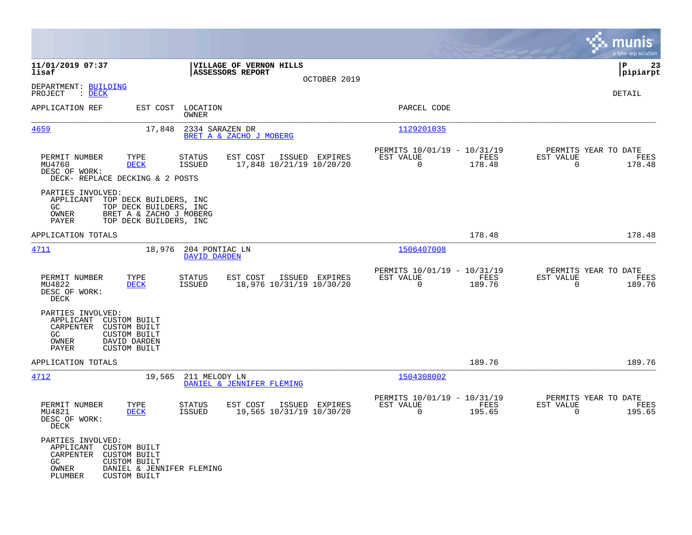|                                                                                                                                                                                 |                                                                                                       |                                            |                                                         |                |                                                  | munis<br>a tyler erp solution |
|---------------------------------------------------------------------------------------------------------------------------------------------------------------------------------|-------------------------------------------------------------------------------------------------------|--------------------------------------------|---------------------------------------------------------|----------------|--------------------------------------------------|-------------------------------|
| 11/01/2019 07:37<br>lisaf                                                                                                                                                       | VILLAGE OF VERNON HILLS<br><b>ASSESSORS REPORT</b>                                                    |                                            |                                                         |                |                                                  | lР<br>23<br> pipiarpt         |
| DEPARTMENT: BUILDING                                                                                                                                                            |                                                                                                       | OCTOBER 2019                               |                                                         |                |                                                  |                               |
| PROJECT<br>$\therefore$ DECK                                                                                                                                                    |                                                                                                       |                                            |                                                         |                |                                                  | DETAIL                        |
| APPLICATION REF                                                                                                                                                                 | EST COST<br>LOCATION<br>OWNER                                                                         |                                            | PARCEL CODE                                             |                |                                                  |                               |
| 4659                                                                                                                                                                            | 17,848<br>2334 SARAZEN DR<br>BRET A & ZACHO J MOBERG                                                  |                                            | 1129201035                                              |                |                                                  |                               |
| PERMIT NUMBER<br>TYPE<br>MU4760<br><b>DECK</b><br>DESC OF WORK:<br>DECK- REPLACE DECKING & 2 POSTS                                                                              | <b>STATUS</b><br>EST COST<br><b>ISSUED</b>                                                            | ISSUED EXPIRES<br>17,848 10/21/19 10/20/20 | PERMITS 10/01/19 - 10/31/19<br>EST VALUE<br>0           | FEES<br>178.48 | PERMITS YEAR TO DATE<br>EST VALUE<br>$\mathbf 0$ | FEES<br>178.48                |
| PARTIES INVOLVED:<br>APPLICANT<br>GC<br>OWNER<br>PAYER                                                                                                                          | TOP DECK BUILDERS, INC<br>TOP DECK BUILDERS, INC<br>BRET A & ZACHO J MOBERG<br>TOP DECK BUILDERS, INC |                                            |                                                         |                |                                                  |                               |
| APPLICATION TOTALS                                                                                                                                                              |                                                                                                       |                                            |                                                         | 178.48         |                                                  | 178.48                        |
| 4711                                                                                                                                                                            | 18,976<br>204 PONTIAC LN<br>DAVID DARDEN                                                              |                                            | 1506407008                                              |                |                                                  |                               |
| PERMIT NUMBER<br>TYPE<br>MU4822<br><b>DECK</b><br>DESC OF WORK:<br>DECK                                                                                                         | <b>STATUS</b><br>EST COST<br><b>ISSUED</b>                                                            | ISSUED EXPIRES<br>18,976 10/31/19 10/30/20 | PERMITS 10/01/19 - 10/31/19<br>EST VALUE<br>$\mathbf 0$ | FEES<br>189.76 | PERMITS YEAR TO DATE<br>EST VALUE<br>$\mathbf 0$ | FEES<br>189.76                |
| PARTIES INVOLVED:<br>APPLICANT<br><b>CUSTOM BUILT</b><br>CARPENTER<br><b>CUSTOM BUILT</b><br>GC<br><b>CUSTOM BUILT</b><br>OWNER<br>DAVID DARDEN<br><b>CUSTOM BUILT</b><br>PAYER |                                                                                                       |                                            |                                                         |                |                                                  |                               |
| APPLICATION TOTALS                                                                                                                                                              |                                                                                                       |                                            |                                                         | 189.76         |                                                  | 189.76                        |
| 4712                                                                                                                                                                            | 19,565<br>211 MELODY LN<br>DANIEL & JENNIFER FLEMING                                                  |                                            | 1504308002                                              |                |                                                  |                               |
| PERMIT NUMBER<br>TYPE<br>MU4821<br><b>DECK</b><br>DESC OF WORK:<br>DECK                                                                                                         | <b>STATUS</b><br>EST COST<br>ISSUED                                                                   | ISSUED EXPIRES<br>19,565 10/31/19 10/30/20 | PERMITS 10/01/19 - 10/31/19<br>EST VALUE<br>$\mathbf 0$ | FEES<br>195.65 | PERMITS YEAR TO DATE<br>EST VALUE<br>$\Omega$    | FEES<br>195.65                |
| PARTIES INVOLVED:<br>APPLICANT<br>CUSTOM BUILT<br>CARPENTER<br>CUSTOM BUILT<br>GC<br><b>CUSTOM BUILT</b><br>OWNER<br>PLUMBER<br><b>CUSTOM BUILT</b>                             | DANIEL & JENNIFER FLEMING                                                                             |                                            |                                                         |                |                                                  |                               |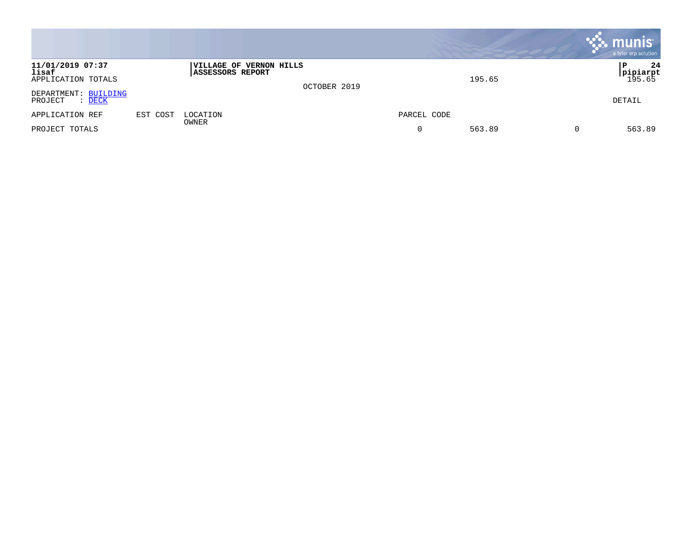|                                                      |          |                                                    |              |             |        |   | muni<br>a tyler erp solution          |
|------------------------------------------------------|----------|----------------------------------------------------|--------------|-------------|--------|---|---------------------------------------|
| 11/01/2019 07:37<br>lisaf<br>APPLICATION TOTALS      |          | VILLAGE OF VERNON HILLS<br><b>ASSESSORS REPORT</b> | OCTOBER 2019 |             | 195.65 |   | -24<br>P<br><b>pipiarpt</b><br>195.65 |
| DEPARTMENT: BUILDING<br>PROJECT<br>$\therefore$ DECK |          |                                                    |              |             |        |   | DETAIL                                |
| APPLICATION REF                                      | EST COST | LOCATION<br>OWNER                                  |              | PARCEL CODE |        |   |                                       |
| PROJECT TOTALS                                       |          |                                                    |              | $\Omega$    | 563.89 | 0 | 563.89                                |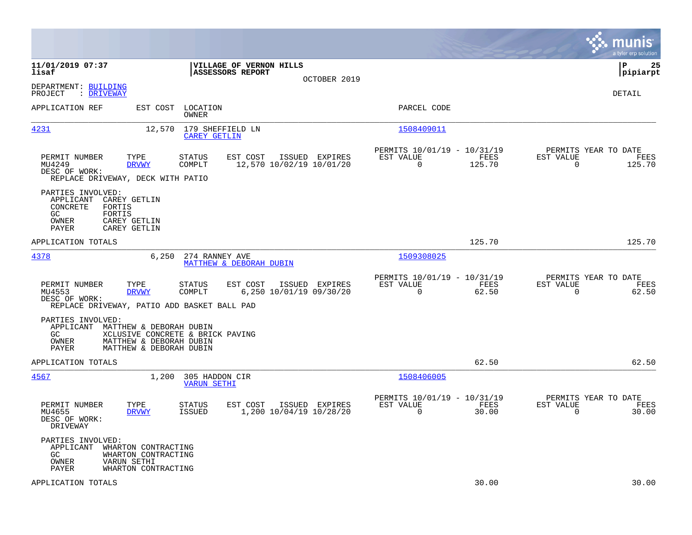|                                                                                                                                             |                                                                                         |                                                                           | munis<br>a tyler erp solution                                      |
|---------------------------------------------------------------------------------------------------------------------------------------------|-----------------------------------------------------------------------------------------|---------------------------------------------------------------------------|--------------------------------------------------------------------|
| 11/01/2019 07:37<br>lisaf                                                                                                                   | VILLAGE OF VERNON HILLS<br>ASSESSORS REPORT                                             |                                                                           | lР<br>25<br> pipiarpt                                              |
| DEPARTMENT: BUILDING<br>: DRIVEWAY<br>PROJECT                                                                                               | OCTOBER 2019                                                                            |                                                                           | DETAIL                                                             |
| APPLICATION REF<br>EST COST                                                                                                                 | LOCATION<br>OWNER                                                                       | PARCEL CODE                                                               |                                                                    |
| <u>4231</u><br>12,570                                                                                                                       | 179 SHEFFIELD LN<br><b>CAREY GETLIN</b>                                                 | 1508409011                                                                |                                                                    |
| TYPE<br>PERMIT NUMBER<br>MU4249<br><b>DRVWY</b><br>DESC OF WORK:<br>REPLACE DRIVEWAY, DECK WITH PATIO                                       | EST COST<br>ISSUED EXPIRES<br>STATUS<br>COMPLT<br>12,570 10/02/19 10/01/20              | PERMITS 10/01/19 - 10/31/19<br>EST VALUE<br>FEES<br>$\mathbf 0$<br>125.70 | PERMITS YEAR TO DATE<br>EST VALUE<br>FEES<br>$\mathbf 0$<br>125.70 |
| PARTIES INVOLVED:<br>APPLICANT<br>CAREY GETLIN<br>CONCRETE<br>FORTIS<br>GC<br>FORTIS<br>OWNER<br>CAREY GETLIN<br>PAYER<br>CAREY GETLIN      |                                                                                         |                                                                           |                                                                    |
| APPLICATION TOTALS                                                                                                                          |                                                                                         | 125.70                                                                    | 125.70                                                             |
| 4378<br>6,250                                                                                                                               | 274 RANNEY AVE<br>MATTHEW & DEBORAH DUBIN                                               | 1509308025                                                                |                                                                    |
| PERMIT NUMBER<br>TYPE<br>MU4553<br><b>DRVWY</b><br>DESC OF WORK:<br>REPLACE DRIVEWAY, PATIO ADD BASKET BALL PAD                             | EST COST<br>ISSUED EXPIRES<br>STATUS<br>COMPLT<br>6,250 10/01/19 09/30/20               | PERMITS 10/01/19 - 10/31/19<br>EST VALUE<br>FEES<br>$\mathbf 0$<br>62.50  | PERMITS YEAR TO DATE<br>EST VALUE<br>FEES<br>$\mathbf 0$<br>62.50  |
| PARTIES INVOLVED:<br>APPLICANT MATTHEW & DEBORAH DUBIN<br>GC<br>OWNER<br>MATTHEW & DEBORAH DUBIN<br>MATTHEW & DEBORAH DUBIN<br>PAYER        | XCLUSIVE CONCRETE & BRICK PAVING                                                        |                                                                           |                                                                    |
| APPLICATION TOTALS                                                                                                                          |                                                                                         | 62.50                                                                     | 62.50                                                              |
| 4567<br>1,200                                                                                                                               | 305 HADDON CIR<br><b>VARUN SETHI</b>                                                    | 1508406005                                                                |                                                                    |
| PERMIT NUMBER<br>TYPE<br>MU4655<br><b>DRVWY</b><br>DESC OF WORK:<br>DRIVEWAY                                                                | <b>STATUS</b><br>EST COST<br>ISSUED EXPIRES<br><b>ISSUED</b><br>1,200 10/04/19 10/28/20 | PERMITS 10/01/19 - 10/31/19<br>EST VALUE<br>FEES<br>$\Omega$<br>30.00     | PERMITS YEAR TO DATE<br>EST VALUE<br>FEES<br>30.00<br>$\mathsf{O}$ |
| PARTIES INVOLVED:<br>APPLICANT<br>WHARTON CONTRACTING<br>GC.<br>WHARTON CONTRACTING<br>OWNER<br>VARUN SETHI<br>PAYER<br>WHARTON CONTRACTING |                                                                                         |                                                                           |                                                                    |
| APPLICATION TOTALS                                                                                                                          |                                                                                         | 30.00                                                                     | 30.00                                                              |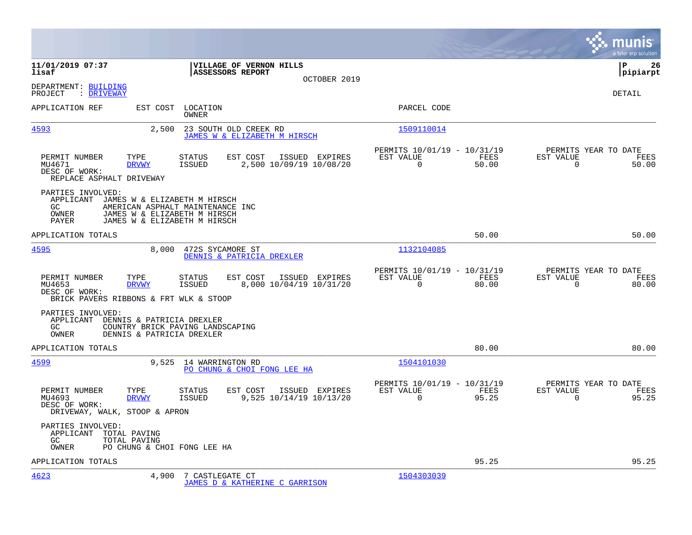|                                                                                                                                                                                            |                                                                                         |                                                                          | munis<br>a tyler erp solution                                     |
|--------------------------------------------------------------------------------------------------------------------------------------------------------------------------------------------|-----------------------------------------------------------------------------------------|--------------------------------------------------------------------------|-------------------------------------------------------------------|
| 11/01/2019 07:37<br>lisaf                                                                                                                                                                  | VILLAGE OF VERNON HILLS<br><b>ASSESSORS REPORT</b><br>OCTOBER 2019                      |                                                                          | lР<br>26<br> pipiarpt                                             |
| DEPARTMENT: BUILDING<br>PROJECT<br>: DRIVEWAY                                                                                                                                              |                                                                                         |                                                                          | DETAIL                                                            |
| APPLICATION REF<br>EST COST                                                                                                                                                                | LOCATION<br>OWNER                                                                       | PARCEL CODE                                                              |                                                                   |
| 4593<br>2,500                                                                                                                                                                              | 23 SOUTH OLD CREEK RD<br>JAMES W & ELIZABETH M HIRSCH                                   | 1509110014                                                               |                                                                   |
| PERMIT NUMBER<br>TYPE<br>MU4671<br><b>DRVWY</b><br>DESC OF WORK:<br>REPLACE ASPHALT DRIVEWAY                                                                                               | <b>STATUS</b><br>EST COST<br>ISSUED EXPIRES<br>2,500 10/09/19 10/08/20<br><b>ISSUED</b> | PERMITS 10/01/19 - 10/31/19<br>EST VALUE<br>FEES<br>$\mathbf 0$<br>50.00 | PERMITS YEAR TO DATE<br>EST VALUE<br>FEES<br>$\mathbf 0$<br>50.00 |
| PARTIES INVOLVED:<br>APPLICANT<br>JAMES W & ELIZABETH M HIRSCH<br>GC<br>AMERICAN ASPHALT MAINTENANCE INC<br>OWNER<br>JAMES W & ELIZABETH M HIRSCH<br>PAYER<br>JAMES W & ELIZABETH M HIRSCH |                                                                                         |                                                                          |                                                                   |
| APPLICATION TOTALS                                                                                                                                                                         |                                                                                         | 50.00                                                                    | 50.00                                                             |
| 4595<br>8,000                                                                                                                                                                              | 472S SYCAMORE ST<br>DENNIS & PATRICIA DREXLER                                           | 1132104085                                                               |                                                                   |
| PERMIT NUMBER<br>TYPE<br>MU4653<br><b>DRVWY</b><br>DESC OF WORK:<br>BRICK PAVERS RIBBONS & FRT WLK & STOOP                                                                                 | EST COST<br>ISSUED EXPIRES<br>STATUS<br>8,000 10/04/19 10/31/20<br><b>ISSUED</b>        | PERMITS 10/01/19 - 10/31/19<br>EST VALUE<br>FEES<br>$\Omega$<br>80.00    | PERMITS YEAR TO DATE<br>EST VALUE<br>FEES<br>$\Omega$<br>80.00    |
| PARTIES INVOLVED:<br>APPLICANT DENNIS & PATRICIA DREXLER<br>GC<br>COUNTRY BRICK PAVING LANDSCAPING<br>OWNER<br>DENNIS & PATRICIA DREXLER                                                   |                                                                                         |                                                                          |                                                                   |
| APPLICATION TOTALS                                                                                                                                                                         |                                                                                         | 80.00                                                                    | 80.00                                                             |
| 4599<br>9,525                                                                                                                                                                              | 14 WARRINGTON RD<br>PO CHUNG & CHOI FONG LEE HA                                         | 1504101030                                                               |                                                                   |
| PERMIT NUMBER<br>TYPE<br>MU4693<br><b>DRVWY</b><br>DESC OF WORK:<br>DRIVEWAY, WALK, STOOP & APRON                                                                                          | EST COST<br>STATUS<br>ISSUED EXPIRES<br>9,525 10/14/19 10/13/20<br>ISSUED               | PERMITS 10/01/19 - 10/31/19<br>EST VALUE<br>FEES<br>$\mathbf 0$<br>95.25 | PERMITS YEAR TO DATE<br>EST VALUE<br>FEES<br>$\mathbf 0$<br>95.25 |
| PARTIES INVOLVED:<br>APPLICANT<br>TOTAL PAVING<br>GC<br>TOTAL PAVING<br>PO CHUNG & CHOI FONG LEE HA<br>OWNER                                                                               |                                                                                         |                                                                          |                                                                   |
| APPLICATION TOTALS                                                                                                                                                                         |                                                                                         | 95.25                                                                    | 95.25                                                             |
| 4623<br>4,900                                                                                                                                                                              | 7 CASTLEGATE CT<br>JAMES D & KATHERINE C GARRISON                                       | 1504303039                                                               |                                                                   |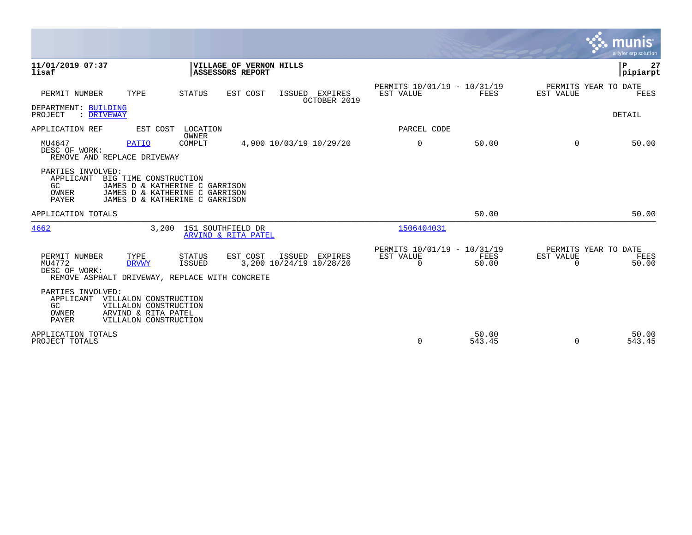|                                                                                                                                                                                                               |                                                               | munis<br>a tyler erp solution                                          |
|---------------------------------------------------------------------------------------------------------------------------------------------------------------------------------------------------------------|---------------------------------------------------------------|------------------------------------------------------------------------|
| 11/01/2019 07:37<br>VILLAGE OF VERNON HILLS<br><b>ASSESSORS REPORT</b><br>lisaf                                                                                                                               |                                                               | P<br>27<br> pipiarpt                                                   |
| PERMIT NUMBER<br>TYPE<br><b>STATUS</b><br>EST COST<br>ISSUED EXPIRES<br>OCTOBER 2019                                                                                                                          | PERMITS 10/01/19 - 10/31/19<br>EST VALUE                      | PERMITS YEAR TO DATE<br><b>FEES</b><br>EST VALUE<br>FEES               |
| DEPARTMENT: BUILDING<br>: DRIVEWAY<br>PROJECT                                                                                                                                                                 |                                                               | DETAIL                                                                 |
| LOCATION<br>APPLICATION REF<br>EST COST<br>OWNER                                                                                                                                                              | PARCEL CODE                                                   |                                                                        |
| COMPLT<br>MU4647<br>4,900 10/03/19 10/29/20<br><b>PATIO</b><br>DESC OF WORK:<br>REMOVE AND REPLACE DRIVEWAY                                                                                                   | $\mathbf 0$<br>50.00                                          | 50.00<br>$\Omega$                                                      |
| PARTIES INVOLVED:<br>APPLICANT<br>BIG TIME CONSTRUCTION<br>GC<br>JAMES D & KATHERINE C GARRISON<br>JAMES D & KATHERINE C GARRISON<br>OWNER<br>PAYER<br>JAMES D & KATHERINE C GARRISON                         |                                                               |                                                                        |
| APPLICATION TOTALS                                                                                                                                                                                            |                                                               | 50.00<br>50.00                                                         |
| 4662<br>151 SOUTHFIELD DR<br>3,200<br>ARVIND & RITA PATEL                                                                                                                                                     | 1506404031                                                    |                                                                        |
| PERMIT NUMBER<br>TYPE<br><b>STATUS</b><br>EST COST<br>ISSUED EXPIRES<br>MU4772<br>3,200 10/24/19 10/28/20<br><b>ISSUED</b><br><b>DRVWY</b><br>DESC OF WORK:<br>REMOVE ASPHALT DRIVEWAY, REPLACE WITH CONCRETE | PERMITS 10/01/19 - 10/31/19<br>EST VALUE<br>$\Omega$<br>50.00 | PERMITS YEAR TO DATE<br>FEES<br>EST VALUE<br>FEES<br>$\Omega$<br>50.00 |
| PARTIES INVOLVED:<br>APPLICANT<br>VILLALON CONSTRUCTION<br>GC.<br>VILLALON CONSTRUCTION<br>OWNER<br>ARVIND & RITA PATEL<br><b>PAYER</b><br>VILLALON CONSTRUCTION                                              |                                                               |                                                                        |
| APPLICATION TOTALS<br>PROJECT TOTALS                                                                                                                                                                          | 50.00<br>$\Omega$<br>543.45                                   | 50.00<br>$\Omega$<br>543.45                                            |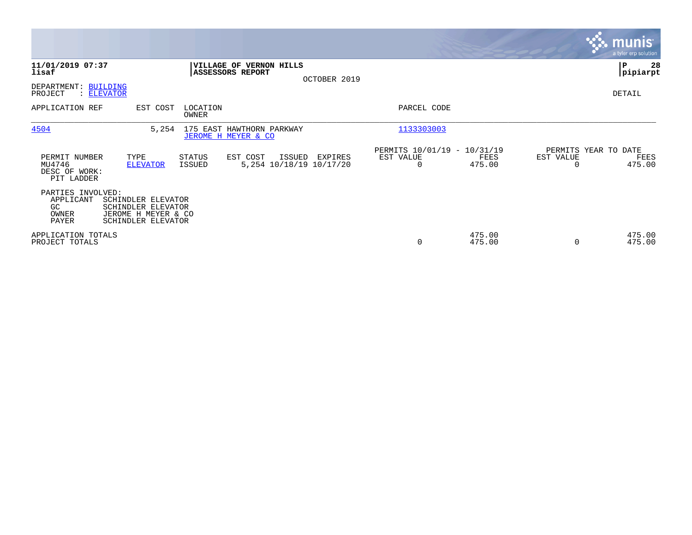|                                                               |                                                                                       |                                                           |                                   |              |                                                      |                  |           | <b>munis</b><br>a tyler erp solution   |
|---------------------------------------------------------------|---------------------------------------------------------------------------------------|-----------------------------------------------------------|-----------------------------------|--------------|------------------------------------------------------|------------------|-----------|----------------------------------------|
| 11/01/2019 07:37<br>lisaf                                     |                                                                                       | <b>VILLAGE OF VERNON HILLS</b><br><b>ASSESSORS REPORT</b> |                                   | OCTOBER 2019 |                                                      |                  |           | IP.<br>28<br> pipiarpt                 |
| DEPARTMENT: BUILDING<br>PROJECT                               | : ELEVATOR                                                                            |                                                           |                                   |              |                                                      |                  |           | DETAIL                                 |
| APPLICATION REF                                               | EST COST                                                                              | LOCATION<br>OWNER                                         |                                   |              | PARCEL CODE                                          |                  |           |                                        |
| 4504                                                          | 5,254                                                                                 | 175 EAST HAWTHORN PARKWAY<br>JEROME H MEYER & CO          |                                   |              | 1133303003                                           |                  |           |                                        |
| PERMIT NUMBER<br>MU4746<br>DESC OF WORK:<br>PIT LADDER        | TYPE<br><b>ELEVATOR</b>                                                               | STATUS<br>EST COST<br>ISSUED                              | ISSUED<br>5,254 10/18/19 10/17/20 | EXPIRES      | PERMITS 10/01/19 - 10/31/19<br>EST VALUE<br>$\Omega$ | FEES<br>475.00   | EST VALUE | PERMITS YEAR TO DATE<br>FEES<br>475.00 |
| PARTIES INVOLVED:<br>APPLICANT<br>GC<br>OWNER<br><b>PAYER</b> | SCHINDLER ELEVATOR<br>SCHINDLER ELEVATOR<br>JEROME H MEYER & CO<br>SCHINDLER ELEVATOR |                                                           |                                   |              |                                                      |                  |           |                                        |
| APPLICATION TOTALS<br>PROJECT TOTALS                          |                                                                                       |                                                           |                                   |              | 0                                                    | 475.00<br>475.00 | $\Omega$  | 475.00<br>475.00                       |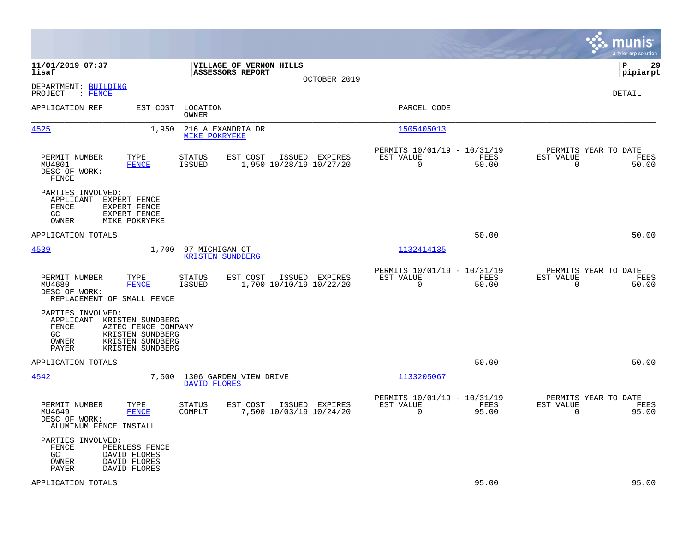|                                                                                                                                                                        |                                                                                  |                                                                          | munis<br>a tyler erp solution                                     |
|------------------------------------------------------------------------------------------------------------------------------------------------------------------------|----------------------------------------------------------------------------------|--------------------------------------------------------------------------|-------------------------------------------------------------------|
| 11/01/2019 07:37<br>lisaf                                                                                                                                              | VILLAGE OF VERNON HILLS<br>ASSESSORS REPORT                                      |                                                                          | 29<br>P<br> pipiarpt                                              |
| DEPARTMENT: BUILDING<br>PROJECT<br>: FENCE                                                                                                                             | OCTOBER 2019                                                                     |                                                                          | DETAIL                                                            |
| APPLICATION REF<br>EST COST                                                                                                                                            | LOCATION<br>OWNER                                                                | PARCEL CODE                                                              |                                                                   |
| 4525<br>1,950                                                                                                                                                          | 216 ALEXANDRIA DR<br><b>MIKE POKRYFKE</b>                                        | 1505405013                                                               |                                                                   |
| PERMIT NUMBER<br>TYPE<br>MU4801<br><b>FENCE</b><br>DESC OF WORK:<br>FENCE                                                                                              | EST COST<br>ISSUED EXPIRES<br>STATUS<br>1,950 10/28/19 10/27/20<br><b>ISSUED</b> | PERMITS 10/01/19 - 10/31/19<br>EST VALUE<br>FEES<br>$\mathbf 0$<br>50.00 | PERMITS YEAR TO DATE<br>EST VALUE<br>FEES<br>$\mathbf 0$<br>50.00 |
| PARTIES INVOLVED:<br>EXPERT FENCE<br>APPLICANT<br>FENCE<br>EXPERT FENCE<br>GC<br>EXPERT FENCE<br>OWNER<br>MIKE POKRYFKE                                                |                                                                                  |                                                                          |                                                                   |
| APPLICATION TOTALS                                                                                                                                                     |                                                                                  | 50.00                                                                    | 50.00                                                             |
| 4539<br>1,700                                                                                                                                                          | 97 MICHIGAN CT<br><b>KRISTEN SUNDBERG</b>                                        | 1132414135                                                               |                                                                   |
| PERMIT NUMBER<br>TYPE<br>MU4680<br><b>FENCE</b><br>DESC OF WORK:<br>REPLACEMENT OF SMALL FENCE                                                                         | EST COST<br>STATUS<br>ISSUED EXPIRES<br>1,700 10/10/19 10/22/20<br>ISSUED        | PERMITS 10/01/19 - 10/31/19<br>EST VALUE<br>FEES<br>$\mathbf 0$<br>50.00 | PERMITS YEAR TO DATE<br>EST VALUE<br>FEES<br>$\mathbf 0$<br>50.00 |
| PARTIES INVOLVED:<br>APPLICANT<br>KRISTEN SUNDBERG<br>FENCE<br>AZTEC FENCE COMPANY<br>GC<br>KRISTEN SUNDBERG<br>OWNER<br>KRISTEN SUNDBERG<br>KRISTEN SUNDBERG<br>PAYER |                                                                                  |                                                                          |                                                                   |
| APPLICATION TOTALS                                                                                                                                                     |                                                                                  | 50.00                                                                    | 50.00                                                             |
| 4542<br>7,500                                                                                                                                                          | 1306 GARDEN VIEW DRIVE<br>DAVID FLORES                                           | 1133205067                                                               |                                                                   |
| PERMIT NUMBER<br>TYPE<br>MU4649<br><b>FENCE</b><br>DESC OF WORK:<br>ALUMINUM FENCE INSTALL                                                                             | <b>STATUS</b><br>EST COST<br>ISSUED EXPIRES<br>7,500 10/03/19 10/24/20<br>COMPLT | PERMITS 10/01/19 - 10/31/19<br>EST VALUE<br>FEES<br>0<br>95.00           | PERMITS YEAR TO DATE<br>EST VALUE<br>FEES<br>$\mathbf 0$<br>95.00 |
| PARTIES INVOLVED:<br>FENCE<br>PEERLESS FENCE<br>GC<br>DAVID FLORES<br>OWNER<br>DAVID FLORES<br>PAYER<br>DAVID FLORES                                                   |                                                                                  |                                                                          |                                                                   |
| APPLICATION TOTALS                                                                                                                                                     |                                                                                  | 95.00                                                                    | 95.00                                                             |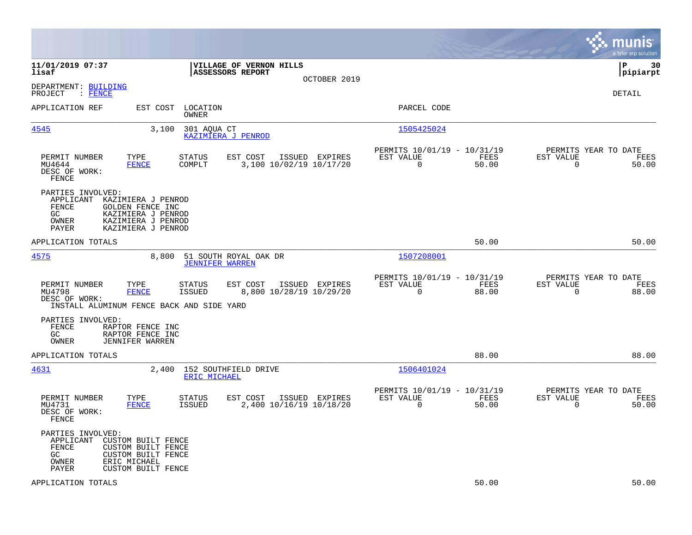|                                                                                                                                                                             |                                                       |                                                         |               |                                        | munis<br>a tyler erp solution |
|-----------------------------------------------------------------------------------------------------------------------------------------------------------------------------|-------------------------------------------------------|---------------------------------------------------------|---------------|----------------------------------------|-------------------------------|
| 11/01/2019 07:37<br>lisaf                                                                                                                                                   | VILLAGE OF VERNON HILLS<br><b>ASSESSORS REPORT</b>    |                                                         |               |                                        | P<br>30<br> pipiarpt          |
| DEPARTMENT: BUILDING<br>$\colon$ FENCE<br>PROJECT                                                                                                                           | OCTOBER 2019                                          |                                                         |               |                                        | DETAIL                        |
| APPLICATION REF<br>EST COST<br>OWNER                                                                                                                                        | LOCATION                                              | PARCEL CODE                                             |               |                                        |                               |
| <u>4545</u><br>3,100                                                                                                                                                        | 301 AQUA CT<br>KAZIMIERA J PENROD                     | 1505425024                                              |               |                                        |                               |
| TYPE<br>PERMIT NUMBER<br><b>STATUS</b><br>MU4644<br><b>FENCE</b><br>COMPLT<br>DESC OF WORK:<br>FENCE                                                                        | EST COST<br>ISSUED EXPIRES<br>3,100 10/02/19 10/17/20 | PERMITS 10/01/19 - 10/31/19<br>EST VALUE<br>0           | FEES<br>50.00 | PERMITS YEAR TO DATE<br>EST VALUE<br>0 | FEES<br>50.00                 |
| PARTIES INVOLVED:<br>APPLICANT<br>KAZIMIERA J PENROD<br>FENCE<br>GOLDEN FENCE INC<br>GC<br>KAZIMIERA J PENROD<br>KAZIMIERA J PENROD<br>OWNER<br>PAYER<br>KAZIMIERA J PENROD |                                                       |                                                         |               |                                        |                               |
| APPLICATION TOTALS                                                                                                                                                          |                                                       |                                                         | 50.00         |                                        | 50.00                         |
| 4575<br>8,800                                                                                                                                                               | 51 SOUTH ROYAL OAK DR<br><b>JENNIFER WARREN</b>       | 1507208001                                              |               |                                        |                               |
| TYPE<br>PERMIT NUMBER<br>STATUS<br>MU4798<br><b>FENCE</b><br>ISSUED<br>DESC OF WORK:<br>INSTALL ALUMINUM FENCE BACK AND SIDE YARD                                           | EST COST<br>ISSUED EXPIRES<br>8,800 10/28/19 10/29/20 | PERMITS 10/01/19 - 10/31/19<br>EST VALUE<br>$\mathbf 0$ | FEES<br>88.00 | PERMITS YEAR TO DATE<br>EST VALUE<br>0 | FEES<br>88.00                 |
| PARTIES INVOLVED:<br><b>FENCE</b><br>RAPTOR FENCE INC<br>GC<br>RAPTOR FENCE INC<br>OWNER<br><b>JENNIFER WARREN</b>                                                          |                                                       |                                                         |               |                                        |                               |
| APPLICATION TOTALS                                                                                                                                                          |                                                       |                                                         | 88.00         |                                        | 88.00                         |
| 4631<br>2,400                                                                                                                                                               | 152 SOUTHFIELD DRIVE<br>ERIC MICHAEL                  | 1506401024                                              |               |                                        |                               |
| TYPE<br>PERMIT NUMBER<br>STATUS<br><b>FENCE</b><br>ISSUED<br>MU4731<br>DESC OF WORK:<br>FENCE                                                                               | ISSUED EXPIRES<br>EST COST<br>2,400 10/16/19 10/18/20 | PERMITS 10/01/19 - 10/31/19<br>EST VALUE<br>0           | FEES<br>50.00 | PERMITS YEAR TO DATE<br>EST VALUE<br>0 | FEES<br>50.00                 |
| PARTIES INVOLVED:<br>APPLICANT<br>CUSTOM BUILT FENCE<br>FENCE<br>CUSTOM BUILT FENCE<br>CUSTOM BUILT FENCE<br>GC<br>OWNER<br>ERIC MICHAEL<br>PAYER<br>CUSTOM BUILT FENCE     |                                                       |                                                         |               |                                        |                               |
| APPLICATION TOTALS                                                                                                                                                          |                                                       |                                                         | 50.00         |                                        | 50.00                         |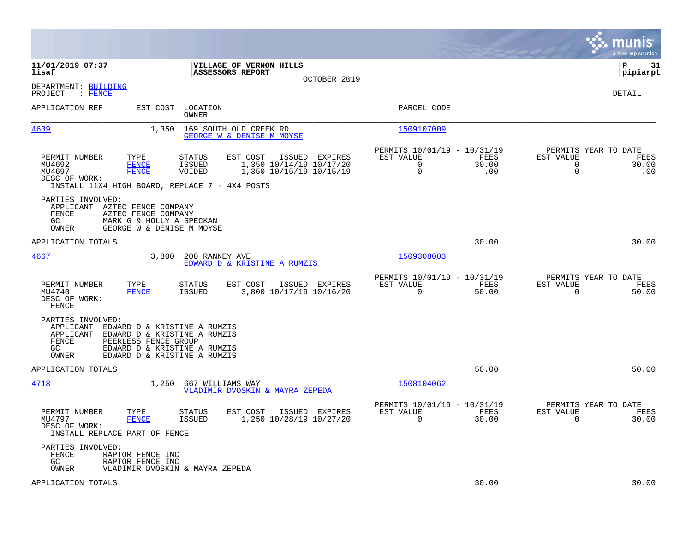|                                                                                                                                                                       |                                                                                                                              |                                                                                   | munis<br>a tyler erp solution                                              |
|-----------------------------------------------------------------------------------------------------------------------------------------------------------------------|------------------------------------------------------------------------------------------------------------------------------|-----------------------------------------------------------------------------------|----------------------------------------------------------------------------|
| 11/01/2019 07:37<br>lisaf                                                                                                                                             | VILLAGE OF VERNON HILLS<br>ASSESSORS REPORT<br>OCTOBER 2019                                                                  |                                                                                   | ΙP<br>31<br> pipiarpt                                                      |
| DEPARTMENT: BUILDING<br>: FENCE<br>PROJECT                                                                                                                            |                                                                                                                              |                                                                                   | DETAIL                                                                     |
| APPLICATION REF<br>EST COST                                                                                                                                           | LOCATION<br>OWNER                                                                                                            | PARCEL CODE                                                                       |                                                                            |
| 4639<br>1,350                                                                                                                                                         | 169 SOUTH OLD CREEK RD<br>GEORGE W & DENISE M MOYSE                                                                          | 1509107009                                                                        |                                                                            |
| PERMIT NUMBER<br>TYPE<br>MU4692<br><b>FENCE</b><br><b>FENCE</b><br>MU4697<br>DESC OF WORK:<br>INSTALL 11X4 HIGH BOARD, REPLACE 7 - 4X4 POSTS                          | STATUS<br>EST COST<br>ISSUED<br>EXPIRES<br>1,350 10/14/19 10/17/20<br><b>ISSUED</b><br>1,350 10/15/19 10/15/19<br>VOIDED     | PERMITS 10/01/19 - 10/31/19<br>EST VALUE<br>FEES<br>$\Omega$<br>30.00<br>0<br>.00 | PERMITS YEAR TO DATE<br>EST VALUE<br>FEES<br>$\Omega$<br>30.00<br>0<br>.00 |
| PARTIES INVOLVED:<br>APPLICANT<br>AZTEC FENCE COMPANY<br><b>FENCE</b><br>AZTEC FENCE COMPANY<br>GC.<br>MARK G & HOLLY A SPECKAN<br>OWNER<br>GEORGE W & DENISE M MOYSE |                                                                                                                              |                                                                                   |                                                                            |
| APPLICATION TOTALS                                                                                                                                                    |                                                                                                                              | 30.00                                                                             | 30.00                                                                      |
| 4667<br>3,800                                                                                                                                                         | 200 RANNEY AVE<br>EDWARD D & KRISTINE A RUMZIS                                                                               | 1509308003                                                                        |                                                                            |
| PERMIT NUMBER<br>TYPE<br>MU4740<br><b>FENCE</b><br>DESC OF WORK:<br>FENCE                                                                                             | <b>STATUS</b><br>EST COST<br>ISSUED EXPIRES<br><b>ISSUED</b><br>3,800 10/17/19 10/16/20                                      | PERMITS 10/01/19 - 10/31/19<br>EST VALUE<br>FEES<br>$\Omega$<br>50.00             | PERMITS YEAR TO DATE<br>EST VALUE<br>FEES<br>$\Omega$<br>50.00             |
| PARTIES INVOLVED:<br>APPLICANT<br>APPLICANT<br><b>FENCE</b><br>PEERLESS FENCE GROUP<br>GC<br><b>OWNER</b>                                                             | EDWARD D & KRISTINE A RUMZIS<br>EDWARD D & KRISTINE A RUMZIS<br>EDWARD D & KRISTINE A RUMZIS<br>EDWARD D & KRISTINE A RUMZIS |                                                                                   |                                                                            |
| APPLICATION TOTALS                                                                                                                                                    |                                                                                                                              | 50.00                                                                             | 50.00                                                                      |
| 4718<br>1,250                                                                                                                                                         | 667 WILLIAMS WAY<br>VLADIMIR DVOSKIN & MAYRA ZEPEDA                                                                          | 1508104062                                                                        |                                                                            |
| PERMIT NUMBER<br>TYPE<br>MU4797<br><b>FENCE</b><br>DESC OF WORK:<br>INSTALL REPLACE PART OF FENCE                                                                     | STATUS<br>EST COST<br>ISSUED EXPIRES<br><b>ISSUED</b><br>1,250 10/28/19 10/27/20                                             | PERMITS 10/01/19 - 10/31/19<br>EST VALUE<br>FEES<br>0<br>30.00                    | PERMITS YEAR TO DATE<br>EST VALUE<br>FEES<br>30.00<br>0                    |
| PARTIES INVOLVED:<br>FENCE<br>RAPTOR FENCE INC<br>GC.<br>RAPTOR FENCE INC<br>OWNER                                                                                    | VLADIMIR DVOSKIN & MAYRA ZEPEDA                                                                                              |                                                                                   |                                                                            |
| APPLICATION TOTALS                                                                                                                                                    |                                                                                                                              | 30.00                                                                             | 30.00                                                                      |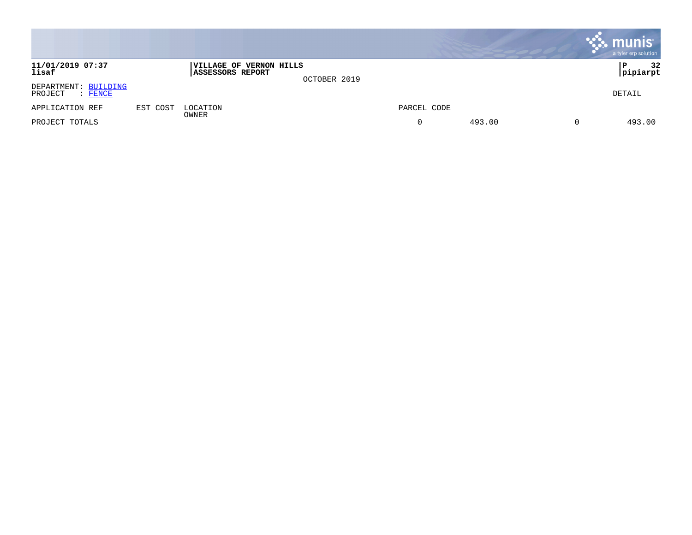|                                            |          |                                                            |              |             |        |          | $\cdot$ munis $\cdot$<br>a tyler erp solution |
|--------------------------------------------|----------|------------------------------------------------------------|--------------|-------------|--------|----------|-----------------------------------------------|
| 11/01/2019 07:37<br>lisaf                  |          | <b> VILLAGE OF VERNON HILLS</b><br><b>ASSESSORS REPORT</b> | OCTOBER 2019 |             |        |          | 32<br>P<br> pipiarpt                          |
| DEPARTMENT: BUILDING<br>PROJECT<br>: FENCE |          |                                                            |              |             |        |          | DETAIL                                        |
| APPLICATION REF                            | EST COST | LOCATION                                                   |              | PARCEL CODE |        |          |                                               |
| PROJECT TOTALS                             |          | OWNER                                                      |              | 0           | 493.00 | $\Omega$ | 493.00                                        |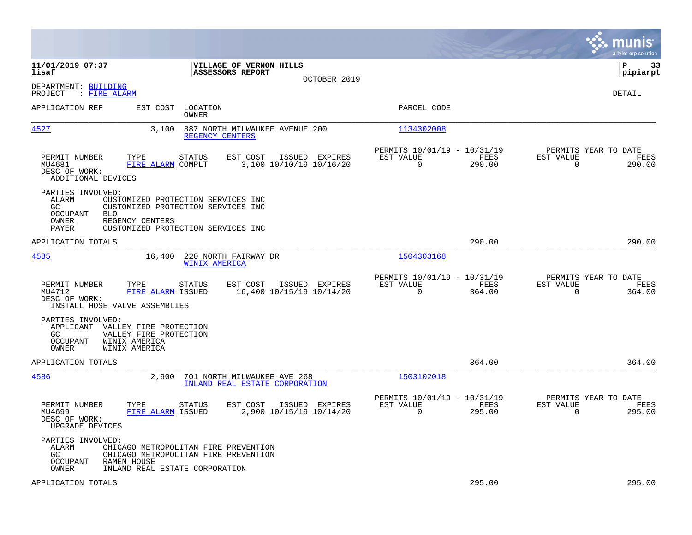|                                                                                                                                                                                                                                  | munis<br>a tyler erp solution                                                                                                                   |
|----------------------------------------------------------------------------------------------------------------------------------------------------------------------------------------------------------------------------------|-------------------------------------------------------------------------------------------------------------------------------------------------|
| 11/01/2019 07:37<br>VILLAGE OF VERNON HILLS<br>ASSESSORS REPORT<br>lisaf                                                                                                                                                         | P<br>33<br> pipiarpt                                                                                                                            |
| DEPARTMENT: BUILDING<br>PROJECT<br>: FIRE ALARM                                                                                                                                                                                  | OCTOBER 2019<br><b>DETAIL</b>                                                                                                                   |
| APPLICATION REF<br>EST COST LOCATION<br>OWNER                                                                                                                                                                                    | PARCEL CODE                                                                                                                                     |
| 4527<br>3,100<br>887 NORTH MILWAUKEE AVENUE 200<br>REGENCY CENTERS                                                                                                                                                               | 1134302008                                                                                                                                      |
| TYPE<br>EST COST<br>PERMIT NUMBER<br>STATUS<br>ISSUED EXPIRES<br>FIRE ALARM COMPLT<br>3,100 10/10/19 10/16/20<br>MU4681<br>DESC OF WORK:<br>ADDITIONAL DEVICES                                                                   | PERMITS 10/01/19 - 10/31/19<br>PERMITS YEAR TO DATE<br>EST VALUE<br>FEES<br>EST VALUE<br>FEES<br>$\mathbf 0$<br>290.00<br>$\mathbf 0$<br>290.00 |
| PARTIES INVOLVED:<br>ALARM<br>CUSTOMIZED PROTECTION SERVICES INC<br>GC.<br>CUSTOMIZED PROTECTION SERVICES INC<br><b>OCCUPANT</b><br><b>BLO</b><br><b>OWNER</b><br>REGENCY CENTERS<br>PAYER<br>CUSTOMIZED PROTECTION SERVICES INC |                                                                                                                                                 |
| APPLICATION TOTALS                                                                                                                                                                                                               | 290.00<br>290.00                                                                                                                                |
| <u>4585</u><br>16,400<br>220 NORTH FAIRWAY DR<br>WINIX AMERICA                                                                                                                                                                   | 1504303168                                                                                                                                      |
| EST COST<br>ISSUED EXPIRES<br>PERMIT NUMBER<br>TYPE<br><b>STATUS</b><br>16,400 10/15/19 10/14/20<br>MU4712<br>FIRE ALARM ISSUED<br>DESC OF WORK:<br>INSTALL HOSE VALVE ASSEMBLIES                                                | PERMITS 10/01/19 - 10/31/19<br>PERMITS YEAR TO DATE<br>EST VALUE<br>FEES<br>EST VALUE<br>FEES<br>$\mathbf 0$<br>364.00<br>364.00<br>0           |
| PARTIES INVOLVED:<br>APPLICANT<br>VALLEY FIRE PROTECTION<br>VALLEY FIRE PROTECTION<br>GC.<br><b>OCCUPANT</b><br>WINIX AMERICA<br>OWNER<br>WINIX AMERICA                                                                          |                                                                                                                                                 |
| APPLICATION TOTALS                                                                                                                                                                                                               | 364.00<br>364.00                                                                                                                                |
| 4586<br>2,900<br>701 NORTH MILWAUKEE AVE 268<br>INLAND REAL ESTATE CORPORATION                                                                                                                                                   | 1503102018                                                                                                                                      |
| PERMIT NUMBER<br>TYPE<br><b>STATUS</b><br>EST COST<br>ISSUED EXPIRES<br>FIRE ALARM ISSUED<br>2,900 10/15/19 10/14/20<br>MU4699<br>DESC OF WORK:<br>UPGRADE DEVICES                                                               | PERMITS 10/01/19 - 10/31/19<br>PERMITS YEAR TO DATE<br>EST VALUE<br>FEES<br>EST VALUE<br>FEES<br>$\Omega$<br>295.00<br>$\Omega$<br>295.00       |
| PARTIES INVOLVED:<br><b>ALARM</b><br>CHICAGO METROPOLITAN FIRE PREVENTION<br>GC<br>CHICAGO METROPOLITAN FIRE PREVENTION<br><b>OCCUPANT</b><br>RAMEN HOUSE<br>OWNER<br>INLAND REAL ESTATE CORPORATION                             |                                                                                                                                                 |
| APPLICATION TOTALS                                                                                                                                                                                                               | 295.00<br>295.00                                                                                                                                |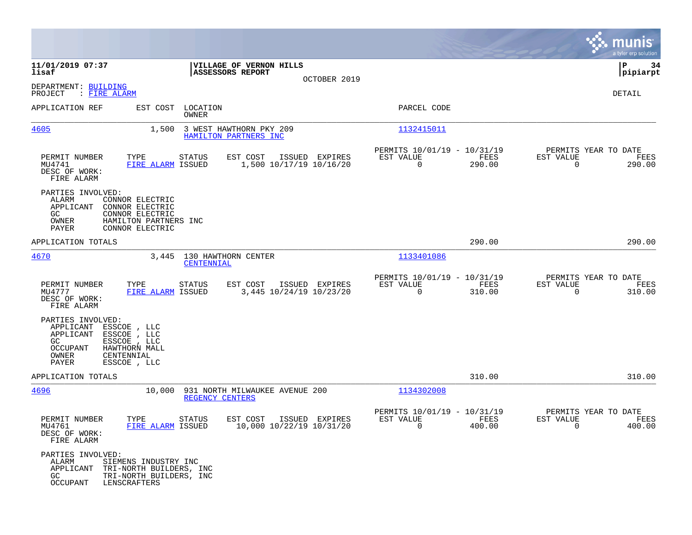|                                                                                                                                                                             |                                                                         |                                                                              | munis<br>a tyler erp solution                                         |
|-----------------------------------------------------------------------------------------------------------------------------------------------------------------------------|-------------------------------------------------------------------------|------------------------------------------------------------------------------|-----------------------------------------------------------------------|
| 11/01/2019 07:37<br>lisaf                                                                                                                                                   | VILLAGE OF VERNON HILLS<br><b>ASSESSORS REPORT</b>                      |                                                                              | 34<br>ΙP<br> pipiarpt                                                 |
| DEPARTMENT: BUILDING<br>: FIRE ALARM<br>PROJECT                                                                                                                             |                                                                         | OCTOBER 2019                                                                 | DETAIL                                                                |
| APPLICATION REF                                                                                                                                                             | EST COST LOCATION<br>OWNER                                              | PARCEL CODE                                                                  |                                                                       |
| 4605                                                                                                                                                                        | 1,500 3 WEST HAWTHORN PKY 209<br>HAMILTON PARTNERS INC                  | <u>1132415011</u>                                                            |                                                                       |
| PERMIT NUMBER<br>TYPE<br>FIRE ALARM ISSUED<br>MU4741<br>DESC OF WORK:<br>FIRE ALARM                                                                                         | STATUS<br>EST COST<br>ISSUED EXPIRES<br>1,500 10/17/19 10/16/20         | PERMITS 10/01/19 - 10/31/19<br>EST VALUE<br>FEES<br>$\overline{0}$<br>290.00 | PERMITS YEAR TO DATE<br>EST VALUE<br>FEES<br>$\Omega$<br>290.00       |
| PARTIES INVOLVED:<br>ALARM<br>CONNOR ELECTRIC<br>APPLICANT<br>CONNOR ELECTRIC<br>GC.<br>CONNOR ELECTRIC<br>OWNER<br>HAMILTON PARTNERS INC<br>PAYER<br>CONNOR ELECTRIC       |                                                                         |                                                                              |                                                                       |
| APPLICATION TOTALS                                                                                                                                                          |                                                                         | 290.00                                                                       | 290.00                                                                |
| 4670<br>3,445                                                                                                                                                               | 130 HAWTHORN CENTER<br>CENTENNIAL                                       | 1133401086                                                                   |                                                                       |
| PERMIT NUMBER<br>TYPE<br>MU4777<br>FIRE ALARM ISSUED<br>DESC OF WORK:<br>FIRE ALARM                                                                                         | <b>STATUS</b><br>EST COST<br>ISSUED EXPIRES<br>3,445 10/24/19 10/23/20  | PERMITS 10/01/19 - 10/31/19<br>EST VALUE<br>FEES<br>310.00<br>$\mathbf 0$    | PERMITS YEAR TO DATE<br>EST VALUE<br>FEES<br>$\overline{0}$<br>310.00 |
| PARTIES INVOLVED:<br>APPLICANT<br>ESSCOE, LLC<br>APPLICANT<br>ESSCOE, LLC<br>GC.<br>ESSCOE, LLC<br>OCCUPANT<br>HAWTHORN MALL<br>OWNER<br>CENTENNIAL<br>PAYER<br>ESSCOE, LLC |                                                                         |                                                                              |                                                                       |
| APPLICATION TOTALS                                                                                                                                                          |                                                                         | 310.00                                                                       | 310.00                                                                |
| 4696<br>10,000                                                                                                                                                              | 931 NORTH MILWAUKEE AVENUE 200<br>REGENCY CENTERS                       | 1134302008                                                                   |                                                                       |
| PERMIT NUMBER<br>TYPE<br>MU4761<br>FIRE ALARM ISSUED<br>DESC OF WORK:<br>FIRE ALARM                                                                                         | ISSUED EXPIRES<br><b>STATUS</b><br>EST COST<br>10,000 10/22/19 10/31/20 | PERMITS 10/01/19 - 10/31/19<br>EST VALUE<br>FEES<br>$\sim$ 0<br>400.00       | PERMITS YEAR TO DATE<br>EST VALUE<br>FEES<br>$\sim$ 0<br>400.00       |
| PARTIES INVOLVED:<br>ALARM<br>SIEMENS INDUSTRY INC<br>APPLICANT<br>TRI-NORTH BUILDERS, INC<br>GC<br>TRI-NORTH BUILDERS, INC<br>OCCUPANT<br>LENSCRAFTERS                     |                                                                         |                                                                              |                                                                       |

 $\sim$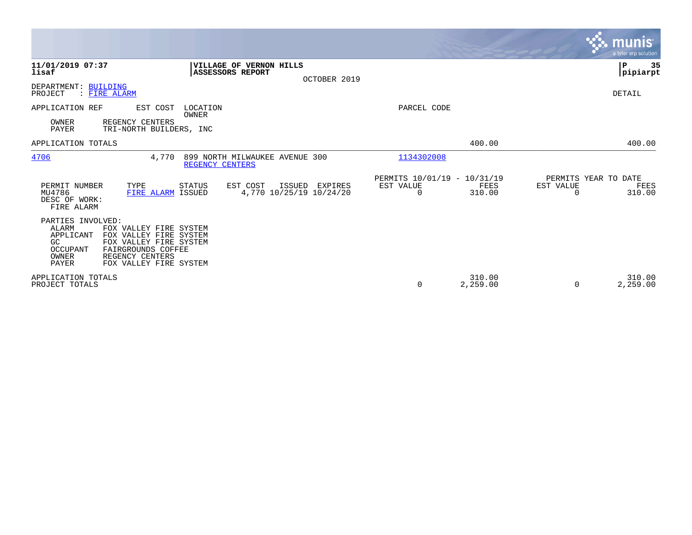|                                                                             |                                                                                                                                               |                                                           |                                              |                                               |                    |                                               | munis<br>a tyler erp solution |
|-----------------------------------------------------------------------------|-----------------------------------------------------------------------------------------------------------------------------------------------|-----------------------------------------------------------|----------------------------------------------|-----------------------------------------------|--------------------|-----------------------------------------------|-------------------------------|
| 11/01/2019 07:37<br>lisaf                                                   |                                                                                                                                               | <b>VILLAGE OF VERNON HILLS</b><br><b>ASSESSORS REPORT</b> | OCTOBER 2019                                 |                                               |                    |                                               | 35<br>P<br> pipiarpt          |
| DEPARTMENT: BUILDING<br>PROJECT                                             | : FIRE ALARM                                                                                                                                  |                                                           |                                              |                                               |                    |                                               | DETAIL                        |
| APPLICATION REF<br>OWNER<br>PAYER                                           | EST COST<br>REGENCY CENTERS<br>TRI-NORTH BUILDERS, INC                                                                                        | LOCATION<br>OWNER                                         |                                              | PARCEL CODE                                   |                    |                                               |                               |
| APPLICATION TOTALS                                                          |                                                                                                                                               |                                                           |                                              |                                               | 400.00             |                                               | 400.00                        |
| 4706                                                                        | 4,770                                                                                                                                         | 899 NORTH MILWAUKEE AVENUE 300<br>REGENCY CENTERS         |                                              | 1134302008                                    |                    |                                               |                               |
| PERMIT NUMBER<br>MU4786<br>DESC OF WORK:<br>FIRE ALARM                      | TYPE<br>FIRE ALARM ISSUED                                                                                                                     | EST COST<br>STATUS                                        | ISSUED<br>EXPIRES<br>4,770 10/25/19 10/24/20 | PERMITS 10/01/19 - 10/31/19<br>EST VALUE<br>0 | FEES<br>310.00     | PERMITS YEAR TO DATE<br>EST VALUE<br>$\Omega$ | FEES<br>310.00                |
| PARTIES INVOLVED:<br>ALARM<br>APPLICANT<br>GC<br>OCCUPANT<br>OWNER<br>PAYER | FOX VALLEY FIRE SYSTEM<br>FOX VALLEY FIRE SYSTEM<br>FOX VALLEY FIRE SYSTEM<br>FAIRGROUNDS COFFEE<br>REGENCY CENTERS<br>FOX VALLEY FIRE SYSTEM |                                                           |                                              |                                               |                    |                                               |                               |
| APPLICATION TOTALS<br>PROJECT TOTALS                                        |                                                                                                                                               |                                                           |                                              | 0                                             | 310.00<br>2,259.00 | 0                                             | 310.00<br>2,259.00            |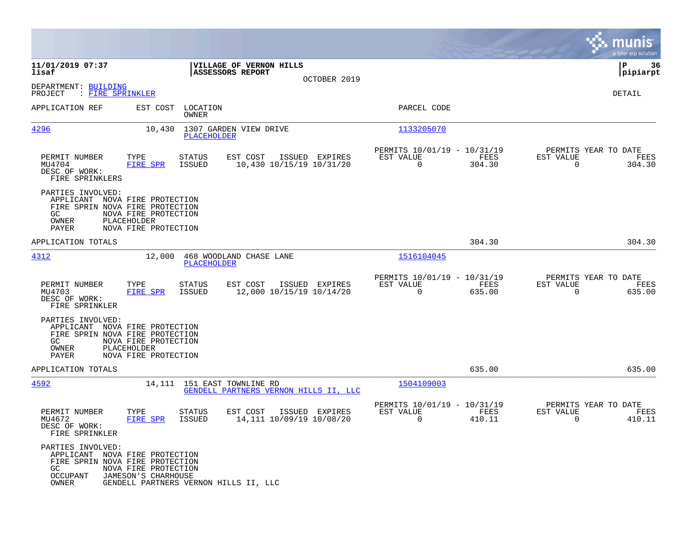|                                                                                                                    |                                                             |                         |                                                               |                |                                                         |                |                                                  | munis<br>a tyler erp solution |
|--------------------------------------------------------------------------------------------------------------------|-------------------------------------------------------------|-------------------------|---------------------------------------------------------------|----------------|---------------------------------------------------------|----------------|--------------------------------------------------|-------------------------------|
| 11/01/2019 07:37<br>lisaf                                                                                          |                                                             |                         | VILLAGE OF VERNON HILLS<br>ASSESSORS REPORT                   | OCTOBER 2019   |                                                         |                |                                                  | ΙP<br>36<br> pipiarpt         |
| DEPARTMENT: BUILDING<br>PROJECT<br>: FIRE SPRINKLER                                                                |                                                             |                         |                                                               |                |                                                         |                |                                                  | DETAIL                        |
| APPLICATION REF                                                                                                    | EST COST                                                    | LOCATION<br>OWNER       |                                                               |                | PARCEL CODE                                             |                |                                                  |                               |
| 4296                                                                                                               |                                                             | <b>PLACEHOLDER</b>      | 10,430 1307 GARDEN VIEW DRIVE                                 |                | 1133205070                                              |                |                                                  |                               |
| PERMIT NUMBER<br>MU4704<br>DESC OF WORK:<br>FIRE SPRINKLERS                                                        | TYPE<br>FIRE SPR                                            | <b>STATUS</b><br>ISSUED | EST COST<br>10,430 10/15/19 10/31/20                          | ISSUED EXPIRES | PERMITS 10/01/19 - 10/31/19<br>EST VALUE<br>$\mathbf 0$ | FEES<br>304.30 | PERMITS YEAR TO DATE<br>EST VALUE<br>$\Omega$    | FEES<br>304.30                |
| PARTIES INVOLVED:<br>APPLICANT NOVA FIRE PROTECTION<br>FIRE SPRIN NOVA FIRE PROTECTION<br>GC.<br>OWNER<br>PAYER    | NOVA FIRE PROTECTION<br>PLACEHOLDER<br>NOVA FIRE PROTECTION |                         |                                                               |                |                                                         |                |                                                  |                               |
| APPLICATION TOTALS                                                                                                 |                                                             |                         |                                                               |                |                                                         | 304.30         |                                                  | 304.30                        |
| 4312                                                                                                               | 12,000                                                      | PLACEHOLDER             | 468 WOODLAND CHASE LANE                                       |                | 1516104045                                              |                |                                                  |                               |
| PERMIT NUMBER<br>MU4703<br>DESC OF WORK:<br>FIRE SPRINKLER                                                         | TYPE<br>FIRE SPR                                            | STATUS<br>ISSUED        | EST COST<br>12,000 10/15/19 10/14/20                          | ISSUED EXPIRES | PERMITS 10/01/19 - 10/31/19<br>EST VALUE<br>$\mathbf 0$ | FEES<br>635.00 | PERMITS YEAR TO DATE<br>EST VALUE<br>$\mathbf 0$ | FEES<br>635.00                |
| PARTIES INVOLVED:<br>APPLICANT NOVA FIRE PROTECTION<br>FIRE SPRIN NOVA FIRE PROTECTION<br>GC<br>OWNER<br>PAYER     | NOVA FIRE PROTECTION<br>PLACEHOLDER<br>NOVA FIRE PROTECTION |                         |                                                               |                |                                                         |                |                                                  |                               |
| APPLICATION TOTALS                                                                                                 |                                                             |                         |                                                               |                |                                                         | 635.00         |                                                  | 635.00                        |
| 4592                                                                                                               | 14,111                                                      |                         | 151 EAST TOWNLINE RD<br>GENDELL PARTNERS VERNON HILLS II. LLC |                | 1504109003                                              |                |                                                  |                               |
| PERMIT NUMBER<br>MU4672<br>DESC OF WORK:<br>FIRE SPRINKLER                                                         | TYPE<br>FIRE SPR                                            | STATUS<br><b>ISSUED</b> | EST COST<br>14, 111 10/09/19 10/08/20                         | ISSUED EXPIRES | PERMITS 10/01/19 - 10/31/19<br>EST VALUE<br>0           | FEES<br>410.11 | PERMITS YEAR TO DATE<br>EST VALUE<br>0           | FEES<br>410.11                |
| PARTIES INVOLVED:<br>APPLICANT NOVA FIRE PROTECTION<br>FIRE SPRIN NOVA FIRE PROTECTION<br>GC.<br>OCCUPANT<br>OWNER | NOVA FIRE PROTECTION<br>JAMESON'S CHARHOUSE                 |                         | GENDELL PARTNERS VERNON HILLS II, LLC                         |                |                                                         |                |                                                  |                               |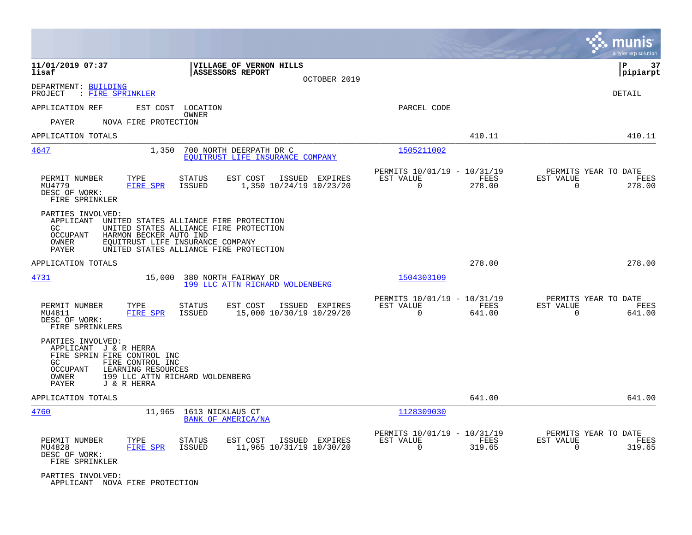|                                                                                                                                                                                                                                                                 | munis<br>a tyler erp solution                                                                                                                   |
|-----------------------------------------------------------------------------------------------------------------------------------------------------------------------------------------------------------------------------------------------------------------|-------------------------------------------------------------------------------------------------------------------------------------------------|
| 11/01/2019 07:37<br>VILLAGE OF VERNON HILLS<br>lisaf<br><b>ASSESSORS REPORT</b><br>OCTOBER 2019                                                                                                                                                                 | 37<br>ΙP<br> pipiarpt                                                                                                                           |
| DEPARTMENT: BUILDING<br>: FIRE SPRINKLER<br>PROJECT                                                                                                                                                                                                             | DETAIL                                                                                                                                          |
| APPLICATION REF<br>EST COST LOCATION                                                                                                                                                                                                                            | PARCEL CODE                                                                                                                                     |
| OWNER<br>PAYER<br>NOVA FIRE PROTECTION                                                                                                                                                                                                                          |                                                                                                                                                 |
| APPLICATION TOTALS                                                                                                                                                                                                                                              | 410.11<br>410.11                                                                                                                                |
| 4647<br>1,350<br>700 NORTH DEERPATH DR C<br>EQUITRUST LIFE INSURANCE COMPANY                                                                                                                                                                                    | 1505211002                                                                                                                                      |
| PERMIT NUMBER<br>TYPE<br><b>STATUS</b><br>EST COST<br>ISSUED EXPIRES<br>MU4779<br>FIRE SPR<br><b>ISSUED</b><br>1,350 10/24/19 10/23/20<br>DESC OF WORK:<br>FIRE SPRINKLER                                                                                       | PERMITS 10/01/19 - 10/31/19<br>PERMITS YEAR TO DATE<br>EST VALUE<br>FEES<br>EST VALUE<br>FEES<br>$\mathbf 0$<br>278.00<br>$\mathbf 0$<br>278.00 |
| PARTIES INVOLVED:<br>APPLICANT<br>UNITED STATES ALLIANCE FIRE PROTECTION<br>GC.<br>UNITED STATES ALLIANCE FIRE PROTECTION<br>OCCUPANT<br>HARMON BECKER AUTO IND<br>OWNER<br>EQUITRUST LIFE INSURANCE COMPANY<br>PAYER<br>UNITED STATES ALLIANCE FIRE PROTECTION |                                                                                                                                                 |
| APPLICATION TOTALS                                                                                                                                                                                                                                              | 278.00<br>278.00                                                                                                                                |
| 4731<br>15,000<br>380 NORTH FAIRWAY DR<br>199 LLC ATTN RICHARD WOLDENBERG                                                                                                                                                                                       | 1504303109                                                                                                                                      |
| EST COST<br>PERMIT NUMBER<br>TYPE<br><b>STATUS</b><br>ISSUED EXPIRES<br>MU4811<br><b>FIRE SPR</b><br><b>ISSUED</b><br>15,000 10/30/19 10/29/20<br>DESC OF WORK:<br>FIRE SPRINKLERS                                                                              | PERMITS 10/01/19 - 10/31/19<br>PERMITS YEAR TO DATE<br>EST VALUE<br>FEES<br>EST VALUE<br>FEES<br>$\mathbf 0$<br>641.00<br>0<br>641.00           |
| PARTIES INVOLVED:<br>APPLICANT J & R HERRA<br>FIRE SPRIN FIRE CONTROL INC<br>FIRE CONTROL INC<br>GC.<br>OCCUPANT<br>LEARNING RESOURCES<br>OWNER<br>199 LLC ATTN RICHARD WOLDENBERG<br>PAYER<br>J & R HERRA                                                      |                                                                                                                                                 |
| APPLICATION TOTALS                                                                                                                                                                                                                                              | 641.00<br>641.00                                                                                                                                |
| 4760<br>11,965<br>1613 NICKLAUS CT<br><b>BANK OF AMERICA/NA</b>                                                                                                                                                                                                 | 1128309030                                                                                                                                      |
| PERMIT NUMBER<br><b>STATUS</b><br>EST COST<br>ISSUED EXPIRES<br>TYPE<br><b>ISSUED</b><br>11,965 10/31/19 10/30/20<br>MU4828<br><b>FIRE SPR</b><br>DESC OF WORK:<br>FIRE SPRINKLER                                                                               | PERMITS 10/01/19 - 10/31/19<br>PERMITS YEAR TO DATE<br>EST VALUE<br>FEES<br>EST VALUE<br>FEES<br>$\mathbf 0$<br>319.65<br>$\mathbf 0$<br>319.65 |
| PARTIES INVOLVED:<br>APPLICANT NOVA FIRE PROTECTION                                                                                                                                                                                                             |                                                                                                                                                 |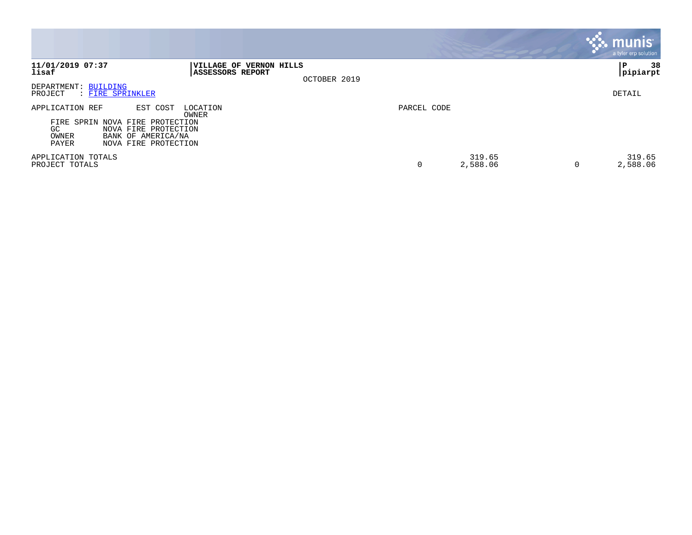|                                                                                                                                                              |                                                                            |             |                    |   | munis <sup>1</sup><br>a tyler erp solution |
|--------------------------------------------------------------------------------------------------------------------------------------------------------------|----------------------------------------------------------------------------|-------------|--------------------|---|--------------------------------------------|
| 11/01/2019 07:37<br>lisaf                                                                                                                                    | <b> VILLAGE OF VERNON HILLS</b><br><b>ASSESSORS REPORT</b><br>OCTOBER 2019 |             |                    |   | 38<br>∣P<br> pipiarpt                      |
| DEPARTMENT: BUILDING<br>: FIRE SPRINKLER<br>PROJECT                                                                                                          |                                                                            |             |                    |   | DETAIL                                     |
| APPLICATION REF<br>EST COST<br>FIRE SPRIN NOVA FIRE PROTECTION<br>GC<br>NOVA FIRE PROTECTION<br>BANK OF AMERICA/NA<br>OWNER<br>PAYER<br>NOVA FIRE PROTECTION | LOCATION<br>OWNER                                                          | PARCEL CODE |                    |   |                                            |
| APPLICATION TOTALS<br>PROJECT TOTALS                                                                                                                         |                                                                            | 0           | 319.65<br>2,588.06 | 0 | 319.65<br>2,588.06                         |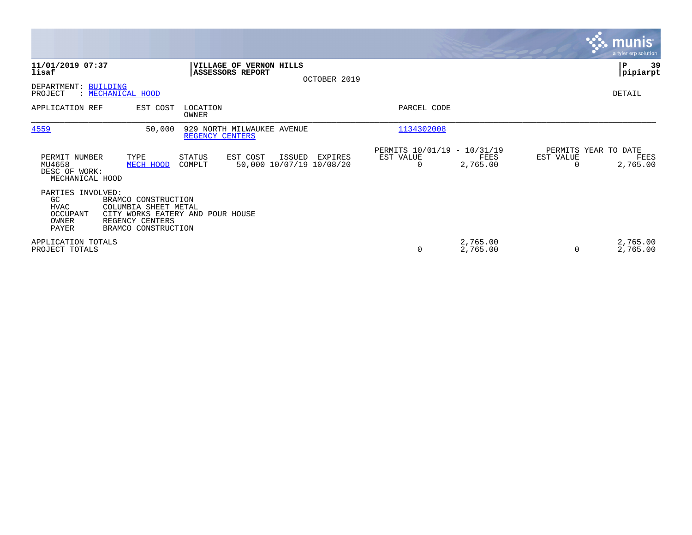|                                                               |                                                                                       |                                               |                                               |                                               |                      |                                   | <b>munis</b><br>a tyler erp solution |
|---------------------------------------------------------------|---------------------------------------------------------------------------------------|-----------------------------------------------|-----------------------------------------------|-----------------------------------------------|----------------------|-----------------------------------|--------------------------------------|
| 11/01/2019 07:37<br>lisaf                                     |                                                                                       | VILLAGE OF VERNON HILLS<br>ASSESSORS REPORT   | OCTOBER 2019                                  |                                               |                      |                                   | 39<br> P<br> pipiarpt                |
| DEPARTMENT:<br>PROJECT                                        | <b>BUILDING</b><br>: MECHANICAL HOOD                                                  |                                               |                                               |                                               |                      |                                   | DETAIL                               |
| APPLICATION REF                                               | EST COST                                                                              | LOCATION<br>OWNER                             |                                               | PARCEL CODE                                   |                      |                                   |                                      |
| 4559                                                          | 50,000                                                                                | 929 NORTH MILWAUKEE AVENUE<br>REGENCY CENTERS |                                               | 1134302008                                    |                      |                                   |                                      |
| PERMIT NUMBER<br>MU4658<br>DESC OF WORK:<br>MECHANICAL HOOD   | TYPE<br>MECH HOOD                                                                     | STATUS<br>EST COST<br>COMPLT                  | ISSUED<br>EXPIRES<br>50,000 10/07/19 10/08/20 | PERMITS 10/01/19 - 10/31/19<br>EST VALUE<br>0 | FEES<br>2,765.00     | PERMITS YEAR TO DATE<br>EST VALUE | FEES<br>2,765.00                     |
| PARTIES INVOLVED:<br>GC<br>HVAC<br>OCCUPANT<br>OWNER<br>PAYER | BRAMCO CONSTRUCTION<br>COLUMBIA SHEET METAL<br>REGENCY CENTERS<br>BRAMCO CONSTRUCTION | CITY WORKS EATERY AND POUR HOUSE              |                                               |                                               |                      |                                   |                                      |
| APPLICATION TOTALS<br>PROJECT TOTALS                          |                                                                                       |                                               |                                               | $\Omega$                                      | 2,765.00<br>2,765.00 |                                   | 2,765.00<br>2,765.00                 |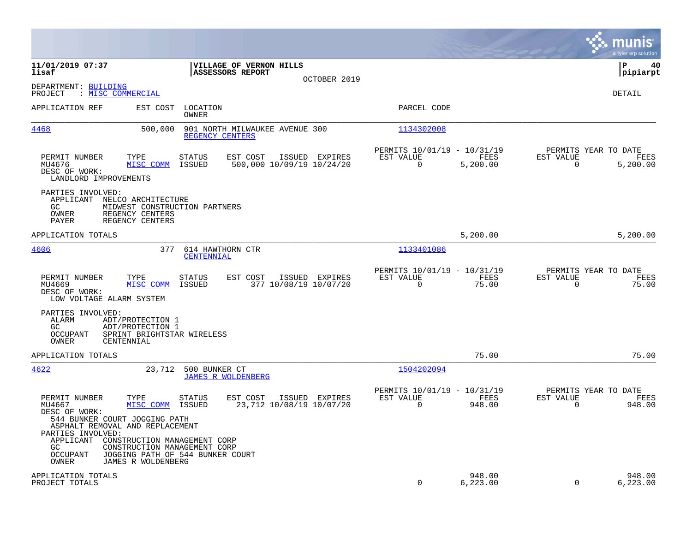|                                                                                                                                                                                                                                                                                    |                                                                                                                       |                                                         |                     |                             | munis<br>a tyler erp solution            |
|------------------------------------------------------------------------------------------------------------------------------------------------------------------------------------------------------------------------------------------------------------------------------------|-----------------------------------------------------------------------------------------------------------------------|---------------------------------------------------------|---------------------|-----------------------------|------------------------------------------|
| 11/01/2019 07:37<br>lisaf                                                                                                                                                                                                                                                          | VILLAGE OF VERNON HILLS<br>ASSESSORS REPORT                                                                           |                                                         |                     |                             | ΙP<br>40<br> pipiarpt                    |
| DEPARTMENT: BUILDING<br>PROJECT<br>: MISC COMMERCIAL                                                                                                                                                                                                                               | OCTOBER 2019                                                                                                          |                                                         |                     |                             | DETAIL                                   |
| APPLICATION REF<br>EST COST                                                                                                                                                                                                                                                        | LOCATION<br>OWNER                                                                                                     | PARCEL CODE                                             |                     |                             |                                          |
| 4468<br>500,000                                                                                                                                                                                                                                                                    | 901 NORTH MILWAUKEE AVENUE 300<br>REGENCY CENTERS                                                                     | 1134302008                                              |                     |                             |                                          |
| TYPE<br>PERMIT NUMBER<br>MU4676<br>MISC COMM<br>DESC OF WORK:<br>LANDLORD IMPROVEMENTS                                                                                                                                                                                             | EST COST<br>STATUS<br>ISSUED EXPIRES<br>500,000 10/09/19 10/24/20<br>ISSUED                                           | PERMITS 10/01/19 - 10/31/19<br>EST VALUE<br>$\mathbf 0$ | FEES<br>5,200.00    | EST VALUE<br>$\overline{0}$ | PERMITS YEAR TO DATE<br>FEES<br>5,200.00 |
| PARTIES INVOLVED:<br>APPLICANT<br>NELCO ARCHITECTURE<br>GC.<br>MIDWEST CONSTRUCTION PARTNERS<br>REGENCY CENTERS<br>OWNER<br>REGENCY CENTERS<br>PAYER                                                                                                                               |                                                                                                                       |                                                         |                     |                             |                                          |
| APPLICATION TOTALS                                                                                                                                                                                                                                                                 |                                                                                                                       |                                                         | 5,200.00            |                             | 5,200.00                                 |
| 4606<br>377                                                                                                                                                                                                                                                                        | 614 HAWTHORN CTR<br>CENTENNIAL                                                                                        | 1133401086                                              |                     |                             |                                          |
| PERMIT NUMBER<br>TYPE<br>MU4669<br>MISC COMM<br>DESC OF WORK:<br>LOW VOLTAGE ALARM SYSTEM                                                                                                                                                                                          | <b>STATUS</b><br>EST COST<br>ISSUED EXPIRES<br>377 10/08/19 10/07/20<br>ISSUED                                        | PERMITS 10/01/19 - 10/31/19<br>EST VALUE<br>0           | FEES<br>75.00       | EST VALUE<br>0              | PERMITS YEAR TO DATE<br>FEES<br>75.00    |
| PARTIES INVOLVED:<br><b>ALARM</b><br>ADT/PROTECTION 1<br>GC<br>ADT/PROTECTION 1<br>OCCUPANT<br>SPRINT BRIGHTSTAR WIRELESS<br>OWNER<br>CENTENNIAL                                                                                                                                   |                                                                                                                       |                                                         |                     |                             |                                          |
| APPLICATION TOTALS                                                                                                                                                                                                                                                                 |                                                                                                                       |                                                         | 75.00               |                             | 75.00                                    |
| 4622<br>23,712                                                                                                                                                                                                                                                                     | 500 BUNKER CT<br><b>JAMES R WOLDENBERG</b>                                                                            | 1504202094                                              |                     |                             |                                          |
| PERMIT NUMBER<br>TYPE<br>MU4667<br>MISC COMM<br>DESC OF WORK:<br>544 BUNKER COURT JOGGING PATH<br>ASPHALT REMOVAL AND REPLACEMENT<br>PARTIES INVOLVED:<br>APPLICANT CONSTRUCTION MANAGEMENT CORP<br>CONSTRUCTION MANAGEMENT CORP<br>GC.<br>OCCUPANT<br>OWNER<br>JAMES R WOLDENBERG | <b>STATUS</b><br>EST COST<br>ISSUED EXPIRES<br>23,712 10/08/19 10/07/20<br>ISSUED<br>JOGGING PATH OF 544 BUNKER COURT | PERMITS 10/01/19 - 10/31/19<br>EST VALUE<br>$\mathbf 0$ | FEES<br>948.00      | EST VALUE<br>$\Omega$       | PERMITS YEAR TO DATE<br>FEES<br>948.00   |
| APPLICATION TOTALS<br>PROJECT TOTALS                                                                                                                                                                                                                                               |                                                                                                                       | $\mathbf{0}$                                            | 948.00<br>6, 223.00 | $\overline{0}$              | 948.00<br>6, 223.00                      |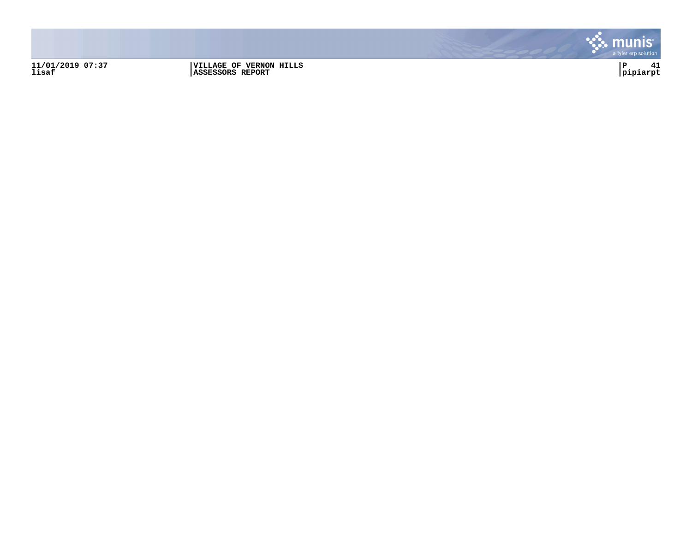**11/01/2019 07:37 |VILLAGE OF VERNON HILLS |P 41 lisaf |ASSESSORS REPORT |pipiarpt**

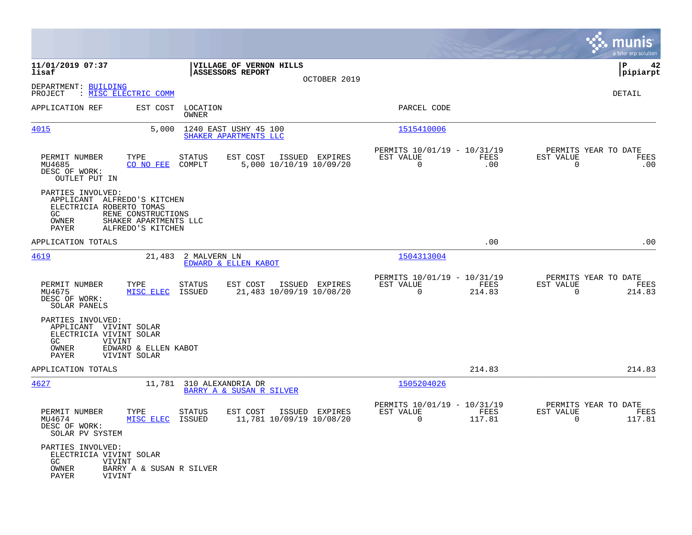|                                                                                                           |                                                                  |                         |                                                |                |                                                         |                       |                                                  | munis<br>a tyler erp solution |
|-----------------------------------------------------------------------------------------------------------|------------------------------------------------------------------|-------------------------|------------------------------------------------|----------------|---------------------------------------------------------|-----------------------|--------------------------------------------------|-------------------------------|
| 11/01/2019 07:37<br>lisaf                                                                                 |                                                                  |                         | VILLAGE OF VERNON HILLS<br>ASSESSORS REPORT    |                |                                                         |                       |                                                  | ΙP<br>42<br> pipiarpt         |
| DEPARTMENT: BUILDING<br>: MISC ELECTRIC COMM<br>PROJECT                                                   |                                                                  |                         |                                                | OCTOBER 2019   |                                                         |                       |                                                  | <b>DETAIL</b>                 |
| APPLICATION REF                                                                                           | EST COST LOCATION                                                | OWNER                   |                                                |                | PARCEL CODE                                             |                       |                                                  |                               |
| 4015                                                                                                      | 5,000                                                            |                         | 1240 EAST USHY 45 100<br>SHAKER APARTMENTS LLC |                | 1515410006                                              |                       |                                                  |                               |
| PERMIT NUMBER<br>MU4685<br>DESC OF WORK:<br>OUTLET PUT IN                                                 | TYPE<br>CO NO FEE                                                | <b>STATUS</b><br>COMPLT | EST COST<br>5,000 10/10/19 10/09/20            | ISSUED EXPIRES | PERMITS 10/01/19 - 10/31/19<br>EST VALUE<br>0           | FEES<br>.00           | PERMITS YEAR TO DATE<br>EST VALUE<br>$\mathbf 0$ | FEES<br>.00                   |
| PARTIES INVOLVED:<br>APPLICANT ALFREDO'S KITCHEN<br>ELECTRICIA ROBERTO TOMAS<br>GC.<br>OWNER<br>PAYER     | RENE CONSTRUCTIONS<br>SHAKER APARTMENTS LLC<br>ALFREDO'S KITCHEN |                         |                                                |                |                                                         |                       |                                                  |                               |
| APPLICATION TOTALS                                                                                        |                                                                  |                         |                                                |                |                                                         | .00                   |                                                  | .00                           |
| 4619                                                                                                      | 21,483                                                           | 2 MALVERN LN            | EDWARD & ELLEN KABOT                           |                | 1504313004                                              |                       |                                                  |                               |
| PERMIT NUMBER<br>MU4675<br>DESC OF WORK:<br>SOLAR PANELS                                                  | TYPE<br>MISC ELEC                                                | <b>STATUS</b><br>ISSUED | EST COST<br>21,483 10/09/19 10/08/20           | ISSUED EXPIRES | PERMITS 10/01/19 - 10/31/19<br>EST VALUE<br>$\mathbf 0$ | FEES<br>214.83        | PERMITS YEAR TO DATE<br>EST VALUE<br>$\mathbf 0$ | FEES<br>214.83                |
| PARTIES INVOLVED:<br>APPLICANT VIVINT SOLAR<br>ELECTRICIA VIVINT SOLAR<br>GC.<br>VIVINT<br>OWNER<br>PAYER | EDWARD & ELLEN KABOT<br>VIVINT SOLAR                             |                         |                                                |                |                                                         |                       |                                                  |                               |
| APPLICATION TOTALS                                                                                        |                                                                  |                         |                                                |                |                                                         | 214.83                |                                                  | 214.83                        |
| 4627                                                                                                      | 11,781 310 ALEXANDRIA DR                                         |                         | BARRY A & SUSAN R SILVER                       |                | 1505204026                                              |                       |                                                  |                               |
| PERMIT NUMBER<br>MU4674<br>DESC OF WORK:<br>SOLAR PV SYSTEM                                               | TYPE<br>MISC ELEC                                                | <b>STATUS</b><br>ISSUED | EST COST<br>11,781 10/09/19 10/08/20           | ISSUED EXPIRES | PERMITS 10/01/19 - 10/31/19<br>EST VALUE<br>$\Omega$    | <b>FEES</b><br>117.81 | PERMITS YEAR TO DATE<br>EST VALUE<br>$\Omega$    | FEES<br>117.81                |
| PARTIES INVOLVED:<br>ELECTRICIA VIVINT SOLAR<br>GC.<br>VIVINT<br>OWNER<br>PAYER<br>VIVINT                 | BARRY A & SUSAN R SILVER                                         |                         |                                                |                |                                                         |                       |                                                  |                               |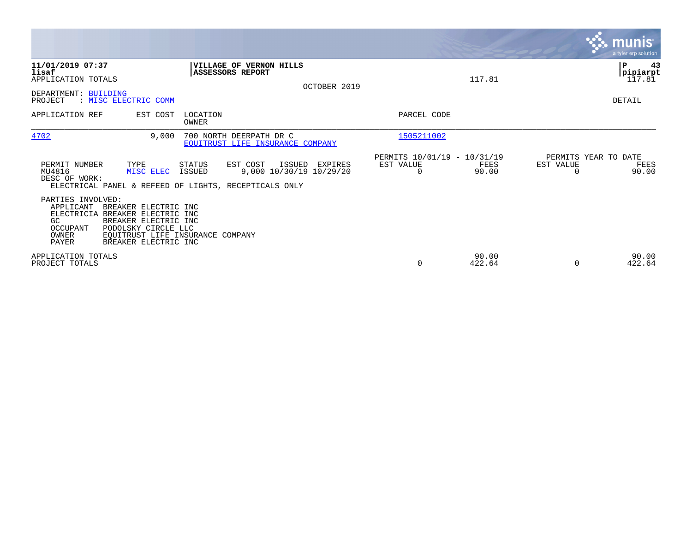|                                                                    |                                                                                                                                                                    |                   |                                                                                                        |              |                                                         |                 |                                        | <b>munis</b><br>a tyler erp solution |
|--------------------------------------------------------------------|--------------------------------------------------------------------------------------------------------------------------------------------------------------------|-------------------|--------------------------------------------------------------------------------------------------------|--------------|---------------------------------------------------------|-----------------|----------------------------------------|--------------------------------------|
| 11/01/2019 07:37<br>lisaf<br>APPLICATION TOTALS                    |                                                                                                                                                                    |                   | VILLAGE OF VERNON HILLS<br><b>ASSESSORS REPORT</b>                                                     | OCTOBER 2019 |                                                         | 117.81          |                                        | ∣P<br>43<br> pipiarpt<br>117.81      |
| DEPARTMENT: BUILDING<br>PROJECT                                    | : MISC ELECTRIC COMM                                                                                                                                               |                   |                                                                                                        |              |                                                         |                 |                                        | DETAIL                               |
| APPLICATION REF                                                    | EST COST                                                                                                                                                           | LOCATION<br>OWNER |                                                                                                        |              | PARCEL CODE                                             |                 |                                        |                                      |
| 4702                                                               | 9,000                                                                                                                                                              |                   | 700 NORTH DEERPATH DR C<br>EQUITRUST LIFE INSURANCE COMPANY                                            |              | 1505211002                                              |                 |                                        |                                      |
| PERMIT NUMBER<br>MU4816<br>DESC OF WORK:                           | TYPE<br>MISC ELEC                                                                                                                                                  | STATUS<br>ISSUED  | EST COST<br>ISSUED<br>9,000 10/30/19 10/29/20<br>ELECTRICAL PANEL & REFEED OF LIGHTS, RECEPTICALS ONLY | EXPIRES      | PERMITS 10/01/19 - 10/31/19<br>EST VALUE<br>$\mathbf 0$ | FEES<br>90.00   | PERMITS YEAR TO DATE<br>EST VALUE<br>O | FEES<br>90.00                        |
| PARTIES INVOLVED:<br>APPLICANT<br>GC<br>OCCUPANT<br>OWNER<br>PAYER | BREAKER ELECTRIC INC<br>ELECTRICIA BREAKER ELECTRIC INC<br>BREAKER ELECTRIC INC<br>PODOLSKY CIRCLE LLC<br>EQUITRUST LIFE INSURANCE COMPANY<br>BREAKER ELECTRIC INC |                   |                                                                                                        |              |                                                         |                 |                                        |                                      |
| APPLICATION TOTALS<br>PROJECT TOTALS                               |                                                                                                                                                                    |                   |                                                                                                        |              | 0                                                       | 90.00<br>422.64 | $\Omega$                               | 90.00<br>422.64                      |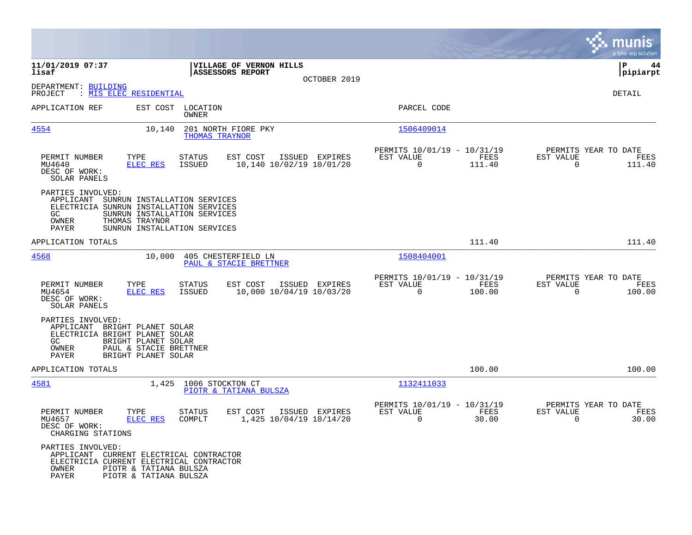|                                                                                                                                                                                                 |                                                                                              |                                                                          | munis<br>a tyler erp solution                                      |
|-------------------------------------------------------------------------------------------------------------------------------------------------------------------------------------------------|----------------------------------------------------------------------------------------------|--------------------------------------------------------------------------|--------------------------------------------------------------------|
| 11/01/2019 07:37<br>lisaf                                                                                                                                                                       | VILLAGE OF VERNON HILLS<br>ASSESSORS REPORT                                                  |                                                                          | ΙP<br>44<br> pipiarpt                                              |
| DEPARTMENT: BUILDING<br>PROJECT<br>: MIS ELEC RESIDENTIAL                                                                                                                                       | OCTOBER 2019                                                                                 |                                                                          | <b>DETAIL</b>                                                      |
| APPLICATION REF                                                                                                                                                                                 | EST COST LOCATION<br><b>OWNER</b>                                                            | PARCEL CODE                                                              |                                                                    |
| <u>4554</u><br>10,140                                                                                                                                                                           | 201 NORTH FIORE PKY<br><b>THOMAS TRAYNOR</b>                                                 | 1506409014                                                               |                                                                    |
| TYPE<br>PERMIT NUMBER<br>ELEC RES<br>MU4640<br>DESC OF WORK:<br>SOLAR PANELS                                                                                                                    | ISSUED EXPIRES<br><b>STATUS</b><br>EST COST<br>10,140 10/02/19 10/01/20<br>ISSUED            | PERMITS 10/01/19 - 10/31/19<br>EST VALUE<br>FEES<br>0<br>111.40          | PERMITS YEAR TO DATE<br>EST VALUE<br>FEES<br>$\mathbf 0$<br>111.40 |
| PARTIES INVOLVED:<br>APPLICANT<br>ELECTRICIA SUNRUN INSTALLATION SERVICES<br>GC.<br>THOMAS TRAYNOR<br>OWNER<br>PAYER                                                                            | SUNRUN INSTALLATION SERVICES<br>SUNRUN INSTALLATION SERVICES<br>SUNRUN INSTALLATION SERVICES |                                                                          |                                                                    |
| APPLICATION TOTALS                                                                                                                                                                              |                                                                                              | 111.40                                                                   | 111.40                                                             |
| 4568<br>10,000                                                                                                                                                                                  | 405 CHESTERFIELD LN<br>PAUL & STACIE BRETTNER                                                | 1508404001                                                               |                                                                    |
| PERMIT NUMBER<br>TYPE<br>MU4654<br><b>ELEC RES</b><br>DESC OF WORK:<br>SOLAR PANELS                                                                                                             | EST COST<br>ISSUED EXPIRES<br><b>STATUS</b><br>10,000 10/04/19 10/03/20<br>ISSUED            | PERMITS 10/01/19 - 10/31/19<br>EST VALUE<br>FEES<br>$\Omega$<br>100.00   | PERMITS YEAR TO DATE<br>EST VALUE<br>FEES<br>$\Omega$<br>100.00    |
| PARTIES INVOLVED:<br>APPLICANT<br>BRIGHT PLANET SOLAR<br>ELECTRICIA BRIGHT PLANET SOLAR<br>GC.<br>BRIGHT PLANET SOLAR<br>PAUL & STACIE BRETTNER<br>OWNER<br>BRIGHT PLANET SOLAR<br><b>PAYER</b> |                                                                                              |                                                                          |                                                                    |
| APPLICATION TOTALS                                                                                                                                                                              |                                                                                              | 100.00                                                                   | 100.00                                                             |
| 4581                                                                                                                                                                                            | 1,425<br>1006 STOCKTON CT<br>PIOTR & TATIANA BULSZA                                          | 1132411033                                                               |                                                                    |
| PERMIT NUMBER<br>TYPE<br>MU4657<br>ELEC RES<br>DESC OF WORK:<br>CHARGING STATIONS                                                                                                               | <b>STATUS</b><br>EST COST<br>ISSUED EXPIRES<br>COMPLT<br>1,425 10/04/19 10/14/20             | PERMITS 10/01/19 - 10/31/19<br>EST VALUE<br>FEES<br>$\mathbf 0$<br>30.00 | PERMITS YEAR TO DATE<br>EST VALUE<br>FEES<br>30.00<br>0            |
| PARTIES INVOLVED:<br>APPLICANT CURRENT ELECTRICAL CONTRACTOR<br>ELECTRICIA CURRENT ELECTRICAL CONTRACTOR<br>OWNER<br>PIOTR & TATIANA BULSZA<br>PIOTR & TATIANA BULSZA<br>PAYER                  |                                                                                              |                                                                          |                                                                    |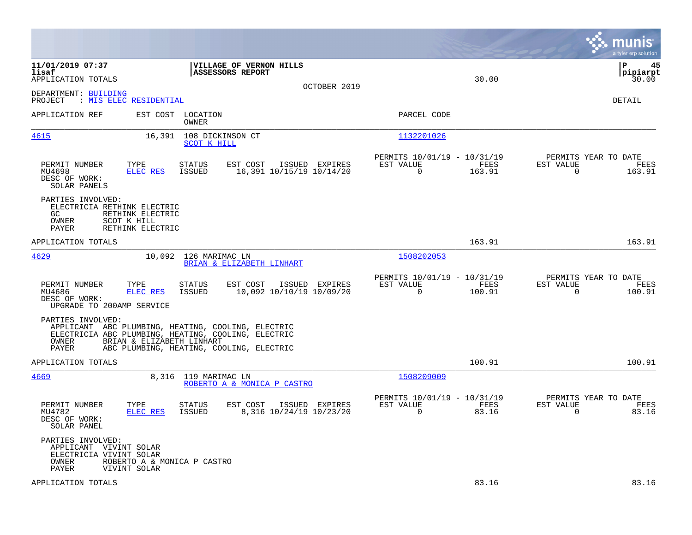|                                                                                                                                                  |                                                     |                                          |                                                        |                                                         |                |                          | munis<br>a tyler erp solution          |
|--------------------------------------------------------------------------------------------------------------------------------------------------|-----------------------------------------------------|------------------------------------------|--------------------------------------------------------|---------------------------------------------------------|----------------|--------------------------|----------------------------------------|
| 11/01/2019 07:37<br>lisaf<br>APPLICATION TOTALS                                                                                                  |                                                     | ASSESSORS REPORT                         | VILLAGE OF VERNON HILLS                                |                                                         | 30.00          |                          | P<br>45<br>pipiarpt<br>30.00           |
| DEPARTMENT: BUILDING<br>PROJECT                                                                                                                  | : MIS ELEC RESIDENTIAL                              |                                          | OCTOBER 2019                                           |                                                         |                |                          | DETAIL                                 |
| APPLICATION REF                                                                                                                                  |                                                     | EST COST LOCATION<br>OWNER               |                                                        | PARCEL CODE                                             |                |                          |                                        |
| 4615                                                                                                                                             | 16,391                                              | 108 DICKINSON CT<br><b>SCOT K HILL</b>   |                                                        | 1132201026                                              |                |                          |                                        |
| PERMIT NUMBER<br>MU4698<br>DESC OF WORK:<br>SOLAR PANELS                                                                                         | TYPE<br><b>ELEC RES</b>                             | STATUS<br>ISSUED                         | EST COST<br>ISSUED EXPIRES<br>16,391 10/15/19 10/14/20 | PERMITS 10/01/19 - 10/31/19<br>EST VALUE<br>$\mathbf 0$ | FEES<br>163.91 | EST VALUE<br>$\mathbf 0$ | PERMITS YEAR TO DATE<br>FEES<br>163.91 |
| PARTIES INVOLVED:<br>ELECTRICIA RETHINK ELECTRIC<br>GC<br>OWNER<br>PAYER                                                                         | RETHINK ELECTRIC<br>SCOT K HILL<br>RETHINK ELECTRIC |                                          |                                                        |                                                         |                |                          |                                        |
| APPLICATION TOTALS                                                                                                                               |                                                     |                                          |                                                        |                                                         | 163.91         |                          | 163.91                                 |
| 4629                                                                                                                                             |                                                     | 10,092 126 MARIMAC LN                    | BRIAN & ELIZABETH LINHART                              | 1508202053                                              |                |                          |                                        |
| PERMIT NUMBER<br>MU4686<br>DESC OF WORK:<br>UPGRADE TO 200AMP SERVICE                                                                            | TYPE<br><b>ELEC RES</b>                             | <b>STATUS</b><br><b>ISSUED</b>           | EST COST<br>ISSUED EXPIRES<br>10,092 10/10/19 10/09/20 | PERMITS 10/01/19 - 10/31/19<br>EST VALUE<br>$\Omega$    | FEES<br>100.91 | EST VALUE<br>$\Omega$    | PERMITS YEAR TO DATE<br>FEES<br>100.91 |
| PARTIES INVOLVED:<br>APPLICANT ABC PLUMBING, HEATING, COOLING, ELECTRIC<br>ELECTRICIA ABC PLUMBING, HEATING, COOLING, ELECTRIC<br>OWNER<br>PAYER | BRIAN & ELIZABETH LINHART                           | ABC PLUMBING, HEATING, COOLING, ELECTRIC |                                                        |                                                         |                |                          |                                        |
| APPLICATION TOTALS                                                                                                                               |                                                     |                                          |                                                        |                                                         | 100.91         |                          | 100.91                                 |
| 4669                                                                                                                                             | 8,316                                               | 119 MARIMAC LN                           | ROBERTO A & MONICA P CASTRO                            | 1508209009                                              |                |                          |                                        |
| PERMIT NUMBER<br>MU4782<br>DESC OF WORK:<br>SOLAR PANEL                                                                                          | TYPE<br><b>ELEC RES</b>                             | STATUS<br><b>ISSUED</b>                  | EST COST<br>ISSUED EXPIRES<br>8,316 10/24/19 10/23/20  | PERMITS 10/01/19 - 10/31/19<br>EST VALUE<br>0           | FEES<br>83.16  | EST VALUE<br>0           | PERMITS YEAR TO DATE<br>FEES<br>83.16  |
| PARTIES INVOLVED:<br>APPLICANT VIVINT SOLAR<br>ELECTRICIA VIVINT SOLAR<br>OWNER<br>PAYER                                                         | ROBERTO A & MONICA P CASTRO<br>VIVINT SOLAR         |                                          |                                                        |                                                         |                |                          |                                        |
| APPLICATION TOTALS                                                                                                                               |                                                     |                                          |                                                        |                                                         | 83.16          |                          | 83.16                                  |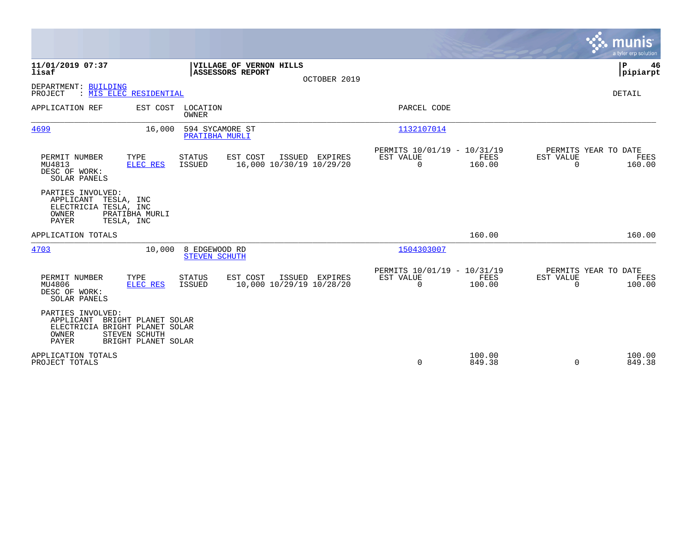|                                                                                           |                                                             |                                       |                                                    |        |                                            |                                                      |                  |                       | munis<br>a tyler erp solution          |
|-------------------------------------------------------------------------------------------|-------------------------------------------------------------|---------------------------------------|----------------------------------------------------|--------|--------------------------------------------|------------------------------------------------------|------------------|-----------------------|----------------------------------------|
| 11/01/2019 07:37<br>lisaf                                                                 |                                                             |                                       | VILLAGE OF VERNON HILLS<br><b>ASSESSORS REPORT</b> |        | OCTOBER 2019                               |                                                      |                  |                       | P<br>46<br> pipiarpt                   |
| DEPARTMENT: BUILDING<br>PROJECT                                                           | : MIS ELEC RESIDENTIAL                                      |                                       |                                                    |        |                                            |                                                      |                  |                       | DETAIL                                 |
| APPLICATION REF                                                                           | EST COST                                                    | LOCATION<br><b>OWNER</b>              |                                                    |        |                                            | PARCEL CODE                                          |                  |                       |                                        |
| 4699                                                                                      | 16,000                                                      | 594 SYCAMORE ST<br>PRATIBHA MURLI     |                                                    |        |                                            | 1132107014                                           |                  |                       |                                        |
| PERMIT NUMBER<br>MU4813<br>DESC OF WORK:<br>SOLAR PANELS                                  | TYPE<br>ELEC RES                                            | <b>STATUS</b><br>ISSUED               | EST COST                                           |        | ISSUED EXPIRES<br>16,000 10/30/19 10/29/20 | PERMITS 10/01/19 - 10/31/19<br>EST VALUE<br>$\Omega$ | FEES<br>160.00   | EST VALUE<br>$\Omega$ | PERMITS YEAR TO DATE<br>FEES<br>160.00 |
| PARTIES INVOLVED:<br>APPLICANT TESLA, INC<br>ELECTRICIA TESLA, INC<br>OWNER<br>PAYER      | PRATIBHA MURLI<br>TESLA, INC                                |                                       |                                                    |        |                                            |                                                      |                  |                       |                                        |
| APPLICATION TOTALS                                                                        |                                                             |                                       |                                                    |        |                                            |                                                      | 160.00           |                       | 160.00                                 |
| 4703                                                                                      | 10,000                                                      | 8 EDGEWOOD RD<br><b>STEVEN SCHUTH</b> |                                                    |        |                                            | 1504303007                                           |                  |                       |                                        |
| PERMIT NUMBER<br>MU4806<br>DESC OF WORK:<br>SOLAR PANELS                                  | TYPE<br>ELEC RES                                            | <b>STATUS</b><br>ISSUED               | EST COST                                           | ISSUED | EXPIRES<br>10,000 10/29/19 10/28/20        | PERMITS 10/01/19 - 10/31/19<br>EST VALUE<br>0        | FEES<br>100.00   | EST VALUE<br>$\Omega$ | PERMITS YEAR TO DATE<br>FEES<br>100.00 |
| PARTIES INVOLVED:<br>APPLICANT<br>ELECTRICIA BRIGHT PLANET SOLAR<br>OWNER<br><b>PAYER</b> | BRIGHT PLANET SOLAR<br>STEVEN SCHUTH<br>BRIGHT PLANET SOLAR |                                       |                                                    |        |                                            |                                                      |                  |                       |                                        |
| APPLICATION TOTALS<br>PROJECT TOTALS                                                      |                                                             |                                       |                                                    |        |                                            | 0                                                    | 100.00<br>849.38 | $\Omega$              | 100.00<br>849.38                       |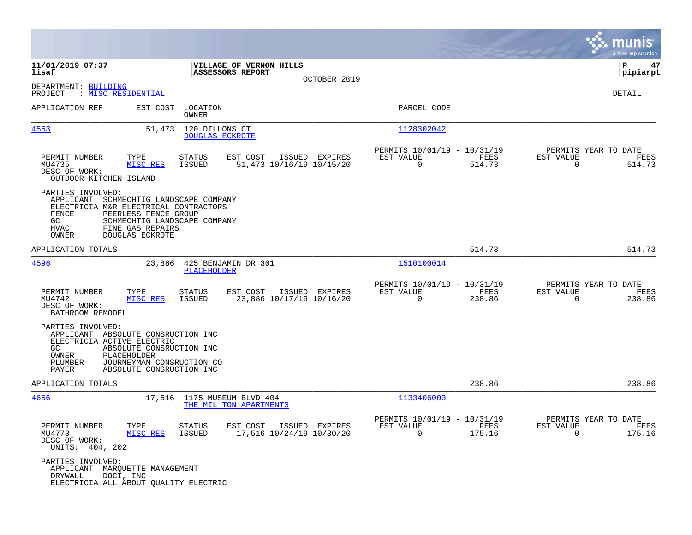|                                                                                                                                                                                                                                     |                                                                                   |                                                                           | munis<br>a tyler erp solution                                   |
|-------------------------------------------------------------------------------------------------------------------------------------------------------------------------------------------------------------------------------------|-----------------------------------------------------------------------------------|---------------------------------------------------------------------------|-----------------------------------------------------------------|
| 11/01/2019 07:37<br>lisaf                                                                                                                                                                                                           | VILLAGE OF VERNON HILLS<br><b>ASSESSORS REPORT</b>                                |                                                                           | 47<br>IΡ<br> pipiarpt                                           |
| DEPARTMENT: BUILDING<br>: MISC RESIDENTIAL<br>PROJECT                                                                                                                                                                               | OCTOBER 2019                                                                      |                                                                           | DETAIL                                                          |
| APPLICATION REF<br>EST COST                                                                                                                                                                                                         | LOCATION<br>OWNER                                                                 | PARCEL CODE                                                               |                                                                 |
| 4553<br>51,473                                                                                                                                                                                                                      | 120 DILLONS CT<br><b>DOUGLAS ECKROTE</b>                                          | 1128302042                                                                |                                                                 |
| PERMIT NUMBER<br>TYPE<br>MU4735<br>MISC RES<br>DESC OF WORK:<br>OUTDOOR KITCHEN ISLAND                                                                                                                                              | ISSUED EXPIRES<br>STATUS<br>EST COST<br>51,473 10/16/19 10/15/20<br>ISSUED        | PERMITS 10/01/19 - 10/31/19<br>FEES<br>EST VALUE<br>$\mathbf 0$<br>514.73 | PERMITS YEAR TO DATE<br>EST VALUE<br>FEES<br>$\Omega$<br>514.73 |
| PARTIES INVOLVED:<br>APPLICANT SCHMECHTIG LANDSCAPE COMPANY<br>ELECTRICIA M&R ELECTRICAL CONTRACTORS<br>FENCE<br>PEERLESS FENCE GROUP<br>SCHMECHTIG LANDSCAPE COMPANY<br>GC<br>HVAC<br>FINE GAS REPAIRS<br>OWNER<br>DOUGLAS ECKROTE |                                                                                   |                                                                           |                                                                 |
| APPLICATION TOTALS                                                                                                                                                                                                                  |                                                                                   | 514.73                                                                    | 514.73                                                          |
| 4596                                                                                                                                                                                                                                | 23,886 425 BENJAMIN DR 301<br>PLACEHOLDER                                         | 1510100014                                                                |                                                                 |
| PERMIT NUMBER<br>TYPE<br>MU4742<br>MISC RES<br>DESC OF WORK:<br>BATHROOM REMODEL                                                                                                                                                    | <b>STATUS</b><br>EST COST<br>ISSUED EXPIRES<br>23,886 10/17/19 10/16/20<br>ISSUED | PERMITS 10/01/19 - 10/31/19<br>EST VALUE<br>FEES<br>$\Omega$<br>238.86    | PERMITS YEAR TO DATE<br>EST VALUE<br>FEES<br>238.86<br>0        |
| PARTIES INVOLVED:<br>APPLICANT ABSOLUTE CONSRUCTION INC<br>ELECTRICIA ACTIVE ELECTRIC<br>GC.<br>ABSOLUTE CONSRUCTION INC<br>OWNER<br>PLACEHOLDER<br>PLUMBER<br>JOURNEYMAN CONSRUCTION CO<br>PAYER<br>ABSOLUTE CONSRUCTION INC       |                                                                                   |                                                                           |                                                                 |
| APPLICATION TOTALS                                                                                                                                                                                                                  |                                                                                   | 238.86                                                                    | 238.86                                                          |
| <u>4656</u>                                                                                                                                                                                                                         | 17,516 1175 MUSEUM BLVD 404<br>THE MIL TON APARTMENTS                             | 1133406003                                                                |                                                                 |
| PERMIT NUMBER<br>TYPE<br>MU4773<br>MISC RES<br>DESC OF WORK:<br>UNITS: 404, 202                                                                                                                                                     | STATUS<br>EST COST ISSUED EXPIRES<br>17,516 10/24/19 10/30/20<br>ISSUED           | PERMITS 10/01/19 - 10/31/19<br>EST VALUE<br>FEES<br>$\Omega$<br>175.16    | PERMITS YEAR TO DATE<br>EST VALUE<br>FEES<br>$\Omega$<br>175.16 |
| PARTIES INVOLVED:<br>APPLICANT MARQUETTE MANAGEMENT<br>DOCI, INC<br>DRYWALL<br>ELECTRICIA ALL ABOUT OUALITY ELECTRIC                                                                                                                |                                                                                   |                                                                           |                                                                 |

**Contract**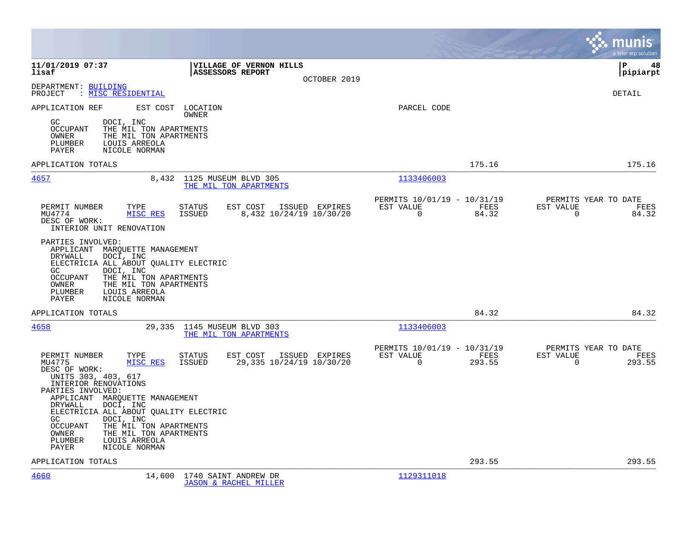|                                                                                                                                                                                                                                                                                                                                                                                        |                                                                                   |                                                                        | munis<br>a tyler erp solution                                   |
|----------------------------------------------------------------------------------------------------------------------------------------------------------------------------------------------------------------------------------------------------------------------------------------------------------------------------------------------------------------------------------------|-----------------------------------------------------------------------------------|------------------------------------------------------------------------|-----------------------------------------------------------------|
| 11/01/2019 07:37<br>lisaf                                                                                                                                                                                                                                                                                                                                                              | <b> VILLAGE OF VERNON HILLS</b><br><b>ASSESSORS REPORT</b><br>OCTOBER 2019        |                                                                        | l P<br>48<br> pipiarpt                                          |
| DEPARTMENT: BUILDING<br>PROJECT<br>: MISC RESIDENTIAL                                                                                                                                                                                                                                                                                                                                  |                                                                                   |                                                                        | DETAIL                                                          |
| APPLICATION REF<br>EST COST<br>GC<br>DOCI, INC                                                                                                                                                                                                                                                                                                                                         | LOCATION<br>OWNER                                                                 | PARCEL CODE                                                            |                                                                 |
| THE MIL TON APARTMENTS<br>OCCUPANT<br>OWNER<br>THE MIL TON APARTMENTS<br>LOUIS ARREOLA<br>PLUMBER<br>NICOLE NORMAN<br>PAYER                                                                                                                                                                                                                                                            |                                                                                   |                                                                        |                                                                 |
| APPLICATION TOTALS                                                                                                                                                                                                                                                                                                                                                                     |                                                                                   | 175.16                                                                 | 175.16                                                          |
| 4657<br>8,432                                                                                                                                                                                                                                                                                                                                                                          | 1125 MUSEUM BLVD 305<br>THE MIL TON APARTMENTS                                    | 1133406003                                                             |                                                                 |
| PERMIT NUMBER<br>TYPE<br>MU4774<br>MISC RES<br>DESC OF WORK:<br>INTERIOR UNIT RENOVATION                                                                                                                                                                                                                                                                                               | <b>STATUS</b><br>EST COST<br>ISSUED EXPIRES<br>ISSUED<br>8,432 10/24/19 10/30/20  | PERMITS 10/01/19 - 10/31/19<br>EST VALUE<br>FEES<br>$\Omega$<br>84.32  | PERMITS YEAR TO DATE<br>EST VALUE<br>FEES<br>$\Omega$<br>84.32  |
| PARTIES INVOLVED:<br>APPLICANT MARQUETTE MANAGEMENT<br>DOCI, INC<br>DRYWALL<br>ELECTRICIA ALL ABOUT QUALITY ELECTRIC<br>GC<br>DOCI, INC<br>THE MIL TON APARTMENTS<br>OCCUPANT<br>OWNER<br>THE MIL TON APARTMENTS<br>PLUMBER<br>LOUIS ARREOLA<br>NICOLE NORMAN<br>PAYER                                                                                                                 |                                                                                   |                                                                        |                                                                 |
| APPLICATION TOTALS                                                                                                                                                                                                                                                                                                                                                                     |                                                                                   | 84.32                                                                  | 84.32                                                           |
| 4658<br>29,335                                                                                                                                                                                                                                                                                                                                                                         | 1145 MUSEUM BLVD 303<br>THE MIL TON APARTMENTS                                    | 1133406003                                                             |                                                                 |
| PERMIT NUMBER<br>TYPE<br>MU4775<br>MISC RES<br>DESC OF WORK:<br>UNITS 303, 403, 617<br>INTERIOR RENOVATIONS<br>PARTIES INVOLVED:<br>APPLICANT MARQUETTE MANAGEMENT<br>DOCI, INC<br>DRYWALL<br>ELECTRICIA ALL ABOUT QUALITY ELECTRIC<br>GC.<br>DOCI, INC<br>OCCUPANT<br>THE MIL TON APARTMENTS<br>THE MIL TON APARTMENTS<br>OWNER<br>PLUMBER<br>LOUIS ARREOLA<br>NICOLE NORMAN<br>PAYER | <b>STATUS</b><br>EST COST<br>ISSUED EXPIRES<br>29,335 10/24/19 10/30/20<br>ISSUED | PERMITS 10/01/19 - 10/31/19<br>FEES<br>EST VALUE<br>$\Omega$<br>293.55 | PERMITS YEAR TO DATE<br>EST VALUE<br>FEES<br>$\Omega$<br>293.55 |
| APPLICATION TOTALS                                                                                                                                                                                                                                                                                                                                                                     |                                                                                   | 293.55                                                                 | 293.55                                                          |
| 4660<br>14,600                                                                                                                                                                                                                                                                                                                                                                         | 1740 SAINT ANDREW DR<br>JASON & RACHEL MILLER                                     | 1129311018                                                             |                                                                 |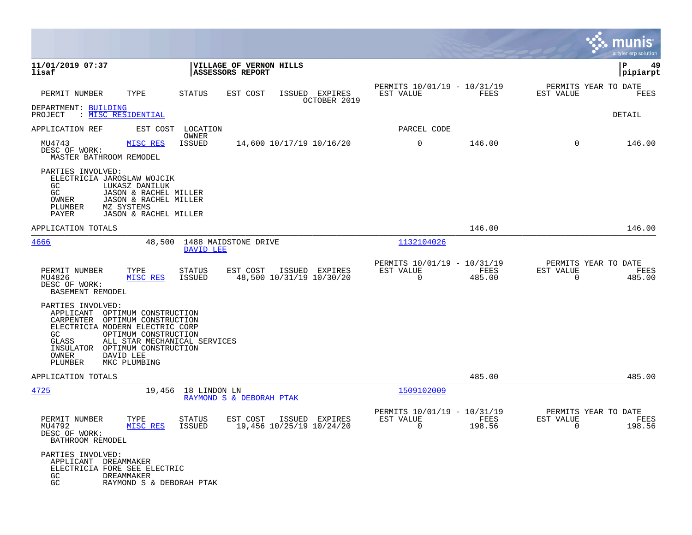|                                                                                                                                                                                                                                                          |                                                                            |                                                         |                |                                                  | <b>INIS</b><br>a tyler erp solution |
|----------------------------------------------------------------------------------------------------------------------------------------------------------------------------------------------------------------------------------------------------------|----------------------------------------------------------------------------|---------------------------------------------------------|----------------|--------------------------------------------------|-------------------------------------|
| 11/01/2019 07:37<br>lisaf                                                                                                                                                                                                                                | VILLAGE OF VERNON HILLS<br>ASSESSORS REPORT                                |                                                         |                |                                                  | l P<br>49<br> pipiarpt              |
| TYPE<br>PERMIT NUMBER                                                                                                                                                                                                                                    | <b>STATUS</b><br>EST COST<br>ISSUED EXPIRES<br>OCTOBER 2019                | PERMITS 10/01/19 - 10/31/19<br>EST VALUE                | FEES           | PERMITS YEAR TO DATE<br>EST VALUE                | FEES                                |
| DEPARTMENT: BUILDING<br>: MISC RESIDENTIAL<br>PROJECT                                                                                                                                                                                                    |                                                                            |                                                         |                |                                                  | DETAIL                              |
| APPLICATION REF                                                                                                                                                                                                                                          | EST COST LOCATION<br>OWNER                                                 | PARCEL CODE                                             |                |                                                  |                                     |
| MU4743<br>MISC RES<br>DESC OF WORK:<br>MASTER BATHROOM REMODEL                                                                                                                                                                                           | ISSUED<br>14,600 10/17/19 10/16/20                                         | $\mathsf{O}$                                            | 146.00         | $\Omega$                                         | 146.00                              |
| PARTIES INVOLVED:<br>ELECTRICIA JAROSLAW WOJCIK<br>GC.<br>LUKASZ DANILUK<br>GC<br>JASON & RACHEL MILLER<br>OWNER<br>JASON & RACHEL MILLER<br>MZ SYSTEMS<br>PLUMBER<br>PAYER<br>JASON & RACHEL MILLER                                                     |                                                                            |                                                         |                |                                                  |                                     |
| APPLICATION TOTALS                                                                                                                                                                                                                                       |                                                                            |                                                         | 146.00         |                                                  | 146.00                              |
| 4666                                                                                                                                                                                                                                                     | 48,500 1488 MAIDSTONE DRIVE<br>DAVID LEE                                   | 1132104026                                              |                |                                                  |                                     |
| PERMIT NUMBER<br>TYPE<br>MU4826<br>MISC RES<br>DESC OF WORK:<br>BASEMENT REMODEL                                                                                                                                                                         | EST COST<br>ISSUED EXPIRES<br>STATUS<br>48,500 10/31/19 10/30/20<br>ISSUED | PERMITS 10/01/19 - 10/31/19<br>EST VALUE<br>0           | FEES<br>485.00 | PERMITS YEAR TO DATE<br><b>EST VALUE</b><br>0    | FEES<br>485.00                      |
| PARTIES INVOLVED:<br>APPLICANT OPTIMUM CONSTRUCTION<br>CARPENTER<br>OPTIMUM CONSTRUCTION<br>ELECTRICIA MODERN ELECTRIC CORP<br>GC<br>OPTIMUM CONSTRUCTION<br>GLASS<br>INSULATOR<br>OPTIMUM CONSTRUCTION<br>OWNER<br>DAVID LEE<br>PLUMBER<br>MKC PLUMBING | ALL STAR MECHANICAL SERVICES                                               |                                                         |                |                                                  |                                     |
| APPLICATION TOTALS                                                                                                                                                                                                                                       |                                                                            |                                                         | 485.00         |                                                  | 485.00                              |
| 4725<br>19,456                                                                                                                                                                                                                                           | 18 LINDON LN<br>RAYMOND S & DEBORAH PTAK                                   | 1509102009                                              |                |                                                  |                                     |
| PERMIT NUMBER<br>TYPE<br>MU4792<br>MISC RES<br>DESC OF WORK:<br>BATHROOM REMODEL                                                                                                                                                                         | EST COST<br>ISSUED EXPIRES<br>STATUS<br>ISSUED<br>19,456 10/25/19 10/24/20 | PERMITS 10/01/19 - 10/31/19<br>EST VALUE<br>$\mathbf 0$ | FEES<br>198.56 | PERMITS YEAR TO DATE<br>EST VALUE<br>$\mathbf 0$ | FEES<br>198.56                      |
| PARTIES INVOLVED:<br>APPLICANT DREAMMAKER<br>ELECTRICIA FORE SEE ELECTRIC<br>GC<br>DREAMMAKER<br>GC<br>RAYMOND S & DEBORAH PTAK                                                                                                                          |                                                                            |                                                         |                |                                                  |                                     |

the contract of the contract of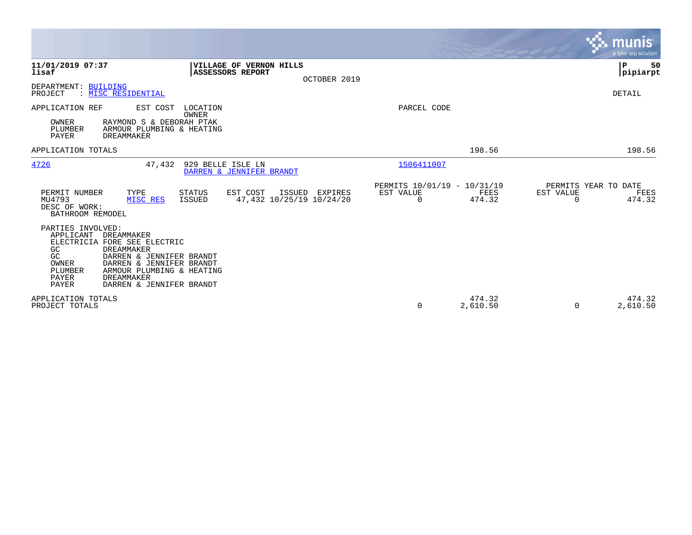|                                                                                                                                                                                                                                                                      |                                                                                   |                                                      |                    |                                               | munis<br>a tyler erp solution |
|----------------------------------------------------------------------------------------------------------------------------------------------------------------------------------------------------------------------------------------------------------------------|-----------------------------------------------------------------------------------|------------------------------------------------------|--------------------|-----------------------------------------------|-------------------------------|
| 11/01/2019 07:37<br>lisaf                                                                                                                                                                                                                                            | VILLAGE OF VERNON HILLS<br><b>ASSESSORS REPORT</b><br>OCTOBER 2019                |                                                      |                    |                                               | ΙP<br>50<br> pipiarpt         |
| DEPARTMENT: BUILDING<br>: MISC RESIDENTIAL<br>PROJECT                                                                                                                                                                                                                |                                                                                   |                                                      |                    |                                               | DETAIL                        |
| APPLICATION REF<br>EST COST<br><b>OWNER</b><br>RAYMOND S & DEBORAH PTAK<br>PLUMBER<br>ARMOUR PLUMBING & HEATING<br>PAYER<br><b>DREAMMAKER</b>                                                                                                                        | LOCATION<br>OWNER                                                                 | PARCEL CODE                                          |                    |                                               |                               |
| APPLICATION TOTALS                                                                                                                                                                                                                                                   |                                                                                   |                                                      | 198.56             |                                               | 198.56                        |
| 4726<br>47,432                                                                                                                                                                                                                                                       | 929 BELLE ISLE LN<br>DARREN & JENNIFER BRANDT                                     | 1506411007                                           |                    |                                               |                               |
| PERMIT NUMBER<br>TYPE<br>MU4793<br>MISC RES<br>DESC OF WORK:<br>BATHROOM REMODEL<br>PARTIES INVOLVED:                                                                                                                                                                | EST COST<br><b>STATUS</b><br>ISSUED EXPIRES<br>47,432 10/25/19 10/24/20<br>ISSUED | PERMITS 10/01/19 - 10/31/19<br>EST VALUE<br>$\Omega$ | FEES<br>474.32     | PERMITS YEAR TO DATE<br>EST VALUE<br>$\Omega$ | FEES<br>474.32                |
| APPLICANT<br>DREAMMAKER<br>ELECTRICIA FORE SEE ELECTRIC<br>GC<br><b>DREAMMAKER</b><br>GC<br>DARREN & JENNIFER BRANDT<br>OWNER<br>DARREN & JENNIFER BRANDT<br>PLUMBER<br>ARMOUR PLUMBING & HEATING<br>PAYER<br><b>DREAMMAKER</b><br>PAYER<br>DARREN & JENNIFER BRANDT |                                                                                   |                                                      |                    |                                               |                               |
| APPLICATION TOTALS<br>PROJECT TOTALS                                                                                                                                                                                                                                 |                                                                                   | 0                                                    | 474.32<br>2,610.50 | $\Omega$                                      | 474.32<br>2,610.50            |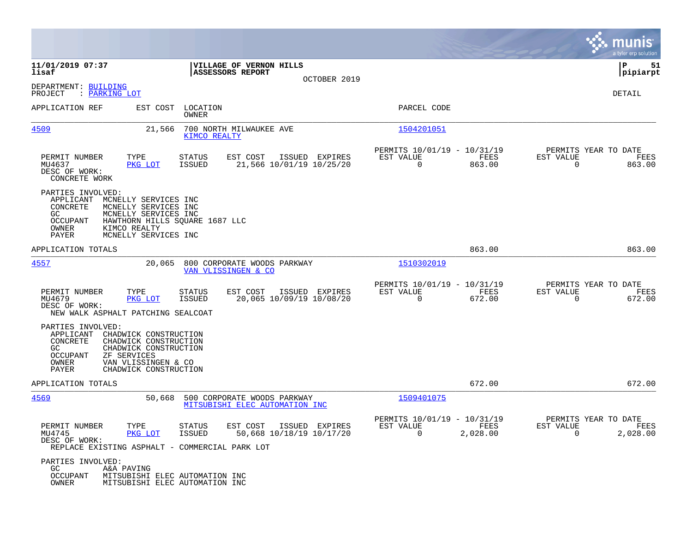|                                                                                                                                                                                                                                         |                                                                                                                                     |                                                                        | munis<br>a tyler erp solution                                      |
|-----------------------------------------------------------------------------------------------------------------------------------------------------------------------------------------------------------------------------------------|-------------------------------------------------------------------------------------------------------------------------------------|------------------------------------------------------------------------|--------------------------------------------------------------------|
| 11/01/2019 07:37<br>lisaf                                                                                                                                                                                                               | VILLAGE OF VERNON HILLS<br>ASSESSORS REPORT                                                                                         |                                                                        | ΙP<br>51<br> pipiarpt                                              |
| DEPARTMENT: BUILDING                                                                                                                                                                                                                    | OCTOBER 2019                                                                                                                        |                                                                        |                                                                    |
| : <u>PARKING LOT</u><br>PROJECT                                                                                                                                                                                                         |                                                                                                                                     |                                                                        | DETAIL                                                             |
| APPLICATION REF<br>EST COST                                                                                                                                                                                                             | LOCATION<br>OWNER                                                                                                                   | PARCEL CODE                                                            |                                                                    |
| <u>4509</u>                                                                                                                                                                                                                             | 21,566<br>700 NORTH MILWAUKEE AVE<br>KIMCO REALTY                                                                                   | 1504201051                                                             |                                                                    |
| PERMIT NUMBER<br>TYPE<br>MU4637<br>PKG LOT<br>DESC OF WORK:<br>CONCRETE WORK                                                                                                                                                            | <b>STATUS</b><br>EST COST<br>ISSUED EXPIRES<br><b>ISSUED</b><br>21,566 10/01/19 10/25/20                                            | PERMITS 10/01/19 - 10/31/19<br>EST VALUE<br>FEES<br>0<br>863.00        | PERMITS YEAR TO DATE<br>EST VALUE<br>FEES<br>$\mathbf 0$<br>863.00 |
| PARTIES INVOLVED:<br>APPLICANT<br>MCNELLY SERVICES INC<br>CONCRETE<br>MCNELLY SERVICES INC<br>GC.<br>MCNELLY SERVICES INC<br>OCCUPANT<br>OWNER<br>KIMCO REALTY<br>PAYER<br>MCNELLY SERVICES INC                                         | HAWTHORN HILLS SQUARE 1687 LLC                                                                                                      |                                                                        |                                                                    |
| APPLICATION TOTALS                                                                                                                                                                                                                      |                                                                                                                                     | 863.00                                                                 | 863.00                                                             |
| 4557                                                                                                                                                                                                                                    | 20,065<br>800 CORPORATE WOODS PARKWAY<br>VAN VLISSINGEN & CO                                                                        | 1510302019                                                             |                                                                    |
| PERMIT NUMBER<br>TYPE<br>MU4679<br>PKG LOT<br>DESC OF WORK:<br>NEW WALK ASPHALT PATCHING SEALCOAT                                                                                                                                       | <b>STATUS</b><br>EST COST<br>ISSUED EXPIRES<br><b>ISSUED</b><br>20,065 10/09/19 10/08/20                                            | PERMITS 10/01/19 - 10/31/19<br>EST VALUE<br>FEES<br>$\Omega$<br>672.00 | PERMITS YEAR TO DATE<br>EST VALUE<br>FEES<br>$\mathbf 0$<br>672.00 |
| PARTIES INVOLVED:<br>APPLICANT<br>CHADWICK CONSTRUCTION<br>CONCRETE<br>CHADWICK CONSTRUCTION<br>CHADWICK CONSTRUCTION<br>GC.<br><b>OCCUPANT</b><br>ZF SERVICES<br>OWNER<br>VAN VLISSINGEN & CO<br><b>PAYER</b><br>CHADWICK CONSTRUCTION |                                                                                                                                     |                                                                        |                                                                    |
| APPLICATION TOTALS                                                                                                                                                                                                                      |                                                                                                                                     | 672.00                                                                 | 672.00                                                             |
| 4569                                                                                                                                                                                                                                    | 50,668<br>500 CORPORATE WOODS PARKWAY<br>MITSUBISHI ELEC AUTOMATION INC                                                             | 1509401075                                                             |                                                                    |
| TYPE<br>PERMIT NUMBER<br>MU4745<br>PKG LOT<br>DESC OF WORK:                                                                                                                                                                             | EST COST<br>STATUS<br>ISSUED EXPIRES<br><b>ISSUED</b><br>50,668 10/18/19 10/17/20<br>REPLACE EXISTING ASPHALT - COMMERCIAL PARK LOT | PERMITS 10/01/19 - 10/31/19<br>EST VALUE<br>FEES<br>0<br>2,028.00      | PERMITS YEAR TO DATE<br>EST VALUE<br>FEES<br>0<br>2,028.00         |
| PARTIES INVOLVED:<br>GC<br>A&A PAVING<br>OCCUPANT<br>OWNER                                                                                                                                                                              | MITSUBISHI ELEC AUTOMATION INC<br>MITSUBISHI ELEC AUTOMATION INC                                                                    |                                                                        |                                                                    |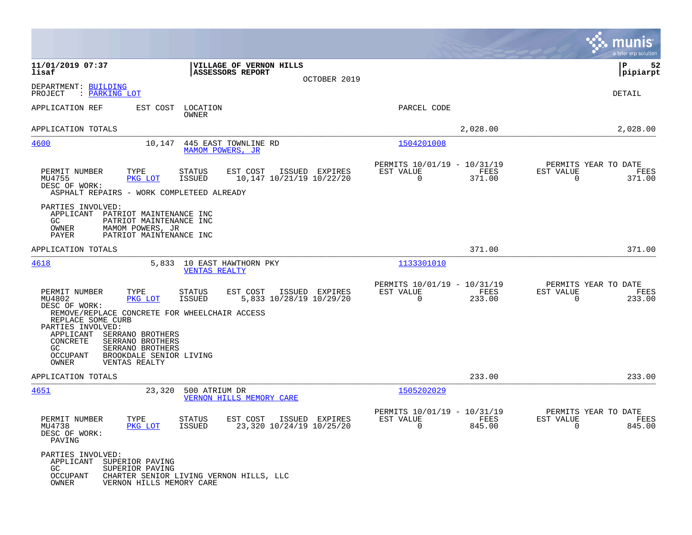|                                                                                                                                                               |                                                                                                   |                                                        |              |                                                                      |                |                                                     | munis<br>a tyler erp solution |
|---------------------------------------------------------------------------------------------------------------------------------------------------------------|---------------------------------------------------------------------------------------------------|--------------------------------------------------------|--------------|----------------------------------------------------------------------|----------------|-----------------------------------------------------|-------------------------------|
| 11/01/2019 07:37<br>lisaf                                                                                                                                     |                                                                                                   | VILLAGE OF VERNON HILLS<br><b>ASSESSORS REPORT</b>     |              |                                                                      |                |                                                     | 52<br>IΡ<br> pipiarpt         |
| DEPARTMENT: BUILDING                                                                                                                                          |                                                                                                   |                                                        | OCTOBER 2019 |                                                                      |                |                                                     |                               |
| PROJECT<br>: <u>PARKING LOT</u>                                                                                                                               |                                                                                                   |                                                        |              |                                                                      |                |                                                     | DETAIL                        |
| APPLICATION REF                                                                                                                                               | LOCATION<br>EST COST<br>OWNER                                                                     |                                                        |              | PARCEL CODE                                                          |                |                                                     |                               |
| APPLICATION TOTALS                                                                                                                                            |                                                                                                   |                                                        |              |                                                                      | 2,028.00       |                                                     | 2,028.00                      |
| 4600                                                                                                                                                          | 10,147<br>MAMOM POWERS, JR                                                                        | 445 EAST TOWNLINE RD                                   |              | 1504201008                                                           |                |                                                     |                               |
| PERMIT NUMBER<br>MU4755<br>DESC OF WORK:<br>ASPHALT REPAIRS - WORK COMPLETEED ALREADY                                                                         | TYPE<br><b>STATUS</b><br>PKG LOT<br>ISSUED                                                        | EST COST<br>ISSUED EXPIRES<br>10,147 10/21/19 10/22/20 |              | PERMITS 10/01/19 - 10/31/19<br>EST VALUE<br>0                        | FEES<br>371.00 | PERMITS YEAR TO DATE<br>EST VALUE<br>0              | FEES<br>371.00                |
| PARTIES INVOLVED:<br>APPLICANT<br>GC.<br>OWNER<br><b>PAYER</b>                                                                                                | PATRIOT MAINTENANCE INC<br>PATRIOT MAINTENANCE INC<br>MAMOM POWERS, JR<br>PATRIOT MAINTENANCE INC |                                                        |              |                                                                      |                |                                                     |                               |
| APPLICATION TOTALS                                                                                                                                            |                                                                                                   |                                                        |              |                                                                      | 371.00         |                                                     | 371.00                        |
| <u>4618</u>                                                                                                                                                   | 5,833 10 EAST HAWTHORN PKY<br><b>VENTAS REALTY</b>                                                |                                                        |              | 1133301010                                                           |                |                                                     |                               |
| PERMIT NUMBER<br>MU4802<br>DESC OF WORK:                                                                                                                      | TYPE<br><b>STATUS</b><br>PKG LOT<br>ISSUED                                                        | EST COST<br>ISSUED EXPIRES<br>5,833 10/28/19 10/29/20  |              | PERMITS 10/01/19 - 10/31/19<br>EST VALUE<br>0                        | FEES<br>233.00 | PERMITS YEAR TO DATE<br>EST VALUE<br>0              | FEES<br>233.00                |
| REMOVE/REPLACE CONCRETE FOR WHEELCHAIR ACCESS<br>REPLACE SOME CURB<br>PARTIES INVOLVED:<br>APPLICANT<br>CONCRETE<br>GC.<br>OCCUPANT<br>OWNER<br>VENTAS REALTY | SERRANO BROTHERS<br>SERRANO BROTHERS<br>SERRANO BROTHERS<br>BROOKDALE SENIOR LIVING               |                                                        |              |                                                                      |                |                                                     |                               |
| APPLICATION TOTALS                                                                                                                                            |                                                                                                   |                                                        |              |                                                                      | 233.00         |                                                     | 233.00                        |
| <u>4651</u>                                                                                                                                                   | 23,320<br>500 ATRIUM DR                                                                           | <b>VERNON HILLS MEMORY CARE</b>                        |              | 1505202029                                                           |                |                                                     |                               |
| PERMIT NUMBER<br>MU4738<br>DESC OF WORK:<br>PAVING                                                                                                            | TYPE<br><b>STATUS</b><br>ISSUED<br>PKG LOT                                                        | EST COST<br>ISSUED<br>23,320 10/24/19 10/25/20         | EXPIRES      | PERMITS 10/01/19 - 10/31/19<br>EST VALUE<br>$\overline{\phantom{0}}$ | FEES<br>845.00 | PERMITS YEAR TO DATE<br>EST VALUE<br>$\overline{0}$ | FEES<br>845.00                |
| PARTIES INVOLVED:<br>APPLICANT SUPERIOR PAVING<br>GC<br>OCCUPANT<br>OWNER                                                                                     | SUPERIOR PAVING<br>CHARTER SENIOR LIVING VERNON HILLS, LLC<br>VERNON HILLS MEMORY CARE            |                                                        |              |                                                                      |                |                                                     |                               |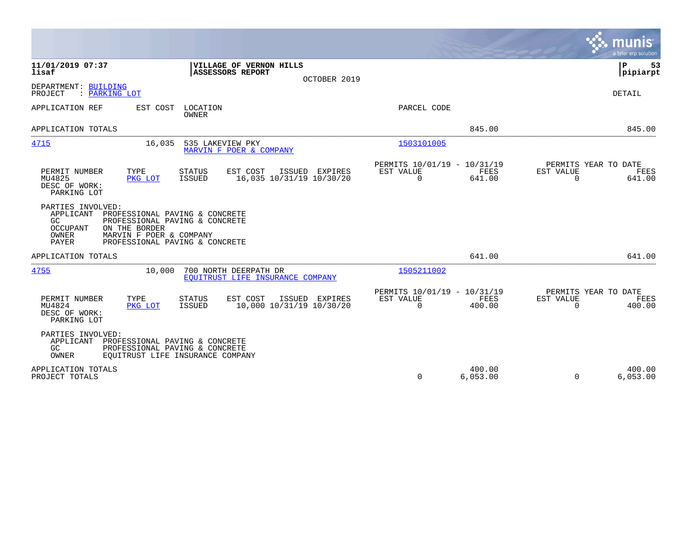|                                                                                                                                                                                                                       |                                                                        | munis<br>a tyler erp solution                                   |
|-----------------------------------------------------------------------------------------------------------------------------------------------------------------------------------------------------------------------|------------------------------------------------------------------------|-----------------------------------------------------------------|
| 11/01/2019 07:37<br>VILLAGE OF VERNON HILLS<br>lisaf<br><b>ASSESSORS REPORT</b><br>OCTOBER 2019                                                                                                                       |                                                                        | P<br>53<br> pipiarpt                                            |
| DEPARTMENT: BUILDING<br>PROJECT<br>: PARKING LOT                                                                                                                                                                      |                                                                        | <b>DETAIL</b>                                                   |
| APPLICATION REF<br>EST COST<br>LOCATION<br>OWNER                                                                                                                                                                      | PARCEL CODE                                                            |                                                                 |
| APPLICATION TOTALS                                                                                                                                                                                                    | 845.00                                                                 | 845.00                                                          |
| 4715<br>16,035<br>535 LAKEVIEW PKY<br>MARVIN F POER & COMPANY                                                                                                                                                         | 1503101005                                                             |                                                                 |
| TYPE<br>EST COST<br>ISSUED EXPIRES<br>PERMIT NUMBER<br>STATUS<br>MU4825<br>16,035 10/31/19 10/30/20<br>PKG LOT<br>ISSUED<br>DESC OF WORK:<br>PARKING LOT                                                              | PERMITS 10/01/19 - 10/31/19<br>EST VALUE<br>FEES<br>$\Omega$<br>641.00 | PERMITS YEAR TO DATE<br>EST VALUE<br>FEES<br>$\Omega$<br>641.00 |
| PARTIES INVOLVED:<br>APPLICANT<br>PROFESSIONAL PAVING & CONCRETE<br>PROFESSIONAL PAVING & CONCRETE<br>GC.<br>OCCUPANT<br>ON THE BORDER<br>OWNER<br>MARVIN F POER & COMPANY<br>PAYER<br>PROFESSIONAL PAVING & CONCRETE |                                                                        |                                                                 |
| APPLICATION TOTALS                                                                                                                                                                                                    | 641.00                                                                 | 641.00                                                          |
| 4755<br>700 NORTH DEERPATH DR<br>10,000<br>EOUITRUST LIFE INSURANCE COMPANY                                                                                                                                           | 1505211002                                                             |                                                                 |
| PERMIT NUMBER<br>TYPE<br><b>STATUS</b><br>EST COST<br>ISSUED EXPIRES<br>MU4824<br>10,000 10/31/19 10/30/20<br>PKG LOT<br>ISSUED<br>DESC OF WORK:<br>PARKING LOT                                                       | PERMITS 10/01/19 - 10/31/19<br>FEES<br>EST VALUE<br>$\Omega$<br>400.00 | PERMITS YEAR TO DATE<br>EST VALUE<br>FEES<br>$\Omega$<br>400.00 |
| PARTIES INVOLVED:<br>APPLICANT<br>PROFESSIONAL PAVING & CONCRETE<br>GC.<br>PROFESSIONAL PAVING & CONCRETE<br>OWNER<br>EOUITRUST LIFE INSURANCE COMPANY                                                                |                                                                        |                                                                 |
| APPLICATION TOTALS<br>PROJECT TOTALS                                                                                                                                                                                  | 400.00<br>0<br>6,053.00                                                | 400.00<br>6,053.00<br>$\Omega$                                  |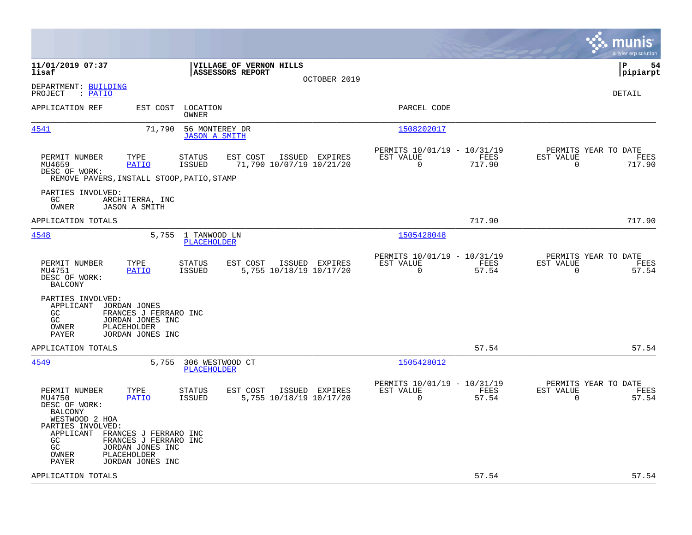|                                                                                                                                                                                                                                                         |                                                                           | munis<br>a tyler erp solution                                      |
|---------------------------------------------------------------------------------------------------------------------------------------------------------------------------------------------------------------------------------------------------------|---------------------------------------------------------------------------|--------------------------------------------------------------------|
| 11/01/2019 07:37<br>VILLAGE OF VERNON HILLS<br>lisaf<br><b>ASSESSORS REPORT</b><br>OCTOBER 2019                                                                                                                                                         |                                                                           | l P<br>54<br> pipiarpt                                             |
| DEPARTMENT: BUILDING<br>: PATIO<br>PROJECT                                                                                                                                                                                                              |                                                                           | DETAIL                                                             |
| APPLICATION REF<br>EST COST LOCATION<br>OWNER                                                                                                                                                                                                           | PARCEL CODE                                                               |                                                                    |
| 4541<br>71,790<br>56 MONTEREY DR<br><b>JASON A SMITH</b>                                                                                                                                                                                                | 1508202017                                                                |                                                                    |
| PERMIT NUMBER<br>TYPE<br><b>STATUS</b><br>EST COST<br>ISSUED EXPIRES<br>71,790 10/07/19 10/21/20<br>MU4659<br>PATIO<br>ISSUED<br>DESC OF WORK:<br>REMOVE PAVERS, INSTALL STOOP, PATIO, STAMP                                                            | PERMITS 10/01/19 - 10/31/19<br>FEES<br>EST VALUE<br>$\mathbf 0$<br>717.90 | PERMITS YEAR TO DATE<br>EST VALUE<br>FEES<br>$\mathbf 0$<br>717.90 |
| PARTIES INVOLVED:<br>GC<br>ARCHITERRA, INC<br>OWNER<br><b>JASON A SMITH</b>                                                                                                                                                                             |                                                                           |                                                                    |
| APPLICATION TOTALS                                                                                                                                                                                                                                      | 717.90                                                                    | 717.90                                                             |
| 4548<br>5,755 1 TANWOOD LN<br><b>PLACEHOLDER</b>                                                                                                                                                                                                        | 1505428048                                                                |                                                                    |
| PERMIT NUMBER<br>TYPE<br><b>STATUS</b><br>EST COST<br>ISSUED EXPIRES<br>MU4751<br>PATIO<br><b>ISSUED</b><br>5,755 10/18/19 10/17/20<br>DESC OF WORK:<br>BALCONY                                                                                         | PERMITS 10/01/19 - 10/31/19<br>EST VALUE<br>FEES<br>$\Omega$<br>57.54     | PERMITS YEAR TO DATE<br>EST VALUE<br>FEES<br>57.54<br>$\Omega$     |
| PARTIES INVOLVED:<br>APPLICANT JORDAN JONES<br>GC.<br>FRANCES J FERRARO INC<br>GC<br>JORDAN JONES INC<br>PLACEHOLDER<br>OWNER<br>PAYER<br>JORDAN JONES INC                                                                                              |                                                                           |                                                                    |
| APPLICATION TOTALS                                                                                                                                                                                                                                      | 57.54                                                                     | 57.54                                                              |
| 4549<br>5,755<br>306 WESTWOOD CT<br><b>PLACEHOLDER</b>                                                                                                                                                                                                  | 1505428012                                                                |                                                                    |
| <b>STATUS</b><br>ISSUED EXPIRES<br>PERMIT NUMBER<br>TYPE<br>EST COST<br><b>ISSUED</b><br>5,755 10/18/19 10/17/20<br>MU4750<br><b>PATIO</b><br>DESC OF WORK:<br><b>BALCONY</b><br>WESTWOOD 2 HOA<br>PARTIES INVOLVED:<br>APPLICANT FRANCES J FERRARO INC | PERMITS 10/01/19 - 10/31/19<br>EST VALUE<br>FEES<br>0<br>57.54            | PERMITS YEAR TO DATE<br>EST VALUE<br>FEES<br>$\mathbf 0$<br>57.54  |
| GC<br>FRANCES J FERRARO INC<br>GC<br>JORDAN JONES INC<br>PLACEHOLDER<br>OWNER<br>PAYER<br>JORDAN JONES INC                                                                                                                                              |                                                                           |                                                                    |
| APPLICATION TOTALS                                                                                                                                                                                                                                      | 57.54                                                                     | 57.54                                                              |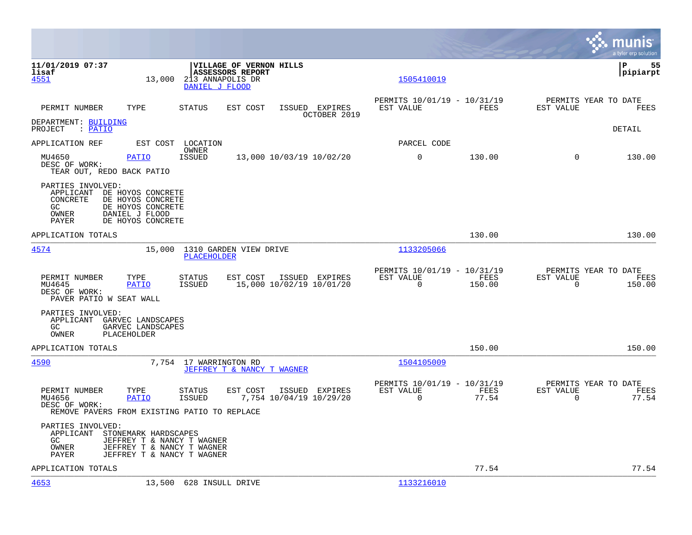|                                                                                                                                                                                                      |                                                                                                    | munis<br>a tyler erp solution          |
|------------------------------------------------------------------------------------------------------------------------------------------------------------------------------------------------------|----------------------------------------------------------------------------------------------------|----------------------------------------|
| 11/01/2019 07:37<br><b>VILLAGE OF VERNON HILLS</b><br>lisaf<br><b>ASSESSORS REPORT</b><br>4551<br>13,000<br>213 ANNAPOLIS DR<br>DANIEL J FLOOD                                                       | 1505410019                                                                                         | l P<br>55<br> pipiarpt                 |
| PERMIT NUMBER<br>TYPE<br>STATUS<br>EST COST<br>ISSUED EXPIRES                                                                                                                                        | PERMITS 10/01/19 - 10/31/19<br>EST VALUE<br>FEES<br>EST VALUE<br>OCTOBER 2019                      | PERMITS YEAR TO DATE<br>FEES           |
| DEPARTMENT: BUILDING<br>PROJECT : PATIO                                                                                                                                                              |                                                                                                    | <b>DETAIL</b>                          |
| APPLICATION REF<br>EST COST LOCATION<br>OWNER                                                                                                                                                        | PARCEL CODE                                                                                        |                                        |
| MU4650<br><b>ISSUED</b><br>13,000 10/03/19 10/02/20<br>PATIO<br>DESC OF WORK:<br>TEAR OUT, REDO BACK PATIO                                                                                           | $\mathbf 0$<br>$\Omega$<br>130.00                                                                  | 130.00                                 |
| PARTIES INVOLVED:<br>APPLICANT DE HOYOS CONCRETE<br>DE HOYOS CONCRETE<br>CONCRETE<br>GC<br>DE HOYOS CONCRETE<br>DANIEL J FLOOD<br>OWNER<br>DE HOYOS CONCRETE<br>PAYER                                |                                                                                                    |                                        |
| APPLICATION TOTALS                                                                                                                                                                                   | 130.00                                                                                             | 130.00                                 |
| 4574<br>15,000<br>1310 GARDEN VIEW DRIVE<br><b>PLACEHOLDER</b>                                                                                                                                       | 1133205066                                                                                         |                                        |
| PERMIT NUMBER<br>TYPE<br>STATUS<br>EST COST<br>ISSUED EXPIRES<br>15,000 10/02/19 10/01/20<br>MU4645<br><b>PATIO</b><br>ISSUED<br>DESC OF WORK:<br>PAVER PATIO W SEAT WALL                            | PERMITS 10/01/19 - 10/31/19<br>EST VALUE<br>FEES<br>EST VALUE<br>$\Omega$<br>$\mathbf 0$<br>150.00 | PERMITS YEAR TO DATE<br>FEES<br>150.00 |
| PARTIES INVOLVED:<br>APPLICANT<br>GARVEC LANDSCAPES<br>GARVEC LANDSCAPES<br>GC.<br>PLACEHOLDER<br>OWNER                                                                                              |                                                                                                    |                                        |
| APPLICATION TOTALS                                                                                                                                                                                   | 150.00                                                                                             | 150.00                                 |
| 4590<br>7,754 17 WARRINGTON RD<br>JEFFREY T & NANCY T WAGNER                                                                                                                                         | 1504105009                                                                                         |                                        |
| PERMIT NUMBER<br>TYPE<br><b>STATUS</b><br>EST COST<br>ISSUED EXPIRES<br>MU4656<br>7,754 10/04/19 10/29/20<br><b>PATIO</b><br>ISSUED<br>DESC OF WORK:<br>REMOVE PAVERS FROM EXISTING PATIO TO REPLACE | PERMITS 10/01/19 - 10/31/19<br>EST VALUE<br>FEES<br>EST VALUE<br>$\Omega$<br>77.54<br>$\Omega$     | PERMITS YEAR TO DATE<br>FEES<br>77.54  |
| PARTIES INVOLVED:<br>APPLICANT<br>STONEMARK HARDSCAPES<br>JEFFREY T & NANCY T WAGNER<br>GC.<br>OWNER<br>JEFFREY T & NANCY T WAGNER<br>JEFFREY T & NANCY T WAGNER<br>PAYER                            |                                                                                                    |                                        |
| APPLICATION TOTALS                                                                                                                                                                                   | 77.54                                                                                              | 77.54                                  |
| 4653<br>13,500 628 INSULL DRIVE                                                                                                                                                                      | 1133216010                                                                                         |                                        |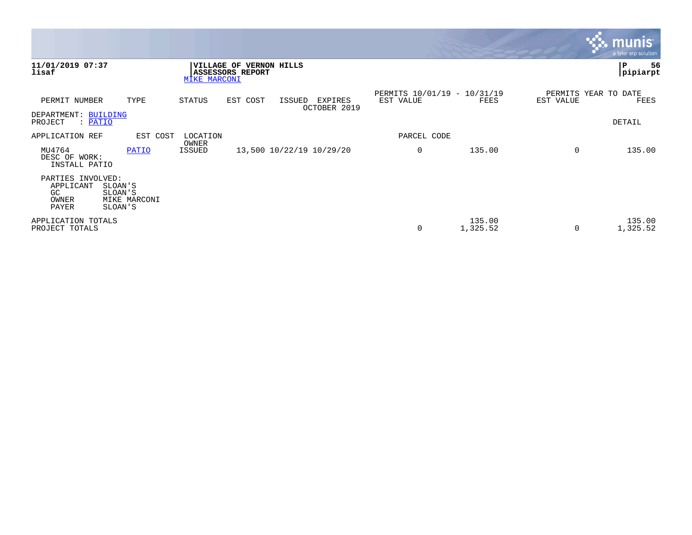|                                                         |                                               |                     |                                             |        |                          |                                          |                    |           | <b>munis</b><br>a tyler erp solution |
|---------------------------------------------------------|-----------------------------------------------|---------------------|---------------------------------------------|--------|--------------------------|------------------------------------------|--------------------|-----------|--------------------------------------|
| 11/01/2019 07:37<br>lisaf                               |                                               | <b>MIKE MARCONI</b> | VILLAGE OF VERNON HILLS<br>ASSESSORS REPORT |        |                          |                                          |                    |           | $\mathbf P$<br>56<br>pipiarpt        |
| PERMIT NUMBER                                           | TYPE                                          | <b>STATUS</b>       | EST COST                                    | ISSUED | EXPIRES<br>OCTOBER 2019  | PERMITS 10/01/19 - 10/31/19<br>EST VALUE | FEES               | EST VALUE | PERMITS YEAR TO DATE<br>FEES         |
| DEPARTMENT: BUILDING<br>PROJECT<br>: PATIO              |                                               |                     |                                             |        |                          |                                          |                    |           | DETAIL                               |
| APPLICATION REF                                         | EST COST                                      | LOCATION<br>OWNER   |                                             |        |                          | PARCEL CODE                              |                    |           |                                      |
| MU4764<br>DESC OF WORK:<br>INSTALL PATIO                | <b>PATIO</b>                                  | ISSUED              |                                             |        | 13,500 10/22/19 10/29/20 | 0                                        | 135.00             | $\Omega$  | 135.00                               |
| PARTIES INVOLVED:<br>APPLICANT<br>GC.<br>OWNER<br>PAYER | SLOAN'S<br>SLOAN'S<br>MIKE MARCONI<br>SLOAN'S |                     |                                             |        |                          |                                          |                    |           |                                      |
| APPLICATION TOTALS<br>PROJECT TOTALS                    |                                               |                     |                                             |        |                          | 0                                        | 135.00<br>1,325.52 | $\Omega$  | 135.00<br>1,325.52                   |

the contract of the contract of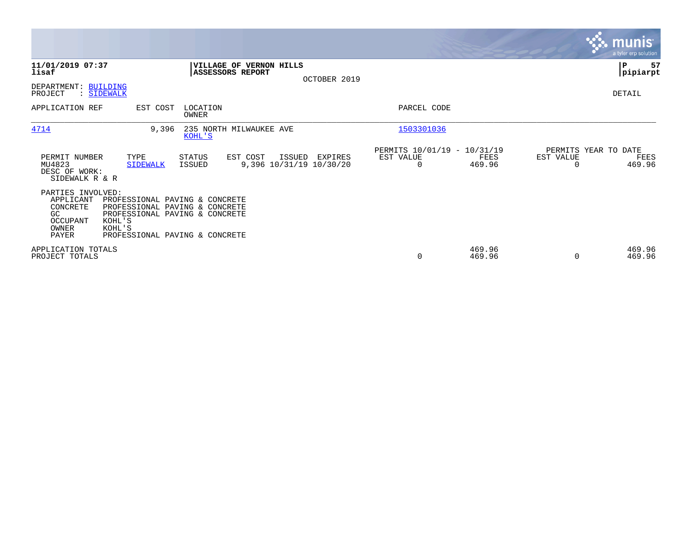|                                                                                                                                                                                                                                             | <b>munis</b><br>a tyler erp solution                                                                                   |
|---------------------------------------------------------------------------------------------------------------------------------------------------------------------------------------------------------------------------------------------|------------------------------------------------------------------------------------------------------------------------|
| 11/01/2019 07:37<br>VILLAGE OF VERNON HILLS<br>lisaf<br>ASSESSORS REPORT<br>OCTOBER 2019                                                                                                                                                    | 57<br>l P<br> pipiarpt                                                                                                 |
| DEPARTMENT: BUILDING<br>PROJECT<br>: SIDEWALK                                                                                                                                                                                               | DETAIL                                                                                                                 |
| LOCATION<br>APPLICATION REF<br>EST COST<br>OWNER                                                                                                                                                                                            | PARCEL CODE                                                                                                            |
| 4714<br>235 NORTH MILWAUKEE AVE<br>9,396<br>KOHL'S                                                                                                                                                                                          | 1503301036                                                                                                             |
| PERMIT NUMBER<br>TYPE<br><b>STATUS</b><br>EST COST<br>ISSUED<br>EXPIRES<br>MU4823<br>9,396 10/31/19 10/30/20<br><b>ISSUED</b><br><b>SIDEWALK</b><br>DESC OF WORK:<br>SIDEWALK R & R                                                         | PERMITS 10/01/19 - 10/31/19<br>PERMITS YEAR TO DATE<br>EST VALUE<br>EST VALUE<br>FEES<br>FEES<br>469.96<br>469.96<br>0 |
| PARTIES INVOLVED:<br>APPLICANT<br>PROFESSIONAL PAVING & CONCRETE<br>CONCRETE<br>PROFESSIONAL PAVING & CONCRETE<br>PROFESSIONAL PAVING & CONCRETE<br>GC.<br>OCCUPANT<br>KOHL'S<br>KOHL'S<br>OWNER<br>PAYER<br>PROFESSIONAL PAVING & CONCRETE |                                                                                                                        |
| APPLICATION TOTALS<br>PROJECT TOTALS                                                                                                                                                                                                        | 469.96<br>469.96<br>469.96<br>0<br>469.96                                                                              |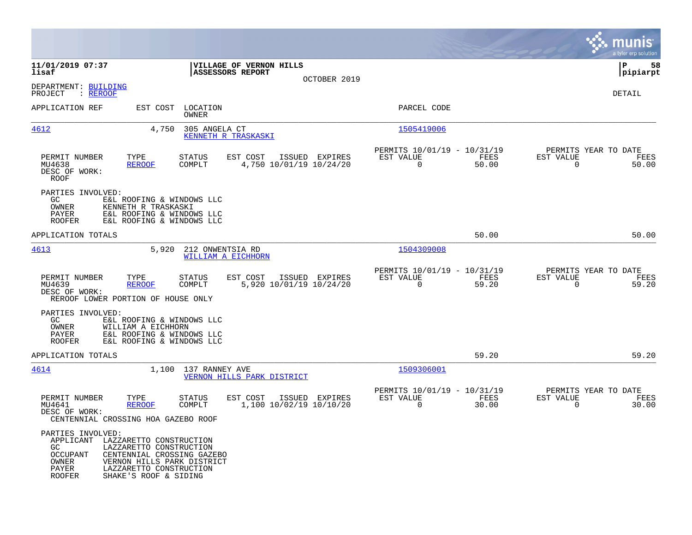|                                                                                      |                                                                                                                                                                    |                |                                                         |               |                                                  | munis<br>a tyler erp solution |
|--------------------------------------------------------------------------------------|--------------------------------------------------------------------------------------------------------------------------------------------------------------------|----------------|---------------------------------------------------------|---------------|--------------------------------------------------|-------------------------------|
| 11/01/2019 07:37<br>lisaf                                                            | VILLAGE OF VERNON HILLS<br><b>ASSESSORS REPORT</b>                                                                                                                 |                |                                                         |               |                                                  | P<br>58<br> pipiarpt          |
| DEPARTMENT: BUILDING<br>: REROOF<br>PROJECT                                          |                                                                                                                                                                    | OCTOBER 2019   |                                                         |               |                                                  | <b>DETAIL</b>                 |
| APPLICATION REF                                                                      | EST COST<br>LOCATION<br>OWNER                                                                                                                                      |                | PARCEL CODE                                             |               |                                                  |                               |
| 4612                                                                                 | 4,750<br>305 ANGELA CT<br>KENNETH R TRASKASKI                                                                                                                      |                | 1505419006                                              |               |                                                  |                               |
| PERMIT NUMBER<br>MU4638<br>DESC OF WORK:<br><b>ROOF</b>                              | TYPE<br><b>STATUS</b><br>EST COST<br>4,750 10/01/19 10/24/20<br><b>REROOF</b><br>COMPLT                                                                            | ISSUED EXPIRES | PERMITS 10/01/19 - 10/31/19<br>EST VALUE<br>$\mathbf 0$ | FEES<br>50.00 | PERMITS YEAR TO DATE<br>EST VALUE<br>$\mathbf 0$ | FEES<br>50.00                 |
| PARTIES INVOLVED:<br>GC.<br>OWNER<br>PAYER<br><b>ROOFER</b>                          | E&L ROOFING & WINDOWS LLC<br>KENNETH R TRASKASKI<br>E&L ROOFING & WINDOWS LLC<br>E&L ROOFING & WINDOWS LLC                                                         |                |                                                         |               |                                                  |                               |
| APPLICATION TOTALS                                                                   |                                                                                                                                                                    |                |                                                         | 50.00         |                                                  | 50.00                         |
| 4613                                                                                 | 5,920<br>212 ONWENTSIA RD<br><b>WILLIAM A EICHHORN</b>                                                                                                             |                | 1504309008                                              |               |                                                  |                               |
| PERMIT NUMBER<br>MU4639<br>DESC OF WORK:                                             | TYPE<br><b>STATUS</b><br>EST COST<br>COMPLT<br>5,920 10/01/19 10/24/20<br><b>REROOF</b><br>REROOF LOWER PORTION OF HOUSE ONLY                                      | ISSUED EXPIRES | PERMITS 10/01/19 - 10/31/19<br>EST VALUE<br>0           | FEES<br>59.20 | PERMITS YEAR TO DATE<br>EST VALUE<br>$\mathbf 0$ | FEES<br>59.20                 |
| PARTIES INVOLVED:<br>GC<br>OWNER<br>PAYER<br><b>ROOFER</b>                           | E&L ROOFING & WINDOWS LLC<br>WILLIAM A EICHHORN<br>E&L ROOFING & WINDOWS LLC<br>E&L ROOFING & WINDOWS LLC                                                          |                |                                                         |               |                                                  |                               |
| APPLICATION TOTALS                                                                   |                                                                                                                                                                    |                |                                                         | 59.20         |                                                  | 59.20                         |
| 4614                                                                                 | 1,100<br>137 RANNEY AVE<br><b>VERNON HILLS PARK DISTRICT</b>                                                                                                       |                | 1509306001                                              |               |                                                  |                               |
| PERMIT NUMBER<br>MU4641<br>DESC OF WORK:                                             | TYPE<br><b>STATUS</b><br>EST COST<br>1,100 10/02/19 10/10/20<br><b>REROOF</b><br>COMPLT<br>CENTENNIAL CROSSING HOA GAZEBO ROOF                                     | ISSUED EXPIRES | PERMITS 10/01/19 - 10/31/19<br>EST VALUE<br>$\mathbf 0$ | FEES<br>30.00 | PERMITS YEAR TO DATE<br>EST VALUE<br>$\mathbf 0$ | FEES<br>30.00                 |
| PARTIES INVOLVED:<br>APPLICANT<br>GC.<br><b>OCCUPANT</b><br>OWNER<br>PAYER<br>ROOFER | LAZZARETTO CONSTRUCTION<br>LAZZARETTO CONSTRUCTION<br>CENTENNIAL CROSSING GAZEBO<br>VERNON HILLS PARK DISTRICT<br>LAZZARETTO CONSTRUCTION<br>SHAKE'S ROOF & SIDING |                |                                                         |               |                                                  |                               |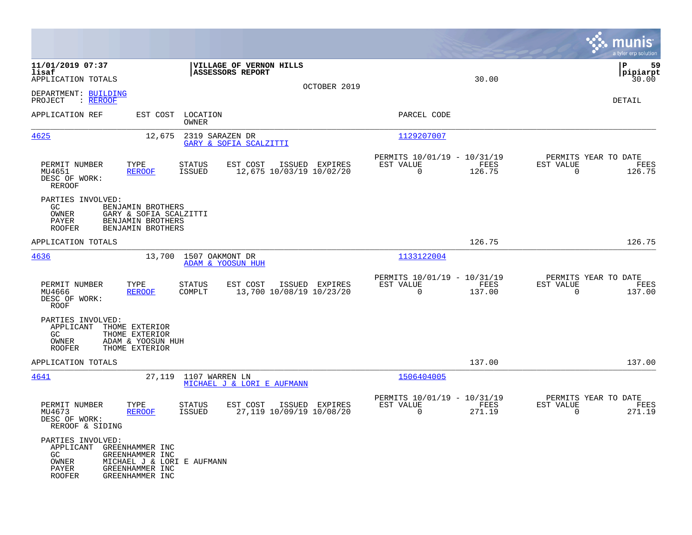|                                                                   |                                                                                                        |                                      |                                             |                |                                                         |                |                                                  | munis<br>a tyler erp solution  |
|-------------------------------------------------------------------|--------------------------------------------------------------------------------------------------------|--------------------------------------|---------------------------------------------|----------------|---------------------------------------------------------|----------------|--------------------------------------------------|--------------------------------|
| 11/01/2019 07:37<br>lisaf<br>APPLICATION TOTALS                   |                                                                                                        |                                      | VILLAGE OF VERNON HILLS<br>ASSESSORS REPORT | OCTOBER 2019   |                                                         | 30.00          |                                                  | lР<br>59<br> pipiarpt<br>30.00 |
| DEPARTMENT: BUILDING<br>: REROOF<br>PROJECT                       |                                                                                                        |                                      |                                             |                |                                                         |                |                                                  | <b>DETAIL</b>                  |
| APPLICATION REF                                                   |                                                                                                        | EST COST LOCATION<br>OWNER           |                                             |                | PARCEL CODE                                             |                |                                                  |                                |
| 4625                                                              | 12,675                                                                                                 | 2319 SARAZEN DR                      | GARY & SOFIA SCALZITTI                      |                | 1129207007                                              |                |                                                  |                                |
| PERMIT NUMBER<br>MU4651<br>DESC OF WORK:<br>REROOF                | TYPE<br><b>REROOF</b>                                                                                  | <b>STATUS</b><br><b>ISSUED</b>       | EST COST<br>12,675 10/03/19 10/02/20        | ISSUED EXPIRES | PERMITS 10/01/19 - 10/31/19<br>EST VALUE<br>$\mathbf 0$ | FEES<br>126.75 | PERMITS YEAR TO DATE<br>EST VALUE<br>$\mathbf 0$ | FEES<br>126.75                 |
| PARTIES INVOLVED:<br>GC<br>OWNER<br>PAYER<br><b>ROOFER</b>        | BENJAMIN BROTHERS<br>GARY & SOFIA SCALZITTI<br>BENJAMIN BROTHERS<br>BENJAMIN BROTHERS                  |                                      |                                             |                |                                                         |                |                                                  |                                |
| APPLICATION TOTALS                                                |                                                                                                        |                                      |                                             |                |                                                         | 126.75         |                                                  | 126.75                         |
| 4636                                                              | 13,700                                                                                                 | 1507 OAKMONT DR<br>ADAM & YOOSUN HUH |                                             |                | 1133122004                                              |                |                                                  |                                |
| PERMIT NUMBER<br>MU4666<br>DESC OF WORK:<br>ROOF                  | TYPE<br><b>REROOF</b>                                                                                  | <b>STATUS</b><br>COMPLT              | EST COST<br>13,700 10/08/19 10/23/20        | ISSUED EXPIRES | PERMITS 10/01/19 - 10/31/19<br>EST VALUE<br>$\mathbf 0$ | FEES<br>137.00 | PERMITS YEAR TO DATE<br>EST VALUE<br>$\mathbf 0$ | FEES<br>137.00                 |
| PARTIES INVOLVED:<br>APPLICANT<br>GC.<br>OWNER<br><b>ROOFER</b>   | THOME EXTERIOR<br>THOME EXTERIOR<br>ADAM & YOOSUN HUH<br>THOME EXTERIOR                                |                                      |                                             |                |                                                         |                |                                                  |                                |
| APPLICATION TOTALS                                                |                                                                                                        |                                      |                                             |                |                                                         | 137.00         |                                                  | 137.00                         |
| 4641                                                              |                                                                                                        | 27,119 1107 WARREN LN                | MICHAEL J & LORI E AUFMANN                  |                | 1506404005                                              |                |                                                  |                                |
| PERMIT NUMBER<br>MU4673<br>DESC OF WORK:<br>REROOF & SIDING       | TYPE<br><b>REROOF</b>                                                                                  | <b>STATUS</b><br>ISSUED              | EST COST<br>27,119 10/09/19 10/08/20        | ISSUED EXPIRES | PERMITS 10/01/19 - 10/31/19<br>EST VALUE<br>$\mathbf 0$ | FEES<br>271.19 | PERMITS YEAR TO DATE<br>EST VALUE<br>0           | FEES<br>271.19                 |
| PARTIES INVOLVED:<br>APPLICANT<br>GC.<br>OWNER<br>PAYER<br>ROOFER | GREENHAMMER INC<br>GREENHAMMER INC<br>MICHAEL J & LORI E AUFMANN<br>GREENHAMMER INC<br>GREENHAMMER INC |                                      |                                             |                |                                                         |                |                                                  |                                |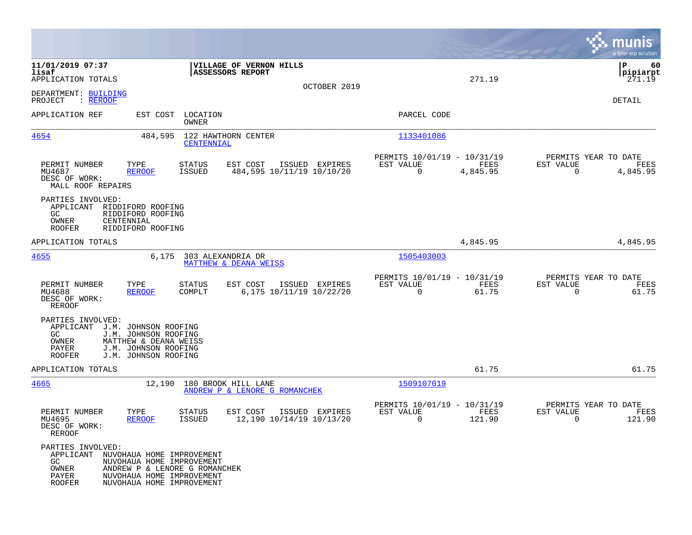|                                                                                                    |                                                                                                                       |                         |                                                            |                                                         |                  |                                                  | munis<br>a tyler erp solution  |
|----------------------------------------------------------------------------------------------------|-----------------------------------------------------------------------------------------------------------------------|-------------------------|------------------------------------------------------------|---------------------------------------------------------|------------------|--------------------------------------------------|--------------------------------|
| 11/01/2019 07:37<br>lisaf<br>APPLICATION TOTALS                                                    |                                                                                                                       |                         | VILLAGE OF VERNON HILLS<br>ASSESSORS REPORT                |                                                         | 271.19           |                                                  | P<br>60<br> pipiarpt<br>271.19 |
| DEPARTMENT: BUILDING<br>: REROOF<br>PROJECT                                                        |                                                                                                                       |                         | OCTOBER 2019                                               |                                                         |                  |                                                  | DETAIL                         |
| APPLICATION REF                                                                                    | EST COST                                                                                                              | LOCATION<br>OWNER       |                                                            | PARCEL CODE                                             |                  |                                                  |                                |
| 4654                                                                                               | 484,595                                                                                                               | <b>CENTENNIAL</b>       | 122 HAWTHORN CENTER                                        | 1133401086                                              |                  |                                                  |                                |
| PERMIT NUMBER<br>MU4687<br>DESC OF WORK:<br>MALL ROOF REPAIRS                                      | TYPE<br><b>REROOF</b>                                                                                                 | STATUS<br>ISSUED        | EST COST<br>ISSUED<br>EXPIRES<br>484,595 10/11/19 10/10/20 | PERMITS 10/01/19 - 10/31/19<br>EST VALUE<br>$\mathbf 0$ | FEES<br>4,845.95 | PERMITS YEAR TO DATE<br>EST VALUE<br>$\mathbf 0$ | FEES<br>4,845.95               |
| PARTIES INVOLVED:<br>APPLICANT<br>GC.<br>OWNER<br><b>ROOFER</b>                                    | RIDDIFORD ROOFING<br>RIDDIFORD ROOFING<br>CENTENNIAL<br>RIDDIFORD ROOFING                                             |                         |                                                            |                                                         |                  |                                                  |                                |
| APPLICATION TOTALS                                                                                 |                                                                                                                       |                         |                                                            |                                                         | 4,845.95         |                                                  | 4,845.95                       |
| <u>4655</u>                                                                                        | 6,175                                                                                                                 | 303 ALEXANDRIA DR       | MATTHEW & DEANA WEISS                                      | 1505403003                                              |                  |                                                  |                                |
| PERMIT NUMBER<br>MU4688<br>DESC OF WORK:<br>REROOF                                                 | TYPE<br><b>REROOF</b>                                                                                                 | <b>STATUS</b><br>COMPLT | EST COST<br>ISSUED EXPIRES<br>6,175 10/11/19 10/22/20      | PERMITS 10/01/19 - 10/31/19<br>EST VALUE<br>$\mathbf 0$ | FEES<br>61.75    | PERMITS YEAR TO DATE<br>EST VALUE<br>$\mathbf 0$ | FEES<br>61.75                  |
| PARTIES INVOLVED:<br>APPLICANT<br>GC.<br>OWNER<br>PAYER<br><b>ROOFER</b>                           | J.M. JOHNSON ROOFING<br>J.M. JOHNSON ROOFING<br>MATTHEW & DEANA WEISS<br>J.M. JOHNSON ROOFING<br>J.M. JOHNSON ROOFING |                         |                                                            |                                                         |                  |                                                  |                                |
| APPLICATION TOTALS                                                                                 |                                                                                                                       |                         |                                                            |                                                         | 61.75            |                                                  | 61.75                          |
| 4665                                                                                               | 12,190                                                                                                                |                         | 180 BROOK HILL LANE<br>ANDREW P & LENORE G ROMANCHEK       | 1509107019                                              |                  |                                                  |                                |
| PERMIT NUMBER<br>MU4695<br>DESC OF WORK:<br><b>REROOF</b>                                          | TYPE<br><b>REROOF</b>                                                                                                 | STATUS<br><b>ISSUED</b> | EST COST<br>ISSUED EXPIRES<br>12,190 10/14/19 10/13/20     | PERMITS 10/01/19 - 10/31/19<br>EST VALUE<br>0           | FEES<br>121.90   | PERMITS YEAR TO DATE<br>EST VALUE<br>0           | FEES<br>121.90                 |
| PARTIES INVOLVED:<br>APPLICANT NUVOHAUA HOME IMPROVEMENT<br>GC.<br>OWNER<br>PAYER<br><b>ROOFER</b> | NUVOHAUA HOME IMPROVEMENT<br>ANDREW P & LENORE G ROMANCHEK<br>NUVOHAUA HOME IMPROVEMENT<br>NUVOHAUA HOME IMPROVEMENT  |                         |                                                            |                                                         |                  |                                                  |                                |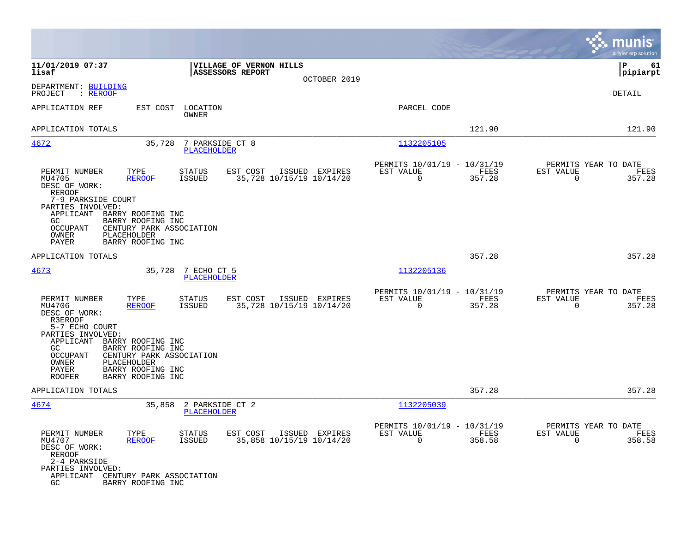|                                                                                                                                                                                                                                                                                                                                                                                                            |                                                                           | munis<br>a tyler erp solution                                      |
|------------------------------------------------------------------------------------------------------------------------------------------------------------------------------------------------------------------------------------------------------------------------------------------------------------------------------------------------------------------------------------------------------------|---------------------------------------------------------------------------|--------------------------------------------------------------------|
| 11/01/2019 07:37<br>VILLAGE OF VERNON HILLS<br>lisaf<br>ASSESSORS REPORT                                                                                                                                                                                                                                                                                                                                   |                                                                           | l P<br>61<br> pipiarpt                                             |
| OCTOBER 2019<br>DEPARTMENT: BUILDING<br>PROJECT<br>: REROOF                                                                                                                                                                                                                                                                                                                                                |                                                                           | DETAIL                                                             |
| APPLICATION REF<br>EST COST LOCATION<br>OWNER                                                                                                                                                                                                                                                                                                                                                              | PARCEL CODE                                                               |                                                                    |
| APPLICATION TOTALS                                                                                                                                                                                                                                                                                                                                                                                         | 121.90                                                                    | 121.90                                                             |
| 4672<br>35,728 7 PARKSIDE CT 8<br>PLACEHOLDER                                                                                                                                                                                                                                                                                                                                                              | 1132205105                                                                |                                                                    |
| PERMIT NUMBER<br>TYPE<br>EST COST<br>ISSUED EXPIRES<br><b>STATUS</b><br>MU4705<br>ISSUED<br>35,728 10/15/19 10/14/20<br><b>REROOF</b><br>DESC OF WORK:<br><b>REROOF</b><br>7-9 PARKSIDE COURT<br>PARTIES INVOLVED:<br>APPLICANT<br>BARRY ROOFING INC<br>GC.<br>BARRY ROOFING INC<br>OCCUPANT<br>CENTURY PARK ASSOCIATION<br>OWNER<br>PLACEHOLDER<br>BARRY ROOFING INC<br>PAYER                             | PERMITS 10/01/19 - 10/31/19<br>EST VALUE<br>FEES<br>0<br>357.28           | PERMITS YEAR TO DATE<br>EST VALUE<br>FEES<br>$\mathbf 0$<br>357.28 |
| APPLICATION TOTALS                                                                                                                                                                                                                                                                                                                                                                                         | 357.28                                                                    | 357.28                                                             |
| 4673<br>35,728<br>7 ECHO CT 5<br>PLACEHOLDER                                                                                                                                                                                                                                                                                                                                                               | 1132205136                                                                |                                                                    |
| PERMIT NUMBER<br>TYPE<br><b>STATUS</b><br>EST COST<br>ISSUED EXPIRES<br>MU4706<br>ISSUED<br>35,728 10/15/19 10/14/20<br><b>REROOF</b><br>DESC OF WORK:<br>R3EROOF<br>5-7 ECHO COURT<br>PARTIES INVOLVED:<br>APPLICANT<br>BARRY ROOFING INC<br>GC.<br>BARRY ROOFING INC<br>OCCUPANT<br>CENTURY PARK ASSOCIATION<br>OWNER<br>PLACEHOLDER<br>PAYER<br>BARRY ROOFING INC<br><b>ROOFER</b><br>BARRY ROOFING INC | PERMITS 10/01/19 - 10/31/19<br>FEES<br>EST VALUE<br>$\mathbf 0$<br>357.28 | PERMITS YEAR TO DATE<br>EST VALUE<br>FEES<br>$\mathbf 0$<br>357.28 |
| APPLICATION TOTALS                                                                                                                                                                                                                                                                                                                                                                                         | 357.28                                                                    | 357.28                                                             |
| 4674<br>35,858<br>2 PARKSIDE CT 2<br>PLACEHOLDER                                                                                                                                                                                                                                                                                                                                                           | 1132205039                                                                |                                                                    |
| PERMIT NUMBER<br>TYPE<br>EST COST<br>STATUS<br>ISSUED EXPIRES<br>35,858 10/15/19 10/14/20<br>MU4707<br><b>REROOF</b><br>ISSUED<br>DESC OF WORK:<br>REROOF<br>2-4 PARKSIDE<br>PARTIES INVOLVED:<br>APPLICANT CENTURY PARK ASSOCIATION<br>BARRY ROOFING INC<br>GC.                                                                                                                                           | PERMITS 10/01/19 - 10/31/19<br>EST VALUE<br>FEES<br>$\Omega$<br>358.58    | PERMITS YEAR TO DATE<br>EST VALUE<br>FEES<br>358.58<br>$\Omega$    |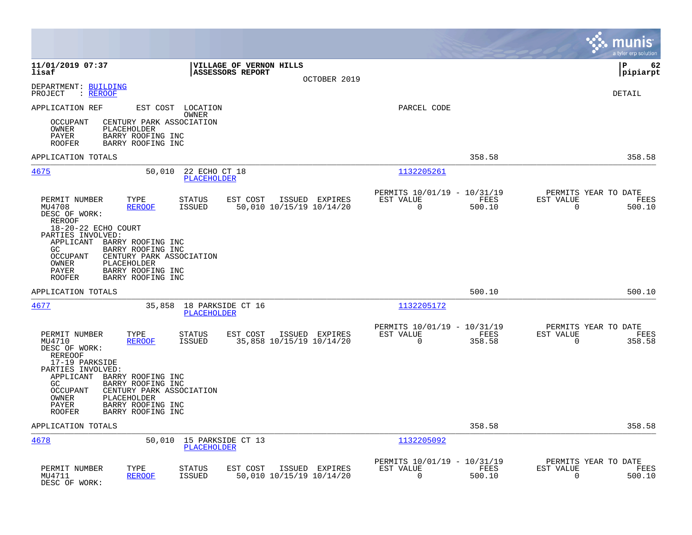|                                                                                                                                                                                                                                         |                                                                              | munis<br>a tyler erp solution                                      |
|-----------------------------------------------------------------------------------------------------------------------------------------------------------------------------------------------------------------------------------------|------------------------------------------------------------------------------|--------------------------------------------------------------------|
| 11/01/2019 07:37<br>VILLAGE OF VERNON HILLS<br>lisaf<br><b>ASSESSORS REPORT</b><br>OCTOBER 2019                                                                                                                                         |                                                                              | l P<br>62<br> pipiarpt                                             |
| DEPARTMENT: BUILDING<br>: REROOF<br>PROJECT                                                                                                                                                                                             |                                                                              | DETAIL                                                             |
| APPLICATION REF<br>EST COST LOCATION<br>OWNER                                                                                                                                                                                           | PARCEL CODE                                                                  |                                                                    |
| OCCUPANT<br>CENTURY PARK ASSOCIATION<br><b>OWNER</b><br>PLACEHOLDER<br>PAYER<br>BARRY ROOFING INC<br>BARRY ROOFING INC<br><b>ROOFER</b>                                                                                                 |                                                                              |                                                                    |
| APPLICATION TOTALS                                                                                                                                                                                                                      | 358.58                                                                       | 358.58                                                             |
| 4675<br>22 ECHO CT 18<br>50,010<br>PLACEHOLDER                                                                                                                                                                                          | 1132205261                                                                   |                                                                    |
| PERMIT NUMBER<br>TYPE<br><b>STATUS</b><br>EST COST<br>ISSUED EXPIRES<br>50,010 10/15/19 10/14/20<br>MU4708<br><b>REROOF</b><br><b>ISSUED</b><br>DESC OF WORK:<br><b>REROOF</b>                                                          | PERMITS 10/01/19 - 10/31/19<br>EST VALUE<br>FEES<br>$\overline{0}$<br>500.10 | PERMITS YEAR TO DATE<br>EST VALUE<br>FEES<br>$\mathbf 0$<br>500.10 |
| 18-20-22 ECHO COURT<br>PARTIES INVOLVED:<br>APPLICANT BARRY ROOFING INC<br>BARRY ROOFING INC<br>GC.<br>OCCUPANT<br>CENTURY PARK ASSOCIATION<br>PLACEHOLDER<br>OWNER<br>PAYER<br>BARRY ROOFING INC<br><b>ROOFER</b><br>BARRY ROOFING INC |                                                                              |                                                                    |
| APPLICATION TOTALS                                                                                                                                                                                                                      | 500.10                                                                       | 500.10                                                             |
| 18 PARKSIDE CT 16<br>4677<br>35,858<br>PLACEHOLDER                                                                                                                                                                                      | 1132205172                                                                   |                                                                    |
| TYPE<br>EST COST<br>PERMIT NUMBER<br><b>STATUS</b><br>ISSUED EXPIRES<br>MU4710<br><b>REROOF</b><br><b>ISSUED</b><br>35,858 10/15/19 10/14/20<br>DESC OF WORK:<br><b>REREOOF</b><br>17-19 PARKSIDE                                       | PERMITS 10/01/19 - 10/31/19<br>EST VALUE<br>FEES<br>$\Omega$<br>358.58       | PERMITS YEAR TO DATE<br>EST VALUE<br>FEES<br>$\Omega$<br>358.58    |
| PARTIES INVOLVED:<br>APPLICANT BARRY ROOFING INC<br>BARRY ROOFING INC<br>GC.<br><b>OCCUPANT</b><br>CENTURY PARK ASSOCIATION<br>OWNER<br>PLACEHOLDER<br>BARRY ROOFING INC<br>PAYER<br><b>ROOFER</b><br>BARRY ROOFING INC                 |                                                                              |                                                                    |
| APPLICATION TOTALS                                                                                                                                                                                                                      | 358.58                                                                       | 358.58                                                             |
| 4678<br>50,010 15 PARKSIDE CT 13<br>PLACEHOLDER                                                                                                                                                                                         | 1132205092                                                                   |                                                                    |
| PERMIT NUMBER<br>TYPE<br><b>STATUS</b><br>EST COST<br>ISSUED EXPIRES<br>50,010 10/15/19 10/14/20<br>MU4711<br><b>REROOF</b><br><b>ISSUED</b><br>DESC OF WORK:                                                                           | PERMITS 10/01/19 - 10/31/19<br>EST VALUE<br>FEES<br>0<br>500.10              | PERMITS YEAR TO DATE<br>EST VALUE<br>FEES<br>$\mathbf 0$<br>500.10 |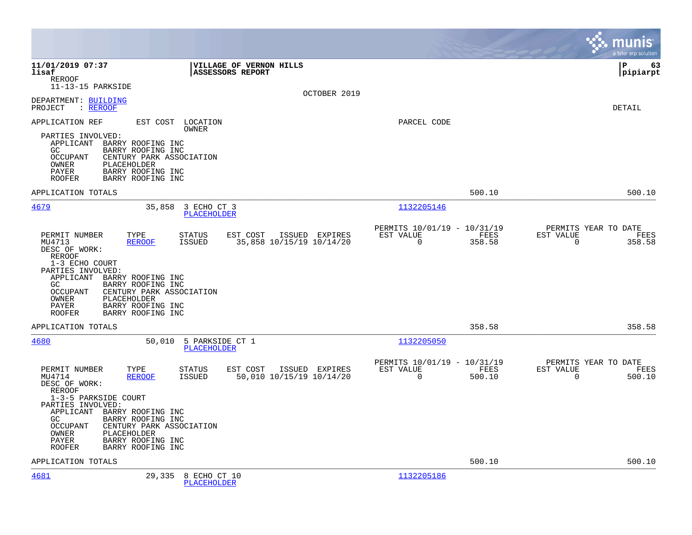|                                                                                                                                                                                                                                                                                                                                                                                                                             |                                                                           | munis<br>a tyler erp solution                                      |
|-----------------------------------------------------------------------------------------------------------------------------------------------------------------------------------------------------------------------------------------------------------------------------------------------------------------------------------------------------------------------------------------------------------------------------|---------------------------------------------------------------------------|--------------------------------------------------------------------|
| 11/01/2019 07:37<br>VILLAGE OF VERNON HILLS<br><b>ASSESSORS REPORT</b><br>lisaf<br>REROOF<br>11-13-15 PARKSIDE                                                                                                                                                                                                                                                                                                              |                                                                           | l P<br>63<br> pipiarpt                                             |
| OCTOBER 2019<br>DEPARTMENT: BUILDING<br>PROJECT<br>$:$ REROOF                                                                                                                                                                                                                                                                                                                                                               |                                                                           | DETAIL                                                             |
| APPLICATION REF<br>EST COST LOCATION<br>OWNER<br>PARTIES INVOLVED:<br>APPLICANT BARRY ROOFING INC<br>GC<br>BARRY ROOFING INC<br><b>OCCUPANT</b><br>CENTURY PARK ASSOCIATION<br>OWNER<br>PLACEHOLDER<br>BARRY ROOFING INC<br>PAYER<br><b>ROOFER</b><br>BARRY ROOFING INC                                                                                                                                                     | PARCEL CODE                                                               |                                                                    |
| APPLICATION TOTALS                                                                                                                                                                                                                                                                                                                                                                                                          | 500.10                                                                    | 500.10                                                             |
| 4679<br>35,858 3 ECHO CT 3<br>PLACEHOLDER                                                                                                                                                                                                                                                                                                                                                                                   | 1132205146<br>PERMITS 10/01/19 - 10/31/19                                 | PERMITS YEAR TO DATE                                               |
| PERMIT NUMBER<br>TYPE<br><b>STATUS</b><br>EST COST<br>ISSUED EXPIRES<br>MU4713<br><b>REROOF</b><br><b>ISSUED</b><br>35,858 10/15/19 10/14/20<br>DESC OF WORK:<br><b>REROOF</b><br>1-3 ECHO COURT<br>PARTIES INVOLVED:<br>APPLICANT BARRY ROOFING INC<br>GC.<br>BARRY ROOFING INC<br><b>OCCUPANT</b><br>CENTURY PARK ASSOCIATION<br>OWNER<br>PLACEHOLDER<br>PAYER<br>BARRY ROOFING INC<br>BARRY ROOFING INC<br><b>ROOFER</b> | EST VALUE<br>FEES<br>$\Omega$<br>358.58                                   | EST VALUE<br>FEES<br>$\Omega$<br>358.58                            |
| APPLICATION TOTALS                                                                                                                                                                                                                                                                                                                                                                                                          | 358.58                                                                    | 358.58                                                             |
| 4680<br>50,010 5 PARKSIDE CT 1<br>PLACEHOLDER                                                                                                                                                                                                                                                                                                                                                                               | 1132205050                                                                |                                                                    |
| PERMIT NUMBER<br>TYPE<br><b>STATUS</b><br>EST COST<br>ISSUED EXPIRES<br>MU4714<br><b>REROOF</b><br><b>ISSUED</b><br>50,010 10/15/19 10/14/20<br>DESC OF WORK:<br>REROOF<br>1-3-5 PARKSIDE COURT<br>PARTIES INVOLVED:<br>APPLICANT BARRY ROOFING INC<br>GC<br>BARRY ROOFING INC<br>$OCCUPANT$<br>CENTURY PARK ASSOCIATION<br>OWNER<br>PLACEHOLDER<br>BARRY ROOFING INC<br>PAYER<br>BARRY ROOFING INC<br><b>ROOFER</b>        | PERMITS 10/01/19 - 10/31/19<br>EST VALUE<br>FEES<br>$\mathbf 0$<br>500.10 | PERMITS YEAR TO DATE<br>EST VALUE<br>FEES<br>$\mathbf 0$<br>500.10 |
| APPLICATION TOTALS                                                                                                                                                                                                                                                                                                                                                                                                          | 500.10                                                                    | 500.10                                                             |
| 4681<br>29,335<br>8 ECHO CT 10<br>PLACEHOLDER                                                                                                                                                                                                                                                                                                                                                                               | 1132205186                                                                |                                                                    |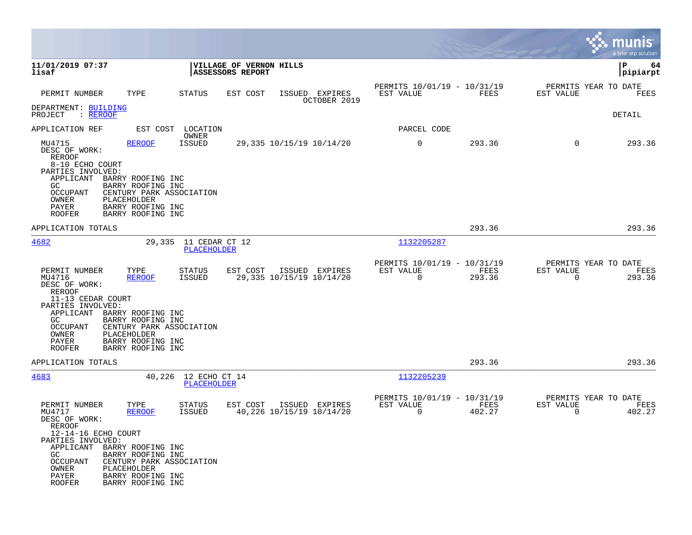|                                                                                                                                                                                                                                                                                                                                                          |                                                        |                                                         |                | munis<br>I tyler erp solution                                         |
|----------------------------------------------------------------------------------------------------------------------------------------------------------------------------------------------------------------------------------------------------------------------------------------------------------------------------------------------------------|--------------------------------------------------------|---------------------------------------------------------|----------------|-----------------------------------------------------------------------|
| 11/01/2019 07:37<br><b>VILLAGE OF VERNON HILLS</b><br>lisaf<br><b>ASSESSORS REPORT</b>                                                                                                                                                                                                                                                                   |                                                        |                                                         |                | l P<br>64<br> pipiarpt                                                |
| TYPE<br>STATUS<br>PERMIT NUMBER<br>EST COST                                                                                                                                                                                                                                                                                                              | ISSUED EXPIRES<br>OCTOBER 2019                         | PERMITS 10/01/19 - 10/31/19<br>EST VALUE                | FEES           | PERMITS YEAR TO DATE<br>EST VALUE<br>FEES                             |
| DEPARTMENT: BUILDING<br>: <u>REROOF</u><br>PROJECT                                                                                                                                                                                                                                                                                                       |                                                        |                                                         |                | DETAIL                                                                |
| APPLICATION REF<br>EST COST LOCATION<br>OWNER                                                                                                                                                                                                                                                                                                            |                                                        | PARCEL CODE                                             |                |                                                                       |
| MU4715<br><b>REROOF</b><br><b>ISSUED</b><br>DESC OF WORK:<br>REROOF<br>8-10 ECHO COURT<br>PARTIES INVOLVED:<br>APPLICANT BARRY ROOFING INC<br>GC<br>BARRY ROOFING INC<br><b>OCCUPANT</b><br>CENTURY PARK ASSOCIATION<br>OWNER<br>PLACEHOLDER<br>PAYER<br>BARRY ROOFING INC<br><b>ROOFER</b><br>BARRY ROOFING INC                                         | 29,335 10/15/19 10/14/20                               | $\mathbf 0$                                             | 293.36         | $\Omega$<br>293.36                                                    |
| APPLICATION TOTALS                                                                                                                                                                                                                                                                                                                                       |                                                        |                                                         | 293.36         | 293.36                                                                |
| 4682<br>29,335 11 CEDAR CT 12<br>PLACEHOLDER                                                                                                                                                                                                                                                                                                             |                                                        | 1132205287                                              |                |                                                                       |
| PERMIT NUMBER<br>TYPE<br>STATUS<br><b>ISSUED</b><br>MU4716<br><b>REROOF</b><br>DESC OF WORK:<br>REROOF<br>11-13 CEDAR COURT<br>PARTIES INVOLVED:<br>APPLICANT BARRY ROOFING INC<br>GC<br>BARRY ROOFING INC<br>OCCUPANT<br>CENTURY PARK ASSOCIATION<br>OWNER<br>PLACEHOLDER<br>PAYER<br>BARRY ROOFING INC<br>BARRY ROOFING INC<br><b>ROOFER</b>           | EST COST ISSUED EXPIRES<br>29,335 10/15/19 10/14/20    | PERMITS 10/01/19 - 10/31/19<br>EST VALUE<br>$\mathbf 0$ | FEES<br>293.36 | PERMITS YEAR TO DATE<br>EST VALUE<br>FEES<br>$\overline{0}$<br>293.36 |
| APPLICATION TOTALS                                                                                                                                                                                                                                                                                                                                       |                                                        |                                                         | 293.36         | 293.36                                                                |
| 4683<br>40,226 12 ECHO CT 14<br>PLACEHOLDER                                                                                                                                                                                                                                                                                                              |                                                        | 1132205239                                              |                |                                                                       |
| PERMIT NUMBER<br>TYPE<br>STATUS<br>MU4717<br><b>REROOF</b><br>ISSUED<br>DESC OF WORK:<br><b>REROOF</b><br>12-14-16 ECHO COURT<br>PARTIES INVOLVED:<br>APPLICANT BARRY ROOFING INC<br>GC.<br>BARRY ROOFING INC<br><b>OCCUPANT</b><br>CENTURY PARK ASSOCIATION<br>OWNER<br>PLACEHOLDER<br>PAYER<br>BARRY ROOFING INC<br>BARRY ROOFING INC<br><b>ROOFER</b> | EST COST<br>ISSUED EXPIRES<br>40,226 10/15/19 10/14/20 | PERMITS 10/01/19 - 10/31/19<br>EST VALUE<br>$\mathbf 0$ | FEES<br>402.27 | PERMITS YEAR TO DATE<br>EST VALUE<br>FEES<br>$\Omega$<br>402.27       |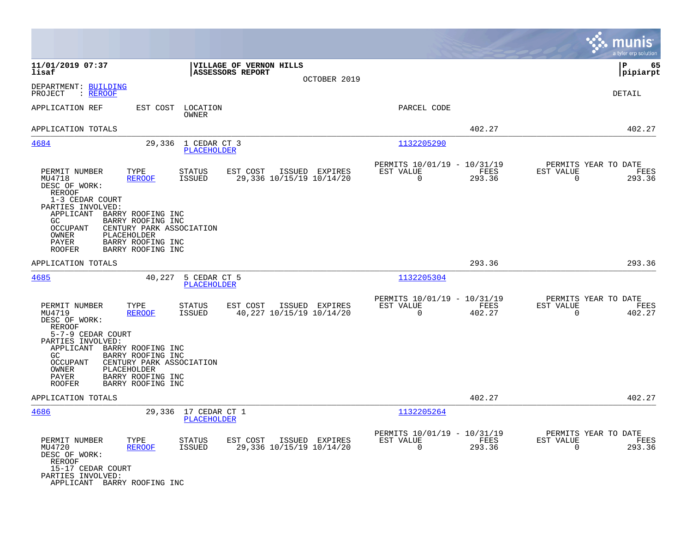|                                                                                                                                                                                                                |                                                                                                                                                                 |                                                        |                                                          |                |                                                     | munis<br>a tyler erp solution |
|----------------------------------------------------------------------------------------------------------------------------------------------------------------------------------------------------------------|-----------------------------------------------------------------------------------------------------------------------------------------------------------------|--------------------------------------------------------|----------------------------------------------------------|----------------|-----------------------------------------------------|-------------------------------|
| 11/01/2019 07:37<br>lisaf                                                                                                                                                                                      |                                                                                                                                                                 | VILLAGE OF VERNON HILLS<br>ASSESSORS REPORT            |                                                          |                |                                                     | 65<br>P<br> pipiarpt          |
| DEPARTMENT: BUILDING<br>PROJECT<br>: REROOF                                                                                                                                                                    |                                                                                                                                                                 | OCTOBER 2019                                           |                                                          |                |                                                     | DETAIL                        |
| APPLICATION REF                                                                                                                                                                                                | EST COST<br>LOCATION<br>OWNER                                                                                                                                   |                                                        | PARCEL CODE                                              |                |                                                     |                               |
| APPLICATION TOTALS                                                                                                                                                                                             |                                                                                                                                                                 |                                                        |                                                          | 402.27         |                                                     | 402.27                        |
| 4684                                                                                                                                                                                                           | 29,336 1 CEDAR CT 3<br>PLACEHOLDER                                                                                                                              |                                                        | 1132205290                                               |                |                                                     |                               |
| PERMIT NUMBER<br>TYPE<br>MU4718<br>DESC OF WORK:<br><b>REROOF</b><br>1-3 CEDAR COURT<br>PARTIES INVOLVED:<br>APPLICANT<br>GC.<br>OCCUPANT<br>OWNER<br>PLACEHOLDER<br>PAYER<br><b>ROOFER</b>                    | <b>STATUS</b><br><b>REROOF</b><br><b>ISSUED</b><br>BARRY ROOFING INC<br>BARRY ROOFING INC<br>CENTURY PARK ASSOCIATION<br>BARRY ROOFING INC<br>BARRY ROOFING INC | EST COST<br>ISSUED EXPIRES<br>29,336 10/15/19 10/14/20 | PERMITS 10/01/19 - 10/31/19<br>EST VALUE<br>$\mathbf 0$  | FEES<br>293.36 | PERMITS YEAR TO DATE<br>EST VALUE<br>$\Omega$       | FEES<br>293.36                |
| APPLICATION TOTALS                                                                                                                                                                                             |                                                                                                                                                                 |                                                        |                                                          | 293.36         |                                                     | 293.36                        |
| 4685                                                                                                                                                                                                           | 40,227 5 CEDAR CT 5<br><b>PLACEHOLDER</b>                                                                                                                       |                                                        | 1132205304                                               |                |                                                     |                               |
| PERMIT NUMBER<br>TYPE<br>MU4719<br>DESC OF WORK:<br><b>REROOF</b><br>5-7-9 CEDAR COURT<br>PARTIES INVOLVED:<br>APPLICANT BARRY ROOFING INC<br>GC<br>OCCUPANT<br>PLACEHOLDER<br>OWNER<br>PAYER<br><b>ROOFER</b> | STATUS<br>ISSUED<br><b>REROOF</b><br>BARRY ROOFING INC<br>CENTURY PARK ASSOCIATION<br>BARRY ROOFING INC<br>BARRY ROOFING INC                                    | EST COST<br>ISSUED EXPIRES<br>40,227 10/15/19 10/14/20 | PERMITS 10/01/19 - 10/31/19<br>EST VALUE<br>0            | FEES<br>402.27 | PERMITS YEAR TO DATE<br>EST VALUE<br>$\mathbf 0$    | FEES<br>402.27                |
| APPLICATION TOTALS                                                                                                                                                                                             |                                                                                                                                                                 |                                                        |                                                          | 402.27         |                                                     | 402.27                        |
| 4686                                                                                                                                                                                                           | 29,336 17 CEDAR CT 1<br>PLACEHOLDER                                                                                                                             |                                                        | 1132205264                                               |                |                                                     |                               |
| PERMIT NUMBER<br>TYPE<br>MU4720<br>DESC OF WORK:<br>REROOF<br>15-17 CEDAR COURT<br>PARTIES INVOLVED:<br>APPLICANT BARRY ROOFING INC                                                                            | STATUS<br><b>REROOF</b><br>ISSUED                                                                                                                               | EST COST<br>ISSUED EXPIRES<br>29,336 10/15/19 10/14/20 | PERMITS 10/01/19 - 10/31/19<br>EST VALUE<br>$\mathsf{O}$ | FEES<br>293.36 | PERMITS YEAR TO DATE<br>EST VALUE<br>$\overline{0}$ | FEES<br>293.36                |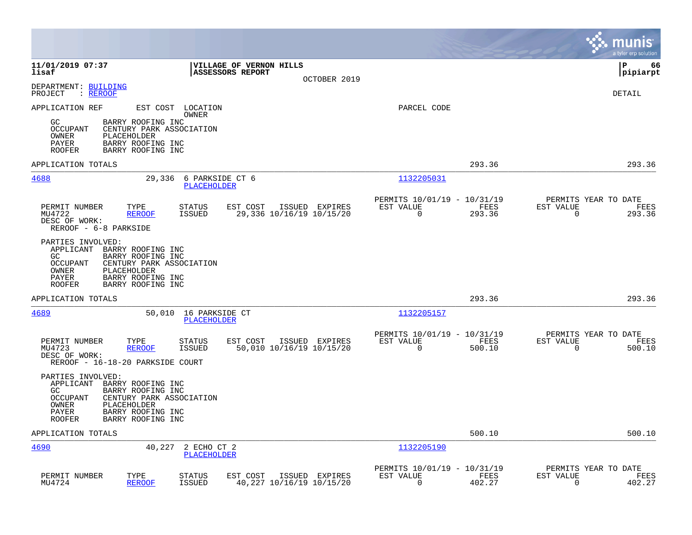|                                                                                                                                                                                                                 |                                                                        | munis<br>a tyler erp solution                                      |
|-----------------------------------------------------------------------------------------------------------------------------------------------------------------------------------------------------------------|------------------------------------------------------------------------|--------------------------------------------------------------------|
| 11/01/2019 07:37<br>VILLAGE OF VERNON HILLS<br>lisaf<br><b>ASSESSORS REPORT</b><br>OCTOBER 2019                                                                                                                 |                                                                        | l P<br>66<br> pipiarpt                                             |
| DEPARTMENT: BUILDING<br>: REROOF<br>PROJECT                                                                                                                                                                     |                                                                        | DETAIL                                                             |
| APPLICATION REF<br>EST COST LOCATION<br>OWNER<br>GC.<br>BARRY ROOFING INC<br><b>OCCUPANT</b><br>CENTURY PARK ASSOCIATION<br>OWNER<br>PLACEHOLDER<br>PAYER<br>BARRY ROOFING INC<br>BARRY ROOFING INC<br>ROOFER   | PARCEL CODE                                                            |                                                                    |
| APPLICATION TOTALS                                                                                                                                                                                              | 293.36                                                                 | 293.36                                                             |
| 4688<br>29,336<br>6 PARKSIDE CT 6<br>PLACEHOLDER                                                                                                                                                                | 1132205031                                                             |                                                                    |
| PERMIT NUMBER<br>TYPE<br><b>STATUS</b><br>EST COST<br>ISSUED EXPIRES<br><b>REROOF</b><br><b>ISSUED</b><br>29,336 10/16/19 10/15/20<br>MU4722<br>DESC OF WORK:<br>REROOF - 6-8 PARKSIDE                          | PERMITS 10/01/19 - 10/31/19<br>FEES<br>EST VALUE<br>$\Omega$<br>293.36 | PERMITS YEAR TO DATE<br>EST VALUE<br>FEES<br>$\Omega$<br>293.36    |
| PARTIES INVOLVED:<br>APPLICANT BARRY ROOFING INC<br>GC<br>BARRY ROOFING INC<br>OCCUPANT<br>CENTURY PARK ASSOCIATION<br>OWNER<br>PLACEHOLDER<br>PAYER<br>BARRY ROOFING INC<br><b>ROOFER</b><br>BARRY ROOFING INC |                                                                        |                                                                    |
| APPLICATION TOTALS                                                                                                                                                                                              | 293.36                                                                 | 293.36                                                             |
| 4689<br>50,010<br>16 PARKSIDE CT<br>PLACEHOLDER                                                                                                                                                                 | 1132205157                                                             |                                                                    |
| PERMIT NUMBER<br>TYPE<br><b>STATUS</b><br>EST COST<br>ISSUED EXPIRES<br><b>REROOF</b><br><b>ISSUED</b><br>50,010 10/16/19 10/15/20<br>MU4723<br>DESC OF WORK:<br>REROOF - 16-18-20 PARKSIDE COURT               | PERMITS 10/01/19 - 10/31/19<br>FEES<br>EST VALUE<br>$\Omega$<br>500.10 | PERMITS YEAR TO DATE<br>EST VALUE<br>FEES<br>$\mathbf 0$<br>500.10 |
| PARTIES INVOLVED:<br>APPLICANT BARRY ROOFING INC<br>GC<br>BARRY ROOFING INC<br>OCCUPANT<br>CENTURY PARK ASSOCIATION<br>OWNER<br>PLACEHOLDER<br>PAYER<br>BARRY ROOFING INC<br><b>ROOFER</b><br>BARRY ROOFING INC |                                                                        |                                                                    |
| APPLICATION TOTALS                                                                                                                                                                                              | 500.10                                                                 | 500.10                                                             |
| 4690<br>2 ECHO CT 2<br>40,227<br>PLACEHOLDER                                                                                                                                                                    | 1132205190                                                             |                                                                    |
| PERMIT NUMBER<br>TYPE<br>STATUS<br>EST COST<br>ISSUED EXPIRES<br><b>REROOF</b><br><b>ISSUED</b><br>40, 227 10/16/19 10/15/20<br>MU4724                                                                          | PERMITS 10/01/19 - 10/31/19<br>EST VALUE<br>FEES<br>402.27<br>$\Omega$ | PERMITS YEAR TO DATE<br>EST VALUE<br>FEES<br>$\Omega$<br>402.27    |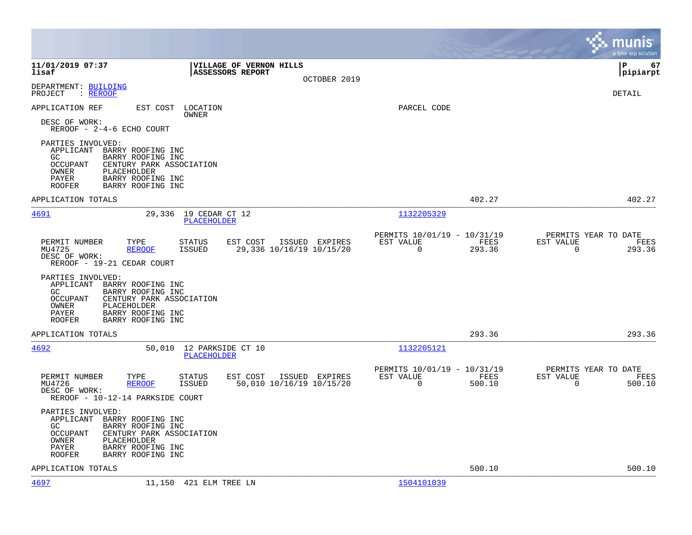|                                                                                                                                                                                                                                                        |                                                                                          |                                                                           | munis<br>a tyler erp solution                                      |
|--------------------------------------------------------------------------------------------------------------------------------------------------------------------------------------------------------------------------------------------------------|------------------------------------------------------------------------------------------|---------------------------------------------------------------------------|--------------------------------------------------------------------|
| 11/01/2019 07:37<br>lisaf                                                                                                                                                                                                                              | VILLAGE OF VERNON HILLS<br><b>ASSESSORS REPORT</b><br>OCTOBER 2019                       |                                                                           | l P<br>67<br> pipiarpt                                             |
| DEPARTMENT: BUILDING<br>: REROOF<br>PROJECT                                                                                                                                                                                                            |                                                                                          |                                                                           | <b>DETAIL</b>                                                      |
| APPLICATION REF<br>EST COST<br>DESC OF WORK:                                                                                                                                                                                                           | LOCATION<br>OWNER                                                                        | PARCEL CODE                                                               |                                                                    |
| REROOF - 2-4-6 ECHO COURT<br>PARTIES INVOLVED:<br>APPLICANT<br>BARRY ROOFING INC<br>BARRY ROOFING INC<br>GC<br><b>OCCUPANT</b><br>CENTURY PARK ASSOCIATION<br>OWNER<br>PLACEHOLDER<br>PAYER<br>BARRY ROOFING INC<br><b>ROOFER</b><br>BARRY ROOFING INC |                                                                                          |                                                                           |                                                                    |
| APPLICATION TOTALS                                                                                                                                                                                                                                     |                                                                                          | 402.27                                                                    | 402.27                                                             |
| 4691                                                                                                                                                                                                                                                   | 29,336 19 CEDAR CT 12<br><b>PLACEHOLDER</b>                                              | 1132205329                                                                |                                                                    |
| PERMIT NUMBER<br>TYPE<br>MU4725<br><b>REROOF</b><br>DESC OF WORK:<br>REROOF - 19-21 CEDAR COURT                                                                                                                                                        | EST COST<br>ISSUED EXPIRES<br><b>STATUS</b><br>29,336 10/16/19 10/15/20<br>ISSUED        | PERMITS 10/01/19 - 10/31/19<br>EST VALUE<br>FEES<br>$\mathbf 0$<br>293.36 | PERMITS YEAR TO DATE<br>EST VALUE<br>FEES<br>$\mathbf 0$<br>293.36 |
| PARTIES INVOLVED:<br>APPLICANT BARRY ROOFING INC<br>BARRY ROOFING INC<br>GC<br>OCCUPANT<br>CENTURY PARK ASSOCIATION<br>OWNER<br>PLACEHOLDER<br>BARRY ROOFING INC<br>PAYER<br><b>ROOFER</b><br>BARRY ROOFING INC                                        |                                                                                          |                                                                           |                                                                    |
| APPLICATION TOTALS                                                                                                                                                                                                                                     |                                                                                          | 293.36                                                                    | 293.36                                                             |
| 4692                                                                                                                                                                                                                                                   | 50,010 12 PARKSIDE CT 10<br><b>PLACEHOLDER</b>                                           | 1132205121                                                                |                                                                    |
| PERMIT NUMBER<br>TYPE<br>MU4726<br><b>REROOF</b><br>DESC OF WORK:<br>REROOF - 10-12-14 PARKSIDE COURT                                                                                                                                                  | <b>STATUS</b><br>EST COST<br>ISSUED EXPIRES<br><b>ISSUED</b><br>50,010 10/16/19 10/15/20 | PERMITS 10/01/19 - 10/31/19<br>EST VALUE<br>FEES<br>$\Omega$<br>500.10    | PERMITS YEAR TO DATE<br>EST VALUE<br>FEES<br>$\Omega$<br>500.10    |
| PARTIES INVOLVED:<br>APPLICANT BARRY ROOFING INC<br>BARRY ROOFING INC<br>GC.<br><b>OCCUPANT</b><br>CENTURY PARK ASSOCIATION<br>OWNER<br>PLACEHOLDER<br>PAYER<br>BARRY ROOFING INC<br><b>ROOFER</b><br>BARRY ROOFING INC                                |                                                                                          |                                                                           |                                                                    |
| APPLICATION TOTALS                                                                                                                                                                                                                                     |                                                                                          | 500.10                                                                    | 500.10                                                             |
| 4697                                                                                                                                                                                                                                                   | 11,150 421 ELM TREE LN                                                                   | 1504101039                                                                |                                                                    |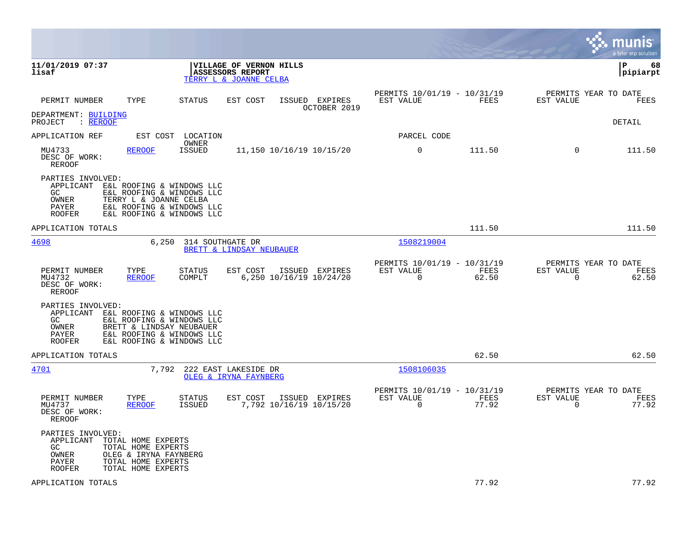|                                                                                                                                                                                          |                                                                                     |                                           |                                                      |               |                                                     | munis<br>a tyler erp solution |
|------------------------------------------------------------------------------------------------------------------------------------------------------------------------------------------|-------------------------------------------------------------------------------------|-------------------------------------------|------------------------------------------------------|---------------|-----------------------------------------------------|-------------------------------|
| 11/01/2019 07:37<br>lisaf                                                                                                                                                                | VILLAGE OF VERNON HILLS<br><b>ASSESSORS REPORT</b><br>TERRY L & JOANNE CELBA        |                                           |                                                      |               |                                                     | l P<br>68<br> pipiarpt        |
| PERMIT NUMBER<br>TYPE                                                                                                                                                                    | STATUS<br>EST COST                                                                  | ISSUED EXPIRES<br>OCTOBER 2019            | PERMITS 10/01/19 - 10/31/19<br>EST VALUE             | FEES          | PERMITS YEAR TO DATE<br>EST VALUE                   | FEES                          |
| DEPARTMENT: BUILDING<br>PROJECT : REROOF                                                                                                                                                 |                                                                                     |                                           |                                                      |               |                                                     | DETAIL                        |
| APPLICATION REF                                                                                                                                                                          | EST COST LOCATION<br>OWNER                                                          |                                           | PARCEL CODE                                          |               |                                                     |                               |
| MU4733<br><b>REROOF</b><br>DESC OF WORK:<br>REROOF                                                                                                                                       | ISSUED                                                                              | 11,150 10/16/19 10/15/20                  | $\mathbf 0$                                          | 111.50        | $\mathbf 0$                                         | 111.50                        |
| PARTIES INVOLVED:<br>APPLICANT E&L ROOFING & WINDOWS LLC<br>GC.<br>OWNER<br>TERRY L & JOANNE CELBA<br>PAYER<br><b>ROOFER</b>                                                             | E&L ROOFING & WINDOWS LLC<br>E&L ROOFING & WINDOWS LLC<br>E&L ROOFING & WINDOWS LLC |                                           |                                                      |               |                                                     |                               |
| APPLICATION TOTALS                                                                                                                                                                       |                                                                                     |                                           |                                                      | 111.50        |                                                     | 111.50                        |
| 4698                                                                                                                                                                                     | 6,250<br>314 SOUTHGATE DR<br>BRETT & LINDSAY NEUBAUER                               |                                           | 1508219004                                           |               |                                                     |                               |
| PERMIT NUMBER<br>TYPE<br>MU4732<br><b>REROOF</b><br>DESC OF WORK:<br>REROOF                                                                                                              | EST COST<br>STATUS<br>COMPLT                                                        | ISSUED EXPIRES<br>6,250 10/16/19 10/24/20 | PERMITS 10/01/19 - 10/31/19<br>EST VALUE<br>$\Omega$ | FEES<br>62.50 | PERMITS YEAR TO DATE<br>EST VALUE<br>$\overline{0}$ | FEES<br>62.50                 |
| PARTIES INVOLVED:<br>APPLICANT E&L ROOFING & WINDOWS LLC<br>GC<br>BRETT & LINDSAY NEUBAUER<br>OWNER<br>PAYER<br><b>ROOFER</b>                                                            | E&L ROOFING & WINDOWS LLC<br>E&L ROOFING & WINDOWS LLC<br>E&L ROOFING & WINDOWS LLC |                                           |                                                      |               |                                                     |                               |
| APPLICATION TOTALS                                                                                                                                                                       |                                                                                     |                                           |                                                      | 62.50         |                                                     | 62.50                         |
| 4701                                                                                                                                                                                     | 7,792<br>222 EAST LAKESIDE DR<br>OLEG & IRYNA FAYNBERG                              |                                           | 1508106035                                           |               |                                                     |                               |
| PERMIT NUMBER<br>TYPE<br>MU4737<br><b>REROOF</b><br>DESC OF WORK:<br>REROOF                                                                                                              | STATUS<br>EST COST<br>ISSUED                                                        | ISSUED EXPIRES<br>7,792 10/16/19 10/15/20 | PERMITS 10/01/19 - 10/31/19<br>EST VALUE<br>$\Omega$ | FEES<br>77.92 | PERMITS YEAR TO DATE<br>EST VALUE<br>$\mathbf 0$    | FEES<br>77.92                 |
| PARTIES INVOLVED:<br>APPLICANT<br>TOTAL HOME EXPERTS<br>GC<br>TOTAL HOME EXPERTS<br>OWNER<br>OLEG & IRYNA FAYNBERG<br>PAYER<br>TOTAL HOME EXPERTS<br>TOTAL HOME EXPERTS<br><b>ROOFER</b> |                                                                                     |                                           |                                                      |               |                                                     |                               |
| APPLICATION TOTALS                                                                                                                                                                       |                                                                                     |                                           |                                                      | 77.92         |                                                     | 77.92                         |

**COL**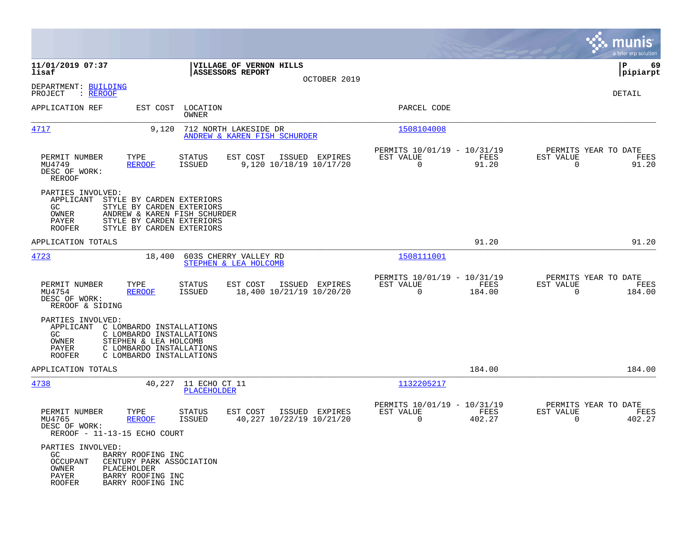|                                                                                                                                                                                                                              |                                                                                   |                                                                          | munis<br>a tyler erp solution                                      |
|------------------------------------------------------------------------------------------------------------------------------------------------------------------------------------------------------------------------------|-----------------------------------------------------------------------------------|--------------------------------------------------------------------------|--------------------------------------------------------------------|
| 11/01/2019 07:37<br>lisaf                                                                                                                                                                                                    | VILLAGE OF VERNON HILLS<br><b>ASSESSORS REPORT</b>                                |                                                                          | 69<br>P<br>$ $ pipiarpt                                            |
| DEPARTMENT: BUILDING<br>PROJECT<br>: REROOF                                                                                                                                                                                  | OCTOBER 2019                                                                      |                                                                          | DETAIL                                                             |
| APPLICATION REF                                                                                                                                                                                                              | EST COST LOCATION<br>OWNER                                                        | PARCEL CODE                                                              |                                                                    |
| 4717<br>9,120                                                                                                                                                                                                                | 712 NORTH LAKESIDE DR<br>ANDREW & KAREN FISH SCHURDER                             | 1508104008                                                               |                                                                    |
| TYPE<br>PERMIT NUMBER<br>MU4749<br><b>REROOF</b><br>DESC OF WORK:<br>REROOF                                                                                                                                                  | EST COST<br>ISSUED EXPIRES<br>STATUS<br>9,120 10/18/19 10/17/20<br>ISSUED         | PERMITS 10/01/19 - 10/31/19<br>EST VALUE<br>FEES<br>91.20<br>$\mathbf 0$ | PERMITS YEAR TO DATE<br>EST VALUE<br>FEES<br>$\mathbf 0$<br>91.20  |
| PARTIES INVOLVED:<br>APPLICANT<br>STYLE BY CARDEN EXTERIORS<br>GC.<br>STYLE BY CARDEN EXTERIORS<br>OWNER<br>ANDREW & KAREN FISH SCHURDER<br>PAYER<br>STYLE BY CARDEN EXTERIORS<br><b>ROOFER</b><br>STYLE BY CARDEN EXTERIORS |                                                                                   |                                                                          |                                                                    |
| APPLICATION TOTALS                                                                                                                                                                                                           |                                                                                   | 91.20                                                                    | 91.20                                                              |
| 4723<br>18,400                                                                                                                                                                                                               | 603S CHERRY VALLEY RD<br>STEPHEN & LEA HOLCOMB                                    | 1508111001                                                               |                                                                    |
| PERMIT NUMBER<br>TYPE<br>MU4754<br>REROOF<br>DESC OF WORK:<br>REROOF & SIDING                                                                                                                                                | EST COST<br>ISSUED EXPIRES<br><b>STATUS</b><br>18,400 10/21/19 10/20/20<br>ISSUED | PERMITS 10/01/19 - 10/31/19<br>EST VALUE<br><b>FEES</b><br>0<br>184.00   | PERMITS YEAR TO DATE<br>EST VALUE<br>FEES<br>$\mathbf 0$<br>184.00 |
| PARTIES INVOLVED:<br>APPLICANT<br>C LOMBARDO INSTALLATIONS<br>GC.<br>C LOMBARDO INSTALLATIONS<br>OWNER<br>STEPHEN & LEA HOLCOMB<br>PAYER<br>C LOMBARDO INSTALLATIONS<br><b>ROOFER</b><br>C LOMBARDO INSTALLATIONS            |                                                                                   |                                                                          |                                                                    |
| APPLICATION TOTALS                                                                                                                                                                                                           |                                                                                   | 184.00                                                                   | 184.00                                                             |
| 4738<br>40,227                                                                                                                                                                                                               | 11 ECHO CT 11<br><b>PLACEHOLDER</b>                                               | 1132205217                                                               |                                                                    |
| PERMIT NUMBER<br>TYPE<br>MU4765<br><b>REROOF</b><br>DESC OF WORK:<br>REROOF - 11-13-15 ECHO COURT                                                                                                                            | EST COST<br>ISSUED EXPIRES<br><b>STATUS</b><br>40,227 10/22/19 10/21/20<br>ISSUED | PERMITS 10/01/19 - 10/31/19<br>EST VALUE<br>FEES<br>402.27<br>0          | PERMITS YEAR TO DATE<br>EST VALUE<br>FEES<br>402.27<br>0           |
| PARTIES INVOLVED:<br>GC<br>BARRY ROOFING INC<br><b>OCCUPANT</b><br>CENTURY PARK ASSOCIATION<br>OWNER<br>PLACEHOLDER<br>PAYER<br>BARRY ROOFING INC<br><b>ROOFER</b><br>BARRY ROOFING INC                                      |                                                                                   |                                                                          |                                                                    |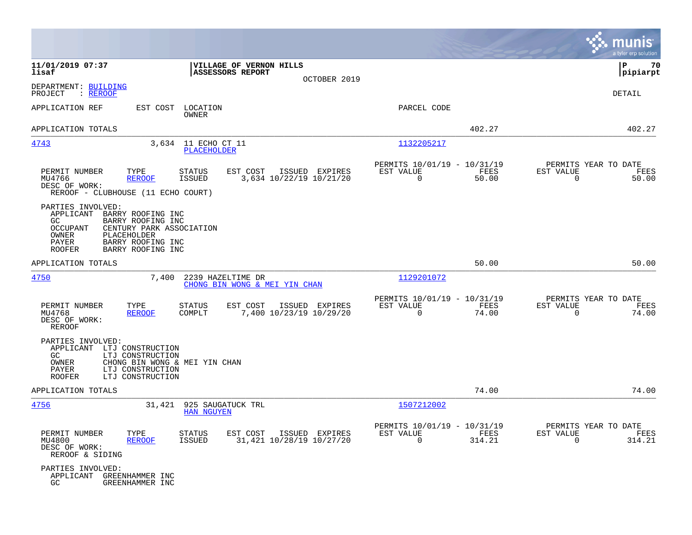|                                                                                                                                                                                                                     |                                                                           | munis<br>a tyler erp solution                                      |
|---------------------------------------------------------------------------------------------------------------------------------------------------------------------------------------------------------------------|---------------------------------------------------------------------------|--------------------------------------------------------------------|
| VILLAGE OF VERNON HILLS<br>11/01/2019 07:37<br>ASSESSORS REPORT<br>lisaf                                                                                                                                            |                                                                           | ΙP<br>70<br> pipiarpt                                              |
| OCTOBER 2019<br>DEPARTMENT: BUILDING                                                                                                                                                                                |                                                                           |                                                                    |
| : <u>REROOF</u><br>PROJECT                                                                                                                                                                                          |                                                                           | DETAIL                                                             |
| EST COST<br>LOCATION<br>APPLICATION REF<br>OWNER                                                                                                                                                                    | PARCEL CODE                                                               |                                                                    |
| APPLICATION TOTALS                                                                                                                                                                                                  | 402.27                                                                    | 402.27                                                             |
| 3,634 11 ECHO CT 11<br>4743<br><b>PLACEHOLDER</b>                                                                                                                                                                   | 1132205217                                                                |                                                                    |
| PERMIT NUMBER<br>TYPE<br><b>STATUS</b><br>EST COST<br>ISSUED EXPIRES<br>MU4766<br>3,634 10/22/19 10/21/20<br><b>REROOF</b><br><b>ISSUED</b><br>DESC OF WORK:<br>REROOF - CLUBHOUSE (11 ECHO COURT)                  | PERMITS 10/01/19 - 10/31/19<br>EST VALUE<br>FEES<br>$\mathbf 0$<br>50.00  | PERMITS YEAR TO DATE<br>EST VALUE<br>FEES<br>0<br>50.00            |
| PARTIES INVOLVED:<br>APPLICANT<br>BARRY ROOFING INC<br>BARRY ROOFING INC<br>GC.<br>OCCUPANT<br>CENTURY PARK ASSOCIATION<br>OWNER<br>PLACEHOLDER<br>BARRY ROOFING INC<br>PAYER<br>BARRY ROOFING INC<br><b>ROOFER</b> |                                                                           |                                                                    |
| APPLICATION TOTALS                                                                                                                                                                                                  | 50.00                                                                     | 50.00                                                              |
| 4750<br>7,400<br>2239 HAZELTIME DR<br>CHONG BIN WONG & MEI YIN CHAN                                                                                                                                                 | 1129201072                                                                |                                                                    |
| PERMIT NUMBER<br>TYPE<br><b>STATUS</b><br>EST COST<br>ISSUED EXPIRES<br>7,400 10/23/19 10/29/20<br>MU4768<br><b>REROOF</b><br>COMPLT<br>DESC OF WORK:<br><b>REROOF</b>                                              | PERMITS 10/01/19 - 10/31/19<br>EST VALUE<br>FEES<br>0<br>74.00            | PERMITS YEAR TO DATE<br>EST VALUE<br>FEES<br>0<br>74.00            |
| PARTIES INVOLVED:<br>APPLICANT LTJ CONSTRUCTION<br>GC<br>LTJ CONSTRUCTION<br>OWNER<br>CHONG BIN WONG & MEI YIN CHAN<br>PAYER<br>LTJ CONSTRUCTION<br>LTJ CONSTRUCTION<br><b>ROOFER</b>                               |                                                                           |                                                                    |
| APPLICATION TOTALS                                                                                                                                                                                                  | 74.00                                                                     | 74.00                                                              |
| 4756<br>925 SAUGATUCK TRL<br>31,421<br><b>HAN NGUYEN</b>                                                                                                                                                            | 1507212002                                                                |                                                                    |
| TYPE<br>EST COST<br>ISSUED EXPIRES<br>PERMIT NUMBER<br><b>STATUS</b><br>31,421 10/28/19 10/27/20<br>MU4800<br><b>REROOF</b><br><b>ISSUED</b><br>DESC OF WORK:<br>REROOF & SIDING                                    | PERMITS 10/01/19 - 10/31/19<br>EST VALUE<br>FEES<br>$\mathbf 0$<br>314.21 | PERMITS YEAR TO DATE<br>EST VALUE<br>FEES<br>$\mathbf 0$<br>314.21 |
| PARTIES INVOLVED:<br>APPLICANT GREENHAMMER INC<br>GC<br>GREENHAMMER INC                                                                                                                                             |                                                                           |                                                                    |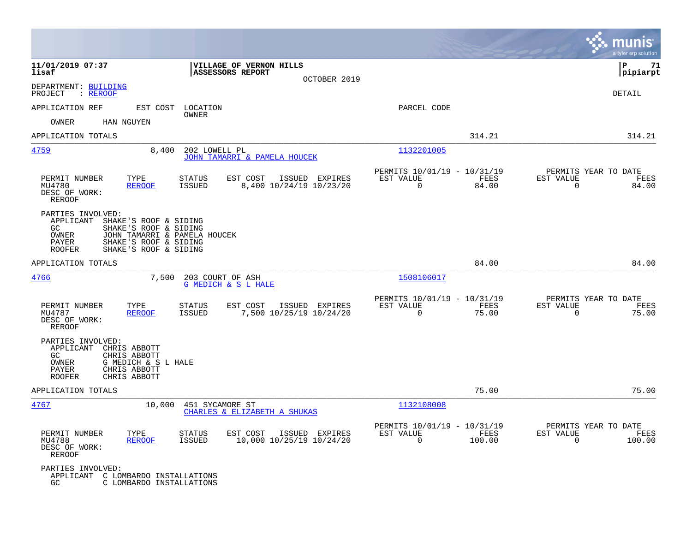|                                                                                                                                                                             |                                                                                         |                                                                          | munis<br>a tyler erp solution                                        |
|-----------------------------------------------------------------------------------------------------------------------------------------------------------------------------|-----------------------------------------------------------------------------------------|--------------------------------------------------------------------------|----------------------------------------------------------------------|
| 11/01/2019 07:37<br>lisaf                                                                                                                                                   | VILLAGE OF VERNON HILLS<br>ASSESSORS REPORT<br>OCTOBER 2019                             |                                                                          | ΙP<br>71<br> pipiarpt                                                |
| DEPARTMENT: BUILDING<br>: REROOF<br>PROJECT                                                                                                                                 |                                                                                         |                                                                          | DETAIL                                                               |
| APPLICATION REF<br>EST COST                                                                                                                                                 | LOCATION<br>OWNER                                                                       | PARCEL CODE                                                              |                                                                      |
| OWNER<br>HAN NGUYEN                                                                                                                                                         |                                                                                         |                                                                          |                                                                      |
| APPLICATION TOTALS                                                                                                                                                          |                                                                                         | 314.21                                                                   | 314.21                                                               |
| 4759<br>8,400                                                                                                                                                               | 202 LOWELL PL<br>JOHN TAMARRI & PAMELA HOUCEK                                           | 1132201005                                                               |                                                                      |
| PERMIT NUMBER<br>TYPE<br>MU4780<br><b>REROOF</b><br>DESC OF WORK:<br><b>REROOF</b>                                                                                          | <b>STATUS</b><br>EST COST<br>ISSUED EXPIRES<br>8,400 10/24/19 10/23/20<br><b>ISSUED</b> | PERMITS 10/01/19 - 10/31/19<br>FEES<br>EST VALUE<br>$\mathbf 0$<br>84.00 | PERMITS YEAR TO DATE<br>EST VALUE<br>FEES<br>$\overline{0}$<br>84.00 |
| PARTIES INVOLVED:<br>APPLICANT<br>SHAKE'S ROOF & SIDING<br>SHAKE'S ROOF & SIDING<br>GC<br>OWNER<br>SHAKE'S ROOF & SIDING<br>PAYER<br><b>ROOFER</b><br>SHAKE'S ROOF & SIDING | JOHN TAMARRI & PAMELA HOUCEK                                                            |                                                                          |                                                                      |
| APPLICATION TOTALS                                                                                                                                                          |                                                                                         | 84.00                                                                    | 84.00                                                                |
| 4766<br>7,500                                                                                                                                                               | 203 COURT OF ASH<br><b>G MEDICH &amp; S L HALE</b>                                      | 1508106017                                                               |                                                                      |
| PERMIT NUMBER<br>TYPE<br><b>REROOF</b><br>MU4787<br>DESC OF WORK:<br><b>REROOF</b>                                                                                          | EST COST<br>STATUS<br>ISSUED EXPIRES<br>7,500 10/25/19 10/24/20<br><b>ISSUED</b>        | PERMITS 10/01/19 - 10/31/19<br>FEES<br>EST VALUE<br>0<br>75.00           | PERMITS YEAR TO DATE<br>EST VALUE<br>FEES<br>75.00<br>0              |
| PARTIES INVOLVED:<br>APPLICANT<br>CHRIS ABBOTT<br>GC<br>CHRIS ABBOTT<br>OWNER<br>G MEDICH & S L HALE<br>PAYER<br>CHRIS ABBOTT<br>CHRIS ABBOTT<br><b>ROOFER</b>              |                                                                                         |                                                                          |                                                                      |
| APPLICATION TOTALS                                                                                                                                                          |                                                                                         | 75.00                                                                    | 75.00                                                                |
| 4767<br>10,000                                                                                                                                                              | 451 SYCAMORE ST<br>CHARLES & ELIZABETH A SHUKAS                                         | 1132108008                                                               |                                                                      |
| TYPE<br>PERMIT NUMBER<br>MU4788<br><b>REROOF</b><br>DESC OF WORK:<br><b>REROOF</b>                                                                                          | STATUS<br>EST COST<br>ISSUED EXPIRES<br><b>ISSUED</b><br>10,000 10/25/19 10/24/20       | PERMITS 10/01/19 - 10/31/19<br>EST VALUE<br>FEES<br>0<br>100.00          | PERMITS YEAR TO DATE<br>EST VALUE<br>FEES<br>$\Omega$<br>100.00      |
| PARTIES INVOLVED:<br>APPLICANT<br>C LOMBARDO INSTALLATIONS<br>GC.<br>C LOMBARDO INSTALLATIONS                                                                               |                                                                                         |                                                                          |                                                                      |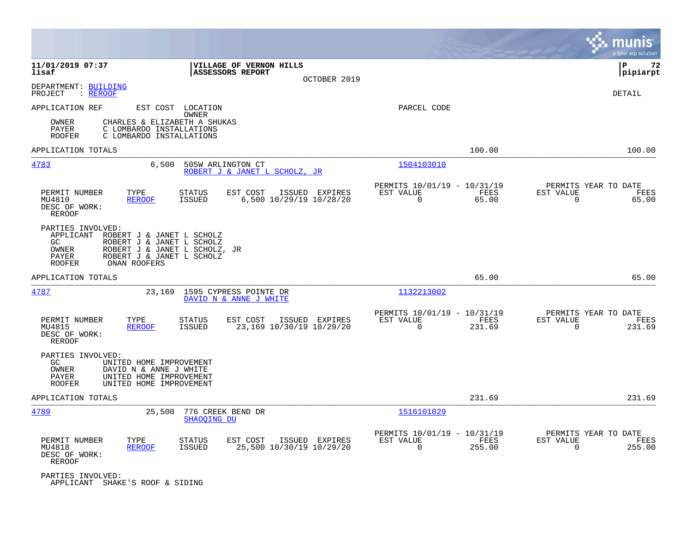|                                                                                                                                                                                                               | munis<br>a tyler erp solution                                                                                                                   |
|---------------------------------------------------------------------------------------------------------------------------------------------------------------------------------------------------------------|-------------------------------------------------------------------------------------------------------------------------------------------------|
| 11/01/2019 07:37<br>VILLAGE OF VERNON HILLS<br>ASSESSORS REPORT<br>lisaf                                                                                                                                      | P<br>72<br> pipiarpt                                                                                                                            |
| OCTOBER 2019<br>DEPARTMENT: BUILDING<br>: REROOF<br>PROJECT                                                                                                                                                   | DETAIL                                                                                                                                          |
| APPLICATION REF<br>EST COST LOCATION<br>OWNER                                                                                                                                                                 | PARCEL CODE                                                                                                                                     |
| CHARLES & ELIZABETH A SHUKAS<br>OWNER<br>PAYER<br>C LOMBARDO INSTALLATIONS<br><b>ROOFER</b><br>C LOMBARDO INSTALLATIONS                                                                                       |                                                                                                                                                 |
| APPLICATION TOTALS                                                                                                                                                                                            | 100.00<br>100.00                                                                                                                                |
| 4783<br>6,500<br>505W ARLINGTON CT<br>ROBERT J & JANET L SCHOLZ, JR                                                                                                                                           | 1504103010                                                                                                                                      |
| TYPE<br><b>STATUS</b><br>EST COST<br>ISSUED EXPIRES<br>PERMIT NUMBER<br><b>ISSUED</b><br>6,500 10/29/19 10/28/20<br>MU4810<br><b>REROOF</b><br>DESC OF WORK:<br>REROOF                                        | PERMITS 10/01/19 - 10/31/19<br>PERMITS YEAR TO DATE<br>EST VALUE<br>EST VALUE<br>FEES<br>FEES<br>$\Omega$<br>65.00<br>$\Omega$<br>65.00         |
| PARTIES INVOLVED:<br>APPLICANT ROBERT J & JANET L SCHOLZ<br>GC.<br>ROBERT J & JANET L SCHOLZ<br>OWNER<br>ROBERT J & JANET L SCHOLZ, JR<br>ROBERT J & JANET L SCHOLZ<br>PAYER<br>ONAN ROOFERS<br><b>ROOFER</b> |                                                                                                                                                 |
| APPLICATION TOTALS                                                                                                                                                                                            | 65.00<br>65.00                                                                                                                                  |
| 4787<br>23,169<br>1595 CYPRESS POINTE DR<br>DAVID N & ANNE J WHITE                                                                                                                                            | 1132213002                                                                                                                                      |
| TYPE<br><b>STATUS</b><br>EST COST<br>PERMIT NUMBER<br>ISSUED EXPIRES<br><b>REROOF</b><br><b>ISSUED</b><br>23,169 10/30/19 10/29/20<br>MU4815<br>DESC OF WORK:<br>REROOF                                       | PERMITS 10/01/19 - 10/31/19<br>PERMITS YEAR TO DATE<br>EST VALUE<br>FEES<br>EST VALUE<br>FEES<br>$\mathbf 0$<br>231.69<br>$\mathbf 0$<br>231.69 |
| PARTIES INVOLVED:<br>GC<br>UNITED HOME IMPROVEMENT<br>OWNER<br>DAVID N & ANNE J WHITE<br>PAYER<br>UNITED HOME IMPROVEMENT<br>UNITED HOME IMPROVEMENT<br><b>ROOFER</b>                                         |                                                                                                                                                 |
| APPLICATION TOTALS                                                                                                                                                                                            | 231.69<br>231.69                                                                                                                                |
| 4789<br>25,500<br>776 CREEK BEND DR<br>SHAOOING DU                                                                                                                                                            | 1516101029                                                                                                                                      |
| EST COST<br>PERMIT NUMBER<br>TYPE<br>STATUS<br>ISSUED EXPIRES<br>25,500 10/30/19 10/29/20<br>MU4818<br><b>REROOF</b><br>ISSUED<br>DESC OF WORK:<br>REROOF                                                     | PERMITS 10/01/19 - 10/31/19<br>PERMITS YEAR TO DATE<br>EST VALUE<br>FEES<br>EST VALUE<br>FEES<br>$\overline{0}$<br>255.00<br>255.00<br>0        |
| PARTIES INVOLVED:<br>APPLICANT SHAKE'S ROOF & SIDING                                                                                                                                                          |                                                                                                                                                 |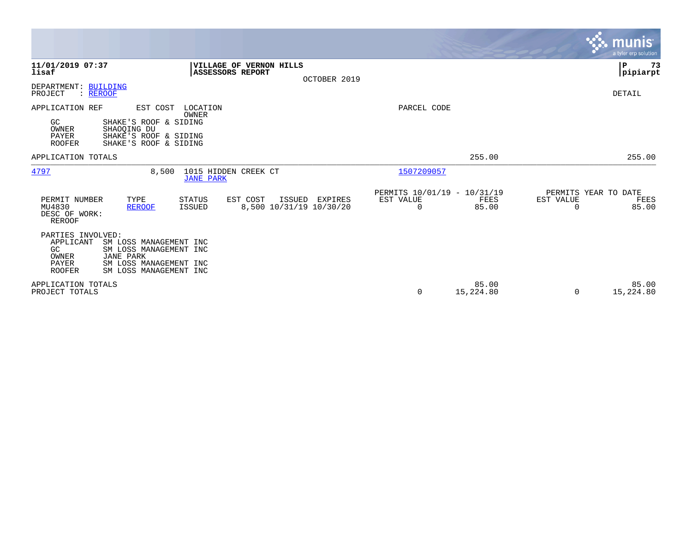|                                                                                                    |                                                                                                          |                                                          |                                               |                    | munis<br>a tyler erp solution                   |      |
|----------------------------------------------------------------------------------------------------|----------------------------------------------------------------------------------------------------------|----------------------------------------------------------|-----------------------------------------------|--------------------|-------------------------------------------------|------|
| 11/01/2019 07:37<br>lisaf                                                                          | <b>ASSESSORS REPORT</b>                                                                                  | VILLAGE OF VERNON HILLS<br>OCTOBER 2019                  |                                               |                    | P<br> pipiarpt                                  | 73   |
| DEPARTMENT: BUILDING<br>: REROOF<br>PROJECT                                                        |                                                                                                          |                                                          |                                               |                    | DETAIL                                          |      |
| APPLICATION REF<br>GC<br>SHAOQING DU<br><b>OWNER</b><br>PAYER<br><b>ROOFER</b>                     | EST COST<br>LOCATION<br>OWNER<br>SHAKE'S ROOF & SIDING<br>SHAKE'S ROOF & SIDING<br>SHAKE'S ROOF & SIDING |                                                          | PARCEL CODE                                   |                    |                                                 |      |
| APPLICATION TOTALS                                                                                 |                                                                                                          |                                                          |                                               | 255.00             | 255.00                                          |      |
| 4797                                                                                               | 1015 HIDDEN CREEK CT<br>8,500<br><b>JANE PARK</b>                                                        |                                                          | 1507209057                                    |                    |                                                 |      |
| PERMIT NUMBER<br>TYPE<br>MU4830<br><b>REROOF</b><br>DESC OF WORK:<br><b>REROOF</b>                 | <b>STATUS</b><br>ISSUED                                                                                  | EST COST<br>ISSUED<br>EXPIRES<br>8,500 10/31/19 10/30/20 | PERMITS 10/01/19 - 10/31/19<br>EST VALUE<br>0 | FEES<br>85.00      | PERMITS YEAR TO DATE<br>EST VALUE<br>85.00<br>0 | FEES |
| PARTIES INVOLVED:<br>APPLICANT<br>GC<br><b>JANE PARK</b><br><b>OWNER</b><br>PAYER<br><b>ROOFER</b> | SM LOSS MANAGEMENT INC<br>SM LOSS MANAGEMENT INC<br>SM LOSS MANAGEMENT INC<br>SM LOSS MANAGEMENT INC     |                                                          |                                               |                    |                                                 |      |
| APPLICATION TOTALS<br>PROJECT TOTALS                                                               |                                                                                                          |                                                          | $\mathbf 0$                                   | 85.00<br>15,224.80 | 85.00<br>15,224.80<br>$\Omega$                  |      |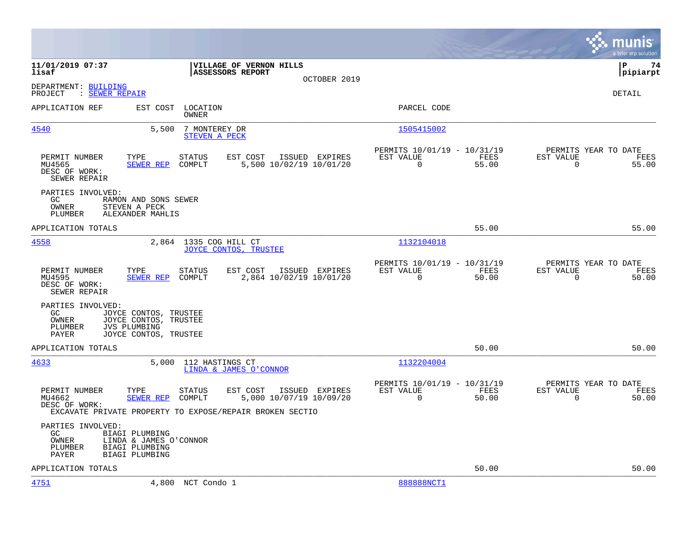|                                                                                                                                                                                                    | munis<br>a tyler erp solution                                                                                                                                      |
|----------------------------------------------------------------------------------------------------------------------------------------------------------------------------------------------------|--------------------------------------------------------------------------------------------------------------------------------------------------------------------|
| 11/01/2019 07:37<br>VILLAGE OF VERNON HILLS<br>ASSESSORS REPORT<br>lisaf                                                                                                                           | lР<br>74<br> pipiarpt<br>OCTOBER 2019                                                                                                                              |
| DEPARTMENT: BUILDING<br>: SEWER REPAIR<br>PROJECT                                                                                                                                                  | DETAIL                                                                                                                                                             |
| APPLICATION REF<br>EST COST LOCATION<br>OWNER                                                                                                                                                      | PARCEL CODE                                                                                                                                                        |
| 4540<br>5,500<br>7 MONTEREY DR<br>STEVEN A PECK                                                                                                                                                    | 1505415002                                                                                                                                                         |
| EST COST<br>PERMIT NUMBER<br>TYPE<br><b>STATUS</b><br>MU4565<br>SEWER REP<br>COMPLT<br>5,500 10/02/19 10/01/20<br>DESC OF WORK:<br>SEWER REPAIR                                                    | PERMITS 10/01/19 - 10/31/19<br>PERMITS YEAR TO DATE<br>EST VALUE<br>EST VALUE<br>ISSUED EXPIRES<br>FEES<br>FEES<br>$\mathbf 0$<br>55.00<br>$\mathbf 0$<br>55.00    |
| PARTIES INVOLVED:<br>GC<br>RAMON AND SONS SEWER<br>OWNER<br>STEVEN A PECK<br>PLUMBER<br>ALEXANDER MAHLIS                                                                                           |                                                                                                                                                                    |
| APPLICATION TOTALS                                                                                                                                                                                 | 55.00<br>55.00                                                                                                                                                     |
| 4558<br>1335 COG HILL CT<br>2,864<br>JOYCE CONTOS, TRUSTEE                                                                                                                                         | 1132104018                                                                                                                                                         |
| PERMIT NUMBER<br>TYPE<br><b>STATUS</b><br>EST COST<br>COMPLT<br>2,864 10/02/19 10/01/20<br>MU4595<br>SEWER REP<br>DESC OF WORK:<br>SEWER REPAIR                                                    | PERMITS 10/01/19 - 10/31/19<br>PERMITS YEAR TO DATE<br>EST VALUE<br>FEES<br>EST VALUE<br>ISSUED EXPIRES<br>FEES<br>$\mathbf 0$<br>50.00<br>50.00<br>$\overline{0}$ |
| PARTIES INVOLVED:<br>GC<br>JOYCE CONTOS, TRUSTEE<br>OWNER<br>JOYCE CONTOS, TRUSTEE<br>PLUMBER<br>JVS PLUMBING<br>JOYCE CONTOS, TRUSTEE<br>PAYER                                                    |                                                                                                                                                                    |
| APPLICATION TOTALS                                                                                                                                                                                 | 50.00<br>50.00                                                                                                                                                     |
| 112 HASTINGS CT<br>4633<br>5,000<br>LINDA & JAMES O'CONNOR                                                                                                                                         | 1132204004                                                                                                                                                         |
| PERMIT NUMBER<br>TYPE<br><b>STATUS</b><br>EST COST<br><b>SEWER REP</b><br>COMPLT<br>5,000 10/07/19 10/09/20<br>MU4662<br>DESC OF WORK:<br>EXCAVATE PRIVATE PROPERTY TO EXPOSE/REPAIR BROKEN SECTIO | PERMITS 10/01/19 - 10/31/19<br>PERMITS YEAR TO DATE<br>EST VALUE<br>FEES<br>EST VALUE<br>ISSUED EXPIRES<br>FEES<br>$\Omega$<br>50.00<br>$\overline{0}$<br>50.00    |
| PARTIES INVOLVED:<br>GC<br>BIAGI PLUMBING<br>LINDA & JAMES O'CONNOR<br>OWNER<br>PLUMBER<br>BIAGI PLUMBING<br>BIAGI PLUMBING<br>PAYER                                                               |                                                                                                                                                                    |
| APPLICATION TOTALS                                                                                                                                                                                 | 50.00<br>50.00                                                                                                                                                     |
| 4751<br>4,800 NCT Condo 1                                                                                                                                                                          | 888888NCT1                                                                                                                                                         |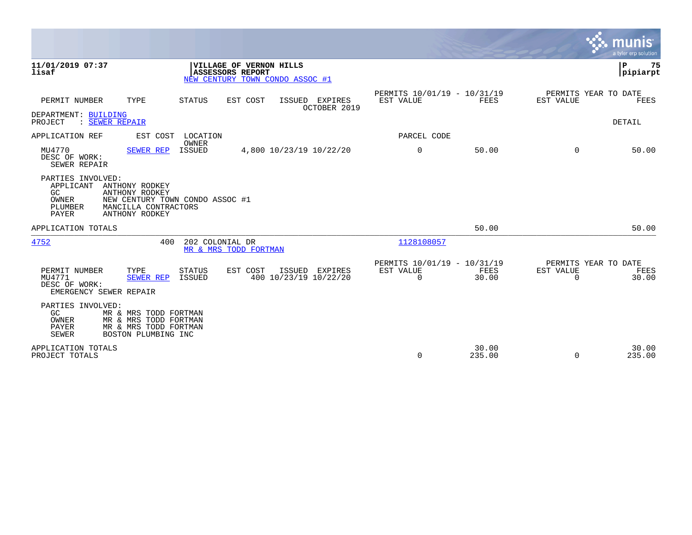|                                                                                                                                                                                    |              |                                                      |                 |                                               | munis<br>a tyler erp solution |
|------------------------------------------------------------------------------------------------------------------------------------------------------------------------------------|--------------|------------------------------------------------------|-----------------|-----------------------------------------------|-------------------------------|
| 11/01/2019 07:37<br>VILLAGE OF VERNON HILLS<br>lisaf<br>ASSESSORS REPORT<br>NEW CENTURY TOWN CONDO ASSOC #1                                                                        |              |                                                      |                 |                                               | ΙP<br>75<br> pipiarpt         |
| PERMIT NUMBER<br>TYPE<br>STATUS<br>EST COST<br>ISSUED EXPIRES                                                                                                                      | OCTOBER 2019 | PERMITS 10/01/19 - 10/31/19<br>EST VALUE             | FEES            | PERMITS YEAR TO DATE<br>EST VALUE             | FEES                          |
| DEPARTMENT: BUILDING<br>: SEWER REPAIR<br>PROJECT                                                                                                                                  |              |                                                      |                 |                                               | DETAIL                        |
| APPLICATION REF<br>EST COST LOCATION                                                                                                                                               |              | PARCEL CODE                                          |                 |                                               |                               |
| <b>OWNER</b><br>MU4770<br>SEWER REP ISSUED<br>4,800 10/23/19 10/22/20<br>DESC OF WORK:<br>SEWER REPAIR                                                                             |              | $\mathbf 0$                                          | 50.00           | $\Omega$                                      | 50.00                         |
| PARTIES INVOLVED:<br>APPLICANT<br>ANTHONY RODKEY<br>GC<br>ANTHONY RODKEY<br>OWNER<br>NEW CENTURY TOWN CONDO ASSOC #1<br>PLUMBER<br>MANCILLA CONTRACTORS<br>PAYER<br>ANTHONY RODKEY |              |                                                      |                 |                                               |                               |
| APPLICATION TOTALS                                                                                                                                                                 |              |                                                      | 50.00           |                                               | 50.00                         |
| 4752<br>400<br>202 COLONIAL DR<br>MR & MRS TODD FORTMAN                                                                                                                            |              | 1128108057                                           |                 |                                               |                               |
| PERMIT NUMBER<br>TYPE<br><b>STATUS</b><br>EST COST<br>ISSUED<br>400 10/23/19 10/22/20<br>MU4771<br>SEWER REP<br>ISSUED<br>DESC OF WORK:<br>EMERGENCY SEWER REPAIR                  | EXPIRES      | PERMITS 10/01/19 - 10/31/19<br>EST VALUE<br>$\Omega$ | FEES<br>30.00   | PERMITS YEAR TO DATE<br>EST VALUE<br>$\Omega$ | FEES<br>30.00                 |
| PARTIES INVOLVED:<br>GC<br>MR & MRS TODD FORTMAN<br>OWNER<br>MR & MRS TODD FORTMAN<br>PAYER<br>MR & MRS TODD FORTMAN<br><b>SEWER</b><br>BOSTON PLUMBING INC                        |              |                                                      |                 |                                               |                               |
| APPLICATION TOTALS<br>PROJECT TOTALS                                                                                                                                               |              | $\Omega$                                             | 30.00<br>235.00 | $\Omega$                                      | 30.00<br>235.00               |

the property of the control of

a sa mga magaalang na mga magaalang ng mga magaalang ng mga magaalang ng mga magaalang ng mga magaalang ng mga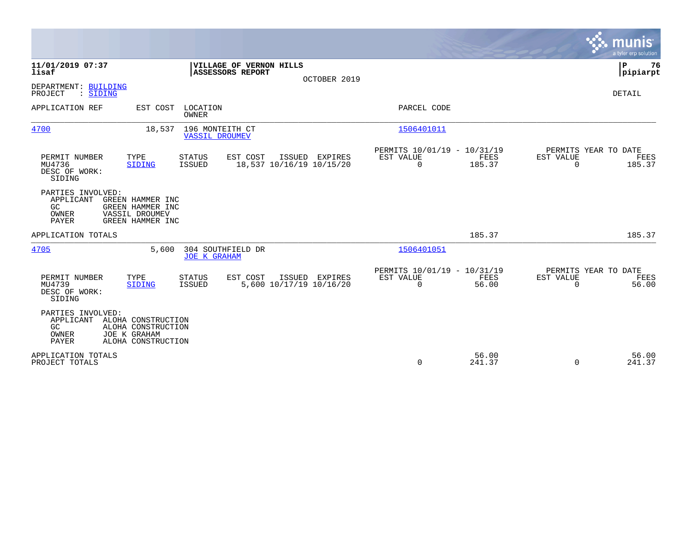|                                                                                                                                          |                                                                                                                             | munis<br>a tyler erp solution                                   |
|------------------------------------------------------------------------------------------------------------------------------------------|-----------------------------------------------------------------------------------------------------------------------------|-----------------------------------------------------------------|
| 11/01/2019 07:37<br>VILLAGE OF VERNON HILLS<br>lisaf<br>ASSESSORS REPORT                                                                 |                                                                                                                             | P<br>76<br> pipiarpt                                            |
| DEPARTMENT: BUILDING<br>PROJECT<br>: SIDING                                                                                              | OCTOBER 2019                                                                                                                | DETAIL                                                          |
| APPLICATION REF<br>EST COST LOCATION<br><b>OWNER</b>                                                                                     | PARCEL CODE                                                                                                                 |                                                                 |
| 4700<br>196 MONTEITH CT<br>18,537<br><b>VASSIL DROUMEV</b>                                                                               | 1506401011                                                                                                                  |                                                                 |
| TYPE<br>EST COST<br>PERMIT NUMBER<br><b>STATUS</b><br>MU4736<br><b>ISSUED</b><br><b>SIDING</b><br>DESC OF WORK:<br>SIDING                | PERMITS 10/01/19 - 10/31/19<br>ISSUED EXPIRES<br>EST VALUE<br><b>FEES</b><br>18,537 10/16/19 10/15/20<br>$\Omega$<br>185.37 | PERMITS YEAR TO DATE<br>EST VALUE<br>FEES<br>$\Omega$<br>185.37 |
| PARTIES INVOLVED:<br>APPLICANT<br>GREEN HAMMER INC<br>GC<br>GREEN HAMMER INC<br>OWNER<br>VASSIL DROUMEV<br>PAYER<br>GREEN HAMMER INC     |                                                                                                                             |                                                                 |
| APPLICATION TOTALS                                                                                                                       | 185.37                                                                                                                      | 185.37                                                          |
| 4705<br>304 SOUTHFIELD DR<br>5,600<br><b>JOE K GRAHAM</b>                                                                                | 1506401051                                                                                                                  |                                                                 |
| EST COST<br>PERMIT NUMBER<br>TYPE<br><b>STATUS</b><br>MU4739<br><b>ISSUED</b><br><b>SIDING</b><br>DESC OF WORK:<br>SIDING                | PERMITS 10/01/19 - 10/31/19<br>FEES<br>ISSUED EXPIRES<br>EST VALUE<br>$\Omega$<br>56.00<br>5,600 10/17/19 10/16/20          | PERMITS YEAR TO DATE<br>EST VALUE<br>FEES<br>$\Omega$<br>56.00  |
| PARTIES INVOLVED:<br>APPLICANT<br>ALOHA CONSTRUCTION<br>GC<br>ALOHA CONSTRUCTION<br>OWNER<br>JOE K GRAHAM<br>PAYER<br>ALOHA CONSTRUCTION |                                                                                                                             |                                                                 |
| APPLICATION TOTALS<br>PROJECT TOTALS                                                                                                     | 56.00<br>$\Omega$<br>241.37                                                                                                 | 56.00<br>241.37<br>$\Omega$                                     |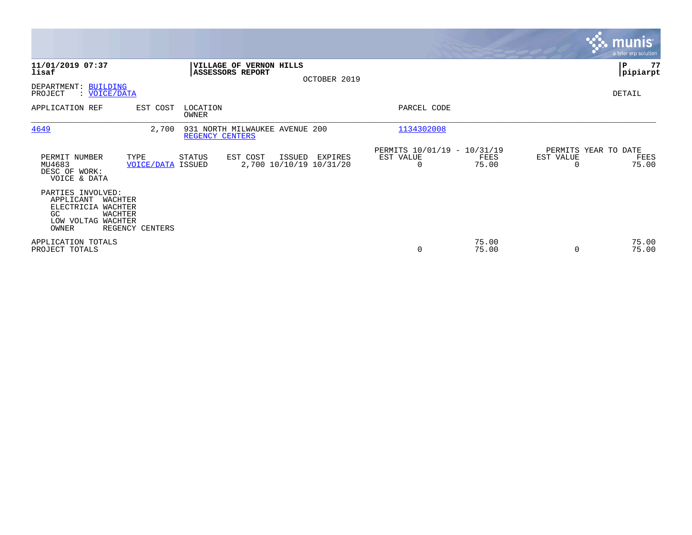|                                                                                                                                       |                                    |                                     |                                                                                 |              |                                                                       |               |                                        | <b>munis</b><br>a tyler erp solution |
|---------------------------------------------------------------------------------------------------------------------------------------|------------------------------------|-------------------------------------|---------------------------------------------------------------------------------|--------------|-----------------------------------------------------------------------|---------------|----------------------------------------|--------------------------------------|
| 11/01/2019 07:37<br>lisaf<br>DEPARTMENT: BUILDING                                                                                     |                                    |                                     | VILLAGE OF VERNON HILLS<br>ASSESSORS REPORT                                     | OCTOBER 2019 |                                                                       |               |                                        | ∣P<br>77<br>pipiarpt                 |
| PROJECT<br>: VOICE/DATA<br>APPLICATION REF                                                                                            | EST COST                           | LOCATION<br>OWNER                   |                                                                                 |              | PARCEL CODE                                                           |               |                                        | DETAIL                               |
| 4649<br>PERMIT NUMBER<br>MU4683<br>DESC OF WORK:<br>VOICE & DATA                                                                      | 2,700<br>TYPE<br><b>VOICE/DATA</b> | REGENCY CENTERS<br>STATUS<br>ISSUED | 931 NORTH MILWAUKEE AVENUE 200<br>EST COST<br>ISSUED<br>2,700 10/10/19 10/31/20 | EXPIRES      | 1134302008<br>PERMITS 10/01/19 - 10/31/19<br>EST VALUE<br>$\mathbf 0$ | FEES<br>75.00 | PERMITS YEAR TO DATE<br>EST VALUE<br>0 | FEES<br>75.00                        |
| PARTIES INVOLVED:<br>APPLICANT<br>WACHTER<br>ELECTRICIA WACHTER<br>GC<br>WACHTER<br>LOW VOLTAG WACHTER<br>OWNER<br>APPLICATION TOTALS | REGENCY CENTERS                    |                                     |                                                                                 |              |                                                                       | 75.00         |                                        | 75.00                                |
| PROJECT TOTALS                                                                                                                        |                                    |                                     |                                                                                 |              | 0                                                                     | 75.00         |                                        | 75.00                                |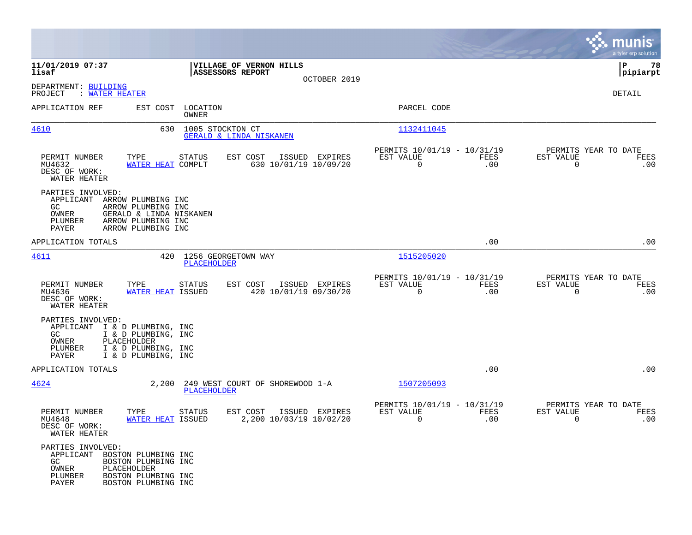|                                                                                                                                                                                      |                                                                 |                                                                           | munis<br>a tyler erp solution                                      |
|--------------------------------------------------------------------------------------------------------------------------------------------------------------------------------------|-----------------------------------------------------------------|---------------------------------------------------------------------------|--------------------------------------------------------------------|
| 11/01/2019 07:37<br>lisaf                                                                                                                                                            | VILLAGE OF VERNON HILLS<br>ASSESSORS REPORT                     |                                                                           | 78<br>P<br> pipiarpt                                               |
| DEPARTMENT: BUILDING<br>PROJECT<br>: WATER HEATER                                                                                                                                    | OCTOBER 2019                                                    |                                                                           | DETAIL                                                             |
| APPLICATION REF                                                                                                                                                                      | EST COST LOCATION<br>OWNER                                      | PARCEL CODE                                                               |                                                                    |
| 4610<br>630                                                                                                                                                                          | 1005 STOCKTON CT<br><b>GERALD &amp; LINDA NISKANEN</b>          | <u>1132411045</u>                                                         |                                                                    |
| TYPE<br>PERMIT NUMBER<br>MU4632<br>WATER HEAT COMPLT<br>DESC OF WORK:<br>WATER HEATER                                                                                                | STATUS<br>EST COST<br>ISSUED EXPIRES<br>630 10/01/19 10/09/20   | PERMITS 10/01/19 - 10/31/19<br>EST VALUE<br>FEES<br>$\overline{0}$<br>.00 | PERMITS YEAR TO DATE<br>EST VALUE<br>FEES<br>$\overline{0}$<br>.00 |
| PARTIES INVOLVED:<br>APPLICANT<br>ARROW PLUMBING INC<br>GC<br>ARROW PLUMBING INC<br>OWNER<br>GERALD & LINDA NISKANEN<br>ARROW PLUMBING INC<br>PLUMBER<br>PAYER<br>ARROW PLUMBING INC |                                                                 |                                                                           |                                                                    |
| APPLICATION TOTALS                                                                                                                                                                   |                                                                 | .00                                                                       | .00                                                                |
| 4611<br>420                                                                                                                                                                          | 1256 GEORGETOWN WAY<br><b>PLACEHOLDER</b>                       | 1515205020                                                                |                                                                    |
| PERMIT NUMBER<br>TYPE<br>MU4636<br>WATER HEAT ISSUED<br>DESC OF WORK:<br>WATER HEATER                                                                                                | ISSUED EXPIRES<br>STATUS<br>EST COST<br>420 10/01/19 09/30/20   | PERMITS 10/01/19 - 10/31/19<br>EST VALUE<br>FEES<br>$\mathbf 0$<br>.00    | PERMITS YEAR TO DATE<br>EST VALUE<br>FEES<br>$\overline{0}$<br>.00 |
| PARTIES INVOLVED:<br>APPLICANT I & D PLUMBING, INC<br>GC<br>I & D PLUMBING, INC<br>OWNER<br>PLACEHOLDER<br>PLUMBER<br>I & D PLUMBING, INC<br>PAYER<br>I & D PLUMBING, INC            |                                                                 |                                                                           |                                                                    |
| APPLICATION TOTALS                                                                                                                                                                   |                                                                 | .00                                                                       | .00                                                                |
| 4624                                                                                                                                                                                 | 2,200 249 WEST COURT OF SHOREWOOD 1-A<br>PLACEHOLDER            | 1507205093                                                                |                                                                    |
| PERMIT NUMBER<br>TYPE<br>MU4648<br>WATER HEAT ISSUED<br>DESC OF WORK:<br>WATER HEATER                                                                                                | EST COST<br>ISSUED EXPIRES<br>STATUS<br>2,200 10/03/19 10/02/20 | PERMITS 10/01/19 - 10/31/19<br>EST VALUE<br>FEES<br>0<br>.00              | PERMITS YEAR TO DATE<br>EST VALUE<br>FEES<br>0<br>.00              |
| PARTIES INVOLVED:<br>APPLICANT BOSTON PLUMBING INC<br>GC<br>BOSTON PLUMBING INC<br>OWNER<br>PLACEHOLDER<br>PLUMBER<br>BOSTON PLUMBING INC<br>PAYER<br>BOSTON PLUMBING INC            |                                                                 |                                                                           |                                                                    |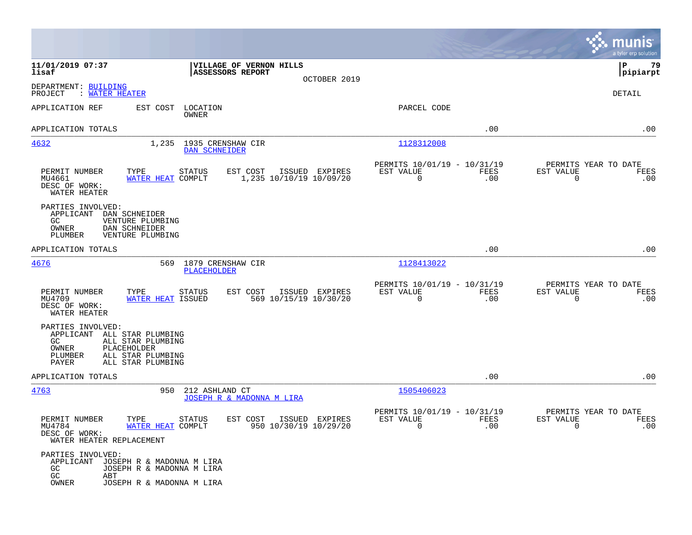|                                                                      |                                                                                                             |                                                                            | munis<br>a tyler erp solution                                           |
|----------------------------------------------------------------------|-------------------------------------------------------------------------------------------------------------|----------------------------------------------------------------------------|-------------------------------------------------------------------------|
| 11/01/2019 07:37<br>lisaf                                            | VILLAGE OF VERNON HILLS<br><b>ASSESSORS REPORT</b><br>OCTOBER 2019                                          |                                                                            | ΙP<br>79<br> pipiarpt                                                   |
| DEPARTMENT: BUILDING<br>PROJECT<br>: <u>WATER HEATER</u>             |                                                                                                             |                                                                            | DETAIL                                                                  |
| APPLICATION REF                                                      | LOCATION<br>EST COST<br>OWNER                                                                               | PARCEL CODE                                                                |                                                                         |
| APPLICATION TOTALS                                                   |                                                                                                             | .00                                                                        | .00                                                                     |
| 4632                                                                 | 1,235 1935 CRENSHAW CIR<br>DAN SCHNEIDER                                                                    | 1128312008                                                                 |                                                                         |
| PERMIT NUMBER<br>MU4661<br>DESC OF WORK:<br>WATER HEATER             | TYPE<br><b>STATUS</b><br>EST COST<br>ISSUED EXPIRES<br>WATER HEAT COMPLT<br>1,235 10/10/19 10/09/20         | PERMITS 10/01/19 - 10/31/19<br>EST VALUE<br>FEES<br>0<br>.00               | PERMITS YEAR TO DATE<br>EST VALUE<br>FEES<br>0<br>.00                   |
| PARTIES INVOLVED:<br>APPLICANT<br>GC.<br>OWNER<br>PLUMBER            | DAN SCHNEIDER<br>VENTURE PLUMBING<br>DAN SCHNEIDER<br>VENTURE PLUMBING                                      |                                                                            |                                                                         |
| APPLICATION TOTALS                                                   |                                                                                                             | .00                                                                        | .00                                                                     |
| 4676                                                                 | 569 1879 CRENSHAW CIR<br>PLACEHOLDER                                                                        | 1128413022                                                                 |                                                                         |
| PERMIT NUMBER<br>MU4709<br>DESC OF WORK:<br>WATER HEATER             | TYPE<br><b>STATUS</b><br>EST COST<br>ISSUED EXPIRES<br><b>WATER HEAT ISSUED</b><br>569 10/15/19 10/30/20    | PERMITS 10/01/19 - 10/31/19<br>EST VALUE<br>FEES<br>$\mathbf 0$<br>.00     | PERMITS YEAR TO DATE<br>EST VALUE<br>FEES<br>.00<br>$\mathbf 0$         |
| PARTIES INVOLVED:<br>APPLICANT<br>GC.<br>OWNER<br>PLUMBER<br>PAYER   | ALL STAR PLUMBING<br>ALL STAR PLUMBING<br>PLACEHOLDER<br>ALL STAR PLUMBING<br>ALL STAR PLUMBING             |                                                                            |                                                                         |
| APPLICATION TOTALS                                                   |                                                                                                             | .00                                                                        | .00                                                                     |
| 4763                                                                 | 212 ASHLAND CT<br>950<br>JOSEPH R & MADONNA M LIRA                                                          | 1505406023                                                                 |                                                                         |
| PERMIT NUMBER<br>MU4784<br>DESC OF WORK:<br>WATER HEATER REPLACEMENT | TYPE<br><b>STATUS</b><br>EST COST<br><b>ISSUED</b><br>EXPIRES<br>WATER HEAT COMPLT<br>950 10/30/19 10/29/20 | PERMITS 10/01/19 - 10/31/19<br>EST VALUE<br>FEES<br>$\overline{0}$<br>.00. | PERMITS YEAR TO DATE<br>EST VALUE<br>FEES<br>$\overline{0}$<br>$.00 \,$ |
| PARTIES INVOLVED:<br>GC.<br>GC<br>ABT<br>OWNER                       | APPLICANT JOSEPH R & MADONNA M LIRA<br>JOSEPH R & MADONNA M LIRA<br>JOSEPH R & MADONNA M LIRA               |                                                                            |                                                                         |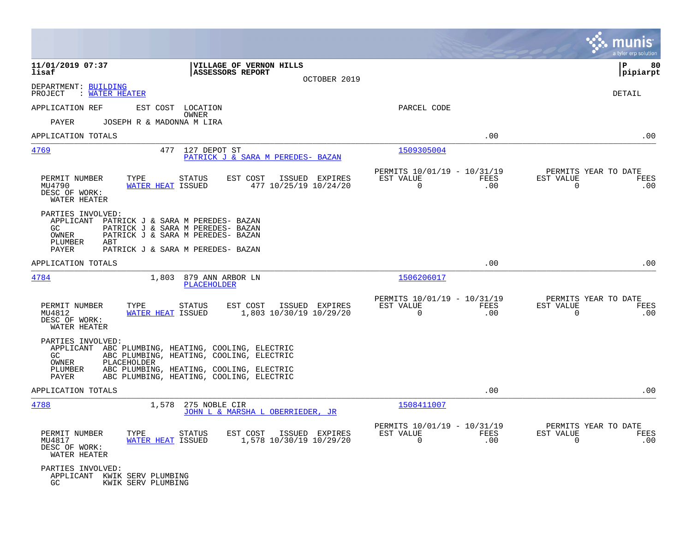|                                                                                                                                                                                                                                                               |                                                       |                                               |                    | munis<br>a tyler erp solution                                   |
|---------------------------------------------------------------------------------------------------------------------------------------------------------------------------------------------------------------------------------------------------------------|-------------------------------------------------------|-----------------------------------------------|--------------------|-----------------------------------------------------------------|
| 11/01/2019 07:37<br><b>ASSESSORS REPORT</b><br>lisaf                                                                                                                                                                                                          | VILLAGE OF VERNON HILLS                               |                                               |                    | 80<br>ΙP<br> pipiarpt                                           |
| DEPARTMENT: BUILDING                                                                                                                                                                                                                                          | OCTOBER 2019                                          |                                               |                    |                                                                 |
| : WATER HEATER<br>PROJECT                                                                                                                                                                                                                                     |                                                       |                                               |                    | <b>DETAIL</b>                                                   |
| APPLICATION REF<br>EST COST LOCATION<br><b>OWNER</b>                                                                                                                                                                                                          |                                                       | PARCEL CODE                                   |                    |                                                                 |
| <b>PAYER</b><br>JOSEPH R & MADONNA M LIRA                                                                                                                                                                                                                     |                                                       |                                               |                    |                                                                 |
| APPLICATION TOTALS                                                                                                                                                                                                                                            |                                                       |                                               | .00                | .00                                                             |
| 4769<br>477<br>127 DEPOT ST                                                                                                                                                                                                                                   | PATRICK J & SARA M PEREDES- BAZAN                     | 1509305004                                    |                    |                                                                 |
| PERMIT NUMBER<br>TYPE<br><b>STATUS</b><br>WATER HEAT ISSUED<br>MU4790<br>DESC OF WORK:<br>WATER HEATER                                                                                                                                                        | EST COST<br>ISSUED EXPIRES<br>477 10/25/19 10/24/20   | PERMITS 10/01/19 - 10/31/19<br>EST VALUE<br>0 | FEES<br>.00        | PERMITS YEAR TO DATE<br>EST VALUE<br>FEES<br>$\mathbf 0$<br>.00 |
| PARTIES INVOLVED:<br>APPLICANT PATRICK J & SARA M PEREDES- BAZAN<br>PATRICK J & SARA M PEREDES- BAZAN<br>GC<br>OWNER<br>PATRICK J & SARA M PEREDES- BAZAN<br>PLUMBER<br>ABT<br>PAYER<br>PATRICK J & SARA M PEREDES- BAZAN                                     |                                                       |                                               |                    |                                                                 |
| APPLICATION TOTALS                                                                                                                                                                                                                                            |                                                       |                                               | .00                | .00                                                             |
| 4784<br>1,803<br>879 ANN ARBOR LN                                                                                                                                                                                                                             |                                                       | 1506206017                                    |                    |                                                                 |
| PLACEHOLDER                                                                                                                                                                                                                                                   |                                                       |                                               |                    |                                                                 |
| PERMIT NUMBER<br>TYPE<br><b>STATUS</b><br>MU4812<br>WATER HEAT ISSUED<br>DESC OF WORK:<br>WATER HEATER                                                                                                                                                        | EST COST<br>ISSUED EXPIRES<br>1,803 10/30/19 10/29/20 | PERMITS 10/01/19 - 10/31/19<br>EST VALUE<br>0 | FEES<br>.00        | PERMITS YEAR TO DATE<br>EST VALUE<br>FEES<br>$\mathbf 0$<br>.00 |
| PARTIES INVOLVED:<br>APPLICANT ABC PLUMBING, HEATING, COOLING, ELECTRIC<br>ABC PLUMBING, HEATING, COOLING, ELECTRIC<br>GC<br>PLACEHOLDER<br>OWNER<br>PLUMBER<br>ABC PLUMBING, HEATING, COOLING, ELECTRIC<br>ABC PLUMBING, HEATING, COOLING, ELECTRIC<br>PAYER |                                                       |                                               |                    |                                                                 |
| APPLICATION TOTALS                                                                                                                                                                                                                                            |                                                       |                                               | .00                | .00                                                             |
| 4788<br>1,578 275 NOBLE CIR                                                                                                                                                                                                                                   | JOHN L & MARSHA L OBERRIEDER, JR                      | 1508411007                                    |                    |                                                                 |
| PERMIT NUMBER<br>TYPE<br><b>STATUS</b><br>MU4817<br>WATER HEAT ISSUED<br>DESC OF WORK:<br>WATER HEATER                                                                                                                                                        | ISSUED EXPIRES<br>EST COST<br>1,578 10/30/19 10/29/20 | PERMITS 10/01/19 - 10/31/19<br>EST VALUE<br>0 | <b>FEES</b><br>.00 | PERMITS YEAR TO DATE<br>EST VALUE<br>FEES<br>.00<br>0           |
| PARTIES INVOLVED:<br>APPLICANT KWIK SERV PLUMBING<br>GC<br>KWIK SERV PLUMBING                                                                                                                                                                                 |                                                       |                                               |                    |                                                                 |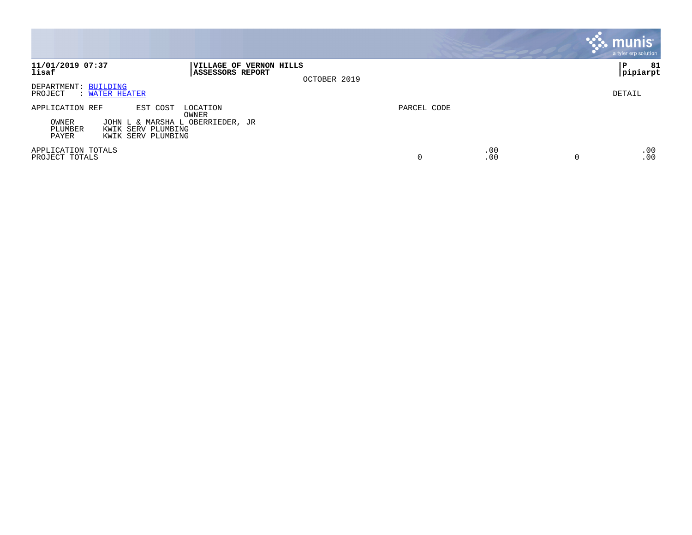|                                                                                                                                                               | <b>munis</b><br>a tyler erp solution |                 |
|---------------------------------------------------------------------------------------------------------------------------------------------------------------|--------------------------------------|-----------------|
| 11/01/2019 07:37<br><b>VERNON HILLS</b><br><b> VILLAGE OF</b><br>lisaf<br>ASSESSORS REPORT<br>OCTOBER 2019                                                    | P                                    | 81<br> pipiarpt |
| DEPARTMENT: BUILDING<br>PROJECT<br>: WATER HEATER                                                                                                             | DETAIL                               |                 |
| APPLICATION REF<br>EST COST<br>LOCATION<br>OWNER<br>OWNER<br>JOHN L & MARSHA L OBERRIEDER, JR<br>PLUMBER<br>KWIK SERV PLUMBING<br>KWIK SERV PLUMBING<br>PAYER | PARCEL CODE                          |                 |
| APPLICATION TOTALS<br>PROJECT TOTALS                                                                                                                          | .00<br>.00<br>$\Omega$               | .00<br>.00      |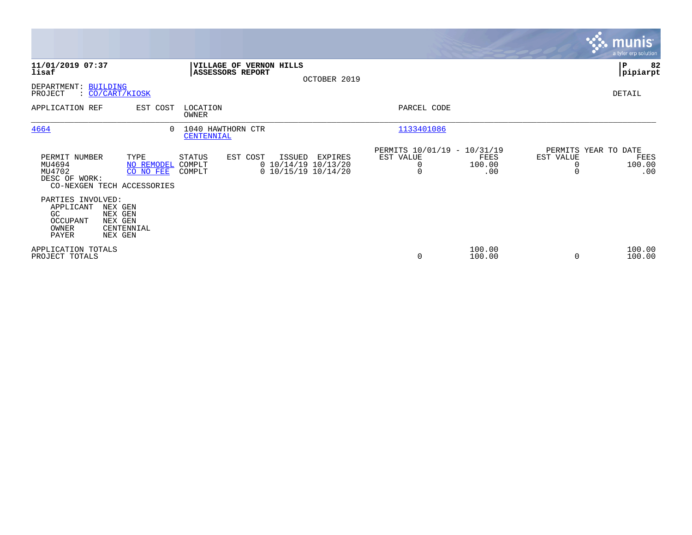|                                                                    |                                                               |                                 |                                                                      |              |                                                    |                              |           | <b>munis</b><br>a tyler erp solution          |
|--------------------------------------------------------------------|---------------------------------------------------------------|---------------------------------|----------------------------------------------------------------------|--------------|----------------------------------------------------|------------------------------|-----------|-----------------------------------------------|
| 11/01/2019 07:37<br>lisaf                                          |                                                               |                                 | VILLAGE OF VERNON HILLS<br><b>ASSESSORS REPORT</b>                   | OCTOBER 2019 |                                                    |                              |           | ∣P<br>82<br> pipiarpt                         |
| DEPARTMENT: BUILDING<br>PROJECT                                    | : CO/CART/KIOSK                                               |                                 |                                                                      |              |                                                    |                              |           | DETAIL                                        |
| APPLICATION REF                                                    | EST COST                                                      | LOCATION<br>OWNER               |                                                                      |              | PARCEL CODE                                        |                              |           |                                               |
| 4664                                                               | $\Omega$                                                      | 1040 HAWTHORN CTR<br>CENTENNIAL |                                                                      |              | 1133401086                                         |                              |           |                                               |
| PERMIT NUMBER<br>MU4694<br>MU4702<br>DESC OF WORK:                 | TYPE<br>NO REMODEL<br>CO NO FEE<br>CO-NEXGEN TECH ACCESSORIES | STATUS<br>COMPLT<br>COMPLT      | EST COST<br>ISSUED<br>$0$ 10/14/19 10/13/20<br>$0$ 10/15/19 10/14/20 | EXPIRES      | PERMITS 10/01/19 - 10/31/19<br>EST VALUE<br>0<br>0 | <b>FEES</b><br>100.00<br>.00 | EST VALUE | PERMITS YEAR TO DATE<br>FEES<br>100.00<br>.00 |
| PARTIES INVOLVED:<br>APPLICANT<br>GC<br>OCCUPANT<br>OWNER<br>PAYER | NEX GEN<br>NEX GEN<br>NEX GEN<br>CENTENNIAL<br>NEX GEN        |                                 |                                                                      |              |                                                    |                              |           |                                               |
| APPLICATION TOTALS<br>PROJECT TOTALS                               |                                                               |                                 |                                                                      |              | 0                                                  | 100.00<br>100.00             | $\Omega$  | 100.00<br>100.00                              |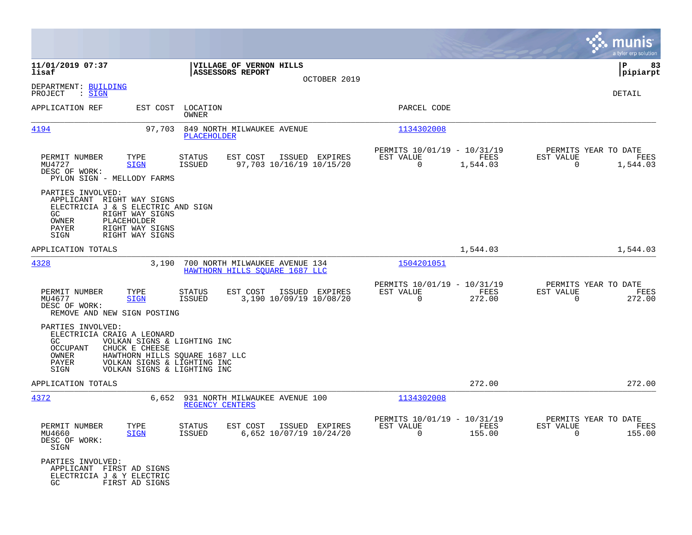|                                                                                                                                                                                                                                               |                                                                            |                                                                          | munis<br>a tyler erp solution                                     |
|-----------------------------------------------------------------------------------------------------------------------------------------------------------------------------------------------------------------------------------------------|----------------------------------------------------------------------------|--------------------------------------------------------------------------|-------------------------------------------------------------------|
| 11/01/2019 07:37<br>lisaf                                                                                                                                                                                                                     | VILLAGE OF VERNON HILLS<br><b>ASSESSORS REPORT</b>                         |                                                                          | ΙP<br>83<br> pipiarpt                                             |
| DEPARTMENT: BUILDING<br>PROJECT<br>: SIGN                                                                                                                                                                                                     | OCTOBER 2019                                                               |                                                                          | DETAIL                                                            |
| APPLICATION REF                                                                                                                                                                                                                               | EST COST LOCATION<br>OWNER                                                 | PARCEL CODE                                                              |                                                                   |
| 4194<br>97,703                                                                                                                                                                                                                                | 849 NORTH MILWAUKEE AVENUE<br>PLACEHOLDER                                  | 1134302008                                                               |                                                                   |
| PERMIT NUMBER<br>TYPE<br>MU4727<br><b>SIGN</b><br>DESC OF WORK:<br>PYLON SIGN - MELLODY FARMS                                                                                                                                                 | STATUS<br>EST COST<br>ISSUED EXPIRES<br>97,703 10/16/19 10/15/20<br>ISSUED | PERMITS 10/01/19 - 10/31/19<br>EST VALUE<br>FEES<br>$\Omega$<br>1,544.03 | PERMITS YEAR TO DATE<br>EST VALUE<br>FEES<br>$\Omega$<br>1,544.03 |
| PARTIES INVOLVED:<br>APPLICANT RIGHT WAY SIGNS<br>ELECTRICIA J & S ELECTRIC AND SIGN<br>RIGHT WAY SIGNS<br>GC.<br>PLACEHOLDER<br>OWNER<br>PAYER<br>RIGHT WAY SIGNS<br>SIGN<br>RIGHT WAY SIGNS                                                 |                                                                            |                                                                          |                                                                   |
| APPLICATION TOTALS                                                                                                                                                                                                                            |                                                                            | 1,544.03                                                                 | 1,544.03                                                          |
| 4328<br>3,190                                                                                                                                                                                                                                 | 700 NORTH MILWAUKEE AVENUE 134<br>HAWTHORN HILLS SOUARE 1687 LLC           | 1504201051                                                               |                                                                   |
| PERMIT NUMBER<br>TYPE<br>MU4677<br><b>SIGN</b><br>DESC OF WORK:<br>REMOVE AND NEW SIGN POSTING                                                                                                                                                | EST COST<br>ISSUED EXPIRES<br>STATUS<br>3,190 10/09/19 10/08/20<br>ISSUED  | PERMITS 10/01/19 - 10/31/19<br>EST VALUE<br>FEES<br>0<br>272.00          | PERMITS YEAR TO DATE<br>EST VALUE<br>FEES<br>0<br>272.00          |
| PARTIES INVOLVED:<br>ELECTRICIA CRAIG A LEONARD<br>GC.<br>VOLKAN SIGNS & LIGHTING INC<br>CHUCK E CHEESE<br>OCCUPANT<br>OWNER<br>HAWTHORN HILLS SQUARE 1687 LLC<br>VOLKAN SIGNS & LIGHTING INC<br>PAYER<br>VOLKAN SIGNS & LIGHTING INC<br>SIGN |                                                                            |                                                                          |                                                                   |
| APPLICATION TOTALS                                                                                                                                                                                                                            |                                                                            | 272.00                                                                   | 272.00                                                            |
| 4372<br>6,652                                                                                                                                                                                                                                 | 931 NORTH MILWAUKEE AVENUE 100<br>REGENCY CENTERS                          | 1134302008                                                               |                                                                   |
| PERMIT NUMBER<br>TYPE<br>MU4660<br><b>SIGN</b><br>DESC OF WORK:<br>SIGN                                                                                                                                                                       | STATUS<br>EST COST ISSUED EXPIRES<br>6,652 10/07/19 10/24/20<br>ISSUED     | PERMITS 10/01/19 - 10/31/19<br>FEES<br>EST VALUE<br>$\Omega$<br>155.00   | PERMITS YEAR TO DATE<br>EST VALUE<br>FEES<br>$\Omega$<br>155.00   |
| PARTIES INVOLVED:<br>APPLICANT FIRST AD SIGNS<br>ELECTRICIA J & Y ELECTRIC<br>GC<br>FIRST AD SIGNS                                                                                                                                            |                                                                            |                                                                          |                                                                   |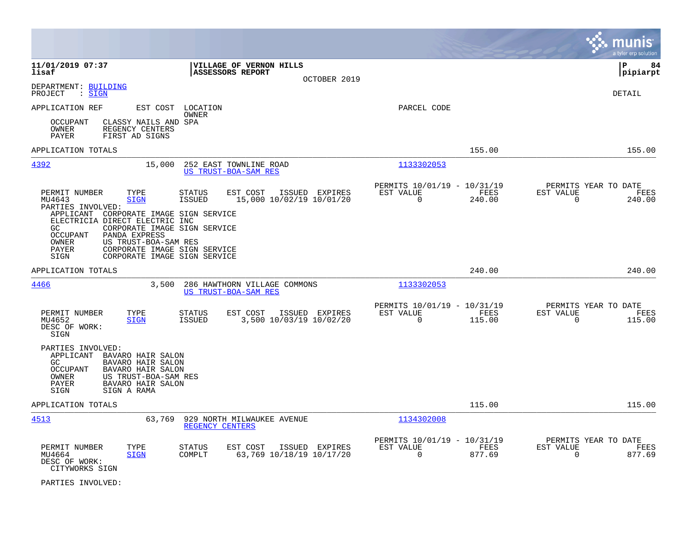|                                                                                                                                                                                                                                      |                                                                                          |                                                                           | munis<br>a tyler erp solution                                      |
|--------------------------------------------------------------------------------------------------------------------------------------------------------------------------------------------------------------------------------------|------------------------------------------------------------------------------------------|---------------------------------------------------------------------------|--------------------------------------------------------------------|
| 11/01/2019 07:37<br>lisaf                                                                                                                                                                                                            | VILLAGE OF VERNON HILLS<br>ASSESSORS REPORT<br>OCTOBER 2019                              |                                                                           | lР<br>84<br> pipiarpt                                              |
| DEPARTMENT: BUILDING<br>PROJECT<br>: SIGN                                                                                                                                                                                            |                                                                                          |                                                                           | <b>DETAIL</b>                                                      |
| APPLICATION REF                                                                                                                                                                                                                      | EST COST LOCATION<br>OWNER                                                               | PARCEL CODE                                                               |                                                                    |
| OCCUPANT<br>CLASSY NAILS AND SPA<br>OWNER<br>REGENCY CENTERS<br>PAYER<br>FIRST AD SIGNS                                                                                                                                              |                                                                                          |                                                                           |                                                                    |
| APPLICATION TOTALS                                                                                                                                                                                                                   |                                                                                          | 155.00                                                                    | 155.00                                                             |
| 4392<br>15,000                                                                                                                                                                                                                       | 252 EAST TOWNLINE ROAD<br>US TRUST-BOA-SAM RES                                           | 1133302053                                                                |                                                                    |
| PERMIT NUMBER<br>TYPE<br>MU4643<br>SIGN<br>PARTIES INVOLVED:                                                                                                                                                                         | <b>STATUS</b><br>EST COST<br>ISSUED EXPIRES<br>15,000 10/02/19 10/01/20<br><b>ISSUED</b> | PERMITS 10/01/19 - 10/31/19<br>EST VALUE<br>FEES<br>$\mathbf 0$<br>240.00 | PERMITS YEAR TO DATE<br>EST VALUE<br>FEES<br>$\mathbf 0$<br>240.00 |
| APPLICANT CORPORATE IMAGE SIGN SERVICE<br>ELECTRICIA DIRECT ELECTRIC INC<br>GC<br>CORPORATE IMAGE SIGN SERVICE<br><b>OCCUPANT</b><br>PANDA EXPRESS<br>OWNER<br>US TRUST-BOA-SAM RES<br>PAYER<br>SIGN<br>CORPORATE IMAGE SIGN SERVICE | CORPORATE IMAGE SIGN SERVICE                                                             |                                                                           |                                                                    |
| APPLICATION TOTALS                                                                                                                                                                                                                   |                                                                                          | 240.00                                                                    | 240.00                                                             |
| 3,500<br>4466                                                                                                                                                                                                                        | 286 HAWTHORN VILLAGE COMMONS<br>US TRUST-BOA-SAM RES                                     | 1133302053                                                                |                                                                    |
| PERMIT NUMBER<br>TYPE<br>MU4652<br><b>SIGN</b><br>DESC OF WORK:<br>SIGN                                                                                                                                                              | <b>STATUS</b><br>EST COST<br>ISSUED EXPIRES<br><b>ISSUED</b><br>3,500 10/03/19 10/02/20  | PERMITS 10/01/19 - 10/31/19<br>EST VALUE<br>FEES<br>$\Omega$<br>115.00    | PERMITS YEAR TO DATE<br>EST VALUE<br>FEES<br>$\Omega$<br>115.00    |
| PARTIES INVOLVED:<br>APPLICANT<br>BAVARO HAIR SALON<br>GC<br>BAVARO HAIR SALON<br><b>OCCUPANT</b><br>BAVARO HAIR SALON<br>US TRUST-BOA-SAM RES<br>OWNER<br>BAVARO HAIR SALON<br>PAYER<br>SIGN<br>SIGN A RAMA                         |                                                                                          |                                                                           |                                                                    |
| APPLICATION TOTALS                                                                                                                                                                                                                   |                                                                                          | 115.00                                                                    | 115.00                                                             |
| 4513<br>63,769                                                                                                                                                                                                                       | 929 NORTH MILWAUKEE AVENUE<br>REGENCY CENTERS                                            | 1134302008                                                                |                                                                    |
| PERMIT NUMBER<br>TYPE<br><b>SIGN</b><br>MU4664<br>DESC OF WORK:<br>CITYWORKS SIGN                                                                                                                                                    | EST COST<br><b>STATUS</b><br>ISSUED EXPIRES<br>COMPLT<br>63,769 10/18/19 10/17/20        | PERMITS 10/01/19 - 10/31/19<br>EST VALUE<br>FEES<br>0<br>877.69           | PERMITS YEAR TO DATE<br>EST VALUE<br>FEES<br>0<br>877.69           |
| PARTIES INVOLVED:                                                                                                                                                                                                                    |                                                                                          |                                                                           |                                                                    |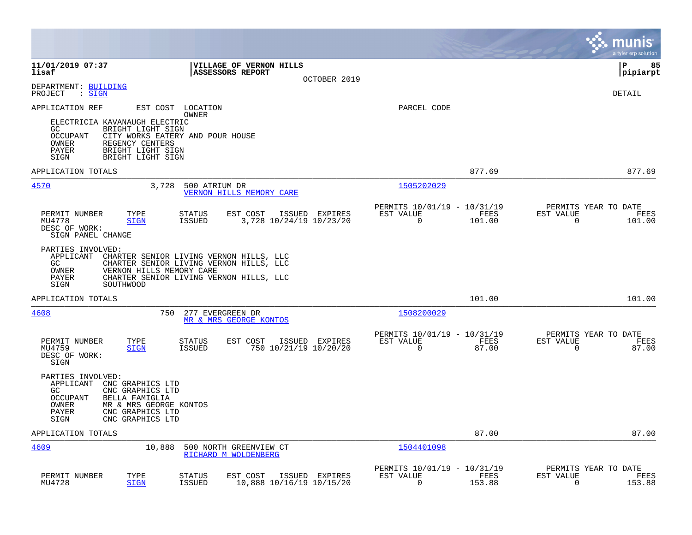|                                                                                                                                                                                                                                          |                                                                           | munis<br>a tyler erp solution                                      |
|------------------------------------------------------------------------------------------------------------------------------------------------------------------------------------------------------------------------------------------|---------------------------------------------------------------------------|--------------------------------------------------------------------|
| 11/01/2019 07:37<br>VILLAGE OF VERNON HILLS<br>lisaf<br><b>ASSESSORS REPORT</b><br>OCTOBER 2019                                                                                                                                          |                                                                           | l P<br>85<br> pipiarpt                                             |
| DEPARTMENT: BUILDING<br>: SIGN<br>PROJECT                                                                                                                                                                                                |                                                                           | DETAIL                                                             |
| APPLICATION REF<br>EST COST LOCATION<br>OWNER                                                                                                                                                                                            | PARCEL CODE                                                               |                                                                    |
| ELECTRICIA KAVANAUGH ELECTRIC<br>GC<br>BRIGHT LIGHT SIGN<br>OCCUPANT<br>CITY WORKS EATERY AND POUR HOUSE<br>OWNER<br>REGENCY CENTERS<br>PAYER<br>BRIGHT LIGHT SIGN<br>SIGN<br>BRIGHT LIGHT SIGN                                          |                                                                           |                                                                    |
| APPLICATION TOTALS                                                                                                                                                                                                                       | 877.69                                                                    | 877.69                                                             |
| 4570<br>3,728<br>500 ATRIUM DR<br>VERNON HILLS MEMORY CARE                                                                                                                                                                               | 1505202029                                                                |                                                                    |
| PERMIT NUMBER<br>TYPE<br>ISSUED EXPIRES<br>STATUS<br>EST COST<br>MU4778<br><b>SIGN</b><br>ISSUED<br>3,728 10/24/19 10/23/20<br>DESC OF WORK:<br>SIGN PANEL CHANGE                                                                        | PERMITS 10/01/19 - 10/31/19<br>EST VALUE<br>FEES<br>$\mathbf 0$<br>101.00 | PERMITS YEAR TO DATE<br>EST VALUE<br>FEES<br>$\mathbf 0$<br>101.00 |
| PARTIES INVOLVED:<br>APPLICANT<br>CHARTER SENIOR LIVING VERNON HILLS, LLC<br>GC<br>CHARTER SENIOR LIVING VERNON HILLS, LLC<br>OWNER<br>VERNON HILLS MEMORY CARE<br>CHARTER SENIOR LIVING VERNON HILLS, LLC<br>PAYER<br>SIGN<br>SOUTHWOOD |                                                                           |                                                                    |
| APPLICATION TOTALS                                                                                                                                                                                                                       | 101.00                                                                    | 101.00                                                             |
| 4608<br>750<br>277 EVERGREEN DR<br>MR & MRS GEORGE KONTOS                                                                                                                                                                                | 1508200029                                                                |                                                                    |
| PERMIT NUMBER<br>TYPE<br>STATUS<br>EST COST<br>ISSUED EXPIRES<br>750 10/21/19 10/20/20<br>MU4759<br><b>SIGN</b><br><b>ISSUED</b><br>DESC OF WORK:<br>SIGN                                                                                | PERMITS 10/01/19 - 10/31/19<br>EST VALUE<br>FEES<br>$\mathbf 0$<br>87.00  | PERMITS YEAR TO DATE<br>EST VALUE<br>FEES<br>$\mathbf 0$<br>87.00  |
| PARTIES INVOLVED:<br>APPLICANT<br>CNC GRAPHICS LTD<br>GC<br>CNC GRAPHICS LTD<br><b>OCCUPANT</b><br>BELLA FAMIGLIA<br>MR & MRS GEORGE KONTOS<br>OWNER<br>PAYER<br>CNC GRAPHICS LTD<br>SIGN<br>CNC GRAPHICS LTD                            |                                                                           |                                                                    |
| APPLICATION TOTALS                                                                                                                                                                                                                       | 87.00                                                                     | 87.00                                                              |
| 4609<br>500 NORTH GREENVIEW CT<br>10,888<br>RICHARD M WOLDENBERG                                                                                                                                                                         | 1504401098                                                                |                                                                    |
| PERMIT NUMBER<br>TYPE<br>EST COST<br>ISSUED EXPIRES<br><b>STATUS</b><br>MU4728<br><b>SIGN</b><br><b>ISSUED</b><br>10,888 10/16/19 10/15/20                                                                                               | PERMITS 10/01/19 - 10/31/19<br>EST VALUE<br>FEES<br>0<br>153.88           | PERMITS YEAR TO DATE<br>EST VALUE<br>FEES<br>0<br>153.88           |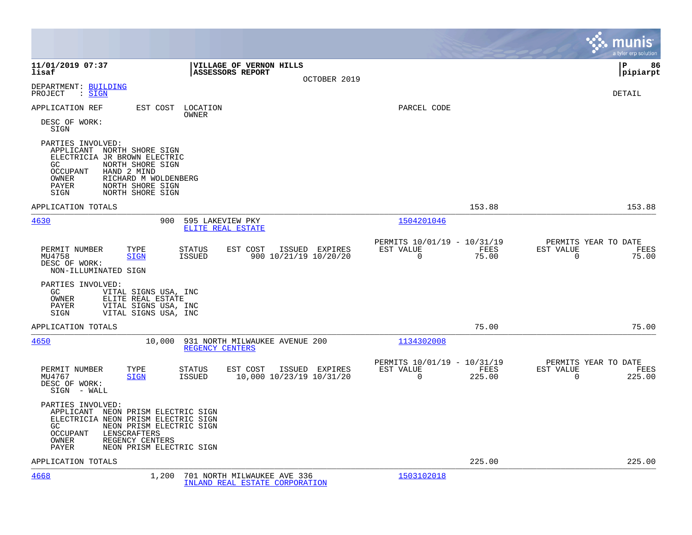|                                                                                                                                                                                                                                             |                                                                                          |                                                                              | munis<br>a tyler erp solution                                         |
|---------------------------------------------------------------------------------------------------------------------------------------------------------------------------------------------------------------------------------------------|------------------------------------------------------------------------------------------|------------------------------------------------------------------------------|-----------------------------------------------------------------------|
| 11/01/2019 07:37<br>lisaf                                                                                                                                                                                                                   | VILLAGE OF VERNON HILLS<br>ASSESSORS REPORT<br>OCTOBER 2019                              |                                                                              | l P<br>86<br> pipiarpt                                                |
| DEPARTMENT: BUILDING<br>: SIGN<br>PROJECT                                                                                                                                                                                                   |                                                                                          |                                                                              | <b>DETAIL</b>                                                         |
| APPLICATION REF<br>EST COST LOCATION<br>DESC OF WORK:<br>SIGN                                                                                                                                                                               | OWNER                                                                                    | PARCEL CODE                                                                  |                                                                       |
| PARTIES INVOLVED:<br>APPLICANT NORTH SHORE SIGN<br>ELECTRICIA JR BROWN ELECTRIC<br>NORTH SHORE SIGN<br>GC<br>OCCUPANT<br>HAND 2 MIND<br>OWNER<br>RICHARD M WOLDENBERG<br>PAYER<br>NORTH SHORE SIGN<br>NORTH SHORE SIGN<br>SIGN              |                                                                                          |                                                                              |                                                                       |
| APPLICATION TOTALS                                                                                                                                                                                                                          |                                                                                          | 153.88                                                                       | 153.88                                                                |
| 4630<br>900                                                                                                                                                                                                                                 | 595 LAKEVIEW PKY<br>ELITE REAL ESTATE                                                    | 1504201046                                                                   |                                                                       |
| PERMIT NUMBER<br>TYPE<br>MU4758<br><b>SIGN</b><br>DESC OF WORK:<br>NON-ILLUMINATED SIGN                                                                                                                                                     | <b>STATUS</b><br>EST COST<br>ISSUED EXPIRES<br><b>ISSUED</b><br>900 10/21/19 10/20/20    | PERMITS 10/01/19 - 10/31/19<br>FEES<br>EST VALUE<br>$\mathbf 0$<br>75.00     | PERMITS YEAR TO DATE<br>EST VALUE<br>FEES<br>$\mathbf 0$<br>75.00     |
| PARTIES INVOLVED:<br>GC<br>VITAL SIGNS USA, INC<br>ELITE REAL ESTATE<br>OWNER<br>VITAL SIGNS USA, INC<br>PAYER<br>VITAL SIGNS USA, INC<br>SIGN                                                                                              |                                                                                          |                                                                              |                                                                       |
| APPLICATION TOTALS                                                                                                                                                                                                                          |                                                                                          | 75.00                                                                        | 75.00                                                                 |
| 4650                                                                                                                                                                                                                                        | 10,000 931 NORTH MILWAUKEE AVENUE 200<br>REGENCY CENTERS                                 | 1134302008                                                                   |                                                                       |
| PERMIT NUMBER<br>TYPE<br>MU4767<br><b>SIGN</b><br>DESC OF WORK:<br>SIGN - WALL                                                                                                                                                              | EST COST<br><b>STATUS</b><br>ISSUED EXPIRES<br>10,000 10/23/19 10/31/20<br><b>ISSUED</b> | PERMITS 10/01/19 - 10/31/19<br>EST VALUE<br>FEES<br>$\overline{0}$<br>225.00 | PERMITS YEAR TO DATE<br>EST VALUE<br>FEES<br>$\overline{0}$<br>225.00 |
| PARTIES INVOLVED:<br>APPLICANT NEON PRISM ELECTRIC SIGN<br>ELECTRICIA NEON PRISM ELECTRIC SIGN<br>GC<br>NEON PRISM ELECTRIC SIGN<br><b>OCCUPANT</b><br>LENSCRAFTERS<br>OWNER<br>REGENCY CENTERS<br>NEON PRISM ELECTRIC SIGN<br><b>PAYER</b> |                                                                                          |                                                                              |                                                                       |
| APPLICATION TOTALS                                                                                                                                                                                                                          |                                                                                          | 225.00                                                                       | 225.00                                                                |
| 4668<br>1,200                                                                                                                                                                                                                               | 701 NORTH MILWAUKEE AVE 336<br>INLAND REAL ESTATE CORPORATION                            | 1503102018                                                                   |                                                                       |